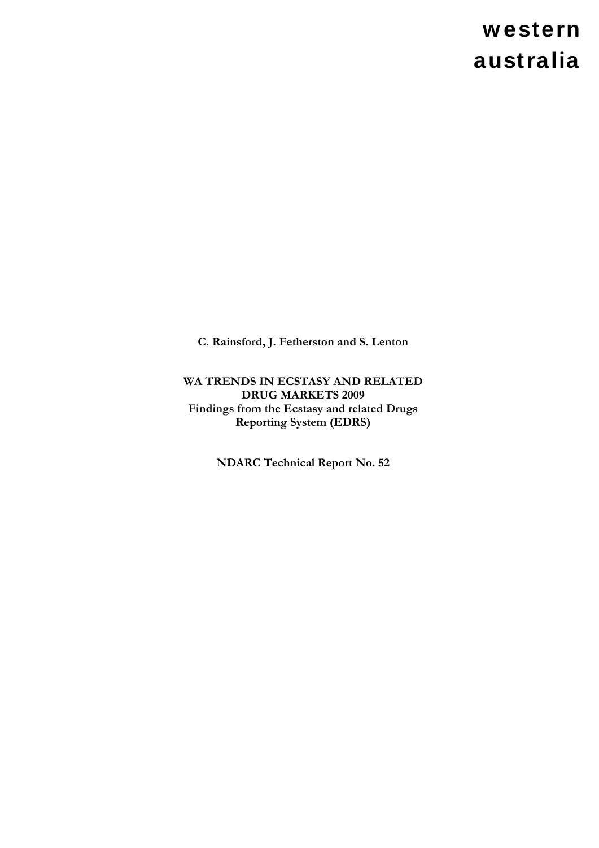# western australia

**C. Rainsford, J. Fetherston and S. Lenton** 

**WA TRENDS IN ECSTASY AND RELATED DRUG MARKETS 2009 Findings from the Ecstasy and related Drugs Reporting System (EDRS)** 

**NDARC Technical Report No. 52**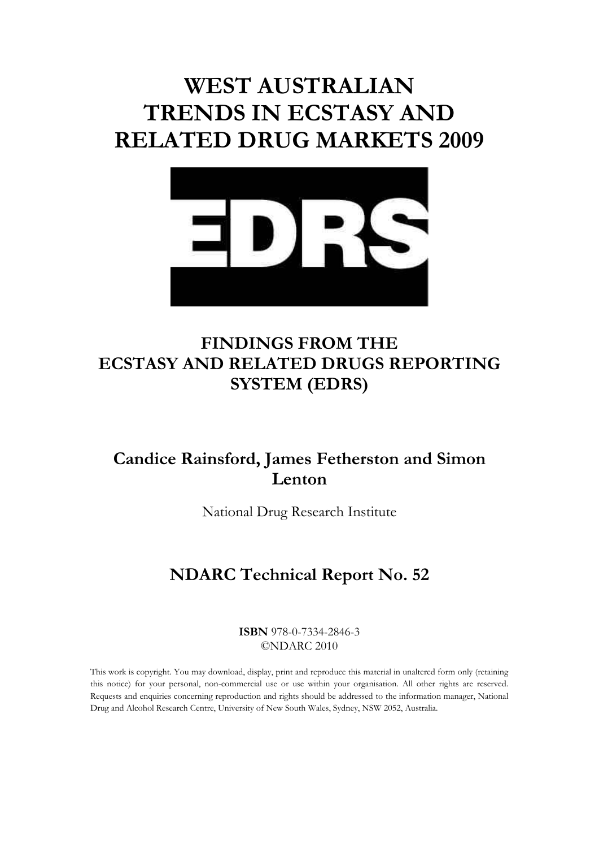# **WEST AUSTRALIAN TRENDS IN ECSTASY AND RELATED DRUG MARKETS 2009**



## **FINDINGS FROM THE ECSTASY AND RELATED DRUGS REPORTING SYSTEM (EDRS)**

## **Candice Rainsford, James Fetherston and Simon Lenton**

National Drug Research Institute

## **NDARC Technical Report No. 52**

**ISBN** 978-0-7334-2846-3 ©NDARC 2010

This work is copyright. You may download, display, print and reproduce this material in unaltered form only (retaining this notice) for your personal, non-commercial use or use within your organisation. All other rights are reserved. Requests and enquiries concerning reproduction and rights should be addressed to the information manager, National Drug and Alcohol Research Centre, University of New South Wales, Sydney, NSW 2052, Australia.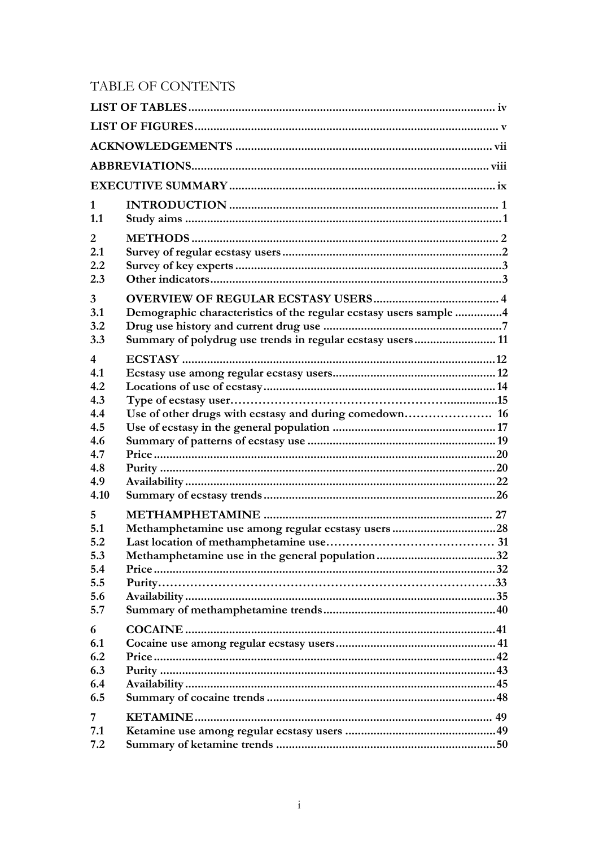## TABLE OF CONTENTS

| 1<br>1.1                                           |                                                                                                                                 |  |
|----------------------------------------------------|---------------------------------------------------------------------------------------------------------------------------------|--|
| $\overline{2}$<br>2.1<br>2.2<br>2.3                |                                                                                                                                 |  |
| $\overline{3}$<br>3.1<br>3.2<br>3.3                | Demographic characteristics of the regular ecstasy users sample 4<br>Summary of polydrug use trends in regular ecstasy users 11 |  |
| $\overline{4}$<br>4.1<br>4.2<br>4.3<br>4.4<br>4.5  | Use of other drugs with ecstasy and during comedown 16                                                                          |  |
| 4.6<br>4.7<br>4.8<br>4.9<br>4.10                   |                                                                                                                                 |  |
| 5<br>5.1<br>5.2<br>5.3<br>5.4<br>5.5<br>5.6<br>5.7 | Methamphetamine use among regular ecstasy users28                                                                               |  |
| 6<br>6.1<br>6.2<br>6.3<br>6.4<br>6.5               |                                                                                                                                 |  |
| 7<br>7.1<br>7.2                                    |                                                                                                                                 |  |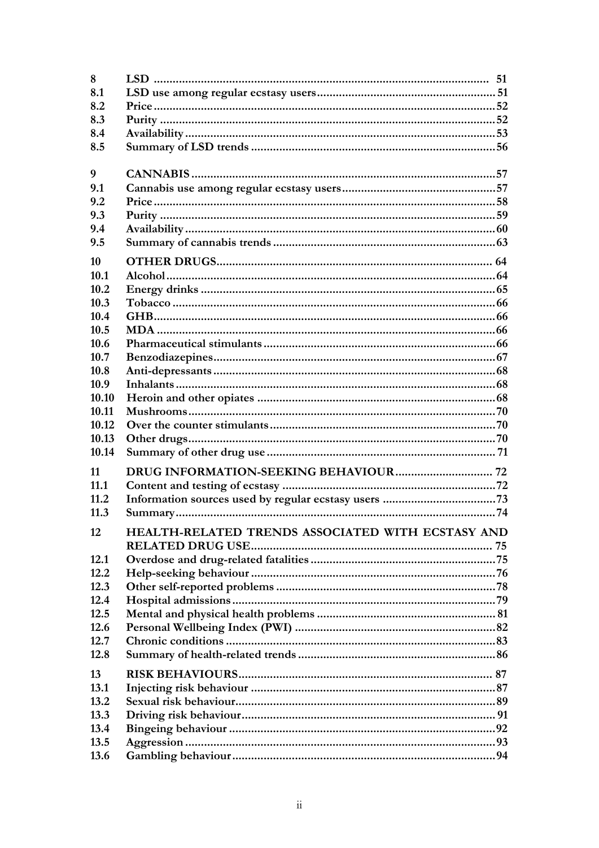| 8              |                                                   |  |
|----------------|---------------------------------------------------|--|
| 8.1            |                                                   |  |
| 8.2            |                                                   |  |
| 8.3            |                                                   |  |
| 8.4            |                                                   |  |
| 8.5            |                                                   |  |
|                |                                                   |  |
| 9              |                                                   |  |
| 9.1            |                                                   |  |
| 9.2            |                                                   |  |
| 9.3            |                                                   |  |
| 9.4            |                                                   |  |
| 9.5            |                                                   |  |
| 10             |                                                   |  |
| 10.1           |                                                   |  |
| 10.2           |                                                   |  |
| 10.3           |                                                   |  |
| 10.4           |                                                   |  |
| 10.5           |                                                   |  |
| 10.6           |                                                   |  |
| 10.7           |                                                   |  |
| 10.8           |                                                   |  |
| 10.9           |                                                   |  |
| 10.10          |                                                   |  |
| 10.11          |                                                   |  |
| 10.12          |                                                   |  |
| 10.13<br>10.14 |                                                   |  |
|                |                                                   |  |
| 11             |                                                   |  |
| 11.1           |                                                   |  |
| 11.2           |                                                   |  |
| 11.3           |                                                   |  |
| 12             | HEALTH-RELATED TRENDS ASSOCIATED WITH ECSTASY AND |  |
|                |                                                   |  |
| 12.1           |                                                   |  |
| 12.2           |                                                   |  |
| 12.3           |                                                   |  |
| 12.4           |                                                   |  |
| 12.5           |                                                   |  |
| 12.6           |                                                   |  |
| 12.7           |                                                   |  |
| 12.8           |                                                   |  |
| 13             |                                                   |  |
| 13.1           |                                                   |  |
| 13.2           |                                                   |  |
| 13.3           |                                                   |  |
| 13.4           |                                                   |  |
| 13.5           |                                                   |  |
| 13.6           |                                                   |  |
|                |                                                   |  |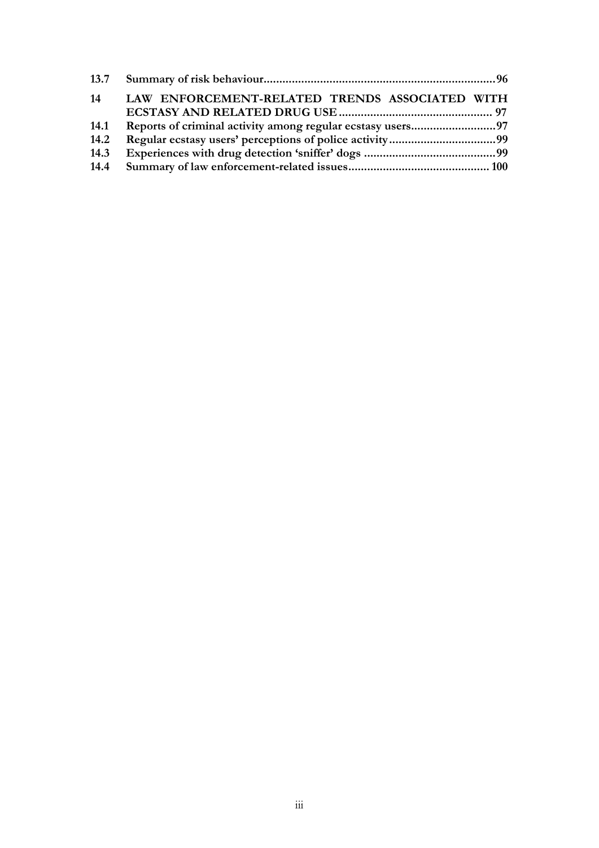| 14   | LAW ENFORCEMENT-RELATED TRENDS ASSOCIATED WITH |  |
|------|------------------------------------------------|--|
|      |                                                |  |
| 14.1 |                                                |  |
| 14.2 |                                                |  |
| 14.3 |                                                |  |
|      |                                                |  |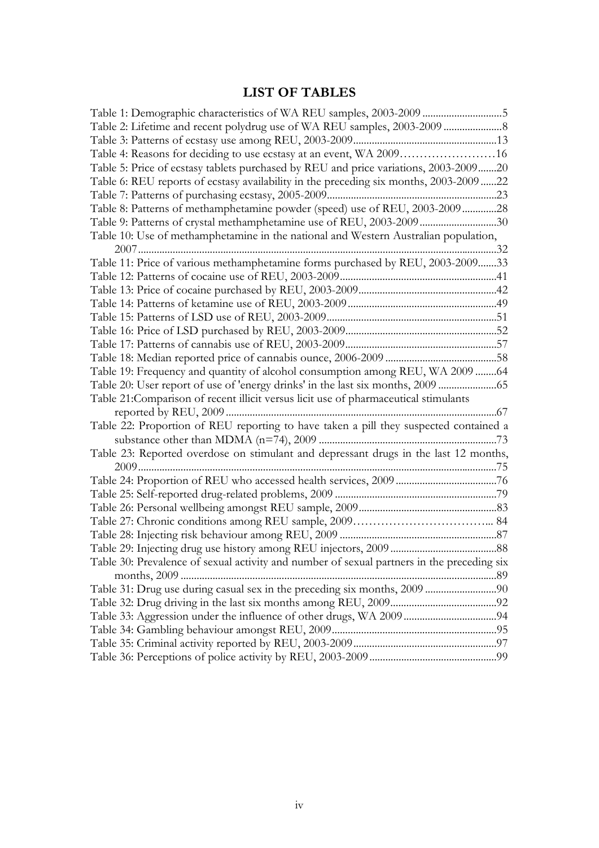## **LIST OF TABLES**

<span id="page-7-0"></span>

| Table 1: Demographic characteristics of WA REU samples, 2003-2009 5                        |  |
|--------------------------------------------------------------------------------------------|--|
|                                                                                            |  |
|                                                                                            |  |
| Table 4: Reasons for deciding to use ecstasy at an event, WA 200916                        |  |
| Table 5: Price of ecstasy tablets purchased by REU and price variations, 2003-200920       |  |
| Table 6: REU reports of ecstasy availability in the preceding six months, 2003-2009 22     |  |
|                                                                                            |  |
| Table 8: Patterns of methamphetamine powder (speed) use of REU, 2003-200928                |  |
| Table 9: Patterns of crystal methamphetamine use of REU, 2003-200930                       |  |
| Table 10: Use of methamphetamine in the national and Western Australian population,        |  |
|                                                                                            |  |
| Table 11: Price of various methamphetamine forms purchased by REU, 2003-200933             |  |
|                                                                                            |  |
|                                                                                            |  |
|                                                                                            |  |
|                                                                                            |  |
|                                                                                            |  |
|                                                                                            |  |
|                                                                                            |  |
| Table 19: Frequency and quantity of alcohol consumption among REU, WA 2009 64              |  |
| Table 20: User report of use of 'energy drinks' in the last six months, 2009               |  |
| Table 21: Comparison of recent illicit versus licit use of pharmaceutical stimulants       |  |
|                                                                                            |  |
| Table 22: Proportion of REU reporting to have taken a pill they suspected contained a      |  |
|                                                                                            |  |
| Table 23: Reported overdose on stimulant and depressant drugs in the last 12 months,       |  |
|                                                                                            |  |
|                                                                                            |  |
|                                                                                            |  |
|                                                                                            |  |
|                                                                                            |  |
|                                                                                            |  |
|                                                                                            |  |
| Table 30: Prevalence of sexual activity and number of sexual partners in the preceding six |  |
|                                                                                            |  |
|                                                                                            |  |
|                                                                                            |  |
|                                                                                            |  |
|                                                                                            |  |
|                                                                                            |  |
|                                                                                            |  |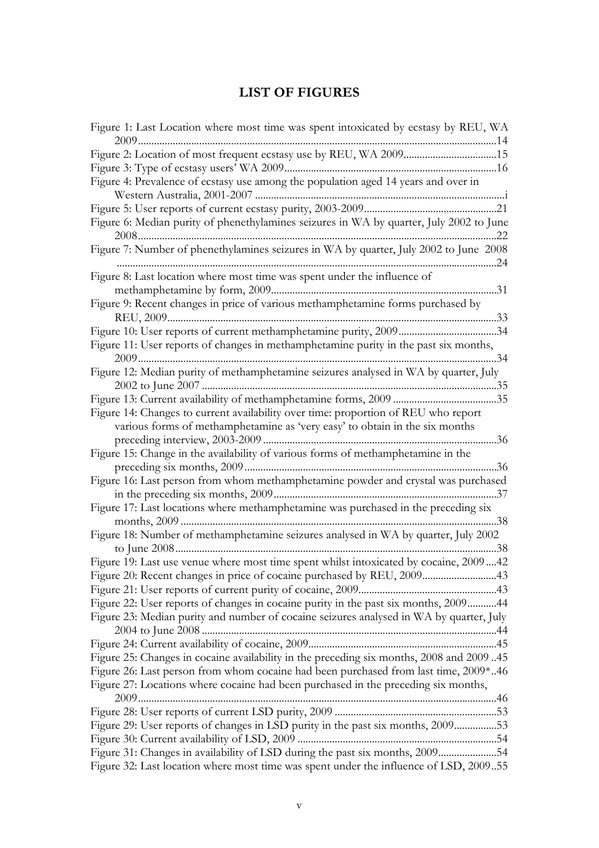## **LIST OF FIGURES**

<span id="page-8-0"></span>

| Figure 1: Last Location where most time was spent intoxicated by ecstasy by REU, WA      |
|------------------------------------------------------------------------------------------|
| Figure 2: Location of most frequent ecstasy use by REU, WA 200915                        |
|                                                                                          |
| Figure 4: Prevalence of ecstasy use among the population aged 14 years and over in       |
|                                                                                          |
| Figure 6: Median purity of phenethylamines seizures in WA by quarter, July 2002 to June  |
|                                                                                          |
| Figure 7: Number of phenethylamines seizures in WA by quarter, July 2002 to June 2008    |
| Figure 8: Last location where most time was spent under the influence of                 |
|                                                                                          |
| Figure 9: Recent changes in price of various methamphetamine forms purchased by          |
|                                                                                          |
| Figure 11: User reports of changes in methamphetamine purity in the past six months,     |
| . 34                                                                                     |
| Figure 12: Median purity of methamphetamine seizures analysed in WA by quarter, July     |
|                                                                                          |
|                                                                                          |
| Figure 14: Changes to current availability over time: proportion of REU who report       |
| various forms of methamphetamine as 'very easy' to obtain in the six months              |
|                                                                                          |
| Figure 15: Change in the availability of various forms of methamphetamine in the         |
| .36                                                                                      |
| Figure 16: Last person from whom methamphetamine powder and crystal was purchased        |
|                                                                                          |
| Figure 17: Last locations where methamphetamine was purchased in the preceding six       |
|                                                                                          |
| Figure 18: Number of methamphetamine seizures analysed in WA by quarter, July 2002       |
|                                                                                          |
| Figure 19: Last use venue where most time spent whilst intoxicated by cocaine, 200942    |
| Figure 20: Recent changes in price of cocaine purchased by REU, 200943                   |
|                                                                                          |
| Figure 22: User reports of changes in cocaine purity in the past six months, 200944      |
| Figure 23: Median purity and number of cocaine seizures analysed in WA by quarter, July  |
|                                                                                          |
|                                                                                          |
| Figure 25: Changes in cocaine availability in the preceding six months, 2008 and 2009 45 |
| Figure 26: Last person from whom cocaine had been purchased from last time, 2009*46      |
| Figure 27: Locations where cocaine had been purchased in the preceding six months,       |
|                                                                                          |
|                                                                                          |
| Figure 29: User reports of changes in LSD purity in the past six months, 200953          |
|                                                                                          |
| Figure 31: Changes in availability of LSD during the past six months, 200954             |
| Figure 32: Last location where most time was spent under the influence of LSD, 200955    |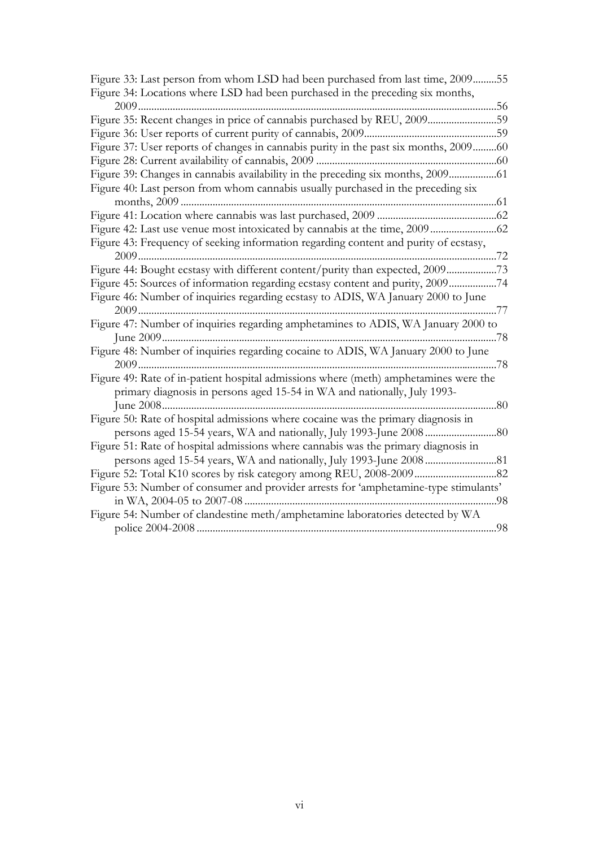| Figure 33: Last person from whom LSD had been purchased from last time, 200955       |
|--------------------------------------------------------------------------------------|
| Figure 34: Locations where LSD had been purchased in the preceding six months,       |
|                                                                                      |
| Figure 35: Recent changes in price of cannabis purchased by REU, 200959              |
|                                                                                      |
| Figure 37: User reports of changes in cannabis purity in the past six months, 200960 |
|                                                                                      |
| Figure 39: Changes in cannabis availability in the preceding six months, 2009        |
| Figure 40: Last person from whom cannabis usually purchased in the preceding six     |
|                                                                                      |
|                                                                                      |
|                                                                                      |
| Figure 43: Frequency of seeking information regarding content and purity of ecstasy, |
|                                                                                      |
| Figure 44: Bought ecstasy with different content/purity than expected, 200973        |
| Figure 45: Sources of information regarding ecstasy content and purity, 200974       |
| Figure 46: Number of inquiries regarding ecstasy to ADIS, WA January 2000 to June    |
|                                                                                      |
| Figure 47: Number of inquiries regarding amphetamines to ADIS, WA January 2000 to    |
|                                                                                      |
| Figure 48: Number of inquiries regarding cocaine to ADIS, WA January 2000 to June    |
|                                                                                      |
| Figure 49: Rate of in-patient hospital admissions where (meth) amphetamines were the |
| primary diagnosis in persons aged 15-54 in WA and nationally, July 1993-             |
|                                                                                      |
| Figure 50: Rate of hospital admissions where cocaine was the primary diagnosis in    |
|                                                                                      |
| Figure 51: Rate of hospital admissions where cannabis was the primary diagnosis in   |
|                                                                                      |
|                                                                                      |
| Figure 53: Number of consumer and provider arrests for 'amphetamine-type stimulants' |
|                                                                                      |
| Figure 54: Number of clandestine meth/amphetamine laboratories detected by WA        |
|                                                                                      |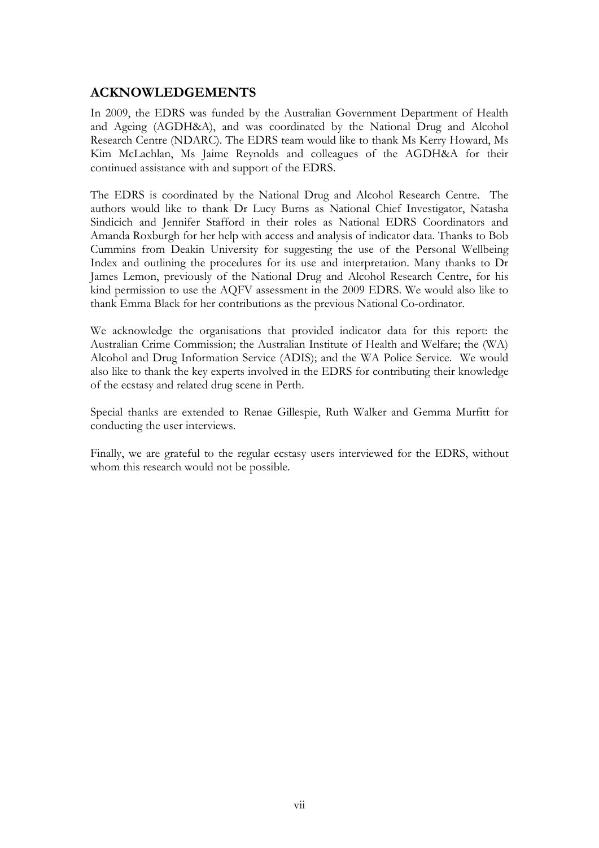### <span id="page-10-0"></span>**ACKNOWLEDGEMENTS**

In 2009, the EDRS was funded by the Australian Government Department of Health and Ageing (AGDH&A), and was coordinated by the National Drug and Alcohol Research Centre (NDARC). The EDRS team would like to thank Ms Kerry Howard, Ms Kim McLachlan, Ms Jaime Reynolds and colleagues of the AGDH&A for their continued assistance with and support of the EDRS.

The EDRS is coordinated by the National Drug and Alcohol Research Centre. The authors would like to thank Dr Lucy Burns as National Chief Investigator, Natasha Sindicich and Jennifer Stafford in their roles as National EDRS Coordinators and Amanda Roxburgh for her help with access and analysis of indicator data. Thanks to Bob Cummins from Deakin University for suggesting the use of the Personal Wellbeing Index and outlining the procedures for its use and interpretation. Many thanks to Dr James Lemon, previously of the National Drug and Alcohol Research Centre, for his kind permission to use the AQFV assessment in the 2009 EDRS. We would also like to thank Emma Black for her contributions as the previous National Co-ordinator.

We acknowledge the organisations that provided indicator data for this report: the Australian Crime Commission; the Australian Institute of Health and Welfare; the (WA) Alcohol and Drug Information Service (ADIS); and the WA Police Service. We would also like to thank the key experts involved in the EDRS for contributing their knowledge of the ecstasy and related drug scene in Perth.

Special thanks are extended to Renae Gillespie, Ruth Walker and Gemma Murfitt for conducting the user interviews.

Finally, we are grateful to the regular ecstasy users interviewed for the EDRS, without whom this research would not be possible.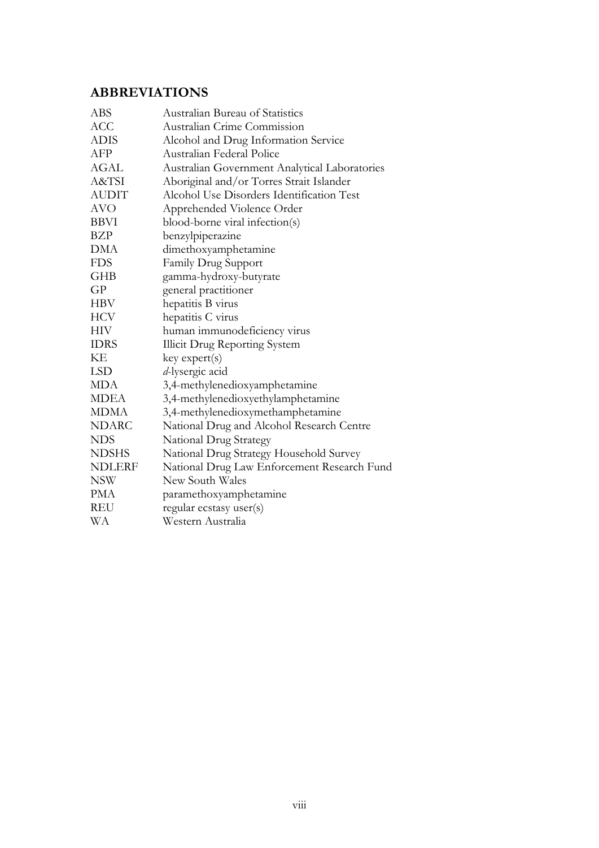## <span id="page-11-0"></span>**ABBREVIATIONS**

| ABS           | <b>Australian Bureau of Statistics</b>        |
|---------------|-----------------------------------------------|
| <b>ACC</b>    | Australian Crime Commission                   |
| ADIS          | Alcohol and Drug Information Service          |
| AFP           | Australian Federal Police                     |
| <b>AGAL</b>   | Australian Government Analytical Laboratories |
| A&TSI         | Aboriginal and/or Torres Strait Islander      |
| <b>AUDIT</b>  | Alcohol Use Disorders Identification Test     |
| <b>AVO</b>    | Apprehended Violence Order                    |
| <b>BBVI</b>   | blood-borne viral infection(s)                |
| BZP           | benzylpiperazine                              |
| DMA           | dimethoxyamphetamine                          |
| <b>FDS</b>    | Family Drug Support                           |
| <b>GHB</b>    | gamma-hydroxy-butyrate                        |
| GP            | general practitioner                          |
| <b>HBV</b>    | hepatitis B virus                             |
| <b>HCV</b>    | hepatitis C virus                             |
| HIV           | human immunodeficiency virus                  |
| <b>IDRS</b>   | <b>Illicit Drug Reporting System</b>          |
| KE            | key expert(s)                                 |
| <b>LSD</b>    | d-lysergic acid                               |
| <b>MDA</b>    | 3,4-methylenedioxyamphetamine                 |
| <b>MDEA</b>   | 3,4-methylenedioxyethylamphetamine            |
| <b>MDMA</b>   | 3,4-methylenedioxymethamphetamine             |
| <b>NDARC</b>  | National Drug and Alcohol Research Centre     |
| <b>NDS</b>    | National Drug Strategy                        |
| <b>NDSHS</b>  | National Drug Strategy Household Survey       |
| <b>NDLERF</b> | National Drug Law Enforcement Research Fund   |
| <b>NSW</b>    | New South Wales                               |
| PMA           | paramethoxyamphetamine                        |
| <b>REU</b>    | regular ecstasy user(s)                       |
| WА            | Western Australia                             |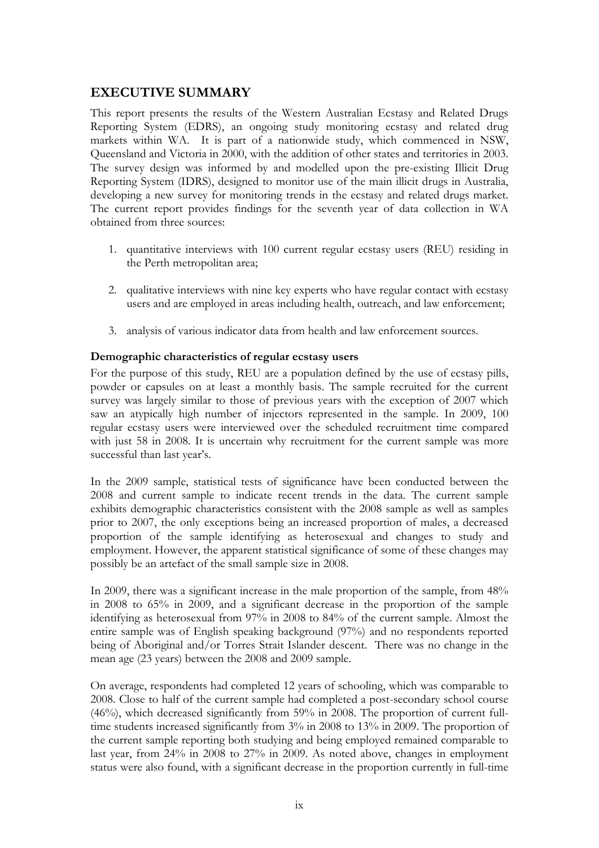## <span id="page-12-0"></span>**EXECUTIVE SUMMARY**

This report presents the results of the Western Australian Ecstasy and Related Drugs Reporting System (EDRS), an ongoing study monitoring ecstasy and related drug markets within WA. It is part of a nationwide study, which commenced in NSW, Queensland and Victoria in 2000, with the addition of other states and territories in 2003. The survey design was informed by and modelled upon the pre-existing Illicit Drug Reporting System (IDRS), designed to monitor use of the main illicit drugs in Australia, developing a new survey for monitoring trends in the ecstasy and related drugs market. The current report provides findings for the seventh year of data collection in WA obtained from three sources:

- 1. quantitative interviews with 100 current regular ecstasy users (REU) residing in the Perth metropolitan area;
- 2. qualitative interviews with nine key experts who have regular contact with ecstasy users and are employed in areas including health, outreach, and law enforcement;
- 3. analysis of various indicator data from health and law enforcement sources.

#### **Demographic characteristics of regular ecstasy users**

For the purpose of this study, REU are a population defined by the use of ecstasy pills, powder or capsules on at least a monthly basis. The sample recruited for the current survey was largely similar to those of previous years with the exception of 2007 which saw an atypically high number of injectors represented in the sample. In 2009, 100 regular ecstasy users were interviewed over the scheduled recruitment time compared with just 58 in 2008. It is uncertain why recruitment for the current sample was more successful than last year's.

In the 2009 sample, statistical tests of significance have been conducted between the 2008 and current sample to indicate recent trends in the data. The current sample exhibits demographic characteristics consistent with the 2008 sample as well as samples prior to 2007, the only exceptions being an increased proportion of males, a decreased proportion of the sample identifying as heterosexual and changes to study and employment. However, the apparent statistical significance of some of these changes may possibly be an artefact of the small sample size in 2008.

In 2009, there was a significant increase in the male proportion of the sample, from 48% in 2008 to 65% in 2009, and a significant decrease in the proportion of the sample identifying as heterosexual from 97% in 2008 to 84% of the current sample. Almost the entire sample was of English speaking background (97%) and no respondents reported being of Aboriginal and/or Torres Strait Islander descent. There was no change in the mean age (23 years) between the 2008 and 2009 sample.

On average, respondents had completed 12 years of schooling, which was comparable to 2008. Close to half of the current sample had completed a post-secondary school course (46%), which decreased significantly from 59% in 2008. The proportion of current fulltime students increased significantly from 3% in 2008 to 13% in 2009. The proportion of the current sample reporting both studying and being employed remained comparable to last year, from 24% in 2008 to 27% in 2009. As noted above, changes in employment status were also found, with a significant decrease in the proportion currently in full-time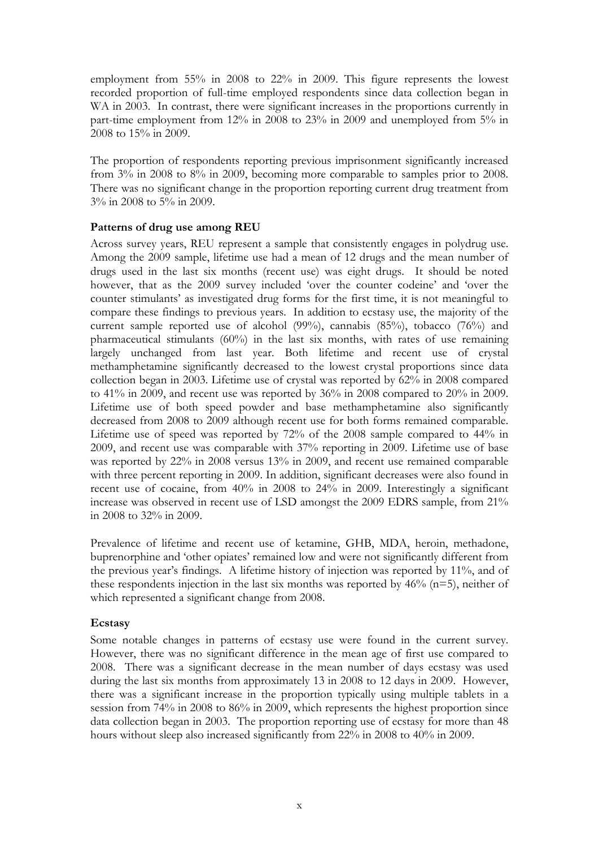employment from 55% in 2008 to 22% in 2009. This figure represents the lowest recorded proportion of full-time employed respondents since data collection began in WA in 2003. In contrast, there were significant increases in the proportions currently in part-time employment from 12% in 2008 to 23% in 2009 and unemployed from 5% in 2008 to 15% in 2009.

The proportion of respondents reporting previous imprisonment significantly increased from 3% in 2008 to 8% in 2009, becoming more comparable to samples prior to 2008. There was no significant change in the proportion reporting current drug treatment from 3% in 2008 to 5% in 2009.

#### **Patterns of drug use among REU**

Across survey years, REU represent a sample that consistently engages in polydrug use. Among the 2009 sample, lifetime use had a mean of 12 drugs and the mean number of drugs used in the last six months (recent use) was eight drugs. It should be noted however, that as the 2009 survey included 'over the counter codeine' and 'over the counter stimulants' as investigated drug forms for the first time, it is not meaningful to compare these findings to previous years. In addition to ecstasy use, the majority of the current sample reported use of alcohol (99%), cannabis (85%), tobacco (76%) and pharmaceutical stimulants (60%) in the last six months, with rates of use remaining largely unchanged from last year. Both lifetime and recent use of crystal methamphetamine significantly decreased to the lowest crystal proportions since data collection began in 2003. Lifetime use of crystal was reported by 62% in 2008 compared to 41% in 2009, and recent use was reported by 36% in 2008 compared to 20% in 2009. Lifetime use of both speed powder and base methamphetamine also significantly decreased from 2008 to 2009 although recent use for both forms remained comparable. Lifetime use of speed was reported by 72% of the 2008 sample compared to 44% in 2009, and recent use was comparable with 37% reporting in 2009. Lifetime use of base was reported by 22% in 2008 versus 13% in 2009, and recent use remained comparable with three percent reporting in 2009. In addition, significant decreases were also found in recent use of cocaine, from 40% in 2008 to 24% in 2009. Interestingly a significant increase was observed in recent use of LSD amongst the 2009 EDRS sample, from 21% in 2008 to 32% in 2009.

Prevalence of lifetime and recent use of ketamine, GHB, MDA, heroin, methadone, buprenorphine and 'other opiates' remained low and were not significantly different from the previous year's findings. A lifetime history of injection was reported by 11%, and of these respondents injection in the last six months was reported by  $46\%$  (n=5), neither of which represented a significant change from 2008.

#### **Ecstasy**

Some notable changes in patterns of ecstasy use were found in the current survey. However, there was no significant difference in the mean age of first use compared to 2008. There was a significant decrease in the mean number of days ecstasy was used during the last six months from approximately 13 in 2008 to 12 days in 2009. However, there was a significant increase in the proportion typically using multiple tablets in a session from 74% in 2008 to 86% in 2009, which represents the highest proportion since data collection began in 2003. The proportion reporting use of ecstasy for more than 48 hours without sleep also increased significantly from 22% in 2008 to 40% in 2009.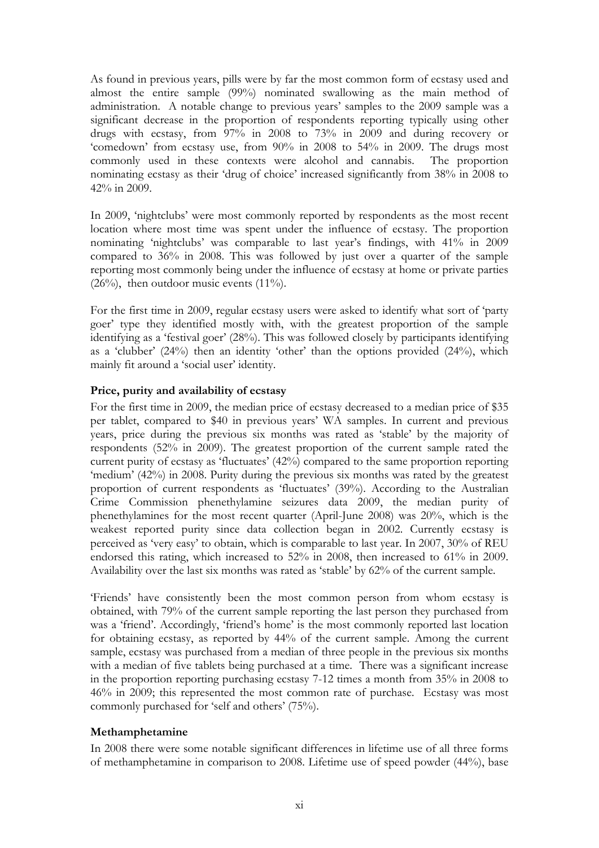As found in previous years, pills were by far the most common form of ecstasy used and almost the entire sample (99%) nominated swallowing as the main method of administration. A notable change to previous years' samples to the 2009 sample was a significant decrease in the proportion of respondents reporting typically using other drugs with ecstasy, from 97% in 2008 to 73% in 2009 and during recovery or 'comedown' from ecstasy use, from 90% in 2008 to 54% in 2009. The drugs most commonly used in these contexts were alcohol and cannabis. The proportion nominating ecstasy as their 'drug of choice' increased significantly from 38% in 2008 to 42% in 2009.

In 2009, 'nightclubs' were most commonly reported by respondents as the most recent location where most time was spent under the influence of ecstasy. The proportion nominating 'nightclubs' was comparable to last year's findings, with 41% in 2009 compared to 36% in 2008. This was followed by just over a quarter of the sample reporting most commonly being under the influence of ecstasy at home or private parties  $(26\%)$ , then outdoor music events  $(11\%)$ .

For the first time in 2009, regular ecstasy users were asked to identify what sort of 'party goer' type they identified mostly with, with the greatest proportion of the sample identifying as a 'festival goer' (28%). This was followed closely by participants identifying as a 'clubber' (24%) then an identity 'other' than the options provided (24%), which mainly fit around a 'social user' identity.

#### **Price, purity and availability of ecstasy**

For the first time in 2009, the median price of ecstasy decreased to a median price of \$35 per tablet, compared to \$40 in previous years' WA samples. In current and previous years, price during the previous six months was rated as 'stable' by the majority of respondents (52% in 2009). The greatest proportion of the current sample rated the current purity of ecstasy as 'fluctuates' (42%) compared to the same proportion reporting 'medium' (42%) in 2008. Purity during the previous six months was rated by the greatest proportion of current respondents as 'fluctuates' (39%). According to the Australian Crime Commission phenethylamine seizures data 2009, the median purity of phenethylamines for the most recent quarter (April-June 2008) was 20%, which is the weakest reported purity since data collection began in 2002. Currently ecstasy is perceived as 'very easy' to obtain, which is comparable to last year. In 2007, 30% of REU endorsed this rating, which increased to 52% in 2008, then increased to 61% in 2009. Availability over the last six months was rated as 'stable' by 62% of the current sample.

'Friends' have consistently been the most common person from whom ecstasy is obtained, with 79% of the current sample reporting the last person they purchased from was a 'friend'. Accordingly, 'friend's home' is the most commonly reported last location for obtaining ecstasy, as reported by 44% of the current sample. Among the current sample, ecstasy was purchased from a median of three people in the previous six months with a median of five tablets being purchased at a time. There was a significant increase in the proportion reporting purchasing ecstasy 7-12 times a month from 35% in 2008 to 46% in 2009; this represented the most common rate of purchase. Ecstasy was most commonly purchased for 'self and others' (75%).

#### **Methamphetamine**

In 2008 there were some notable significant differences in lifetime use of all three forms of methamphetamine in comparison to 2008. Lifetime use of speed powder (44%), base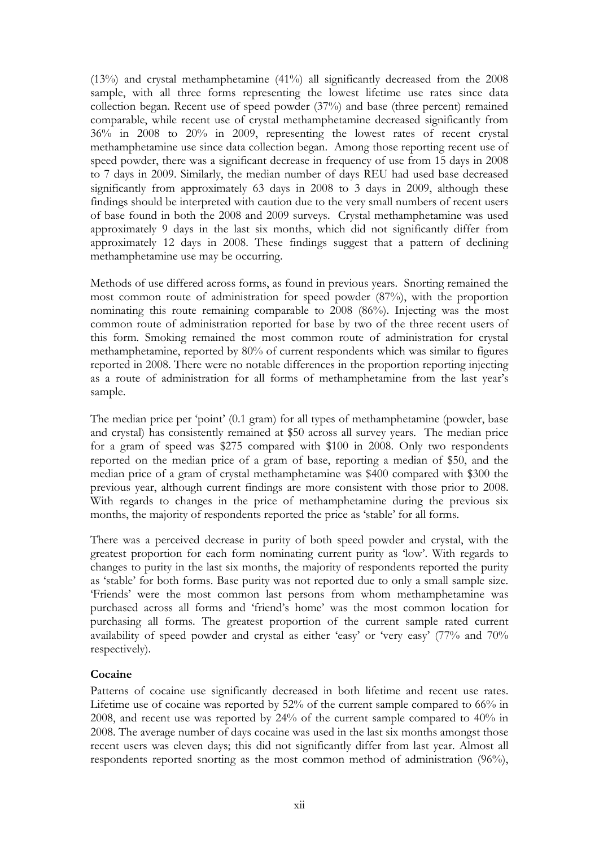(13%) and crystal methamphetamine (41%) all significantly decreased from the 2008 sample, with all three forms representing the lowest lifetime use rates since data collection began. Recent use of speed powder (37%) and base (three percent) remained comparable, while recent use of crystal methamphetamine decreased significantly from 36% in 2008 to 20% in 2009, representing the lowest rates of recent crystal methamphetamine use since data collection began. Among those reporting recent use of speed powder, there was a significant decrease in frequency of use from 15 days in 2008 to 7 days in 2009. Similarly, the median number of days REU had used base decreased significantly from approximately 63 days in 2008 to 3 days in 2009, although these findings should be interpreted with caution due to the very small numbers of recent users of base found in both the 2008 and 2009 surveys. Crystal methamphetamine was used approximately 9 days in the last six months, which did not significantly differ from approximately 12 days in 2008. These findings suggest that a pattern of declining methamphetamine use may be occurring.

Methods of use differed across forms, as found in previous years. Snorting remained the most common route of administration for speed powder (87%), with the proportion nominating this route remaining comparable to 2008 (86%). Injecting was the most common route of administration reported for base by two of the three recent users of this form. Smoking remained the most common route of administration for crystal methamphetamine, reported by 80% of current respondents which was similar to figures reported in 2008. There were no notable differences in the proportion reporting injecting as a route of administration for all forms of methamphetamine from the last year's sample.

The median price per 'point' (0.1 gram) for all types of methamphetamine (powder, base and crystal) has consistently remained at \$50 across all survey years. The median price for a gram of speed was \$275 compared with \$100 in 2008. Only two respondents reported on the median price of a gram of base, reporting a median of \$50, and the median price of a gram of crystal methamphetamine was \$400 compared with \$300 the previous year, although current findings are more consistent with those prior to 2008. With regards to changes in the price of methamphetamine during the previous six months, the majority of respondents reported the price as 'stable' for all forms.

There was a perceived decrease in purity of both speed powder and crystal, with the greatest proportion for each form nominating current purity as 'low'. With regards to changes to purity in the last six months, the majority of respondents reported the purity as 'stable' for both forms. Base purity was not reported due to only a small sample size. 'Friends' were the most common last persons from whom methamphetamine was purchased across all forms and 'friend's home' was the most common location for purchasing all forms. The greatest proportion of the current sample rated current availability of speed powder and crystal as either 'easy' or 'very easy' (77% and 70% respectively).

#### **Cocaine**

Patterns of cocaine use significantly decreased in both lifetime and recent use rates. Lifetime use of cocaine was reported by 52% of the current sample compared to 66% in 2008, and recent use was reported by 24% of the current sample compared to 40% in 2008. The average number of days cocaine was used in the last six months amongst those recent users was eleven days; this did not significantly differ from last year. Almost all respondents reported snorting as the most common method of administration (96%),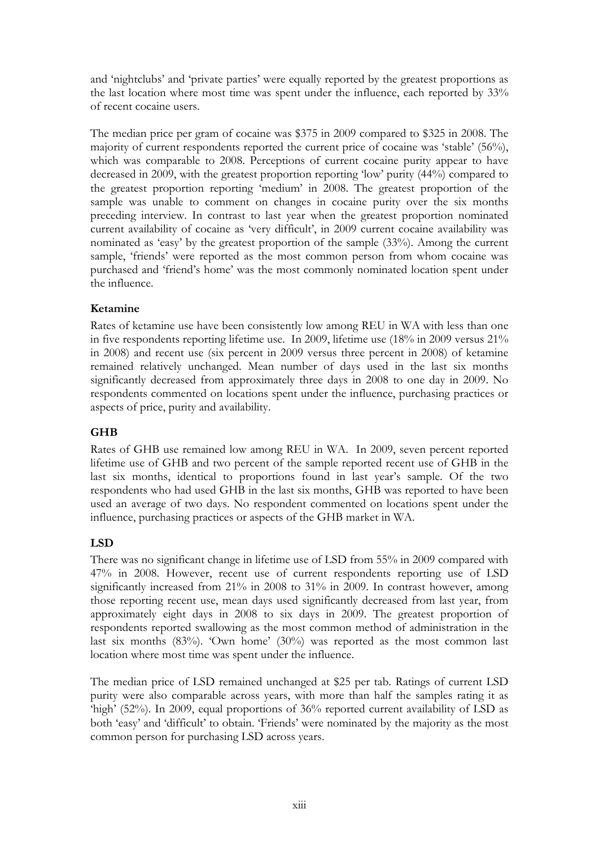and 'nightclubs' and 'private parties' were equally reported by the greatest proportions as the last location where most time was spent under the influence, each reported by 33% of recent cocaine users.

The median price per gram of cocaine was \$375 in 2009 compared to \$325 in 2008. The majority of current respondents reported the current price of cocaine was 'stable' (56%), which was comparable to 2008. Perceptions of current cocaine purity appear to have decreased in 2009, with the greatest proportion reporting 'low' purity (44%) compared to the greatest proportion reporting 'medium' in 2008. The greatest proportion of the sample was unable to comment on changes in cocaine purity over the six months preceding interview. In contrast to last year when the greatest proportion nominated current availability of cocaine as 'very difficult', in 2009 current cocaine availability was nominated as 'easy' by the greatest proportion of the sample (33%). Among the current sample, 'friends' were reported as the most common person from whom cocaine was purchased and 'friend's home' was the most commonly nominated location spent under the influence.

#### **Ketamine**

Rates of ketamine use have been consistently low among REU in WA with less than one in five respondents reporting lifetime use. In 2009, lifetime use (18% in 2009 versus 21% in 2008) and recent use (six percent in 2009 versus three percent in 2008) of ketamine remained relatively unchanged. Mean number of days used in the last six months significantly decreased from approximately three days in 2008 to one day in 2009. No respondents commented on locations spent under the influence, purchasing practices or aspects of price, purity and availability.

#### **GHB**

Rates of GHB use remained low among REU in WA. In 2009, seven percent reported lifetime use of GHB and two percent of the sample reported recent use of GHB in the last six months, identical to proportions found in last year's sample. Of the two respondents who had used GHB in the last six months, GHB was reported to have been used an average of two days. No respondent commented on locations spent under the influence, purchasing practices or aspects of the GHB market in WA.

#### **LSD**

There was no significant change in lifetime use of LSD from 55% in 2009 compared with 47% in 2008. However, recent use of current respondents reporting use of LSD significantly increased from 21% in 2008 to 31% in 2009. In contrast however, among those reporting recent use, mean days used significantly decreased from last year, from approximately eight days in 2008 to six days in 2009. The greatest proportion of respondents reported swallowing as the most common method of administration in the last six months  $(83%)$ . 'Own home'  $(30%)$  was reported as the most common last location where most time was spent under the influence.

The median price of LSD remained unchanged at \$25 per tab. Ratings of current LSD purity were also comparable across years, with more than half the samples rating it as 'high' (52%). In 2009, equal proportions of 36% reported current availability of LSD as both 'easy' and 'difficult' to obtain. 'Friends' were nominated by the majority as the most common person for purchasing LSD across years.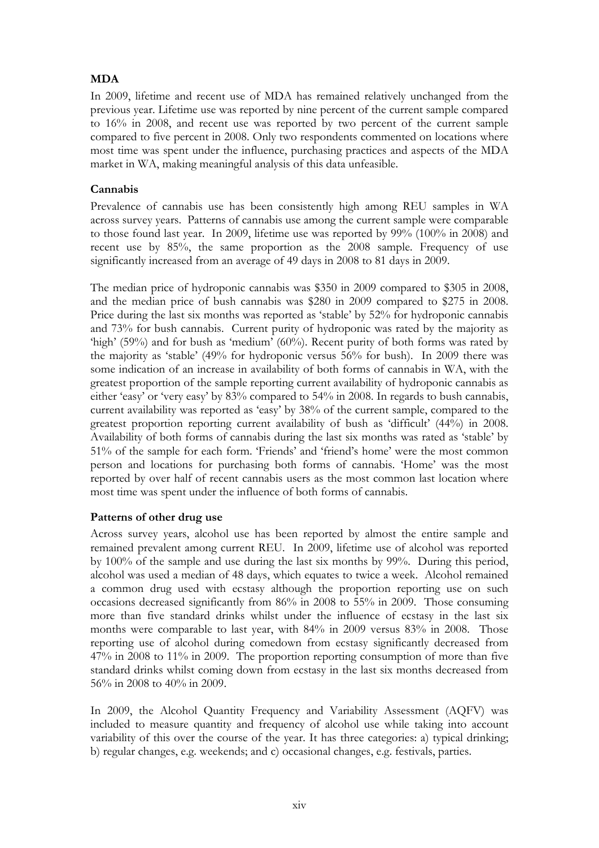#### **MDA**

In 2009, lifetime and recent use of MDA has remained relatively unchanged from the previous year. Lifetime use was reported by nine percent of the current sample compared to 16% in 2008, and recent use was reported by two percent of the current sample compared to five percent in 2008. Only two respondents commented on locations where most time was spent under the influence, purchasing practices and aspects of the MDA market in WA, making meaningful analysis of this data unfeasible.

#### **Cannabis**

Prevalence of cannabis use has been consistently high among REU samples in WA across survey years. Patterns of cannabis use among the current sample were comparable to those found last year. In 2009, lifetime use was reported by 99% (100% in 2008) and recent use by 85%, the same proportion as the 2008 sample. Frequency of use significantly increased from an average of 49 days in 2008 to 81 days in 2009.

The median price of hydroponic cannabis was \$350 in 2009 compared to \$305 in 2008, and the median price of bush cannabis was \$280 in 2009 compared to \$275 in 2008. Price during the last six months was reported as 'stable' by 52% for hydroponic cannabis and 73% for bush cannabis. Current purity of hydroponic was rated by the majority as 'high' (59%) and for bush as 'medium' (60%). Recent purity of both forms was rated by the majority as 'stable' (49% for hydroponic versus 56% for bush). In 2009 there was some indication of an increase in availability of both forms of cannabis in WA, with the greatest proportion of the sample reporting current availability of hydroponic cannabis as either 'easy' or 'very easy' by 83% compared to 54% in 2008. In regards to bush cannabis, current availability was reported as 'easy' by 38% of the current sample, compared to the greatest proportion reporting current availability of bush as 'difficult' (44%) in 2008. Availability of both forms of cannabis during the last six months was rated as 'stable' by 51% of the sample for each form. 'Friends' and 'friend's home' were the most common person and locations for purchasing both forms of cannabis. 'Home' was the most reported by over half of recent cannabis users as the most common last location where most time was spent under the influence of both forms of cannabis.

#### **Patterns of other drug use**

Across survey years, alcohol use has been reported by almost the entire sample and remained prevalent among current REU. In 2009, lifetime use of alcohol was reported by 100% of the sample and use during the last six months by 99%. During this period, alcohol was used a median of 48 days, which equates to twice a week. Alcohol remained a common drug used with ecstasy although the proportion reporting use on such occasions decreased significantly from 86% in 2008 to 55% in 2009. Those consuming more than five standard drinks whilst under the influence of ecstasy in the last six months were comparable to last year, with 84% in 2009 versus 83% in 2008. Those reporting use of alcohol during comedown from ecstasy significantly decreased from 47% in 2008 to 11% in 2009. The proportion reporting consumption of more than five standard drinks whilst coming down from ecstasy in the last six months decreased from 56% in 2008 to 40% in 2009.

In 2009, the Alcohol Quantity Frequency and Variability Assessment (AQFV) was included to measure quantity and frequency of alcohol use while taking into account variability of this over the course of the year. It has three categories: a) typical drinking; b) regular changes, e.g. weekends; and c) occasional changes, e.g. festivals, parties.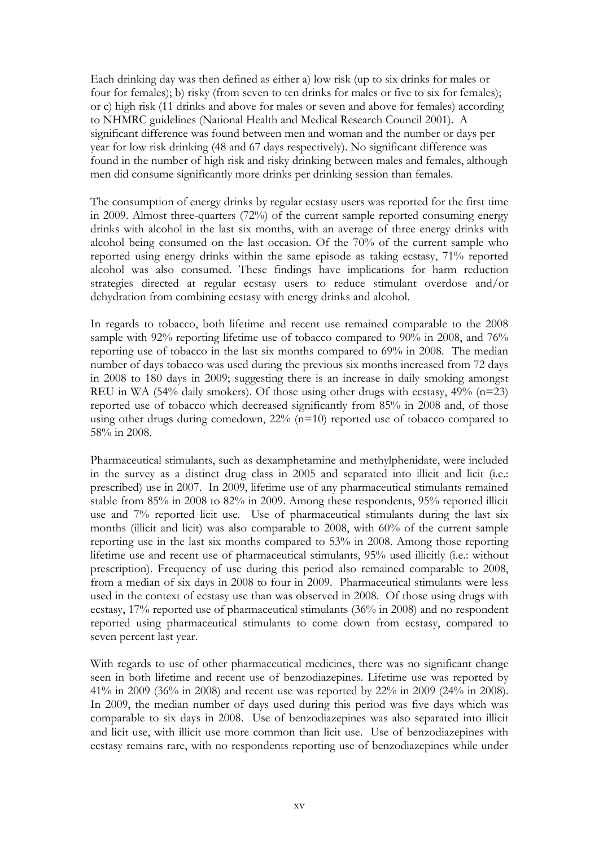Each drinking day was then defined as either a) low risk (up to six drinks for males or four for females); b) risky (from seven to ten drinks for males or five to six for females); or c) high risk (11 drinks and above for males or seven and above for females) according to NHMRC guidelines (National Health and Medical Research Council 2001). A significant difference was found between men and woman and the number or days per year for low risk drinking (48 and 67 days respectively). No significant difference was found in the number of high risk and risky drinking between males and females, although men did consume significantly more drinks per drinking session than females.

The consumption of energy drinks by regular ecstasy users was reported for the first time in 2009. Almost three-quarters (72%) of the current sample reported consuming energy drinks with alcohol in the last six months, with an average of three energy drinks with alcohol being consumed on the last occasion. Of the 70% of the current sample who reported using energy drinks within the same episode as taking ecstasy, 71% reported alcohol was also consumed. These findings have implications for harm reduction strategies directed at regular ecstasy users to reduce stimulant overdose and/or dehydration from combining ecstasy with energy drinks and alcohol.

In regards to tobacco, both lifetime and recent use remained comparable to the 2008 sample with 92% reporting lifetime use of tobacco compared to 90% in 2008, and 76% reporting use of tobacco in the last six months compared to 69% in 2008. The median number of days tobacco was used during the previous six months increased from 72 days in 2008 to 180 days in 2009; suggesting there is an increase in daily smoking amongst REU in WA (54% daily smokers). Of those using other drugs with ecstasy,  $49\%$  (n=23) reported use of tobacco which decreased significantly from 85% in 2008 and, of those using other drugs during comedown, 22% (n=10) reported use of tobacco compared to 58% in 2008.

Pharmaceutical stimulants, such as dexamphetamine and methylphenidate, were included in the survey as a distinct drug class in 2005 and separated into illicit and licit (i.e.: prescribed) use in 2007. In 2009, lifetime use of any pharmaceutical stimulants remained stable from 85% in 2008 to 82% in 2009. Among these respondents, 95% reported illicit use and 7% reported licit use. Use of pharmaceutical stimulants during the last six months (illicit and licit) was also comparable to 2008, with 60% of the current sample reporting use in the last six months compared to 53% in 2008. Among those reporting lifetime use and recent use of pharmaceutical stimulants, 95% used illicitly (i.e.: without prescription). Frequency of use during this period also remained comparable to 2008, from a median of six days in 2008 to four in 2009. Pharmaceutical stimulants were less used in the context of ecstasy use than was observed in 2008. Of those using drugs with ecstasy, 17% reported use of pharmaceutical stimulants (36% in 2008) and no respondent reported using pharmaceutical stimulants to come down from ecstasy, compared to seven percent last year.

With regards to use of other pharmaceutical medicines, there was no significant change seen in both lifetime and recent use of benzodiazepines. Lifetime use was reported by 41% in 2009 (36% in 2008) and recent use was reported by 22% in 2009 (24% in 2008). In 2009, the median number of days used during this period was five days which was comparable to six days in 2008. Use of benzodiazepines was also separated into illicit and licit use, with illicit use more common than licit use. Use of benzodiazepines with ecstasy remains rare, with no respondents reporting use of benzodiazepines while under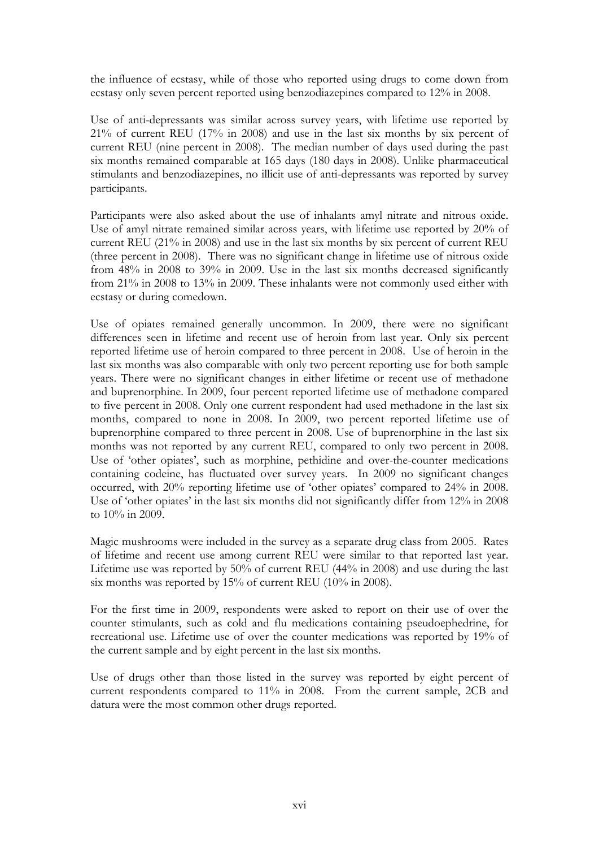the influence of ecstasy, while of those who reported using drugs to come down from ecstasy only seven percent reported using benzodiazepines compared to 12% in 2008.

Use of anti-depressants was similar across survey years, with lifetime use reported by 21% of current REU (17% in 2008) and use in the last six months by six percent of current REU (nine percent in 2008). The median number of days used during the past six months remained comparable at 165 days (180 days in 2008). Unlike pharmaceutical stimulants and benzodiazepines, no illicit use of anti-depressants was reported by survey participants.

Participants were also asked about the use of inhalants amyl nitrate and nitrous oxide. Use of amyl nitrate remained similar across years, with lifetime use reported by 20% of current REU (21% in 2008) and use in the last six months by six percent of current REU (three percent in 2008). There was no significant change in lifetime use of nitrous oxide from 48% in 2008 to 39% in 2009. Use in the last six months decreased significantly from 21% in 2008 to 13% in 2009. These inhalants were not commonly used either with ecstasy or during comedown.

Use of opiates remained generally uncommon. In 2009, there were no significant differences seen in lifetime and recent use of heroin from last year. Only six percent reported lifetime use of heroin compared to three percent in 2008. Use of heroin in the last six months was also comparable with only two percent reporting use for both sample years. There were no significant changes in either lifetime or recent use of methadone and buprenorphine. In 2009, four percent reported lifetime use of methadone compared to five percent in 2008. Only one current respondent had used methadone in the last six months, compared to none in 2008. In 2009, two percent reported lifetime use of buprenorphine compared to three percent in 2008. Use of buprenorphine in the last six months was not reported by any current REU, compared to only two percent in 2008. Use of 'other opiates', such as morphine, pethidine and over-the-counter medications containing codeine, has fluctuated over survey years. In 2009 no significant changes occurred, with 20% reporting lifetime use of 'other opiates' compared to 24% in 2008. Use of 'other opiates' in the last six months did not significantly differ from 12% in 2008 to 10% in 2009.

Magic mushrooms were included in the survey as a separate drug class from 2005. Rates of lifetime and recent use among current REU were similar to that reported last year. Lifetime use was reported by 50% of current REU (44% in 2008) and use during the last six months was reported by 15% of current REU (10% in 2008).

For the first time in 2009, respondents were asked to report on their use of over the counter stimulants, such as cold and flu medications containing pseudoephedrine, for recreational use. Lifetime use of over the counter medications was reported by 19% of the current sample and by eight percent in the last six months.

Use of drugs other than those listed in the survey was reported by eight percent of current respondents compared to 11% in 2008. From the current sample, 2CB and datura were the most common other drugs reported.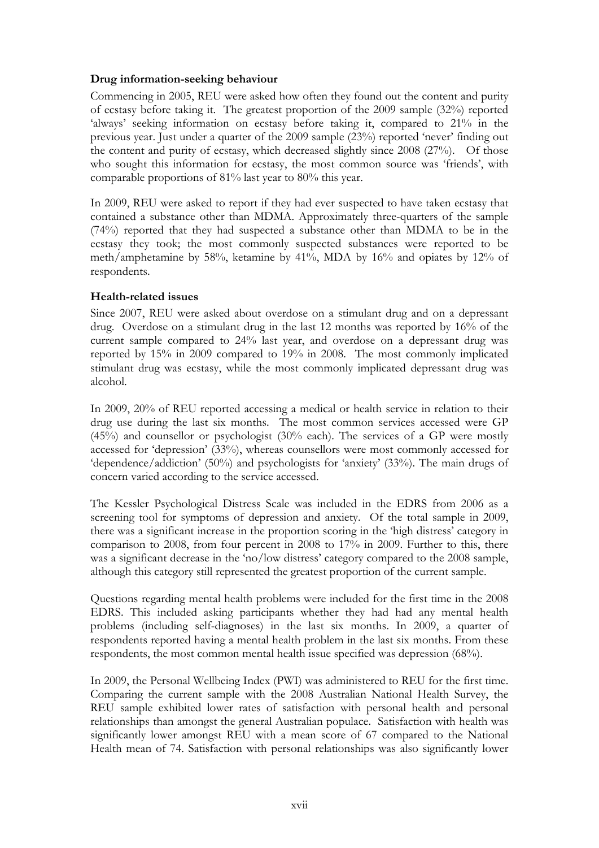#### **Drug information-seeking behaviour**

Commencing in 2005, REU were asked how often they found out the content and purity of ecstasy before taking it. The greatest proportion of the 2009 sample (32%) reported 'always' seeking information on ecstasy before taking it, compared to 21% in the previous year. Just under a quarter of the 2009 sample (23%) reported 'never' finding out the content and purity of ecstasy, which decreased slightly since 2008 (27%). Of those who sought this information for ecstasy, the most common source was 'friends', with comparable proportions of 81% last year to 80% this year.

In 2009, REU were asked to report if they had ever suspected to have taken ecstasy that contained a substance other than MDMA. Approximately three-quarters of the sample (74%) reported that they had suspected a substance other than MDMA to be in the ecstasy they took; the most commonly suspected substances were reported to be meth/amphetamine by 58%, ketamine by 41%, MDA by 16% and opiates by 12% of respondents.

#### **Health-related issues**

Since 2007, REU were asked about overdose on a stimulant drug and on a depressant drug. Overdose on a stimulant drug in the last 12 months was reported by 16% of the current sample compared to 24% last year, and overdose on a depressant drug was reported by 15% in 2009 compared to 19% in 2008. The most commonly implicated stimulant drug was ecstasy, while the most commonly implicated depressant drug was alcohol.

In 2009, 20% of REU reported accessing a medical or health service in relation to their drug use during the last six months. The most common services accessed were GP (45%) and counsellor or psychologist (30% each). The services of a GP were mostly accessed for 'depression' (33%), whereas counsellors were most commonly accessed for 'dependence/addiction' (50%) and psychologists for 'anxiety' (33%). The main drugs of concern varied according to the service accessed.

The Kessler Psychological Distress Scale was included in the EDRS from 2006 as a screening tool for symptoms of depression and anxiety. Of the total sample in 2009, there was a significant increase in the proportion scoring in the 'high distress' category in comparison to 2008, from four percent in 2008 to 17% in 2009. Further to this, there was a significant decrease in the 'no/low distress' category compared to the 2008 sample, although this category still represented the greatest proportion of the current sample.

Questions regarding mental health problems were included for the first time in the 2008 EDRS. This included asking participants whether they had had any mental health problems (including self-diagnoses) in the last six months. In 2009, a quarter of respondents reported having a mental health problem in the last six months. From these respondents, the most common mental health issue specified was depression (68%).

In 2009, the Personal Wellbeing Index (PWI) was administered to REU for the first time. Comparing the current sample with the 2008 Australian National Health Survey, the REU sample exhibited lower rates of satisfaction with personal health and personal relationships than amongst the general Australian populace. Satisfaction with health was significantly lower amongst REU with a mean score of 67 compared to the National Health mean of 74. Satisfaction with personal relationships was also significantly lower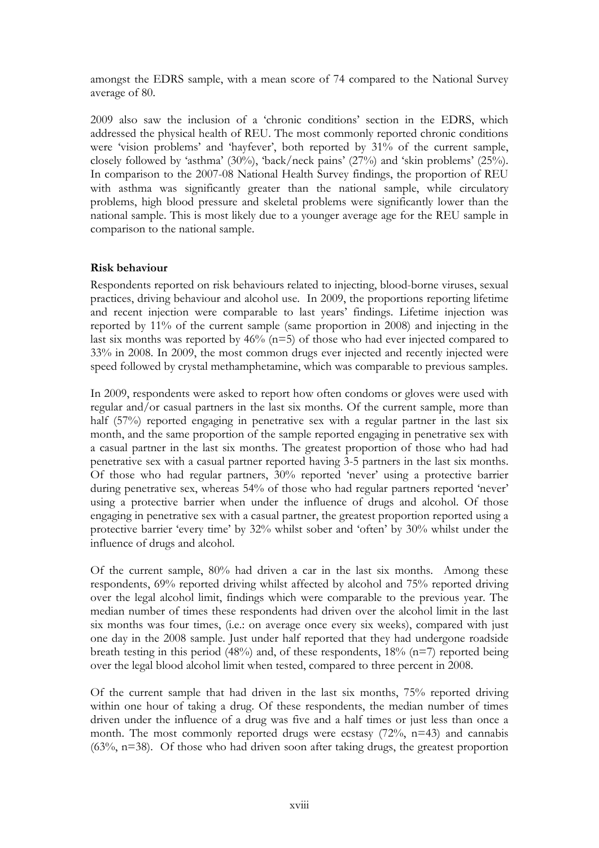amongst the EDRS sample, with a mean score of 74 compared to the National Survey average of 80.

2009 also saw the inclusion of a 'chronic conditions' section in the EDRS, which addressed the physical health of REU. The most commonly reported chronic conditions were 'vision problems' and 'hayfever', both reported by 31% of the current sample, closely followed by 'asthma' (30%), 'back/neck pains' (27%) and 'skin problems' (25%). In comparison to the 2007-08 National Health Survey findings, the proportion of REU with asthma was significantly greater than the national sample, while circulatory problems, high blood pressure and skeletal problems were significantly lower than the national sample. This is most likely due to a younger average age for the REU sample in comparison to the national sample.

#### **Risk behaviour**

Respondents reported on risk behaviours related to injecting, blood-borne viruses, sexual practices, driving behaviour and alcohol use. In 2009, the proportions reporting lifetime and recent injection were comparable to last years' findings. Lifetime injection was reported by 11% of the current sample (same proportion in 2008) and injecting in the last six months was reported by 46% (n=5) of those who had ever injected compared to 33% in 2008. In 2009, the most common drugs ever injected and recently injected were speed followed by crystal methamphetamine, which was comparable to previous samples.

In 2009, respondents were asked to report how often condoms or gloves were used with regular and/or casual partners in the last six months. Of the current sample, more than half (57%) reported engaging in penetrative sex with a regular partner in the last six month, and the same proportion of the sample reported engaging in penetrative sex with a casual partner in the last six months. The greatest proportion of those who had had penetrative sex with a casual partner reported having 3-5 partners in the last six months. Of those who had regular partners, 30% reported 'never' using a protective barrier during penetrative sex, whereas 54% of those who had regular partners reported 'never' using a protective barrier when under the influence of drugs and alcohol. Of those engaging in penetrative sex with a casual partner, the greatest proportion reported using a protective barrier 'every time' by 32% whilst sober and 'often' by 30% whilst under the influence of drugs and alcohol.

Of the current sample, 80% had driven a car in the last six months. Among these respondents, 69% reported driving whilst affected by alcohol and 75% reported driving over the legal alcohol limit, findings which were comparable to the previous year. The median number of times these respondents had driven over the alcohol limit in the last six months was four times, (i.e.: on average once every six weeks), compared with just one day in the 2008 sample. Just under half reported that they had undergone roadside breath testing in this period  $(48%)$  and, of these respondents,  $18%$  (n=7) reported being over the legal blood alcohol limit when tested, compared to three percent in 2008.

Of the current sample that had driven in the last six months, 75% reported driving within one hour of taking a drug. Of these respondents, the median number of times driven under the influence of a drug was five and a half times or just less than once a month. The most commonly reported drugs were ecstasy  $(72\%, n=43)$  and cannabis  $(63\%, n=38)$ . Of those who had driven soon after taking drugs, the greatest proportion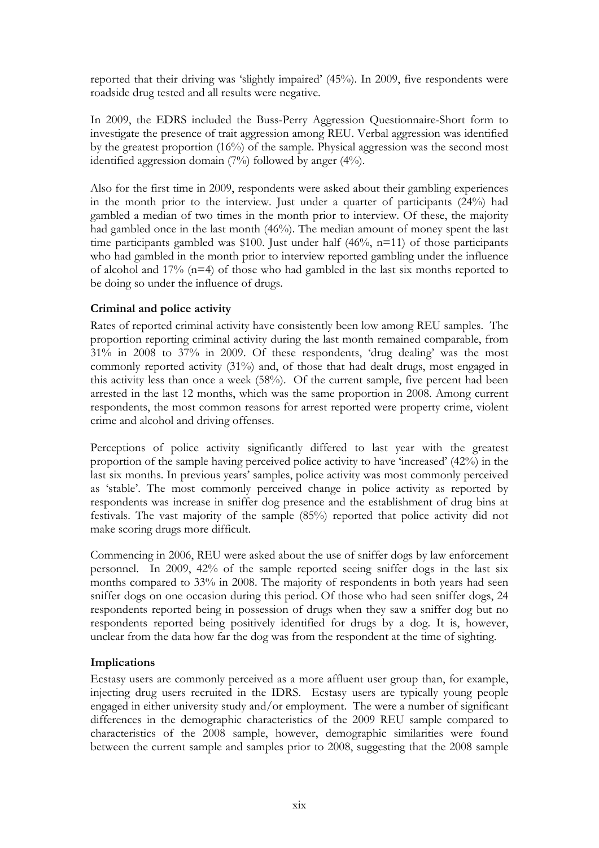reported that their driving was 'slightly impaired' (45%). In 2009, five respondents were roadside drug tested and all results were negative.

In 2009, the EDRS included the Buss-Perry Aggression Questionnaire-Short form to investigate the presence of trait aggression among REU. Verbal aggression was identified by the greatest proportion (16%) of the sample. Physical aggression was the second most identified aggression domain (7%) followed by anger (4%).

Also for the first time in 2009, respondents were asked about their gambling experiences in the month prior to the interview. Just under a quarter of participants (24%) had gambled a median of two times in the month prior to interview. Of these, the majority had gambled once in the last month (46%). The median amount of money spent the last time participants gambled was \$100. Just under half  $(46\%, n=11)$  of those participants who had gambled in the month prior to interview reported gambling under the influence of alcohol and 17% (n=4) of those who had gambled in the last six months reported to be doing so under the influence of drugs.

#### **Criminal and police activity**

Rates of reported criminal activity have consistently been low among REU samples. The proportion reporting criminal activity during the last month remained comparable, from 31% in 2008 to 37% in 2009. Of these respondents, 'drug dealing' was the most commonly reported activity (31%) and, of those that had dealt drugs, most engaged in this activity less than once a week (58%). Of the current sample, five percent had been arrested in the last 12 months, which was the same proportion in 2008. Among current respondents, the most common reasons for arrest reported were property crime, violent crime and alcohol and driving offenses.

Perceptions of police activity significantly differed to last year with the greatest proportion of the sample having perceived police activity to have 'increased' (42%) in the last six months. In previous years' samples, police activity was most commonly perceived as 'stable'. The most commonly perceived change in police activity as reported by respondents was increase in sniffer dog presence and the establishment of drug bins at festivals. The vast majority of the sample (85%) reported that police activity did not make scoring drugs more difficult.

Commencing in 2006, REU were asked about the use of sniffer dogs by law enforcement personnel. In 2009, 42% of the sample reported seeing sniffer dogs in the last six months compared to 33% in 2008. The majority of respondents in both years had seen sniffer dogs on one occasion during this period. Of those who had seen sniffer dogs, 24 respondents reported being in possession of drugs when they saw a sniffer dog but no respondents reported being positively identified for drugs by a dog. It is, however, unclear from the data how far the dog was from the respondent at the time of sighting.

#### **Implications**

Ecstasy users are commonly perceived as a more affluent user group than, for example, injecting drug users recruited in the IDRS. Ecstasy users are typically young people engaged in either university study and/or employment. The were a number of significant differences in the demographic characteristics of the 2009 REU sample compared to characteristics of the 2008 sample, however, demographic similarities were found between the current sample and samples prior to 2008, suggesting that the 2008 sample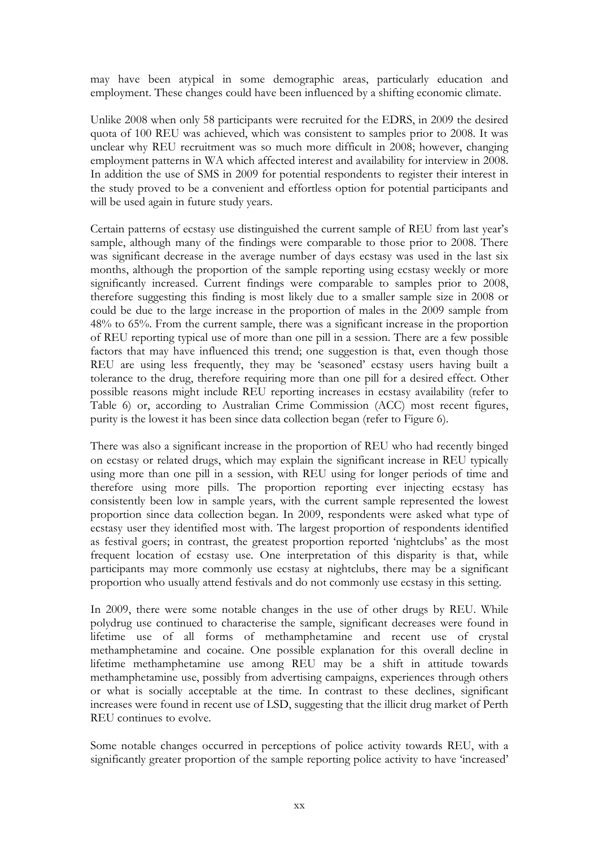may have been atypical in some demographic areas, particularly education and employment. These changes could have been influenced by a shifting economic climate.

Unlike 2008 when only 58 participants were recruited for the EDRS, in 2009 the desired quota of 100 REU was achieved, which was consistent to samples prior to 2008. It was unclear why REU recruitment was so much more difficult in 2008; however, changing employment patterns in WA which affected interest and availability for interview in 2008. In addition the use of SMS in 2009 for potential respondents to register their interest in the study proved to be a convenient and effortless option for potential participants and will be used again in future study years.

Certain patterns of ecstasy use distinguished the current sample of REU from last year's sample, although many of the findings were comparable to those prior to 2008. There was significant decrease in the average number of days ecstasy was used in the last six months, although the proportion of the sample reporting using ecstasy weekly or more significantly increased. Current findings were comparable to samples prior to 2008, therefore suggesting this finding is most likely due to a smaller sample size in 2008 or could be due to the large increase in the proportion of males in the 2009 sample from 48% to 65%. From the current sample, there was a significant increase in the proportion of REU reporting typical use of more than one pill in a session. There are a few possible factors that may have influenced this trend; one suggestion is that, even though those REU are using less frequently, they may be 'seasoned' ecstasy users having built a tolerance to the drug, therefore requiring more than one pill for a desired effect. Other possible reasons might include REU reporting increases in ecstasy availability (refer to Table 6) or, according to Australian Crime Commission (ACC) most recent figures, purity is the lowest it has been since data collection began (refer to Figure 6).

There was also a significant increase in the proportion of REU who had recently binged on ecstasy or related drugs, which may explain the significant increase in REU typically using more than one pill in a session, with REU using for longer periods of time and therefore using more pills. The proportion reporting ever injecting ecstasy has consistently been low in sample years, with the current sample represented the lowest proportion since data collection began. In 2009, respondents were asked what type of ecstasy user they identified most with. The largest proportion of respondents identified as festival goers; in contrast, the greatest proportion reported 'nightclubs' as the most frequent location of ecstasy use. One interpretation of this disparity is that, while participants may more commonly use ecstasy at nightclubs, there may be a significant proportion who usually attend festivals and do not commonly use ecstasy in this setting.

In 2009, there were some notable changes in the use of other drugs by REU. While polydrug use continued to characterise the sample, significant decreases were found in lifetime use of all forms of methamphetamine and recent use of crystal methamphetamine and cocaine. One possible explanation for this overall decline in lifetime methamphetamine use among REU may be a shift in attitude towards methamphetamine use, possibly from advertising campaigns, experiences through others or what is socially acceptable at the time. In contrast to these declines, significant increases were found in recent use of LSD, suggesting that the illicit drug market of Perth REU continues to evolve.

Some notable changes occurred in perceptions of police activity towards REU, with a significantly greater proportion of the sample reporting police activity to have 'increased'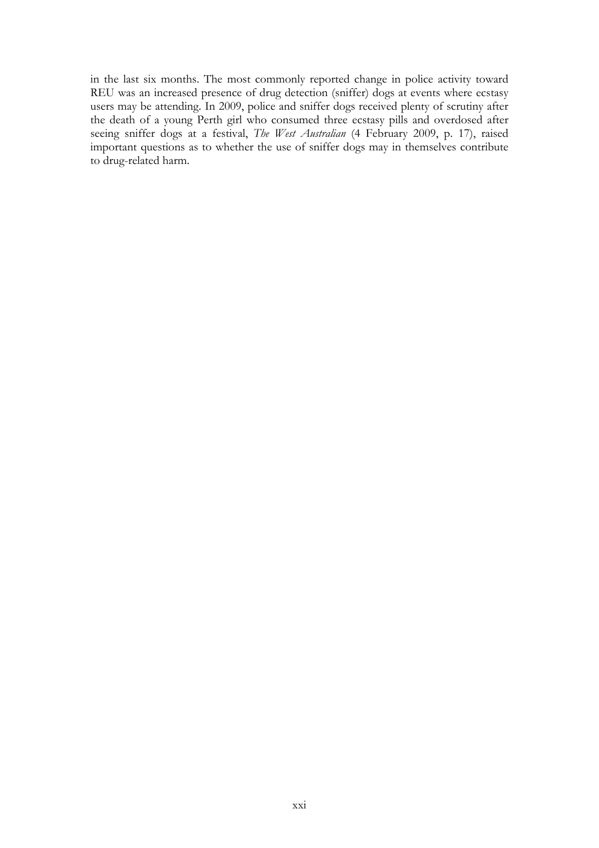in the last six months. The most commonly reported change in police activity toward REU was an increased presence of drug detection (sniffer) dogs at events where ecstasy users may be attending. In 2009, police and sniffer dogs received plenty of scrutiny after the death of a young Perth girl who consumed three ecstasy pills and overdosed after seeing sniffer dogs at a festival, *The West Australian* (4 February 2009, p. 17), raised important questions as to whether the use of sniffer dogs may in themselves contribute to drug-related harm.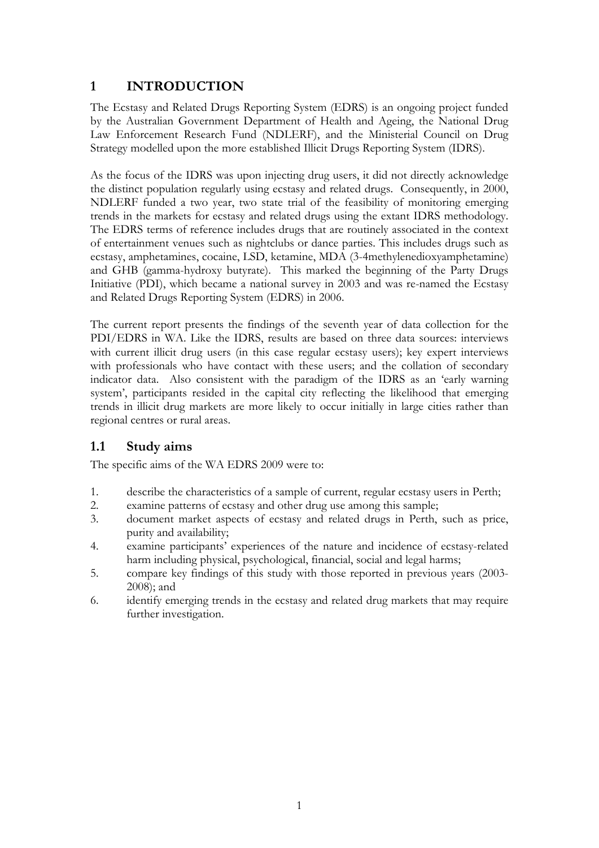## <span id="page-25-0"></span>**1 INTRODUCTION**

The Ecstasy and Related Drugs Reporting System (EDRS) is an ongoing project funded by the Australian Government Department of Health and Ageing, the National Drug Law Enforcement Research Fund (NDLERF), and the Ministerial Council on Drug Strategy modelled upon the more established Illicit Drugs Reporting System (IDRS).

As the focus of the IDRS was upon injecting drug users, it did not directly acknowledge the distinct population regularly using ecstasy and related drugs. Consequently, in 2000, NDLERF funded a two year, two state trial of the feasibility of monitoring emerging trends in the markets for ecstasy and related drugs using the extant IDRS methodology. The EDRS terms of reference includes drugs that are routinely associated in the context of entertainment venues such as nightclubs or dance parties. This includes drugs such as ecstasy, amphetamines, cocaine, LSD, ketamine, MDA (3-4methylenedioxyamphetamine) and GHB (gamma-hydroxy butyrate). This marked the beginning of the Party Drugs Initiative (PDI), which became a national survey in 2003 and was re-named the Ecstasy and Related Drugs Reporting System (EDRS) in 2006.

The current report presents the findings of the seventh year of data collection for the PDI/EDRS in WA. Like the IDRS, results are based on three data sources: interviews with current illicit drug users (in this case regular ecstasy users); key expert interviews with professionals who have contact with these users; and the collation of secondary indicator data. Also consistent with the paradigm of the IDRS as an 'early warning system', participants resided in the capital city reflecting the likelihood that emerging trends in illicit drug markets are more likely to occur initially in large cities rather than regional centres or rural areas.

### <span id="page-25-1"></span>**1.1 Study aims**

The specific aims of the WA EDRS 2009 were to:

- 1. describe the characteristics of a sample of current, regular ecstasy users in Perth;
- 2. examine patterns of ecstasy and other drug use among this sample;
- 3. document market aspects of ecstasy and related drugs in Perth, such as price, purity and availability;
- 4. examine participants' experiences of the nature and incidence of ecstasy-related harm including physical, psychological, financial, social and legal harms;
- 5. compare key findings of this study with those reported in previous years (2003- 2008); and
- 6. identify emerging trends in the ecstasy and related drug markets that may require further investigation.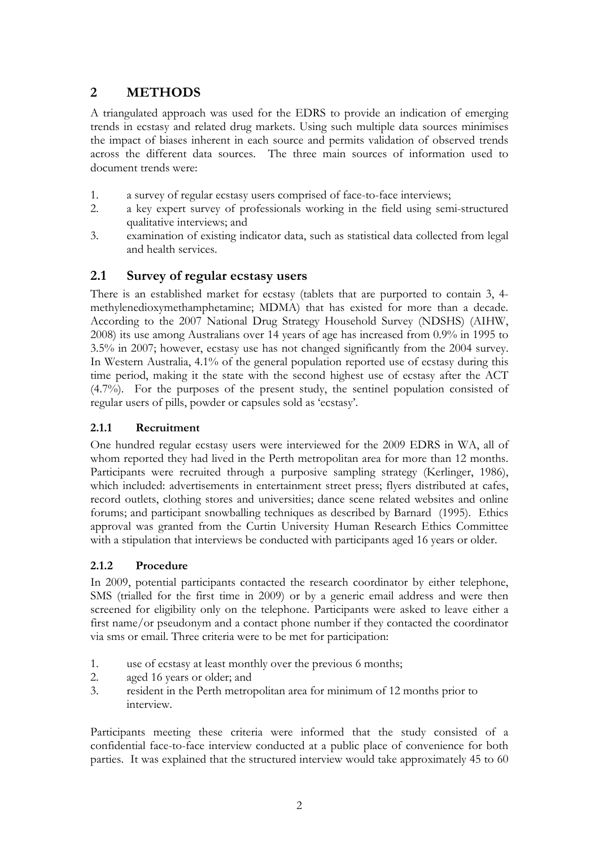## <span id="page-26-0"></span>**2 METHODS**

A triangulated approach was used for the EDRS to provide an indication of emerging trends in ecstasy and related drug markets. Using such multiple data sources minimises the impact of biases inherent in each source and permits validation of observed trends across the different data sources. The three main sources of information used to document trends were:

- 1. a survey of regular ecstasy users comprised of face-to-face interviews;
- 2. a key expert survey of professionals working in the field using semi-structured qualitative interviews; and
- 3. examination of existing indicator data, such as statistical data collected from legal and health services.

### <span id="page-26-1"></span>**2.1 Survey of regular ecstasy users**

There is an established market for ecstasy (tablets that are purported to contain 3, 4 methylenedioxymethamphetamine; MDMA) that has existed for more than a decade. According to the 2007 National Drug Strategy Household Survey (NDSHS) (AIHW, 2008) its use among Australians over 14 years of age has increased from 0.9% in 1995 to 3.5% in 2007; however, ecstasy use has not changed significantly from the 2004 survey. In Western Australia, 4.1% of the general population reported use of ecstasy during this time period, making it the state with the second highest use of ecstasy after the ACT (4.7%). For the purposes of the present study, the sentinel population consisted of regular users of pills, powder or capsules sold as 'ecstasy'.

#### **2.1.1 Recruitment**

One hundred regular ecstasy users were interviewed for the 2009 EDRS in WA, all of whom reported they had lived in the Perth metropolitan area for more than 12 months. Participants were recruited through a purposive sampling strategy (Kerlinger, 1986), which included: advertisements in entertainment street press; flyers distributed at cafes, record outlets, clothing stores and universities; dance scene related websites and online forums; and participant snowballing techniques as described by Barnard (1995). Ethics approval was granted from the Curtin University Human Research Ethics Committee with a stipulation that interviews be conducted with participants aged 16 years or older.

#### **2.1.2 Procedure**

In 2009, potential participants contacted the research coordinator by either telephone, SMS (trialled for the first time in 2009) or by a generic email address and were then screened for eligibility only on the telephone. Participants were asked to leave either a first name/or pseudonym and a contact phone number if they contacted the coordinator via sms or email. Three criteria were to be met for participation:

- 1. use of ecstasy at least monthly over the previous 6 months;
- 2. aged 16 years or older; and
- 3. resident in the Perth metropolitan area for minimum of 12 months prior to interview.

Participants meeting these criteria were informed that the study consisted of a confidential face-to-face interview conducted at a public place of convenience for both parties. It was explained that the structured interview would take approximately 45 to 60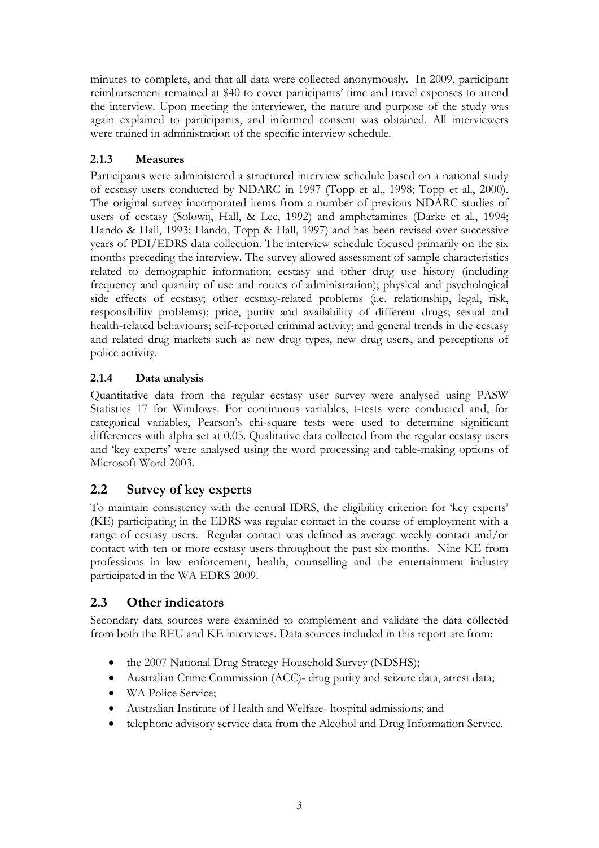minutes to complete, and that all data were collected anonymously. In 2009, participant reimbursement remained at \$40 to cover participants' time and travel expenses to attend the interview. Upon meeting the interviewer, the nature and purpose of the study was again explained to participants, and informed consent was obtained. All interviewers were trained in administration of the specific interview schedule.

## **2.1.3 Measures**

Participants were administered a structured interview schedule based on a national study of ecstasy users conducted by NDARC in 1997 (Topp et al., 1998; Topp et al., 2000). The original survey incorporated items from a number of previous NDARC studies of users of ecstasy (Solowij, Hall, & Lee, 1992) and amphetamines (Darke et al., 1994; Hando & Hall, 1993; Hando, Topp & Hall, 1997) and has been revised over successive years of PDI/EDRS data collection. The interview schedule focused primarily on the six months preceding the interview. The survey allowed assessment of sample characteristics related to demographic information; ecstasy and other drug use history (including frequency and quantity of use and routes of administration); physical and psychological side effects of ecstasy; other ecstasy-related problems (i.e. relationship, legal, risk, responsibility problems); price, purity and availability of different drugs; sexual and health-related behaviours; self-reported criminal activity; and general trends in the ecstasy and related drug markets such as new drug types, new drug users, and perceptions of police activity.

## **2.1.4 Data analysis**

Quantitative data from the regular ecstasy user survey were analysed using PASW Statistics 17 for Windows. For continuous variables, t-tests were conducted and, for categorical variables, Pearson's chi-square tests were used to determine significant differences with alpha set at 0.05. Qualitative data collected from the regular ecstasy users and 'key experts' were analysed using the word processing and table-making options of Microsoft Word 2003.

## <span id="page-27-0"></span>**2.2 Survey of key experts**

To maintain consistency with the central IDRS, the eligibility criterion for 'key experts' (KE) participating in the EDRS was regular contact in the course of employment with a range of ecstasy users. Regular contact was defined as average weekly contact and/or contact with ten or more ecstasy users throughout the past six months. Nine KE from professions in law enforcement, health, counselling and the entertainment industry participated in the WA EDRS 2009.

## <span id="page-27-1"></span>**2.3 Other indicators**

Secondary data sources were examined to complement and validate the data collected from both the REU and KE interviews. Data sources included in this report are from:

- the 2007 National Drug Strategy Household Survey (NDSHS);
- Australian Crime Commission (ACC)- drug purity and seizure data, arrest data;
- WA Police Service:
- Australian Institute of Health and Welfare- hospital admissions; and
- telephone advisory service data from the Alcohol and Drug Information Service.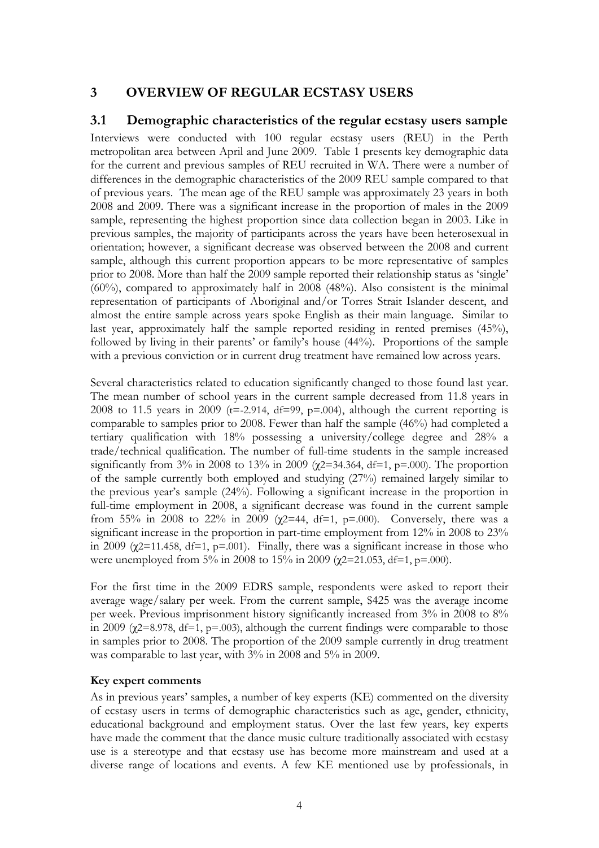## <span id="page-28-0"></span>**3 OVERVIEW OF REGULAR ECSTASY USERS**

#### <span id="page-28-1"></span>**3.1 Demographic characteristics of the regular ecstasy users sample**

Interviews were conducted with 100 regular ecstasy users (REU) in the Perth metropolitan area between April and June 2009. Table 1 presents key demographic data for the current and previous samples of REU recruited in WA. There were a number of differences in the demographic characteristics of the 2009 REU sample compared to that of previous years. The mean age of the REU sample was approximately 23 years in both 2008 and 2009. There was a significant increase in the proportion of males in the 2009 sample, representing the highest proportion since data collection began in 2003. Like in previous samples, the majority of participants across the years have been heterosexual in orientation; however, a significant decrease was observed between the 2008 and current sample, although this current proportion appears to be more representative of samples prior to 2008. More than half the 2009 sample reported their relationship status as 'single' (60%), compared to approximately half in 2008 (48%). Also consistent is the minimal representation of participants of Aboriginal and/or Torres Strait Islander descent, and almost the entire sample across years spoke English as their main language. Similar to last year, approximately half the sample reported residing in rented premises (45%), followed by living in their parents' or family's house (44%). Proportions of the sample with a previous conviction or in current drug treatment have remained low across years.

Several characteristics related to education significantly changed to those found last year. The mean number of school years in the current sample decreased from 11.8 years in 2008 to 11.5 years in 2009 ( $t=-2.914$ ,  $df=99$ ,  $p=.004$ ), although the current reporting is comparable to samples prior to 2008. Fewer than half the sample (46%) had completed a tertiary qualification with 18% possessing a university/college degree and 28% a trade/technical qualification. The number of full-time students in the sample increased significantly from 3% in 2008 to 13% in 2009 ( $\chi$ 2=34.364, df=1, p=.000). The proportion of the sample currently both employed and studying (27%) remained largely similar to the previous year's sample (24%). Following a significant increase in the proportion in full-time employment in 2008, a significant decrease was found in the current sample from 55% in 2008 to 22% in 2009 ( $\chi$ 2=44, df=1, p=.000). Conversely, there was a significant increase in the proportion in part-time employment from 12% in 2008 to 23% in 2009 ( $\chi$ 2=11.458, df=1, p=.001). Finally, there was a significant increase in those who were unemployed from 5% in 2008 to 15% in 2009 ( $\chi$ 2=21.053, df=1, p=.000).

For the first time in the 2009 EDRS sample, respondents were asked to report their average wage/salary per week. From the current sample, \$425 was the average income per week. Previous imprisonment history significantly increased from 3% in 2008 to 8% in 2009 ( $\chi$ 2=8.978, df=1, p=.003), although the current findings were comparable to those in samples prior to 2008. The proportion of the 2009 sample currently in drug treatment was comparable to last year, with 3% in 2008 and 5% in 2009.

#### **Key expert comments**

As in previous years' samples, a number of key experts (KE) commented on the diversity of ecstasy users in terms of demographic characteristics such as age, gender, ethnicity, educational background and employment status. Over the last few years, key experts have made the comment that the dance music culture traditionally associated with ecstasy use is a stereotype and that ecstasy use has become more mainstream and used at a diverse range of locations and events. A few KE mentioned use by professionals, in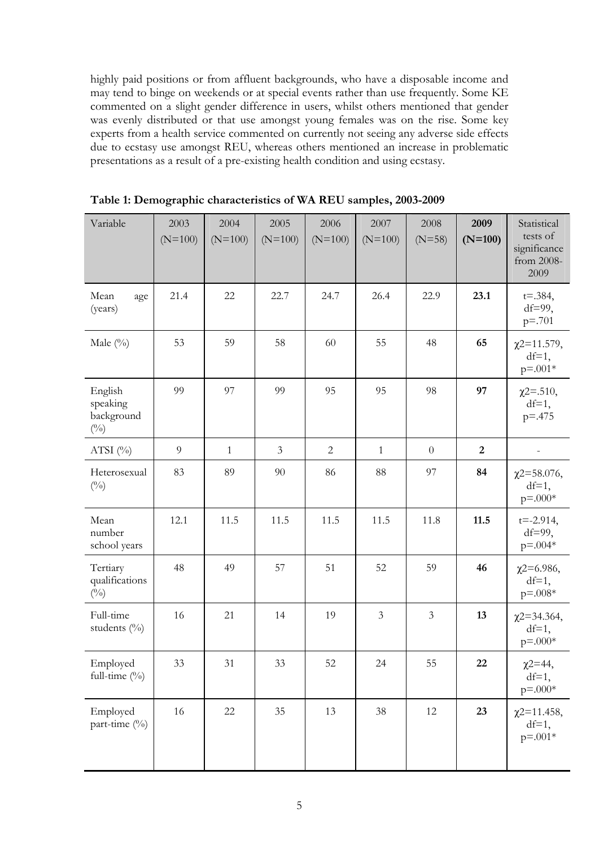highly paid positions or from affluent backgrounds, who have a disposable income and may tend to binge on weekends or at special events rather than use frequently. Some KE commented on a slight gender difference in users, whilst others mentioned that gender was evenly distributed or that use amongst young females was on the rise. Some key experts from a health service commented on currently not seeing any adverse side effects due to ecstasy use amongst REU, whereas others mentioned an increase in problematic presentations as a result of a pre-existing health condition and using ecstasy.

<span id="page-29-0"></span>

| Variable                                          | 2003<br>$(N=100)$ | 2004<br>$(N=100)$ | 2005<br>$(N=100)$ | 2006<br>$(N=100)$ | 2007<br>$(N=100)$ | 2008<br>$(N=58)$ | 2009<br>$(N=100)$ | Statistical<br>tests of<br>significance<br>from 2008-<br>2009 |
|---------------------------------------------------|-------------------|-------------------|-------------------|-------------------|-------------------|------------------|-------------------|---------------------------------------------------------------|
| Mean<br>age<br>(years)                            | 21.4              | $22\,$            | 22.7              | 24.7              | 26.4              | 22.9             | 23.1              | $t = .384,$<br>$df=99$ ,<br>$p = .701$                        |
| Male $(^{0}_{0})$                                 | 53                | 59                | 58                | 60                | 55                | 48               | 65                | $\chi$ 2=11.579,<br>$df=1$ ,<br>$p = 0.001*$                  |
| English<br>speaking<br>background<br>$(^{0}_{0})$ | 99                | 97                | 99                | 95                | 95                | 98               | 97                | $\chi$ 2=.510,<br>$df=1$ ,<br>$p = -475$                      |
| ATSI $(\%)$                                       | $\overline{9}$    | $\mathbf{1}$      | $\mathfrak{Z}$    | $\mathbf{2}$      | $\mathbf{1}$      | $\theta$         | $\boldsymbol{2}$  |                                                               |
| Heterosexual<br>$(^{0}_{0})$                      | 83                | 89                | 90                | 86                | 88                | 97               | 84                | $\chi$ 2=58.076,<br>$df=1$ ,<br>$p = .000*$                   |
| Mean<br>number<br>school years                    | 12.1              | 11.5              | 11.5              | 11.5              | 11.5              | 11.8             | 11.5              | $t = -2.914$ ,<br>$df=99$ ,<br>$p = 0.004*$                   |
| Tertiary<br>qualifications<br>$(^{0}_{0})$        | 48                | 49                | 57                | 51                | 52                | 59               | 46                | $x^{2=6.986}$<br>$df=1$ ,<br>$p = .008*$                      |
| Full-time<br>students (%)                         | 16                | 21                | 14                | 19                | $\mathfrak{Z}$    | $\mathfrak{Z}$   | 13                | $\chi$ 2=34.364,<br>$df=1$ ,<br>$p = 0.00$ *                  |
| Employed<br>full-time (%)                         | 33                | $31\,$            | 33                | 52                | $24\,$            | 55               | 22                | $x^{2=44}$ ,<br>$df=1$ ,<br>$p = .000*$                       |
| Employed<br>part-time (%)                         | 16                | $22\,$            | 35                | 13                | 38                | 12               | 23                | $\chi$ 2=11.458,<br>$df=1$ ,<br>$p = 0.001*$                  |

**Table 1: Demographic characteristics of WA REU samples, 2003-2009**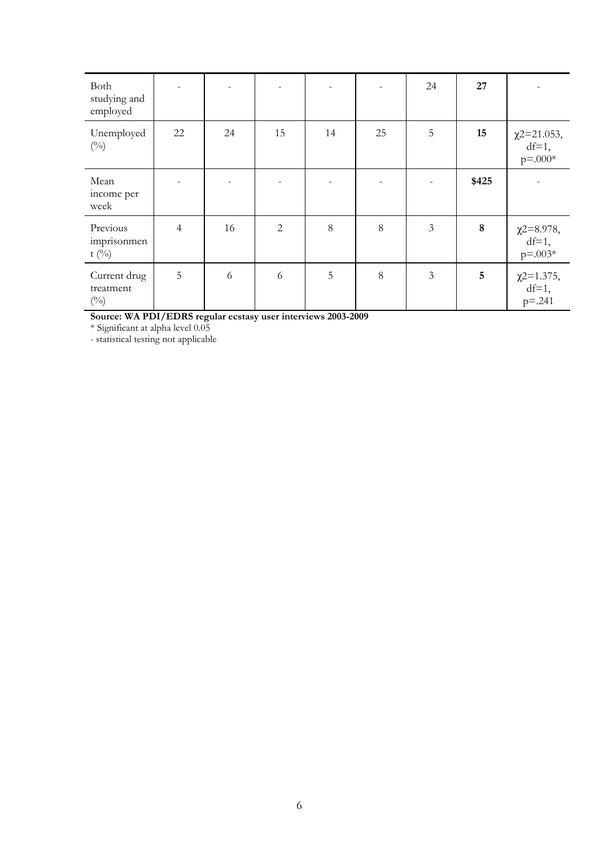| Both<br>studying and<br>employed           |                |    |                |    |       | 24 | 27      |                                                         |
|--------------------------------------------|----------------|----|----------------|----|-------|----|---------|---------------------------------------------------------|
| Unemployed<br>$(^{0}_{0})$                 | 22             | 24 | 15             | 14 | 25    | 5  | 15      | $\chi$ 2=21.053,<br>$df=1$ ,<br>$p = .000*$             |
| Mean<br>income per<br>week                 |                |    |                |    |       |    | \$425   |                                                         |
| Previous<br>imprisonmen<br>t $(^{0}/_{0})$ | $\overline{4}$ | 16 | $\overline{2}$ | 8  | 8     | 3  | $\bf 8$ | $\chi$ <sup>2=8.978</sup> ,<br>$df=1$ ,<br>$p = 0.003*$ |
| Current drug<br>treatment<br>$(^{0}_{0})$  | 5              | 6  | 6              | 5  | $8\,$ | 3  | 5       | $\chi$ 2=1.375,<br>$df=1$ ,<br>$p=.241$                 |

**Source: WA PDI/EDRS regular ecstasy user interviews 2003-2009** 

\* Significant at alpha level 0.05

- statistical testing not applicable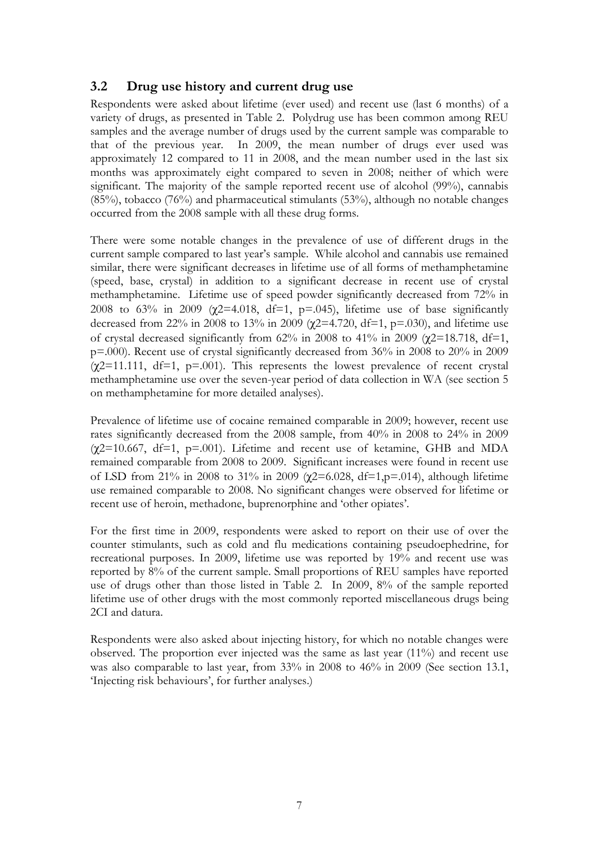#### <span id="page-31-0"></span>**3.2 Drug use history and current drug use**

Respondents were asked about lifetime (ever used) and recent use (last 6 months) of a variety of drugs, as presented in Table 2. Polydrug use has been common among REU samples and the average number of drugs used by the current sample was comparable to that of the previous year. In 2009, the mean number of drugs ever used was approximately 12 compared to 11 in 2008, and the mean number used in the last six months was approximately eight compared to seven in 2008; neither of which were significant. The majority of the sample reported recent use of alcohol (99%), cannabis (85%), tobacco (76%) and pharmaceutical stimulants (53%), although no notable changes occurred from the 2008 sample with all these drug forms.

There were some notable changes in the prevalence of use of different drugs in the current sample compared to last year's sample. While alcohol and cannabis use remained similar, there were significant decreases in lifetime use of all forms of methamphetamine (speed, base, crystal) in addition to a significant decrease in recent use of crystal methamphetamine. Lifetime use of speed powder significantly decreased from 72% in 2008 to 63% in 2009 ( $\chi$ 2=4.018, df=1, p=.045), lifetime use of base significantly decreased from 22% in 2008 to 13% in 2009 ( $\chi$ 2=4.720, df=1, p=.030), and lifetime use of crystal decreased significantly from  $62\%$  in 2008 to 41% in 2009 ( $\gamma$ 2=18.718, df=1, p=.000). Recent use of crystal significantly decreased from 36% in 2008 to 20% in 2009  $(\chi$ 2=11.111, df=1, p=.001). This represents the lowest prevalence of recent crystal methamphetamine use over the seven-year period of data collection in WA (see section 5 on methamphetamine for more detailed analyses).

Prevalence of lifetime use of cocaine remained comparable in 2009; however, recent use rates significantly decreased from the 2008 sample, from 40% in 2008 to 24% in 2009  $(\chi$ 2=10.667, df=1, p=.001). Lifetime and recent use of ketamine, GHB and MDA remained comparable from 2008 to 2009. Significant increases were found in recent use of LSD from 21% in 2008 to 31% in 2009 (χ2=6.028, df=1,p=.014), although lifetime use remained comparable to 2008. No significant changes were observed for lifetime or recent use of heroin, methadone, buprenorphine and 'other opiates'.

For the first time in 2009, respondents were asked to report on their use of over the counter stimulants, such as cold and flu medications containing pseudoephedrine, for recreational purposes. In 2009, lifetime use was reported by 19% and recent use was reported by 8% of the current sample. Small proportions of REU samples have reported use of drugs other than those listed in Table 2. In 2009, 8% of the sample reported lifetime use of other drugs with the most commonly reported miscellaneous drugs being 2CI and datura.

Respondents were also asked about injecting history, for which no notable changes were observed. The proportion ever injected was the same as last year (11%) and recent use was also comparable to last year, from 33% in 2008 to 46% in 2009 (See section 13.1, 'Injecting risk behaviours', for further analyses.)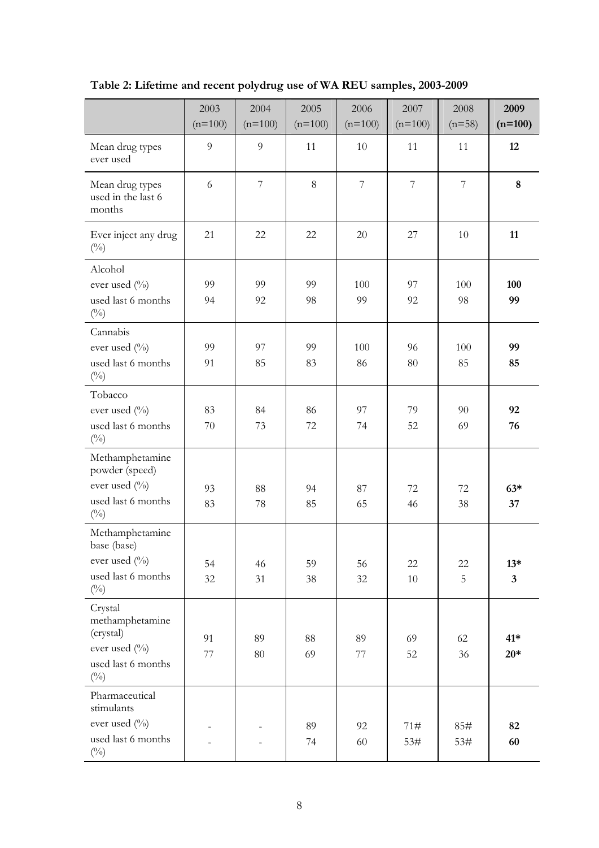<span id="page-32-0"></span>

|                                                 | 2003           | 2004           | 2005      | 2006       | 2007                     | 2008           | 2009                    |
|-------------------------------------------------|----------------|----------------|-----------|------------|--------------------------|----------------|-------------------------|
|                                                 | $(n=100)$      | $(n=100)$      | $(n=100)$ | $(n=100)$  | $(n=100)$                | $(n=58)$       | $(n=100)$               |
| Mean drug types<br>ever used                    | $\overline{9}$ | $\overline{9}$ | 11        | 10         | 11                       | 11             | 12                      |
| Mean drug types<br>used in the last 6<br>months | 6              | $\overline{7}$ | $8\,$     | $\sqrt{ }$ | $\overline{\mathcal{I}}$ | $\overline{7}$ | $\bf 8$                 |
| Ever inject any drug<br>$(^{0}_{0})$            | 21             | 22             | 22        | 20         | 27                       | 10             | 11                      |
| Alcohol                                         |                |                |           |            |                          |                |                         |
| ever used $(\%$                                 | 99             | 99             | 99        | 100        | 97                       | 100            | 100                     |
| used last 6 months<br>$(^{0}_{0})$              | 94             | 92             | 98        | 99         | 92                       | 98             | 99                      |
| Cannabis                                        |                |                |           |            |                          |                |                         |
| ever used $(\%)$                                | 99             | 97             | 99        | 100        | 96                       | 100            | 99                      |
| used last 6 months<br>$(^{0}_{0})$              | 91             | 85             | 83        | 86         | 80                       | 85             | 85                      |
| Tobacco                                         |                |                |           |            |                          |                |                         |
| ever used (%)                                   | 83             | 84             | 86        | 97         | 79                       | 90             | 92                      |
| used last 6 months<br>$(^{0}_{0})$              | 70             | 73             | 72        | 74         | 52                       | 69             | 76                      |
| Methamphetamine<br>powder (speed)               |                |                |           |            |                          |                |                         |
| ever used (%)                                   | 93             | 88             | 94        | 87         | 72                       | 72             | $63*$                   |
| used last 6 months<br>$(^{0}/_{0})$             | 83             | 78             | 85        | 65         | 46                       | 38             | 37                      |
| Methamphetamine<br>base (base)                  |                |                |           |            |                          |                |                         |
| ever used (%)                                   | 54             | 46             | 59        | 56         | 22                       | 22             | $13*$                   |
| used last 6 months<br>$(^{0}_{0})$              | 32             | 31             | 38        | 32         | $10\,$                   | 5              | $\overline{\mathbf{3}}$ |
| Crystal<br>methamphetamine<br>(crystal)         | 91             | 89             | 88        | 89         | 69                       | 62             | $41*$                   |
| ever used (%)                                   | 77             | $80\,$         | 69        | 77         | 52                       | 36             | $20*$                   |
| used last 6 months<br>$(^{0}_{0})$              |                |                |           |            |                          |                |                         |
| Pharmaceutical<br>stimulants                    |                |                |           |            |                          |                |                         |
| ever used (%)                                   |                |                | 89        | 92         | 71#                      | 85#            | 82                      |
| used last 6 months<br>$(^{0}_{0})$              |                |                | 74        | 60         | 53#                      | 53#            | 60                      |

**Table 2: Lifetime and recent polydrug use of WA REU samples, 2003-2009**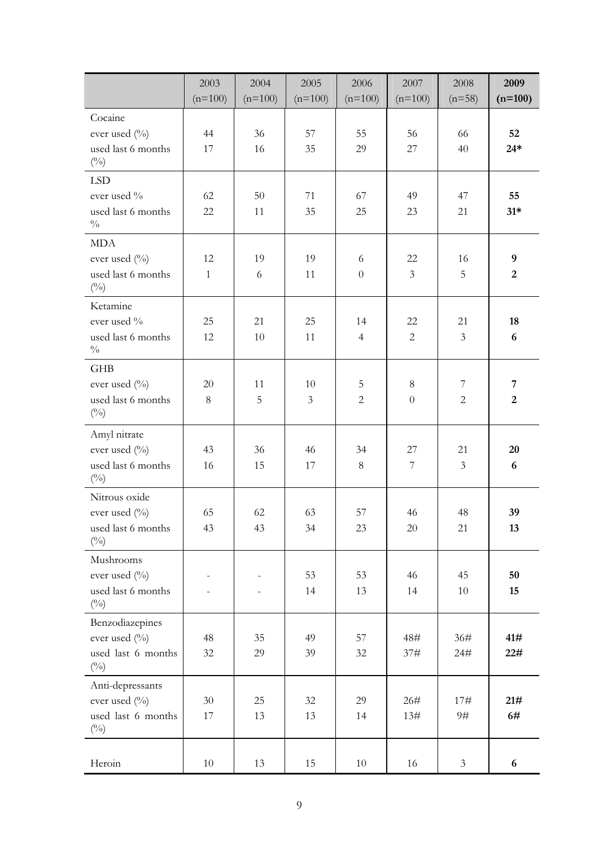|                                                    | 2003         | 2004      | 2005           | 2006           | 2007           | 2008           | 2009             |
|----------------------------------------------------|--------------|-----------|----------------|----------------|----------------|----------------|------------------|
|                                                    | $(n=100)$    | $(n=100)$ | $(n=100)$      | $(n=100)$      | $(n=100)$      | $(n=58)$       | $(n=100)$        |
| Cocaine                                            |              |           |                |                |                |                |                  |
| ever used (%)                                      | 44           | 36        | 57             | 55             | 56             | 66             | 52               |
| used last 6 months                                 | 17           | 16        | 35             | 29             | 27             | 40             | $24*$            |
| $(^{0}/_{0})$                                      |              |           |                |                |                |                |                  |
| <b>LSD</b>                                         |              |           |                |                |                |                |                  |
| ever used %                                        | 62           | 50        | 71             | 67             | 49             | 47             | 55               |
| used last 6 months<br>$\frac{0}{0}$                | 22           | 11        | 35             | 25             | 23             | 21             | $31*$            |
| <b>MDA</b>                                         |              |           |                |                |                |                |                  |
| ever used (%)                                      | 12           | 19        | 19             | 6              | 22             | 16             | $\boldsymbol{9}$ |
| used last 6 months<br>$\left(^{0}\!/_{\!0}\right)$ | $\mathbf{1}$ | 6         | 11             | $\overline{0}$ | $\mathfrak{Z}$ | 5              | $\overline{2}$   |
| Ketamine                                           |              |           |                |                |                |                |                  |
| ever used $\%$                                     | 25           | 21        | 25             | 14             | 22             | 21             | 18               |
| used last 6 months<br>$\sqrt[0]{\!0}$              | 12           | 10        | 11             | $\overline{4}$ | $\overline{2}$ | $\mathfrak{Z}$ | 6                |
| <b>GHB</b>                                         |              |           |                |                |                |                |                  |
| ever used (%)                                      | $20\,$       | 11        | 10             | 5              | $\,8\,$        | $\overline{7}$ | 7                |
| used last 6 months<br>$(^{0}_{0})$                 | $8\,$        | 5         | $\mathfrak{Z}$ | $\overline{c}$ | $\overline{0}$ | $\overline{2}$ | $\overline{2}$   |
| Amyl nitrate                                       |              |           |                |                |                |                |                  |
| ever used (%)                                      | 43           | 36        | 46             | 34             | 27             | 21             | 20               |
| used last 6 months<br>$(^{0}_{0})$                 | 16           | 15        | 17             | 8              | $\overline{7}$ | $\mathfrak{Z}$ | 6                |
| Nitrous oxide                                      |              |           |                |                |                |                |                  |
| ever used (%)                                      | 65           | 62        | 63             | 57             | 46             | 48             | 39               |
| used last 6 months<br>$(^{0}_{0})$                 | 43           | 43        | 34             | 23             | 20             | 21             | 13               |
| Mushrooms                                          |              |           |                |                |                |                |                  |
| ever used (%)                                      |              |           | 53             | 53             | 46             | 45             | 50               |
| used last 6 months<br>$(^{0}_{0})$                 |              |           | 14             | 13             | 14             | $10\,$         | 15               |
| Benzodiazepines                                    |              |           |                |                |                |                |                  |
| ever used (%)                                      | 48           | 35        | 49             | 57             | 48#            | 36#            | 41#              |
| used last 6 months<br>$(^{0}/_{0})$                | $32\,$       | 29        | 39             | $32\,$         | 37#            | 24#            | 22#              |
| Anti-depressants                                   |              |           |                |                |                |                |                  |
| ever used (%)                                      | $30\,$       | 25        | 32             | 29             | 26#            | 17#            | 21#              |
| used last 6 months<br>$(^{0}/_{0})$                | 17           | 13        | 13             | 14             | 13#            | 9#             | 6#               |
| Heroin                                             | 10           | 13        | 15             | 10             | $16\,$         | $\mathfrak{Z}$ | 6                |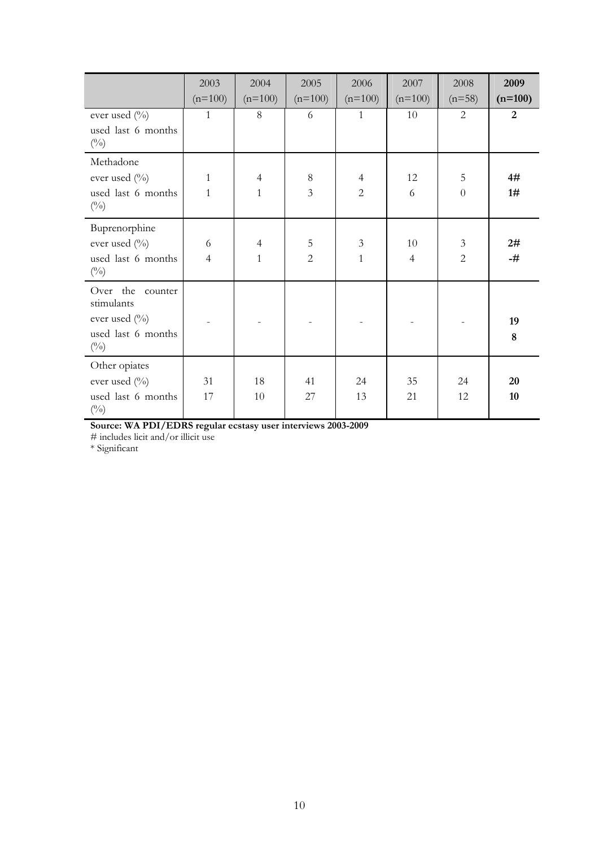|                                                                                            | 2003<br>$(n=100)$            | 2004<br>$(n=100)$              | 2005<br>$(n=100)$       | 2006<br>$(n=100)$                | 2007<br>$(n=100)$    | 2008<br>$(n=58)$                 | 2009<br>$(n=100)$ |
|--------------------------------------------------------------------------------------------|------------------------------|--------------------------------|-------------------------|----------------------------------|----------------------|----------------------------------|-------------------|
| ever used (%)<br>used last 6 months<br>$(^{0}/_{0})$                                       | $\mathbf{1}$                 | 8                              | 6                       | $\mathbf{1}$                     | 10                   | 2                                | $\overline{2}$    |
| Methadone<br>ever used (%)<br>used last 6 months<br>$(^{0}_{0})$                           | $\mathbf{1}$<br>$\mathbf{1}$ | $\overline{4}$<br>$\mathbf{1}$ | $8\,$<br>$\mathfrak{Z}$ | $\overline{4}$<br>$\overline{2}$ | 12<br>6              | 5<br>$\theta$                    | 4#<br>1#          |
| Buprenorphine<br>ever used (%)<br>used last 6 months<br>$\binom{0}{0}$                     | 6<br>$\overline{4}$          | $\overline{4}$<br>$\mathbf{1}$ | 5<br>$\overline{2}$     | $\mathfrak{Z}$<br>$\mathbf{1}$   | 10<br>$\overline{4}$ | $\mathfrak{Z}$<br>$\overline{2}$ | 2#<br>-#          |
| Over the counter<br>stimulants<br>ever used $(\%)$<br>used last 6 months<br>$\binom{0}{0}$ |                              |                                |                         |                                  |                      |                                  | 19<br>8           |
| Other opiates<br>ever used $(\%)$<br>used last 6 months<br>$(^{0}_{0})$                    | 31<br>17                     | 18<br>$10\,$                   | 41<br>27                | 24<br>13                         | 35<br>21             | 24<br>12                         | 20<br>10          |

**Source: WA PDI/EDRS regular ecstasy user interviews 2003-2009** 

# includes licit and/or illicit use

\* Significant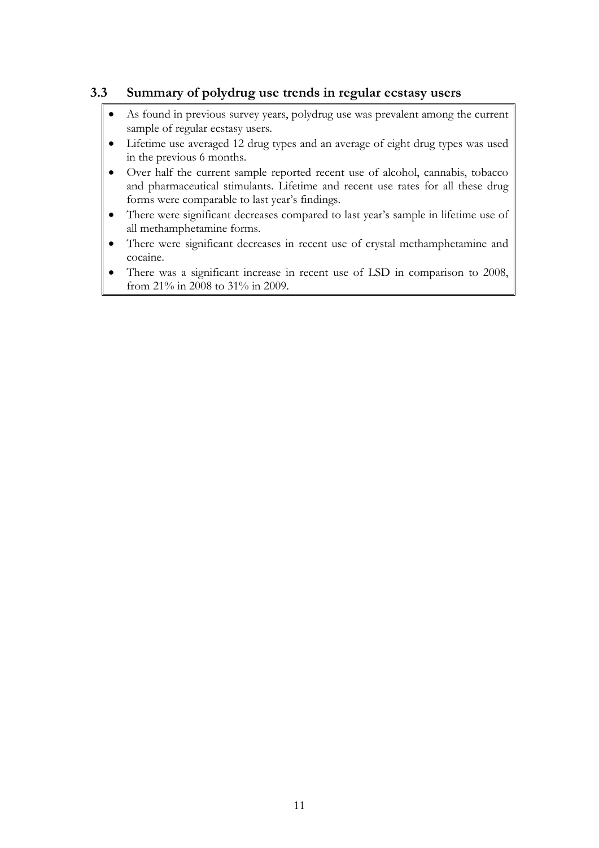## <span id="page-35-0"></span>**3.3 Summary of polydrug use trends in regular ecstasy users**

- As found in previous survey years, polydrug use was prevalent among the current sample of regular ecstasy users.
- Lifetime use averaged 12 drug types and an average of eight drug types was used in the previous 6 months.
- Over half the current sample reported recent use of alcohol, cannabis, tobacco and pharmaceutical stimulants. Lifetime and recent use rates for all these drug forms were comparable to last year's findings.
- There were significant decreases compared to last year's sample in lifetime use of all methamphetamine forms.
- There were significant decreases in recent use of crystal methamphetamine and cocaine.
- There was a significant increase in recent use of LSD in comparison to 2008, from 21% in 2008 to 31% in 2009.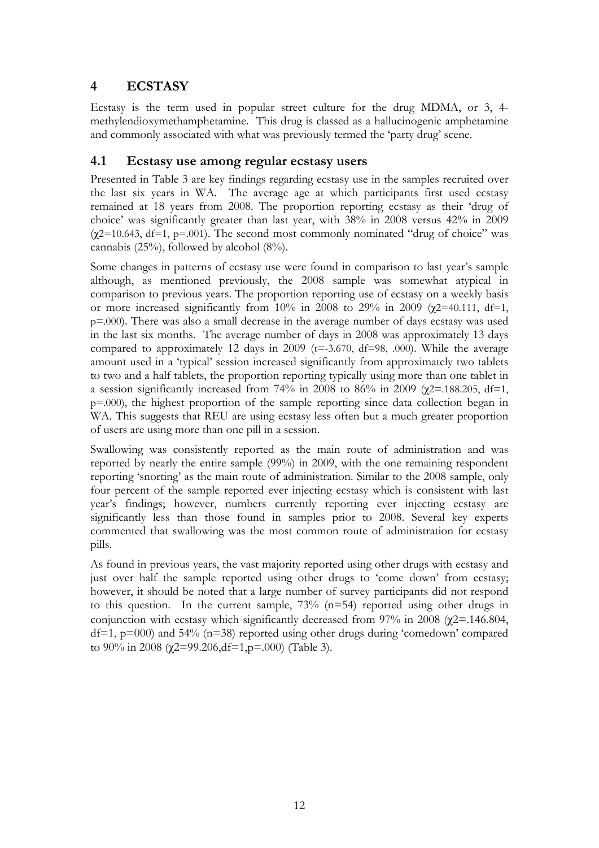# **4 ECSTASY**

Ecstasy is the term used in popular street culture for the drug MDMA, or 3, 4 methylendioxymethamphetamine. This drug is classed as a hallucinogenic amphetamine and commonly associated with what was previously termed the 'party drug' scene.

# **4.1 Ecstasy use among regular ecstasy users**

Presented in Table 3 are key findings regarding ecstasy use in the samples recruited over the last six years in WA. The average age at which participants first used ecstasy remained at 18 years from 2008. The proportion reporting ecstasy as their 'drug of choice' was significantly greater than last year, with 38% in 2008 versus 42% in 2009  $(\gamma$ 2=10.643, df=1, p=.001). The second most commonly nominated "drug of choice" was cannabis (25%), followed by alcohol (8%).

Some changes in patterns of ecstasy use were found in comparison to last year's sample although, as mentioned previously, the 2008 sample was somewhat atypical in comparison to previous years. The proportion reporting use of ecstasy on a weekly basis or more increased significantly from 10% in 2008 to 29% in 2009 ( $\chi$ 2=40.111, df=1, p=.000). There was also a small decrease in the average number of days ecstasy was used in the last six months. The average number of days in 2008 was approximately 13 days compared to approximately 12 days in 2009 ( $t = -3.670$ ,  $df = 98$ , .000). While the average amount used in a 'typical' session increased significantly from approximately two tablets to two and a half tablets, the proportion reporting typically using more than one tablet in a session significantly increased from 74% in 2008 to 86% in 2009 ( $\chi$ 2=.188.205, df=1, p=.000), the highest proportion of the sample reporting since data collection began in WA. This suggests that REU are using ecstasy less often but a much greater proportion of users are using more than one pill in a session.

Swallowing was consistently reported as the main route of administration and was reported by nearly the entire sample (99%) in 2009, with the one remaining respondent reporting 'snorting' as the main route of administration. Similar to the 2008 sample, only four percent of the sample reported ever injecting ecstasy which is consistent with last year's findings; however, numbers currently reporting ever injecting ecstasy are significantly less than those found in samples prior to 2008. Several key experts commented that swallowing was the most common route of administration for ecstasy pills.

As found in previous years, the vast majority reported using other drugs with ecstasy and just over half the sample reported using other drugs to 'come down' from ecstasy; however, it should be noted that a large number of survey participants did not respond to this question. In the current sample, 73% (n=54) reported using other drugs in conjunction with ecstasy which significantly decreased from  $97\%$  in 2008 ( $\chi$ 2=.146.804,  $df=1$ ,  $p=000$ ) and 54% ( $n=38$ ) reported using other drugs during 'comedown' compared to 90% in 2008 ( $\gamma$ 2=99.206,df=1,p=.000) (Table 3).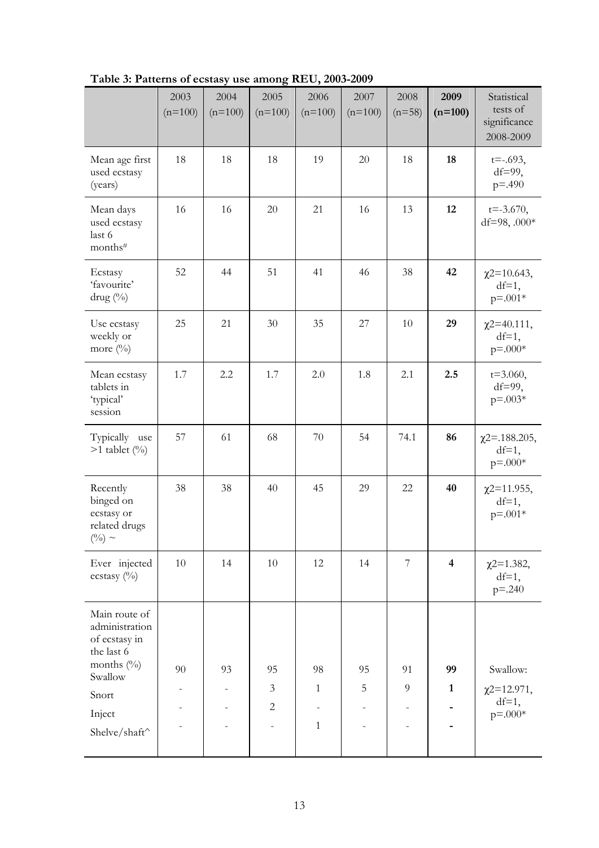|                                                                            | 2003<br>$(n=100)$ | 2004<br>$(n=100)$        | 2005<br>$(n=100)$ | 2006<br>$(n=100)$        | 2007<br>$(n=100)$ | 2008<br>$(n=58)$ | 2009<br>$(n=100)$       | Statistical<br>tests of<br>significance<br>2008-2009 |
|----------------------------------------------------------------------------|-------------------|--------------------------|-------------------|--------------------------|-------------------|------------------|-------------------------|------------------------------------------------------|
| Mean age first<br>used ecstasy<br>(years)                                  | 18                | 18                       | 18                | 19                       | 20                | 18               | 18                      | $t = -0.693$ ,<br>$df=99$ ,<br>$p = .490$            |
| Mean days<br>used ecstasy<br>last 6<br>months#                             | 16                | 16                       | 20                | 21                       | 16                | 13               | 12                      | $t = -3.670,$<br>df=98, .000 $*$                     |
| Ecstasy<br>'favourite'<br>drug (%)                                         | 52                | 44                       | 51                | 41                       | 46                | 38               | 42                      | $\chi$ 2=10.643,<br>$df=1$ ,<br>$p = 0.001*$         |
| Use ecstasy<br>weekly or<br>more $(\%)$                                    | 25                | 21                       | 30                | 35                       | 27                | 10               | 29                      | $\chi$ 2=40.111,<br>$df=1$ ,<br>$p = 0.004$          |
| Mean ecstasy<br>tablets in<br>'typical'<br>session                         | 1.7               | 2.2                      | 1.7               | 2.0                      | 1.8               | 2.1              | 2.5                     | $t = 3.060,$<br>$df=99$ ,<br>$p = 0.03*$             |
| Typically use<br>$>1$ tablet $(\%)$                                        | 57                | 61                       | 68                | 70                       | 54                | 74.1             | 86                      | $\chi$ 2=.188.205,<br>$df=1$ ,<br>$p = 0.004$        |
| Recently<br>binged on<br>ecstasy or<br>related drugs<br>$(^{0}/_{0}) \sim$ | 38                | 38                       | 40                | 45                       | 29                | 22               | 40                      | $\chi$ 2=11.955,<br>$df=1$ ,<br>$p = 0.001*$         |
| Ever injected<br>ecstasy (%)                                               | 10                | 14                       | 10                | 12                       | 14                | $\overline{7}$   | $\overline{\mathbf{4}}$ | $\chi$ 2=1.382,<br>$df=1$ ,<br>$p = 0.240$           |
| Main route of<br>administration<br>of ecstasy in<br>the last 6             |                   |                          |                   |                          |                   |                  |                         |                                                      |
| months (%)<br>Swallow                                                      | 90                | 93                       | 95                | 98                       | 95                | 91               | 99                      | Swallow:                                             |
| Snort                                                                      |                   | $\overline{\phantom{0}}$ | $\mathfrak{Z}$    | $\mathbf{1}$             | 5                 | 9                | $\mathbf{1}$            | $\chi$ 2=12.971,<br>$df=1$ ,                         |
| Inject                                                                     |                   |                          | $\mathbf{2}$      | $\overline{\phantom{0}}$ |                   |                  |                         | $p = .000*$                                          |
| Shelve/shaft^                                                              |                   |                          |                   | $\mathbf{1}$             |                   |                  |                         |                                                      |

**Table 3: Patterns of ecstasy use among REU, 2003-2009**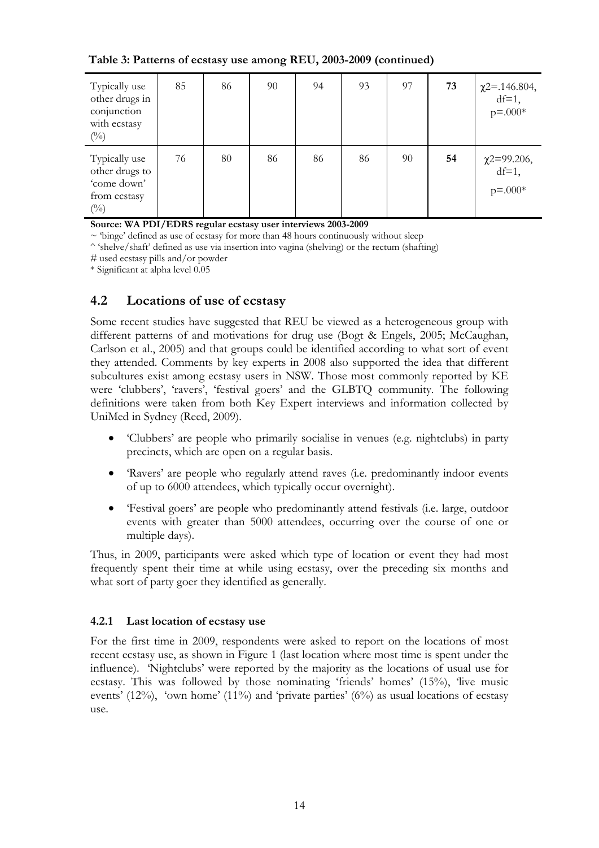| Typically use<br>other drugs in<br>conjunction<br>with ecstasy<br>$(^{0}_{0})$   | 85 | 86 | 90 | 94 | 93 | 97 | 73 | $\chi$ 2=.146.804,<br>df=1,<br>$p = 0.00*$ |
|----------------------------------------------------------------------------------|----|----|----|----|----|----|----|--------------------------------------------|
| Typically use<br>other drugs to<br>'come down'<br>from ecstasy<br>$\binom{0}{0}$ | 76 | 80 | 86 | 86 | 86 | 90 | 54 | $\chi$ 2=99.206,<br>df=1,<br>$p = 0.00*$   |

**Table 3: Patterns of ecstasy use among REU, 2003-2009 (continued)** 

**Source: WA PDI/EDRS regular ecstasy user interviews 2003-2009** 

 $\sim$  'binge' defined as use of ecstasy for more than 48 hours continuously without sleep

^ 'shelve/shaft' defined as use via insertion into vagina (shelving) or the rectum (shafting)

# used ecstasy pills and/or powder

\* Significant at alpha level 0.05

## **4.2 Locations of use of ecstasy**

Some recent studies have suggested that REU be viewed as a heterogeneous group with different patterns of and motivations for drug use (Bogt & Engels, 2005; McCaughan, Carlson et al., 2005) and that groups could be identified according to what sort of event they attended. Comments by key experts in 2008 also supported the idea that different subcultures exist among ecstasy users in NSW. Those most commonly reported by KE were 'clubbers', 'ravers', 'festival goers' and the GLBTQ community. The following definitions were taken from both Key Expert interviews and information collected by UniMed in Sydney (Reed, 2009).

- 'Clubbers' are people who primarily socialise in venues (e.g. nightclubs) in party precincts, which are open on a regular basis.
- 'Ravers' are people who regularly attend raves (i.e. predominantly indoor events of up to 6000 attendees, which typically occur overnight).
- 'Festival goers' are people who predominantly attend festivals (i.e. large, outdoor events with greater than 5000 attendees, occurring over the course of one or multiple days).

Thus, in 2009, participants were asked which type of location or event they had most frequently spent their time at while using ecstasy, over the preceding six months and what sort of party goer they identified as generally.

## **4.2.1 Last location of ecstasy use**

For the first time in 2009, respondents were asked to report on the locations of most recent ecstasy use, as shown in Figure 1 (last location where most time is spent under the influence). 'Nightclubs' were reported by the majority as the locations of usual use for ecstasy. This was followed by those nominating 'friends' homes' (15%), 'live music events' (12%), 'own home' (11%) and 'private parties' (6%) as usual locations of ecstasy use.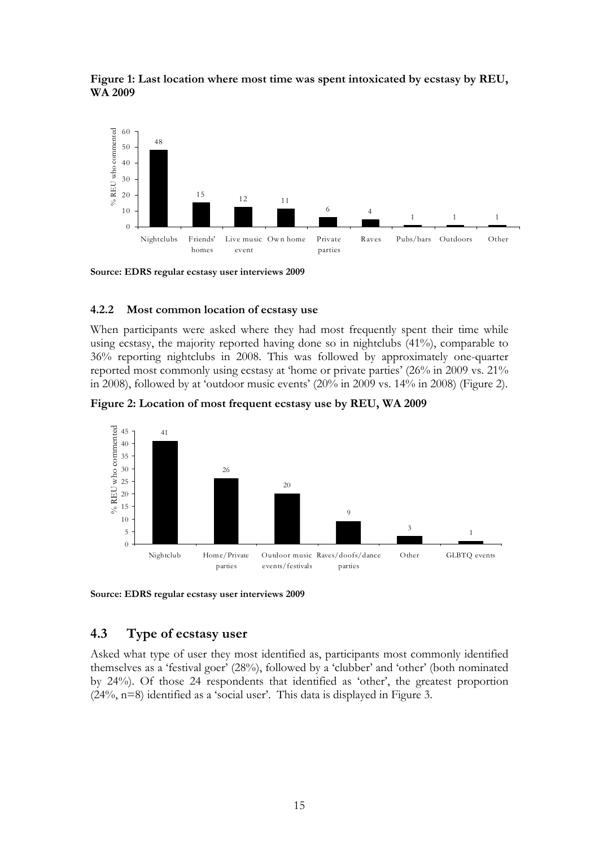



**Source: EDRS regular ecstasy user interviews 2009**

#### **4.2.2 Most common location of ecstasy use**

When participants were asked where they had most frequently spent their time while using ecstasy, the majority reported having done so in nightclubs (41%), comparable to 36% reporting nightclubs in 2008. This was followed by approximately one-quarter reported most commonly using ecstasy at 'home or private parties' (26% in 2009 vs. 21% in 2008), followed by at 'outdoor music events' (20% in 2009 vs. 14% in 2008) (Figure 2).





**Source: EDRS regular ecstasy user interviews 2009**

### **4.3 Type of ecstasy user**

Asked what type of user they most identified as, participants most commonly identified themselves as a 'festival goer' (28%), followed by a 'clubber' and 'other' (both nominated by 24%). Of those 24 respondents that identified as 'other', the greatest proportion (24%, n=8) identified as a 'social user'. This data is displayed in Figure 3.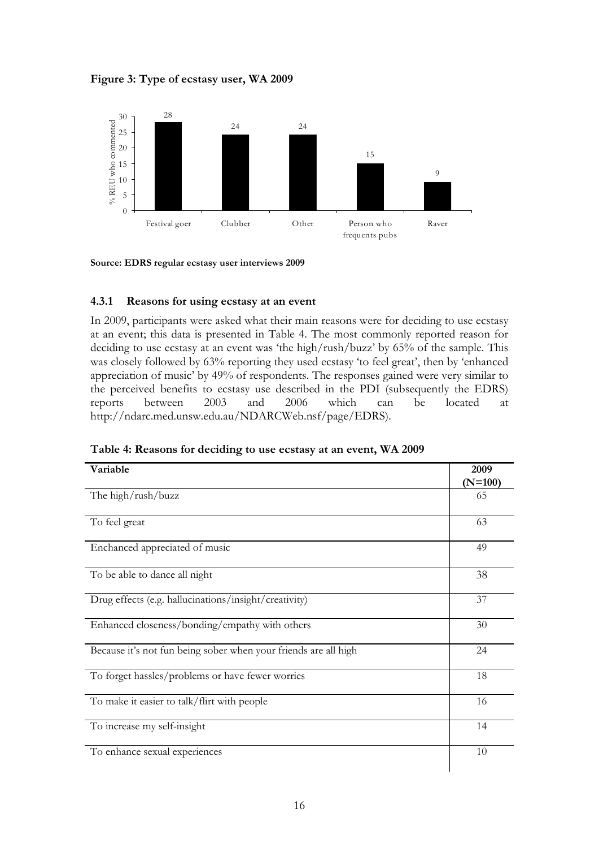**Figure 3: Type of ecstasy user, WA 2009** 



**Source: EDRS regular ecstasy user interviews 2009**

### **4.3.1 Reasons for using ecstasy at an event**

In 2009, participants were asked what their main reasons were for deciding to use ecstasy at an event; this data is presented in Table 4. The most commonly reported reason for deciding to use ecstasy at an event was 'the high/rush/buzz' by 65% of the sample. This was closely followed by 63% reporting they used ecstasy 'to feel great', then by 'enhanced appreciation of music' by 49% of respondents. The responses gained were very similar to the perceived benefits to ecstasy use described in the PDI (subsequently the EDRS) reports between 2003 and 2006 which can be located at http://ndarc.med.unsw.edu.au/NDARCWeb.nsf/page/EDRS).

| Variable                                                        | 2009<br>$(N=100)$ |
|-----------------------------------------------------------------|-------------------|
| The high/rush/buzz                                              | 65                |
| To feel great                                                   | 63                |
| Enchanced appreciated of music                                  | 49                |
| To be able to dance all night                                   | 38                |
| Drug effects (e.g. hallucinations/insight/creativity)           | 37                |
| Enhanced closeness/bonding/empathy with others                  | 30                |
| Because it's not fun being sober when your friends are all high | 24                |
| To forget hassles/problems or have fewer worries                | 18                |
| To make it easier to talk/flirt with people                     | 16                |
| To increase my self-insight                                     | 14                |
| To enhance sexual experiences                                   | 10                |

**Table 4: Reasons for deciding to use ecstasy at an event, WA 2009**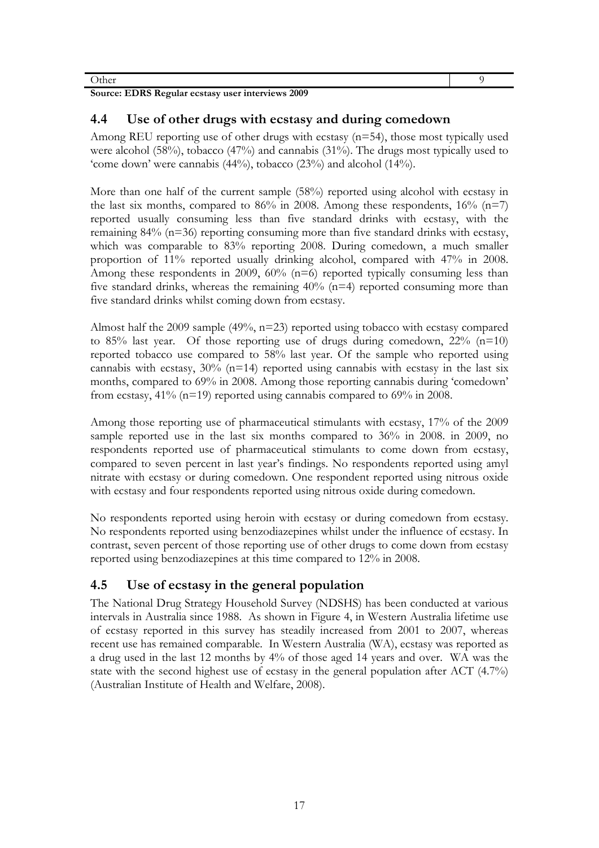Other 9

**Source: EDRS Regular ecstasy user interviews 2009** 

## **4.4 Use of other drugs with ecstasy and during comedown**

Among REU reporting use of other drugs with ecstasy (n=54), those most typically used were alcohol (58%), tobacco (47%) and cannabis (31%). The drugs most typically used to 'come down' were cannabis (44%), tobacco (23%) and alcohol (14%).

More than one half of the current sample (58%) reported using alcohol with ecstasy in the last six months, compared to 86% in 2008. Among these respondents,  $16\%$  (n=7) reported usually consuming less than five standard drinks with ecstasy, with the remaining 84% (n=36) reporting consuming more than five standard drinks with ecstasy, which was comparable to 83% reporting 2008. During comedown, a much smaller proportion of 11% reported usually drinking alcohol, compared with 47% in 2008. Among these respondents in 2009,  $60\%$  (n=6) reported typically consuming less than five standard drinks, whereas the remaining  $40\%$  (n=4) reported consuming more than five standard drinks whilst coming down from ecstasy.

Almost half the 2009 sample (49%, n=23) reported using tobacco with ecstasy compared to 85% last year. Of those reporting use of drugs during comedown,  $22\%$  (n=10) reported tobacco use compared to 58% last year. Of the sample who reported using cannabis with ecstasy,  $30\%$  (n=14) reported using cannabis with ecstasy in the last six months, compared to 69% in 2008. Among those reporting cannabis during 'comedown' from ecstasy, 41% (n=19) reported using cannabis compared to 69% in 2008.

Among those reporting use of pharmaceutical stimulants with ecstasy, 17% of the 2009 sample reported use in the last six months compared to 36% in 2008. in 2009, no respondents reported use of pharmaceutical stimulants to come down from ecstasy, compared to seven percent in last year's findings. No respondents reported using amyl nitrate with ecstasy or during comedown. One respondent reported using nitrous oxide with ecstasy and four respondents reported using nitrous oxide during comedown.

No respondents reported using heroin with ecstasy or during comedown from ecstasy. No respondents reported using benzodiazepines whilst under the influence of ecstasy. In contrast, seven percent of those reporting use of other drugs to come down from ecstasy reported using benzodiazepines at this time compared to 12% in 2008.

# **4.5 Use of ecstasy in the general population**

The National Drug Strategy Household Survey (NDSHS) has been conducted at various intervals in Australia since 1988. As shown in Figure 4, in Western Australia lifetime use of ecstasy reported in this survey has steadily increased from 2001 to 2007, whereas recent use has remained comparable. In Western Australia (WA), ecstasy was reported as a drug used in the last 12 months by 4% of those aged 14 years and over.WA was the state with the second highest use of ecstasy in the general population after ACT (4.7%) (Australian Institute of Health and Welfare, 2008).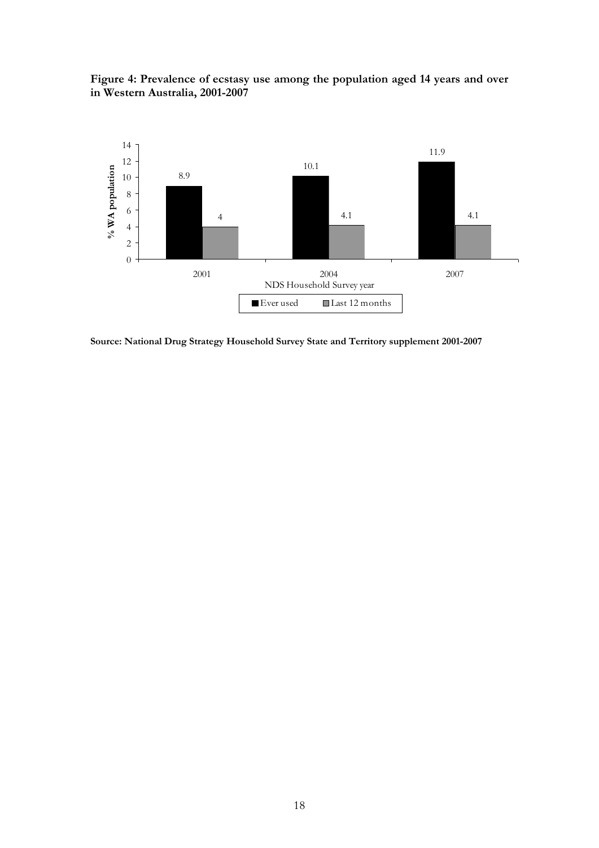**Figure 4: Prevalence of ecstasy use among the population aged 14 years and over in Western Australia, 2001-2007** 



**Source: National Drug Strategy Household Survey State and Territory supplement 2001-2007**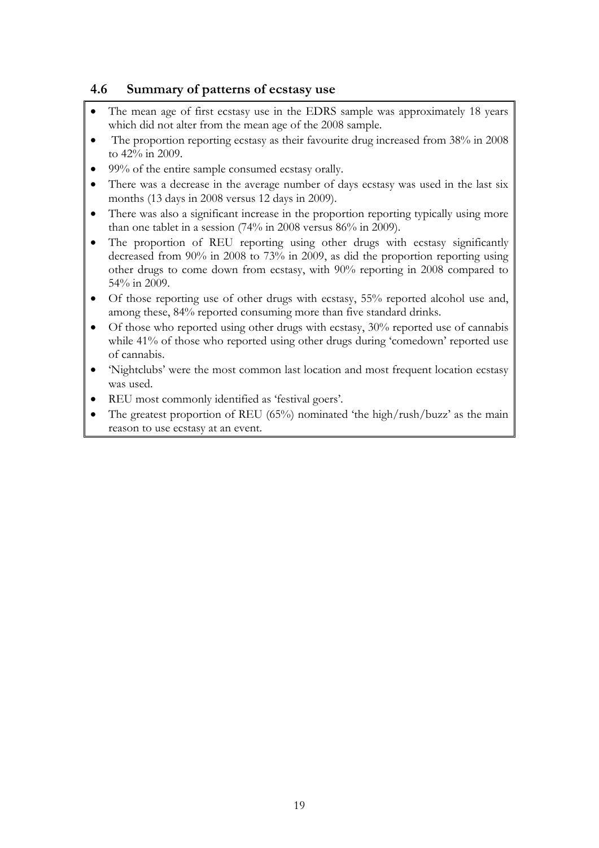# **4.6 Summary of patterns of ecstasy use**

- The mean age of first ecstasy use in the EDRS sample was approximately 18 years which did not alter from the mean age of the 2008 sample.
- The proportion reporting ecstasy as their favourite drug increased from 38% in 2008 to 42% in 2009.
- 99% of the entire sample consumed ecstasy orally.
- There was a decrease in the average number of days ecstasy was used in the last six months (13 days in 2008 versus 12 days in 2009).
- There was also a significant increase in the proportion reporting typically using more than one tablet in a session (74% in 2008 versus 86% in 2009).
- The proportion of REU reporting using other drugs with ecstasy significantly decreased from 90% in 2008 to 73% in 2009, as did the proportion reporting using other drugs to come down from ecstasy, with 90% reporting in 2008 compared to 54% in 2009.
- Of those reporting use of other drugs with ecstasy, 55% reported alcohol use and, among these, 84% reported consuming more than five standard drinks.
- Of those who reported using other drugs with ecstasy, 30% reported use of cannabis while 41% of those who reported using other drugs during 'comedown' reported use of cannabis.
- 'Nightclubs' were the most common last location and most frequent location ecstasy was used.
- REU most commonly identified as 'festival goers'.
- The greatest proportion of REU (65%) nominated 'the high/rush/buzz' as the main reason to use ecstasy at an event.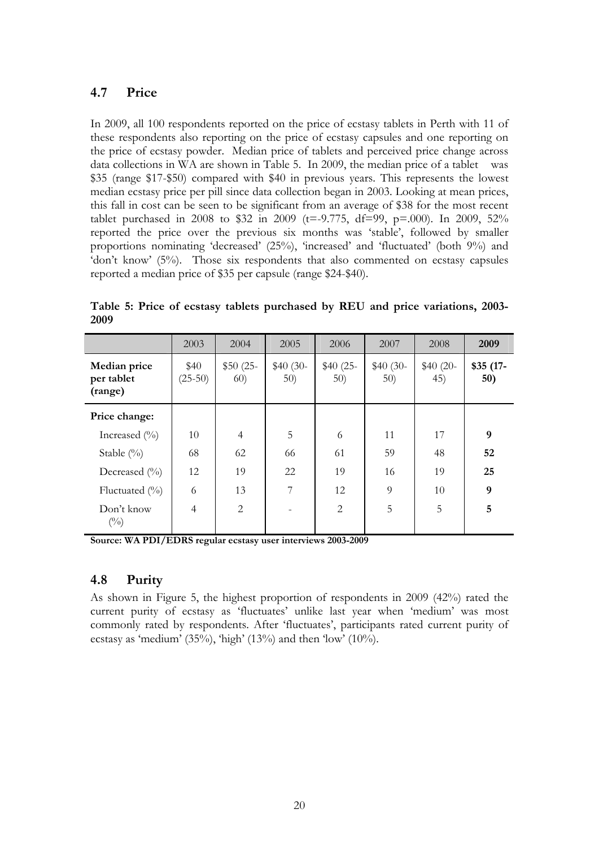# **4.7 Price**

In 2009, all 100 respondents reported on the price of ecstasy tablets in Perth with 11 of these respondents also reporting on the price of ecstasy capsules and one reporting on the price of ecstasy powder. Median price of tablets and perceived price change across data collections in WA are shown in Table 5. In 2009, the median price of a tablet was \$35 (range \$17-\$50) compared with \$40 in previous years. This represents the lowest median ecstasy price per pill since data collection began in 2003. Looking at mean prices, this fall in cost can be seen to be significant from an average of \$38 for the most recent tablet purchased in 2008 to \$32 in 2009 (t=-9.775, df=99, p=.000). In 2009, 52% reported the price over the previous six months was 'stable', followed by smaller proportions nominating 'decreased' (25%), 'increased' and 'fluctuated' (both 9%) and 'don't know' (5%). Those six respondents that also commented on ecstasy capsules reported a median price of \$35 per capsule (range \$24-\$40).

|                                       | 2003              | 2004              | 2005             | 2006             | 2007             | 2008             | 2009              |
|---------------------------------------|-------------------|-------------------|------------------|------------------|------------------|------------------|-------------------|
| Median price<br>per tablet<br>(range) | \$40<br>$(25-50)$ | $$50(25-)$<br>60) | $$40(30-$<br>50) | $$40(25-$<br>50) | $$40(30-$<br>50) | $$40(20-$<br>45) | $$35(17-)$<br>50) |
| Price change:                         |                   |                   |                  |                  |                  |                  |                   |
| Increased $(\% )$                     | 10                | $\overline{4}$    | 5                | 6                | 11               | 17               | 9                 |
| Stable $(\% )$                        | 68                | 62                | 66               | 61               | 59               | 48               | 52                |
| Decreased $(\%$                       | 12                | 19                | 22               | 19               | 16               | 19               | 25                |
| Fluctuated $(\%$                      | 6                 | 13                | 7                | 12               | 9                | 10               | 9                 |
| Don't know<br>$(^{0}_{0})$            | $\overline{4}$    | 2                 |                  | $\overline{2}$   | 5                | 5                | 5                 |

**Table 5: Price of ecstasy tablets purchased by REU and price variations, 2003- 2009** 

**Source: WA PDI/EDRS regular ecstasy user interviews 2003-2009** 

# **4.8 Purity**

As shown in Figure 5, the highest proportion of respondents in 2009 (42%) rated the current purity of ecstasy as 'fluctuates' unlike last year when 'medium' was most commonly rated by respondents. After 'fluctuates', participants rated current purity of ecstasy as 'medium' (35%), 'high' (13%) and then 'low' (10%).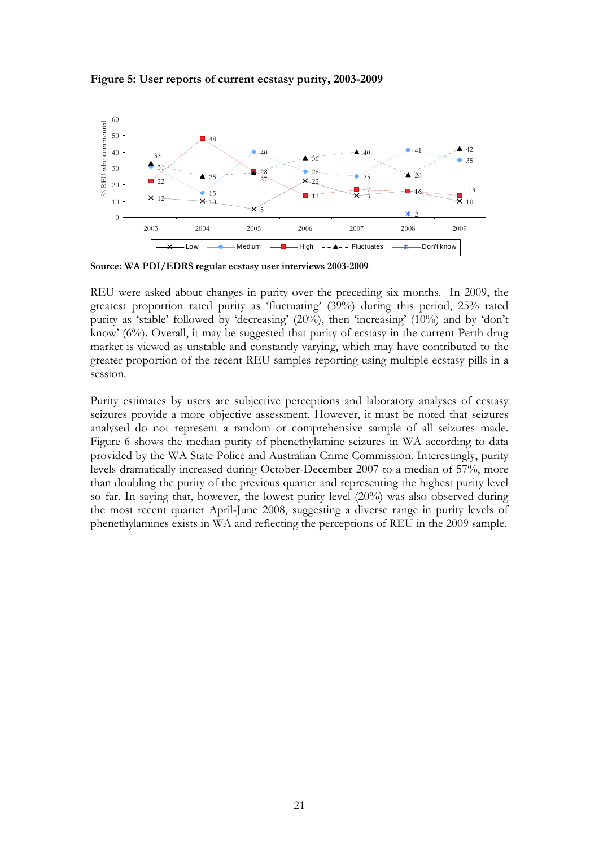

#### **Figure 5: User reports of current ecstasy purity, 2003-2009**

**Source: WA PDI/EDRS regular ecstasy user interviews 2003-2009**

REU were asked about changes in purity over the preceding six months. In 2009, the greatest proportion rated purity as 'fluctuating' (39%) during this period, 25% rated purity as 'stable' followed by 'decreasing' (20%), then 'increasing' (10%) and by 'don't know' (6%). Overall, it may be suggested that purity of ecstasy in the current Perth drug market is viewed as unstable and constantly varying, which may have contributed to the greater proportion of the recent REU samples reporting using multiple ecstasy pills in a session.

Purity estimates by users are subjective perceptions and laboratory analyses of ecstasy seizures provide a more objective assessment. However, it must be noted that seizures analysed do not represent a random or comprehensive sample of all seizures made. Figure 6 shows the median purity of phenethylamine seizures in WA according to data provided by the WA State Police and Australian Crime Commission. Interestingly, purity levels dramatically increased during October-December 2007 to a median of 57%, more than doubling the purity of the previous quarter and representing the highest purity level so far. In saying that, however, the lowest purity level (20%) was also observed during the most recent quarter April-June 2008, suggesting a diverse range in purity levels of phenethylamines exists in WA and reflecting the perceptions of REU in the 2009 sample.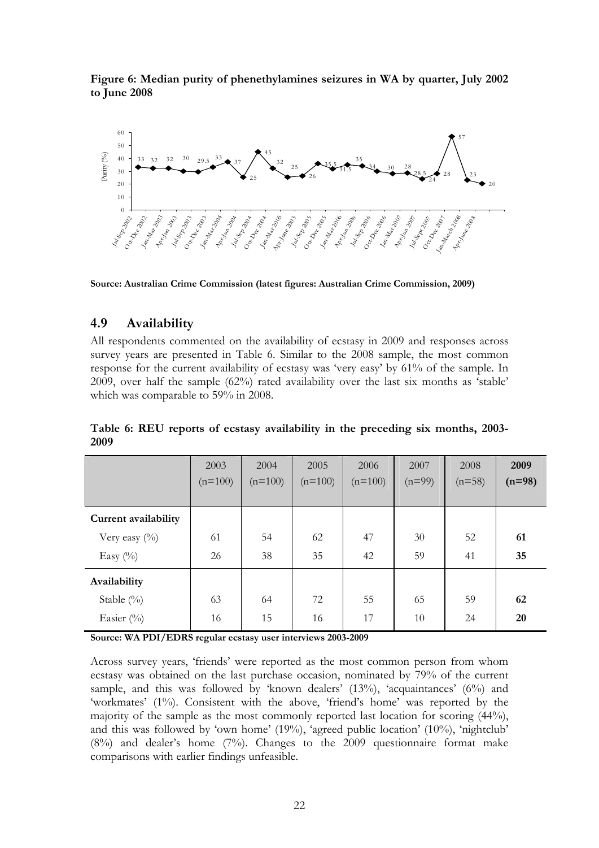**Figure 6: Median purity of phenethylamines seizures in WA by quarter, July 2002 to June 2008** 



**Source: Australian Crime Commission (latest figures: Australian Crime Commission, 2009)** 

## **4.9 Availability**

All respondents commented on the availability of ecstasy in 2009 and responses across survey years are presented in Table 6. Similar to the 2008 sample, the most common response for the current availability of ecstasy was 'very easy' by 61% of the sample. In 2009, over half the sample (62%) rated availability over the last six months as 'stable' which was comparable to 59% in 2008.

|                      | 2003<br>$(n=100)$ | 2004<br>$(n=100)$ | 2005<br>$(n=100)$ | 2006<br>$(n=100)$ | 2007<br>$(n=99)$ | 2008<br>$(n=58)$ | 2009<br>$(n=98)$ |
|----------------------|-------------------|-------------------|-------------------|-------------------|------------------|------------------|------------------|
| Current availability |                   |                   |                   |                   |                  |                  |                  |
| Very easy $(\%)$     | 61                | 54                | 62                | 47                | 30               | 52               | 61               |
| Easy $(\%)$          | 26                | 38                | 35                | 42                | 59               | 41               | 35               |
| Availability         |                   |                   |                   |                   |                  |                  |                  |
| Stable $(\%)$        | 63                | 64                | 72                | 55                | 65               | 59               | 62               |
| Easier (%)           | 16                | 15                | 16                | 17                | 10               | 24               | 20               |

**Table 6: REU reports of ecstasy availability in the preceding six months, 2003- 2009** 

**Source: WA PDI/EDRS regular ecstasy user interviews 2003-2009** 

Across survey years, 'friends' were reported as the most common person from whom ecstasy was obtained on the last purchase occasion, nominated by 79% of the current sample, and this was followed by 'known dealers' (13%), 'acquaintances' (6%) and 'workmates' (1%). Consistent with the above, 'friend's home' was reported by the majority of the sample as the most commonly reported last location for scoring (44%), and this was followed by 'own home' (19%), 'agreed public location' (10%), 'nightclub' (8%) and dealer's home (7%). Changes to the 2009 questionnaire format make comparisons with earlier findings unfeasible.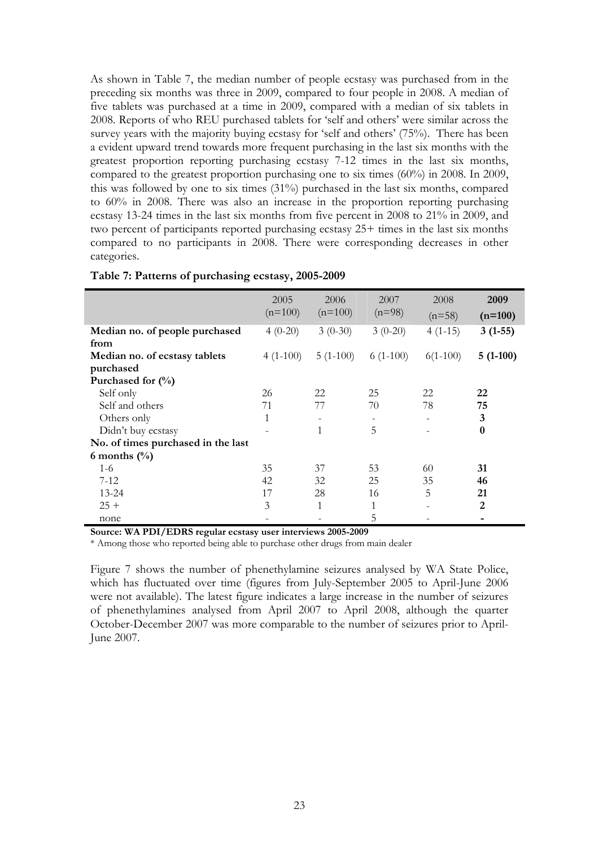As shown in Table 7, the median number of people ecstasy was purchased from in the preceding six months was three in 2009, compared to four people in 2008. A median of five tablets was purchased at a time in 2009, compared with a median of six tablets in 2008. Reports of who REU purchased tablets for 'self and others' were similar across the survey years with the majority buying ecstasy for 'self and others' (75%). There has been a evident upward trend towards more frequent purchasing in the last six months with the greatest proportion reporting purchasing ecstasy 7-12 times in the last six months, compared to the greatest proportion purchasing one to six times (60%) in 2008. In 2009, this was followed by one to six times (31%) purchased in the last six months, compared to 60% in 2008. There was also an increase in the proportion reporting purchasing ecstasy 13-24 times in the last six months from five percent in 2008 to 21% in 2009, and two percent of participants reported purchasing ecstasy 25+ times in the last six months compared to no participants in 2008. There were corresponding decreases in other categories.

|                                    | 2005<br>$(n=100)$ | 2006<br>$(n=100)$ | 2007<br>$(n=98)$ | 2008<br>$(n=58)$ | 2009<br>$(n=100)$ |
|------------------------------------|-------------------|-------------------|------------------|------------------|-------------------|
| Median no. of people purchased     | $4(0-20)$         | $3(0-30)$         | $3(0-20)$        | $4(1-15)$        | $3(1-55)$         |
| from                               |                   |                   |                  |                  |                   |
| Median no. of ecstasy tablets      | $4(1-100)$        | $5(1-100)$        | $6(1-100)$       | $6(1-100)$       | $5(1-100)$        |
| purchased                          |                   |                   |                  |                  |                   |
| Purchased for $(\frac{0}{0})$      |                   |                   |                  |                  |                   |
| Self only                          | 26                | 22                | 25               | 22               | 22                |
| Self and others                    | 71                | 77                | 70               | 78               | 75                |
| Others only                        | 1                 |                   |                  |                  | 3                 |
| Didn't buy ecstasy                 |                   | 1                 | 5                |                  | $\bf{0}$          |
| No. of times purchased in the last |                   |                   |                  |                  |                   |
| 6 months $(\%)$                    |                   |                   |                  |                  |                   |
| $1-6$                              | 35                | 37                | 53               | 60               | 31                |
| $7 - 12$                           | 42                | 32                | 25               | 35               | 46                |
| $13 - 24$                          | 17                | 28                | 16               | 5                | 21                |
| $25 +$                             | 3                 | 1                 | $\mathbf{1}$     |                  | $\mathbf{2}$      |
| none                               |                   |                   | 5                |                  |                   |

#### **Table 7: Patterns of purchasing ecstasy, 2005-2009**

**Source: WA PDI/EDRS regular ecstasy user interviews 2005-2009** 

\* Among those who reported being able to purchase other drugs from main dealer

Figure 7 shows the number of phenethylamine seizures analysed by WA State Police, which has fluctuated over time (figures from July-September 2005 to April-June 2006 were not available). The latest figure indicates a large increase in the number of seizures of phenethylamines analysed from April 2007 to April 2008, although the quarter October-December 2007 was more comparable to the number of seizures prior to April-June 2007.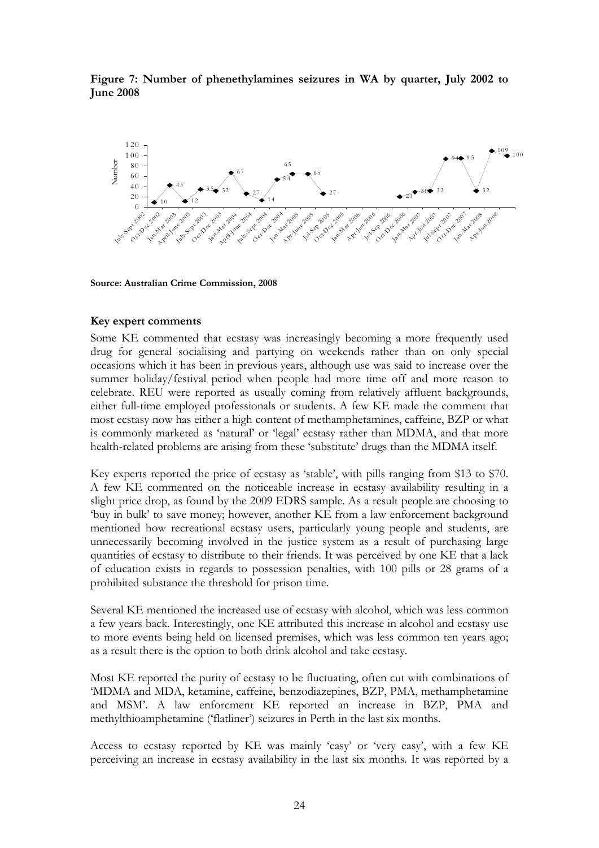**Figure 7: Number of phenethylamines seizures in WA by quarter, July 2002 to June 2008** 



**Source: Australian Crime Commission, 2008**

#### **Key expert comments**

Some KE commented that ecstasy was increasingly becoming a more frequently used drug for general socialising and partying on weekends rather than on only special occasions which it has been in previous years, although use was said to increase over the summer holiday/festival period when people had more time off and more reason to celebrate. REU were reported as usually coming from relatively affluent backgrounds, either full-time employed professionals or students. A few KE made the comment that most ecstasy now has either a high content of methamphetamines, caffeine, BZP or what is commonly marketed as 'natural' or 'legal' ecstasy rather than MDMA, and that more health-related problems are arising from these 'substitute' drugs than the MDMA itself.

Key experts reported the price of ecstasy as 'stable', with pills ranging from \$13 to \$70. A few KE commented on the noticeable increase in ecstasy availability resulting in a slight price drop, as found by the 2009 EDRS sample. As a result people are choosing to 'buy in bulk' to save money; however, another KE from a law enforcement background mentioned how recreational ecstasy users, particularly young people and students, are unnecessarily becoming involved in the justice system as a result of purchasing large quantities of ecstasy to distribute to their friends. It was perceived by one KE that a lack of education exists in regards to possession penalties, with 100 pills or 28 grams of a prohibited substance the threshold for prison time.

Several KE mentioned the increased use of ecstasy with alcohol, which was less common a few years back. Interestingly, one KE attributed this increase in alcohol and ecstasy use to more events being held on licensed premises, which was less common ten years ago; as a result there is the option to both drink alcohol and take ecstasy.

Most KE reported the purity of ecstasy to be fluctuating, often cut with combinations of 'MDMA and MDA, ketamine, caffeine, benzodiazepines, BZP, PMA, methamphetamine and MSM'. A law enforcment KE reported an increase in BZP, PMA and methylthioamphetamine ('flatliner') seizures in Perth in the last six months.

Access to ecstasy reported by KE was mainly 'easy' or 'very easy', with a few KE perceiving an increase in ecstasy availability in the last six months. It was reported by a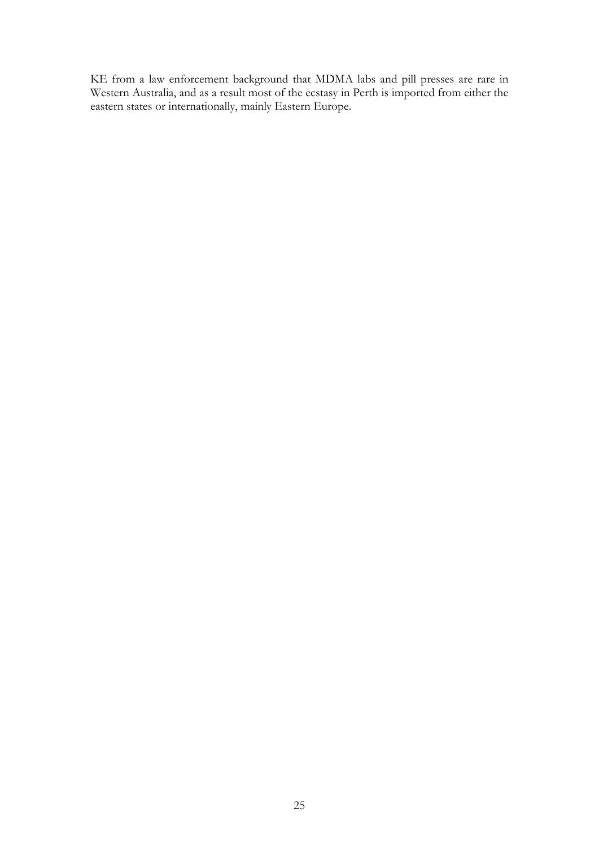KE from a law enforcement background that MDMA labs and pill presses are rare in Western Australia, and as a result most of the ecstasy in Perth is imported from either the eastern states or internationally, mainly Eastern Europe.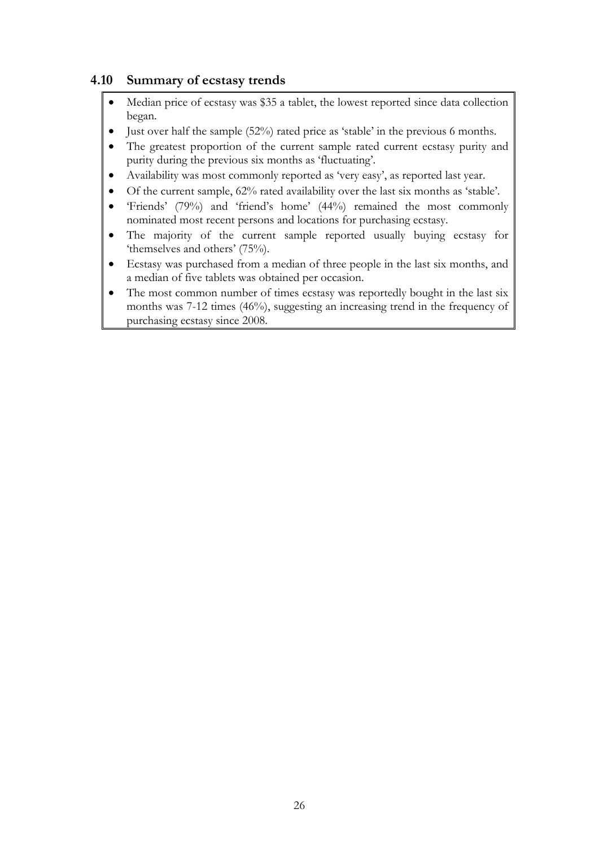# **4.10 Summary of ecstasy trends**

- Median price of ecstasy was \$35 a tablet, the lowest reported since data collection began.
- $\bullet$  Just over half the sample (52%) rated price as 'stable' in the previous 6 months.
- The greatest proportion of the current sample rated current ecstasy purity and purity during the previous six months as 'fluctuating'.
- Availability was most commonly reported as 'very easy', as reported last year.
- Of the current sample, 62% rated availability over the last six months as 'stable'.
- 'Friends' (79%) and 'friend's home' (44%) remained the most commonly nominated most recent persons and locations for purchasing ecstasy.
- The majority of the current sample reported usually buying ecstasy for 'themselves and others' (75%).
- Ecstasy was purchased from a median of three people in the last six months, and a median of five tablets was obtained per occasion.
- The most common number of times ecstasy was reportedly bought in the last six months was 7-12 times (46%), suggesting an increasing trend in the frequency of purchasing ecstasy since 2008.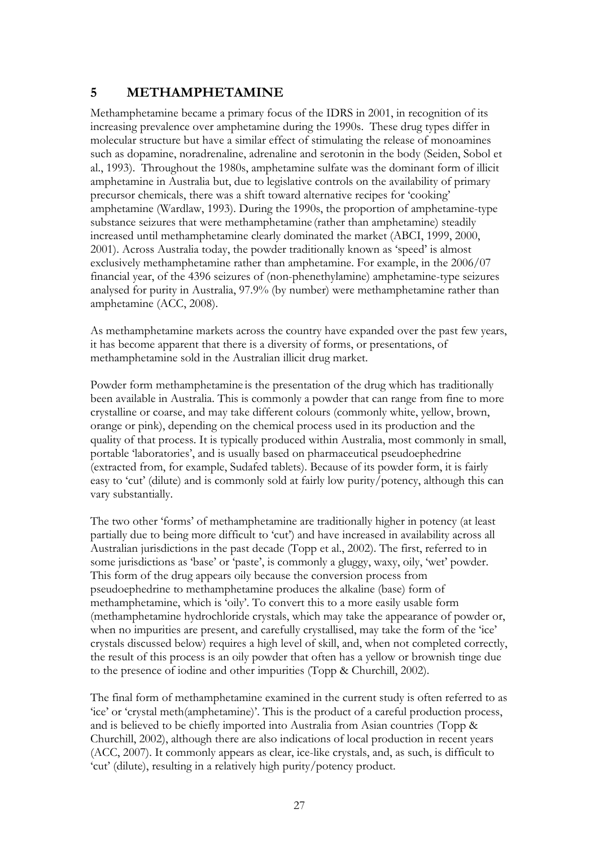# **5 METHAMPHETAMINE**

Methamphetamine became a primary focus of the IDRS in 2001, in recognition of its increasing prevalence over amphetamine during the 1990s. These drug types differ in molecular structure but have a similar effect of stimulating the release of monoamines such as dopamine, noradrenaline, adrenaline and serotonin in the body (Seiden, Sobol et al., 1993). Throughout the 1980s, amphetamine sulfate was the dominant form of illicit amphetamine in Australia but, due to legislative controls on the availability of primary precursor chemicals, there was a shift toward alternative recipes for 'cooking' amphetamine (Wardlaw, 1993). During the 1990s, the proportion of amphetamine-type substance seizures that were methamphetamine (rather than amphetamine) steadily increased until methamphetamine clearly dominated the market (ABCI, 1999, 2000, 2001). Across Australia today, the powder traditionally known as 'speed' is almost exclusively methamphetamine rather than amphetamine. For example, in the 2006/07 financial year, of the 4396 seizures of (non-phenethylamine) amphetamine-type seizures analysed for purity in Australia, 97.9% (by number) were methamphetamine rather than amphetamine (ACC, 2008).

As methamphetamine markets across the country have expanded over the past few years, it has become apparent that there is a diversity of forms, or presentations, of methamphetamine sold in the Australian illicit drug market.

Powder form methamphetamine is the presentation of the drug which has traditionally been available in Australia. This is commonly a powder that can range from fine to more crystalline or coarse, and may take different colours (commonly white, yellow, brown, orange or pink), depending on the chemical process used in its production and the quality of that process. It is typically produced within Australia, most commonly in small, portable 'laboratories', and is usually based on pharmaceutical pseudoephedrine (extracted from, for example, Sudafed tablets). Because of its powder form, it is fairly easy to 'cut' (dilute) and is commonly sold at fairly low purity/potency, although this can vary substantially.

The two other 'forms' of methamphetamine are traditionally higher in potency (at least partially due to being more difficult to 'cut') and have increased in availability across all Australian jurisdictions in the past decade (Topp et al., 2002). The first, referred to in some jurisdictions as 'base' or 'paste', is commonly a gluggy, waxy, oily, 'wet' powder. This form of the drug appears oily because the conversion process from pseudoephedrine to methamphetamine produces the alkaline (base) form of methamphetamine, which is 'oily'. To convert this to a more easily usable form (methamphetamine hydrochloride crystals, which may take the appearance of powder or, when no impurities are present, and carefully crystallised, may take the form of the 'ice' crystals discussed below) requires a high level of skill, and, when not completed correctly, the result of this process is an oily powder that often has a yellow or brownish tinge due to the presence of iodine and other impurities (Topp & Churchill, 2002).

The final form of methamphetamine examined in the current study is often referred to as 'ice' or 'crystal meth(amphetamine)'. This is the product of a careful production process, and is believed to be chiefly imported into Australia from Asian countries (Topp & Churchill, 2002), although there are also indications of local production in recent years (ACC, 2007). It commonly appears as clear, ice-like crystals, and, as such, is difficult to 'cut' (dilute), resulting in a relatively high purity/potency product.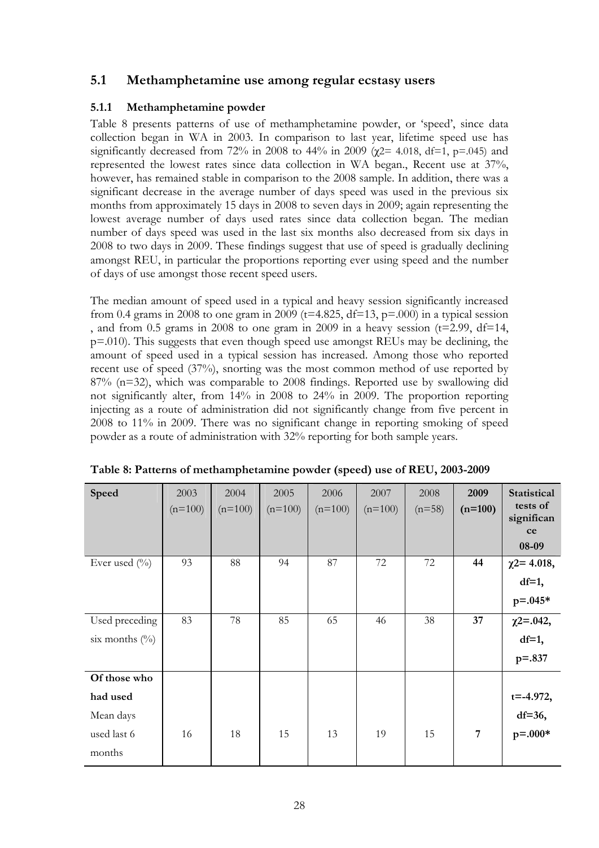## **5.1 Methamphetamine use among regular ecstasy users**

### **5.1.1 Methamphetamine powder**

Table 8 presents patterns of use of methamphetamine powder, or 'speed', since data collection began in WA in 2003. In comparison to last year, lifetime speed use has significantly decreased from 72% in 2008 to 44% in 2009 ( $\chi$ 2= 4.018, df=1, p=.045) and represented the lowest rates since data collection in WA began., Recent use at 37%, however, has remained stable in comparison to the 2008 sample. In addition, there was a significant decrease in the average number of days speed was used in the previous six months from approximately 15 days in 2008 to seven days in 2009; again representing the lowest average number of days used rates since data collection began. The median number of days speed was used in the last six months also decreased from six days in 2008 to two days in 2009. These findings suggest that use of speed is gradually declining amongst REU, in particular the proportions reporting ever using speed and the number of days of use amongst those recent speed users.

The median amount of speed used in a typical and heavy session significantly increased from 0.4 grams in 2008 to one gram in 2009 (t=4.825, df=13, p=.000) in a typical session , and from 0.5 grams in 2008 to one gram in 2009 in a heavy session ( $t=2.99$ ,  $df=14$ , p=.010). This suggests that even though speed use amongst REUs may be declining, the amount of speed used in a typical session has increased. Among those who reported recent use of speed (37%), snorting was the most common method of use reported by 87% (n=32), which was comparable to 2008 findings. Reported use by swallowing did not significantly alter, from 14% in 2008 to 24% in 2009. The proportion reporting injecting as a route of administration did not significantly change from five percent in 2008 to 11% in 2009. There was no significant change in reporting smoking of speed powder as a route of administration with 32% reporting for both sample years.

| Speed                                                          | 2003<br>$(n=100)$ | 2004<br>$(n=100)$ | 2005<br>$(n=100)$ | 2006<br>$(n=100)$ | 2007<br>$(n=100)$ | 2008<br>$(n=58)$ | 2009<br>$(n=100)$ | Statistical<br>tests of<br>significan<br>ce<br>08-09 |
|----------------------------------------------------------------|-------------------|-------------------|-------------------|-------------------|-------------------|------------------|-------------------|------------------------------------------------------|
| Ever used $(\%$                                                | 93                | 88                | 94                | 87                | 72                | 72               | 44                | $\chi$ 2= 4.018,<br>$df=1$ ,<br>$p = 0.045*$         |
| Used preceding<br>six months $(\%)$                            | 83                | 78                | 85                | 65                | 46                | 38               | 37                | $\chi$ 2=.042,<br>$df=1$ ,<br>$p = 0.837$            |
| Of those who<br>had used<br>Mean days<br>used last 6<br>months | 16                | 18                | 15                | 13                | 19                | 15               | $\overline{7}$    | $t = -4.972$ ,<br>$df=36$ ,<br>$p = .000*$           |

|  |  | Table 8: Patterns of methamphetamine powder (speed) use of REU, 2003-2009 |
|--|--|---------------------------------------------------------------------------|
|  |  |                                                                           |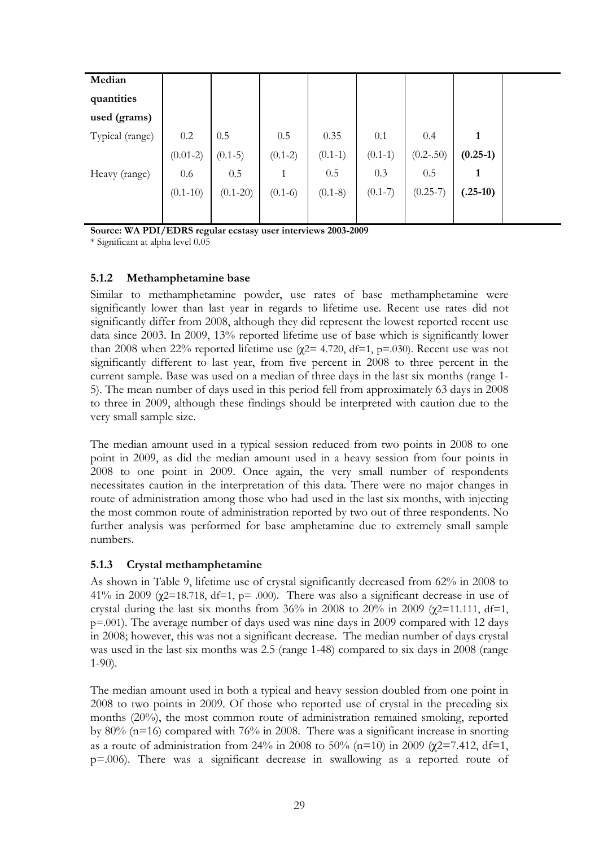| Median          |              |              |           |           |           |               |            |
|-----------------|--------------|--------------|-----------|-----------|-----------|---------------|------------|
| quantities      |              |              |           |           |           |               |            |
| used (grams)    |              |              |           |           |           |               |            |
| Typical (range) | 0.2          | 0.5          | 0.5       | 0.35      | 0.1       | 0.4           | 1          |
|                 | $(0.01-2)$   | $(0.1-5)$    | $(0.1-2)$ | $(0.1-1)$ | $(0.1-1)$ | $(0.2 - .50)$ | $(0.25-1)$ |
| Heavy (range)   | 0.6          | 0.5          | 1         | 0.5       | 0.3       | 0.5           | 1          |
|                 | $(0.1 - 10)$ | $(0.1 - 20)$ | $(0.1-6)$ | $(0.1-8)$ | $(0.1-7)$ | $(0.25-7)$    | $(.25-10)$ |
|                 |              |              |           |           |           |               |            |
|                 |              |              |           |           |           |               |            |

**Source: WA PDI/EDRS regular ecstasy user interviews 2003-2009** 

\* Significant at alpha level 0.05

### **5.1.2 Methamphetamine base**

Similar to methamphetamine powder, use rates of base methamphetamine were significantly lower than last year in regards to lifetime use. Recent use rates did not significantly differ from 2008, although they did represent the lowest reported recent use data since 2003. In 2009, 13% reported lifetime use of base which is significantly lower than 2008 when 22% reported lifetime use ( $\chi$ 2= 4.720, df=1, p=.030). Recent use was not significantly different to last year, from five percent in 2008 to three percent in the current sample. Base was used on a median of three days in the last six months (range 1- 5). The mean number of days used in this period fell from approximately 63 days in 2008 to three in 2009, although these findings should be interpreted with caution due to the very small sample size.

The median amount used in a typical session reduced from two points in 2008 to one point in 2009, as did the median amount used in a heavy session from four points in 2008 to one point in 2009. Once again, the very small number of respondents necessitates caution in the interpretation of this data. There were no major changes in route of administration among those who had used in the last six months, with injecting the most common route of administration reported by two out of three respondents. No further analysis was performed for base amphetamine due to extremely small sample numbers.

## **5.1.3 Crystal methamphetamine**

As shown in Table 9, lifetime use of crystal significantly decreased from 62% in 2008 to 41% in 2009 ( $\chi$ 2=18.718, df=1, p= .000). There was also a significant decrease in use of crystal during the last six months from 36% in 2008 to 20% in 2009 ( $\chi$ 2=11.111, df=1, p=.001). The average number of days used was nine days in 2009 compared with 12 days in 2008; however, this was not a significant decrease. The median number of days crystal was used in the last six months was 2.5 (range 1-48) compared to six days in 2008 (range 1-90).

The median amount used in both a typical and heavy session doubled from one point in 2008 to two points in 2009. Of those who reported use of crystal in the preceding six months (20%), the most common route of administration remained smoking, reported by 80% (n=16) compared with 76% in 2008. There was a significant increase in snorting as a route of administration from 24% in 2008 to 50% ( $n=10$ ) in 2009 ( $\gamma$ 2=7.412, df=1, p=.006). There was a significant decrease in swallowing as a reported route of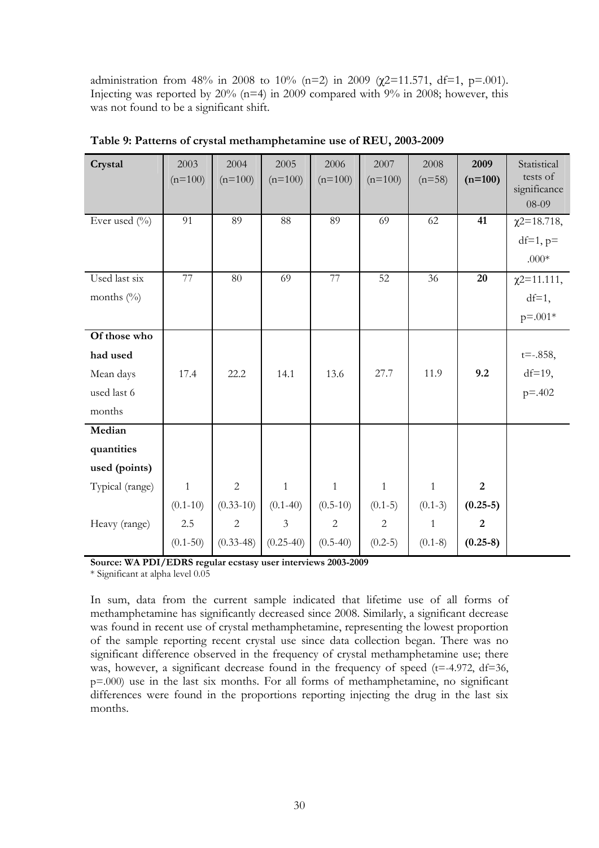administration from 48% in 2008 to 10% (n=2) in 2009 ( $\chi$ 2=11.571, df=1, p=.001). Injecting was reported by  $20\%$  (n=4) in 2009 compared with 9% in 2008; however, this was not found to be a significant shift.

| Crystal                                                        | 2003<br>$(n=100)$                                   | 2004<br>$(n=100)$                                            | 2005<br>$(n=100)$                                             | 2006<br>$(n=100)$                                      | 2007<br>$(n=100)$                                        | 2008<br>$(n=58)$                                       | 2009<br>$(n=100)$                                            | Statistical<br>tests of<br>significance<br>08-09 |
|----------------------------------------------------------------|-----------------------------------------------------|--------------------------------------------------------------|---------------------------------------------------------------|--------------------------------------------------------|----------------------------------------------------------|--------------------------------------------------------|--------------------------------------------------------------|--------------------------------------------------|
| Ever used $(\%$                                                | 91                                                  | 89                                                           | 88                                                            | 89                                                     | 69                                                       | 62                                                     | 41                                                           | $\chi$ 2=18.718,<br>$df=1, p=$<br>$.000*$        |
| Used last six<br>months $(\%)$                                 | 77                                                  | 80                                                           | 69                                                            | 77                                                     | 52                                                       | 36                                                     | 20                                                           | $\chi$ 2=11.111,<br>$df=1$ ,<br>$p = 0.001*$     |
| Of those who<br>had used<br>Mean days<br>used last 6<br>months | 17.4                                                | 22.2                                                         | 14.1                                                          | 13.6                                                   | 27.7                                                     | 11.9                                                   | 9.2                                                          | $t = -0.858$ ,<br>$df=19$ ,<br>$p = -402$        |
| Median<br>quantities<br>used (points)                          |                                                     |                                                              |                                                               |                                                        |                                                          |                                                        |                                                              |                                                  |
| Typical (range)<br>Heavy (range)                               | $\mathbf{1}$<br>$(0.1 - 10)$<br>2.5<br>$(0.1 - 50)$ | $\overline{2}$<br>$(0.33-10)$<br>$\sqrt{2}$<br>$(0.33 - 48)$ | $\mathbf{1}$<br>$(0.1 - 40)$<br>$\mathfrak{Z}$<br>$(0.25-40)$ | $\mathbf{1}$<br>$(0.5-10)$<br>$\sqrt{2}$<br>$(0.5-40)$ | $\mathbf{1}$<br>$(0.1-5)$<br>$\overline{c}$<br>$(0.2-5)$ | $\mathbf{1}$<br>$(0.1-3)$<br>$\mathbf{1}$<br>$(0.1-8)$ | $\overline{2}$<br>$(0.25-5)$<br>$\overline{2}$<br>$(0.25-8)$ |                                                  |

**Table 9: Patterns of crystal methamphetamine use of REU, 2003-2009** 

**Source: WA PDI/EDRS regular ecstasy user interviews 2003-2009** 

\* Significant at alpha level 0.05

In sum, data from the current sample indicated that lifetime use of all forms of methamphetamine has significantly decreased since 2008. Similarly, a significant decrease was found in recent use of crystal methamphetamine, representing the lowest proportion of the sample reporting recent crystal use since data collection began. There was no significant difference observed in the frequency of crystal methamphetamine use; there was, however, a significant decrease found in the frequency of speed  $(t=4.972, df=36,$ p=.000) use in the last six months. For all forms of methamphetamine, no significant differences were found in the proportions reporting injecting the drug in the last six months.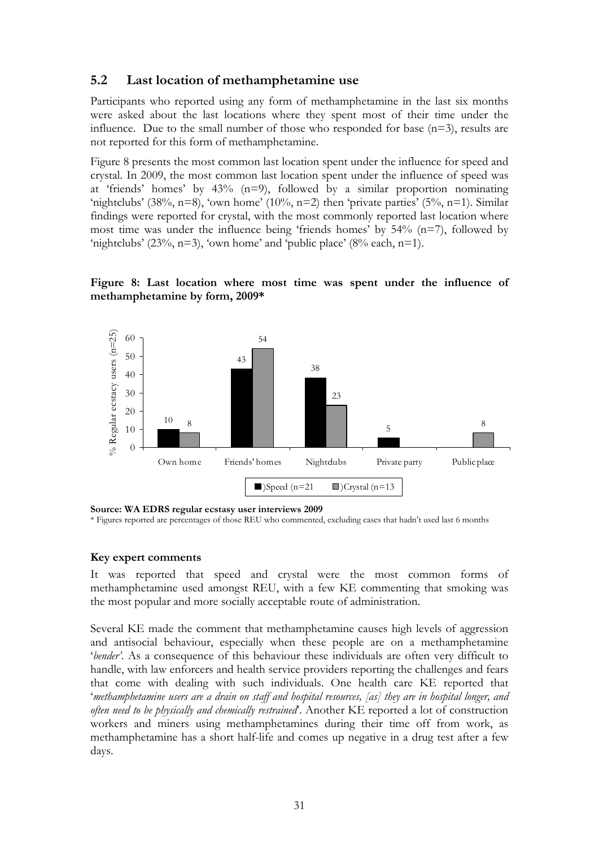## **5.2 Last location of methamphetamine use**

Participants who reported using any form of methamphetamine in the last six months were asked about the last locations where they spent most of their time under the influence. Due to the small number of those who responded for base  $(n=3)$ , results are not reported for this form of methamphetamine.

Figure 8 presents the most common last location spent under the influence for speed and crystal. In 2009, the most common last location spent under the influence of speed was at 'friends' homes' by  $43\%$  (n=9), followed by a similar proportion nominating 'nightclubs' (38%, n=8), 'own home' (10%, n=2) then 'private parties' (5%, n=1). Similar findings were reported for crystal, with the most commonly reported last location where most time was under the influence being 'friends homes' by  $54\%$  (n=7), followed by 'nightclubs' (23%, n=3), 'own home' and 'public place' (8% each, n=1).

**Figure 8: Last location where most time was spent under the influence of methamphetamine by form, 2009\*** 



**Source: WA EDRS regular ecstasy user interviews 2009** 

\* Figures reported are percentages of those REU who commented, excluding cases that hadn't used last 6 months

#### **Key expert comments**

It was reported that speed and crystal were the most common forms of methamphetamine used amongst REU, with a few KE commenting that smoking was the most popular and more socially acceptable route of administration.

Several KE made the comment that methamphetamine causes high levels of aggression and antisocial behaviour, especially when these people are on a methamphetamine '*bender'*. As a consequence of this behaviour these individuals are often very difficult to handle, with law enforcers and health service providers reporting the challenges and fears that come with dealing with such individuals. One health care KE reported that '*methamphetamine users are a drain on staff and hospital resources, [as] they are in hospital longer, and often need to be physically and chemically restrained*'. Another KE reported a lot of construction workers and miners using methamphetamines during their time off from work, as methamphetamine has a short half-life and comes up negative in a drug test after a few days.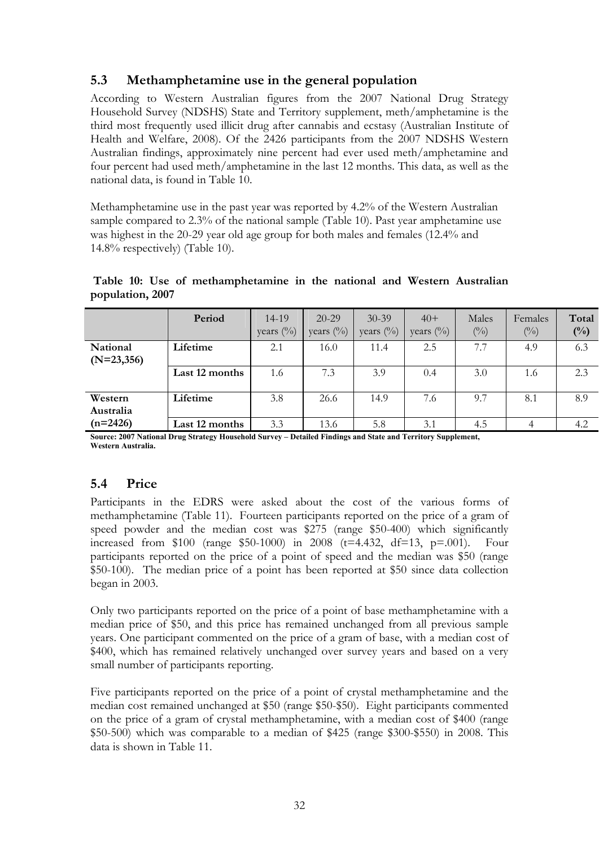# **5.3 Methamphetamine use in the general population**

According to Western Australian figures from the 2007 National Drug Strategy Household Survey (NDSHS) State and Territory supplement, meth/amphetamine is the third most frequently used illicit drug after cannabis and ecstasy (Australian Institute of Health and Welfare, 2008). Of the 2426 participants from the 2007 NDSHS Western Australian findings, approximately nine percent had ever used meth/amphetamine and four percent had used meth/amphetamine in the last 12 months. This data, as well as the national data, is found in Table 10.

Methamphetamine use in the past year was reported by 4.2% of the Western Australian sample compared to 2.3% of the national sample (Table 10). Past year amphetamine use was highest in the 20-29 year old age group for both males and females (12.4% and 14.8% respectively) (Table 10).

|                          | Period         | 14-19<br>years $(\%)$ | $20 - 29$<br>years $(\%)$ | $30 - 39$<br>years $(\%)$ | $40+$<br>years $\binom{0}{0}$ | Males<br>(0/0) | Females<br>$\binom{0}{0}$ | Total<br>$(^{0}/_{0})$ |
|--------------------------|----------------|-----------------------|---------------------------|---------------------------|-------------------------------|----------------|---------------------------|------------------------|
| National<br>$(N=23,356)$ | Lifetime       | 2.1                   | 16.0                      | 11.4                      | 2.5                           | 7.7            | 4.9                       | 6.3                    |
|                          | Last 12 months | 1.6                   | 7.3                       | 3.9                       | 0.4                           | 3.0            | 1.6                       | 2.3                    |
| Western<br>Australia     | Lifetime       | 3.8                   | 26.6                      | 14.9                      | 7.6                           | 9.7            | 8.1                       | 8.9                    |
| $(n=2426)$               | Last 12 months | 3.3                   | 13.6                      | 5.8                       | 3.1                           | 4.5            | 4                         | 4.2                    |

**Table 10: Use of methamphetamine in the national and Western Australian population, 2007** 

**Source: 2007 National Drug Strategy Household Survey – Detailed Findings and State and Territory Supplement, Western Australia.** 

# **5.4 Price**

Participants in the EDRS were asked about the cost of the various forms of methamphetamine (Table 11). Fourteen participants reported on the price of a gram of speed powder and the median cost was \$275 (range \$50-400) which significantly increased from \$100 (range \$50-1000) in 2008 ( $t=4.432$ ,  $df=13$ ,  $p=.001$ ). Four participants reported on the price of a point of speed and the median was \$50 (range \$50-100). The median price of a point has been reported at \$50 since data collection began in 2003.

Only two participants reported on the price of a point of base methamphetamine with a median price of \$50, and this price has remained unchanged from all previous sample years. One participant commented on the price of a gram of base, with a median cost of \$400, which has remained relatively unchanged over survey years and based on a very small number of participants reporting.

Five participants reported on the price of a point of crystal methamphetamine and the median cost remained unchanged at \$50 (range \$50-\$50). Eight participants commented on the price of a gram of crystal methamphetamine, with a median cost of \$400 (range \$50-500) which was comparable to a median of \$425 (range \$300-\$550) in 2008. This data is shown in Table 11.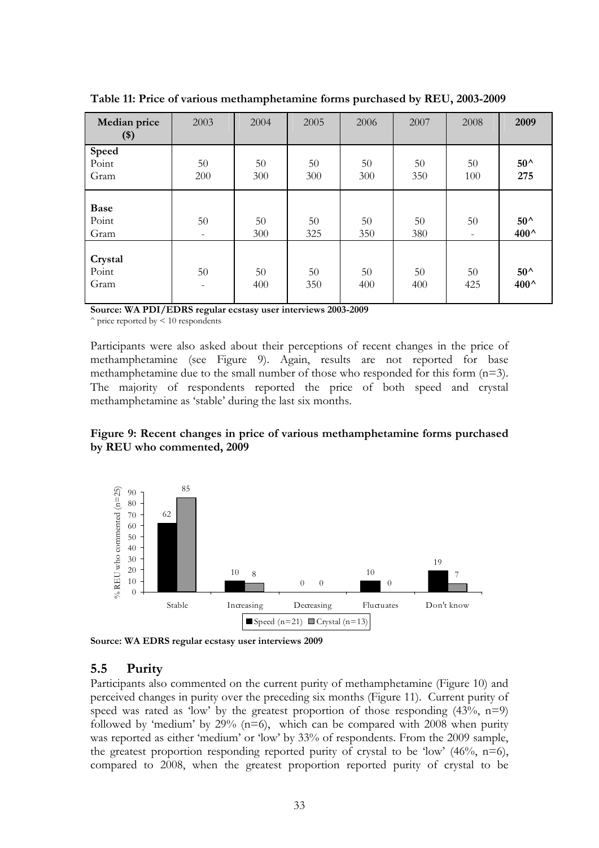| Median price<br>$($)$        | 2003                           | 2004      | 2005      | 2006      | 2007      | 2008                           | 2009                  |
|------------------------------|--------------------------------|-----------|-----------|-----------|-----------|--------------------------------|-----------------------|
| Speed<br>Point               | 50                             | 50        | 50        | 50        | 50        | 50                             | $50^{\wedge}$         |
| Gram                         | 200                            | 300       | 300       | 300       | 350       | 100                            | 275                   |
| <b>Base</b><br>Point<br>Gram | 50<br>$\overline{\phantom{0}}$ | 50<br>300 | 50<br>325 | 50<br>350 | 50<br>380 | 50<br>$\overline{\phantom{a}}$ | $50^{\wedge}$<br>400^ |
| Crystal<br>Point<br>Gram     | 50<br>-                        | 50<br>400 | 50<br>350 | 50<br>400 | 50<br>400 | 50<br>425                      | $50^{\wedge}$<br>400^ |

**Table 11: Price of various methamphetamine forms purchased by REU, 2003-2009** 

**Source: WA PDI/EDRS regular ecstasy user interviews 2003-2009** 

 $\hat{ }$  price reported by  $\leq 10$  respondents

Participants were also asked about their perceptions of recent changes in the price of methamphetamine (see Figure 9). Again, results are not reported for base methamphetamine due to the small number of those who responded for this form (n=3). The majority of respondents reported the price of both speed and crystal methamphetamine as 'stable' during the last six months.





**Source: WA EDRS regular ecstasy user interviews 2009**

## **5.5 Purity**

Participants also commented on the current purity of methamphetamine (Figure 10) and perceived changes in purity over the preceding six months (Figure 11). Current purity of speed was rated as 'low' by the greatest proportion of those responding  $(43\%, n=9)$ followed by 'medium' by  $29\%$  (n=6), which can be compared with 2008 when purity was reported as either 'medium' or 'low' by 33% of respondents. From the 2009 sample, the greatest proportion responding reported purity of crystal to be 'low'  $(46\%, n=6)$ , compared to 2008, when the greatest proportion reported purity of crystal to be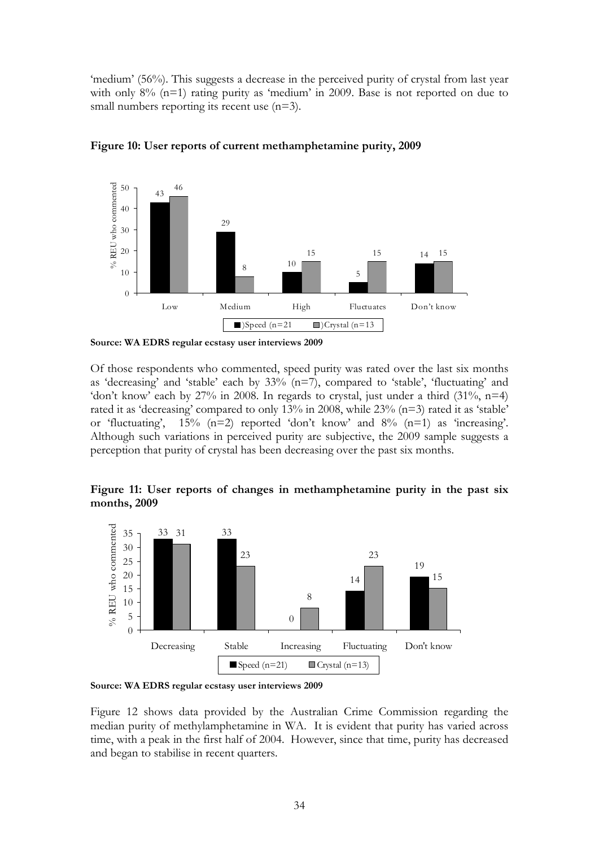'medium' (56%). This suggests a decrease in the perceived purity of crystal from last year with only 8% (n=1) rating purity as 'medium' in 2009. Base is not reported on due to small numbers reporting its recent use  $(n=3)$ .



**Figure 10: User reports of current methamphetamine purity, 2009** 

Of those respondents who commented, speed purity was rated over the last six months as 'decreasing' and 'stable' each by 33% (n=7), compared to 'stable', 'fluctuating' and 'don't know' each by  $27\%$  in 2008. In regards to crystal, just under a third  $(31\%, n=4)$ rated it as 'decreasing' compared to only 13% in 2008, while 23% (n=3) rated it as 'stable' or 'fluctuating', 15% (n=2) reported 'don't know' and 8% (n=1) as 'increasing'. Although such variations in perceived purity are subjective, the 2009 sample suggests a perception that purity of crystal has been decreasing over the past six months.

**Figure 11: User reports of changes in methamphetamine purity in the past six months, 2009** 



**Source: WA EDRS regular ecstasy user interviews 2009** 

Figure 12 shows data provided by the Australian Crime Commission regarding the median purity of methylamphetamine in WA. It is evident that purity has varied across time, with a peak in the first half of 2004. However, since that time, purity has decreased and began to stabilise in recent quarters.

**Source: WA EDRS regular ecstasy user interviews 2009**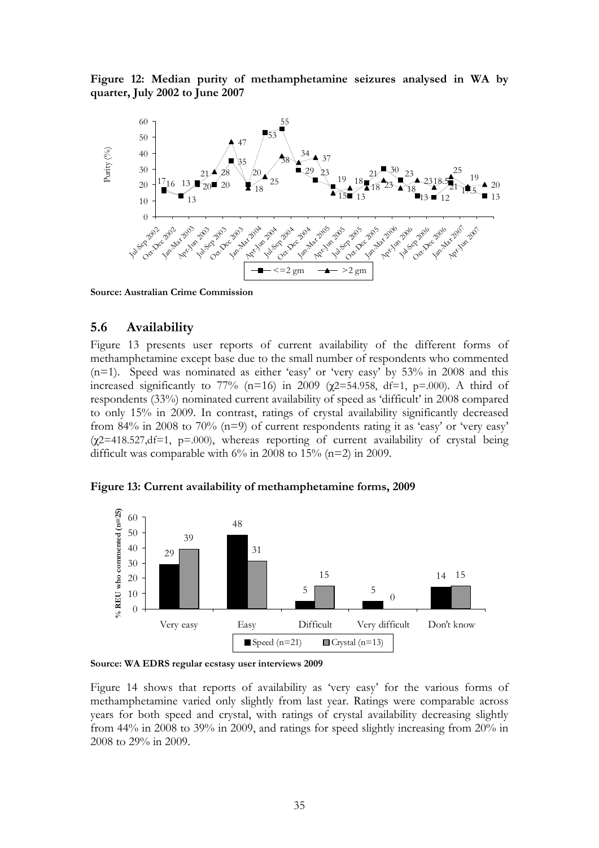**Figure 12: Median purity of methamphetamine seizures analysed in WA by quarter, July 2002 to June 2007** 



**Source: Australian Crime Commission** 

### **5.6 Availability**

Figure 13 presents user reports of current availability of the different forms of methamphetamine except base due to the small number of respondents who commented (n=1). Speed was nominated as either 'easy' or 'very easy' by 53% in 2008 and this increased significantly to 77% (n=16) in 2009 ( $\chi$ 2=54.958, df=1, p=.000). A third of respondents (33%) nominated current availability of speed as 'difficult' in 2008 compared to only 15% in 2009. In contrast, ratings of crystal availability significantly decreased from 84% in 2008 to 70% (n=9) of current respondents rating it as 'easy' or 'very easy'  $(\chi$ 2=418.527,df=1, p=.000), whereas reporting of current availability of crystal being difficult was comparable with  $6\%$  in 2008 to 15% (n=2) in 2009.



**Figure 13: Current availability of methamphetamine forms, 2009** 

**Source: WA EDRS regular ecstasy user interviews 2009** 

Figure 14 shows that reports of availability as 'very easy' for the various forms of methamphetamine varied only slightly from last year. Ratings were comparable across years for both speed and crystal, with ratings of crystal availability decreasing slightly from 44% in 2008 to 39% in 2009, and ratings for speed slightly increasing from 20% in 2008 to 29% in 2009.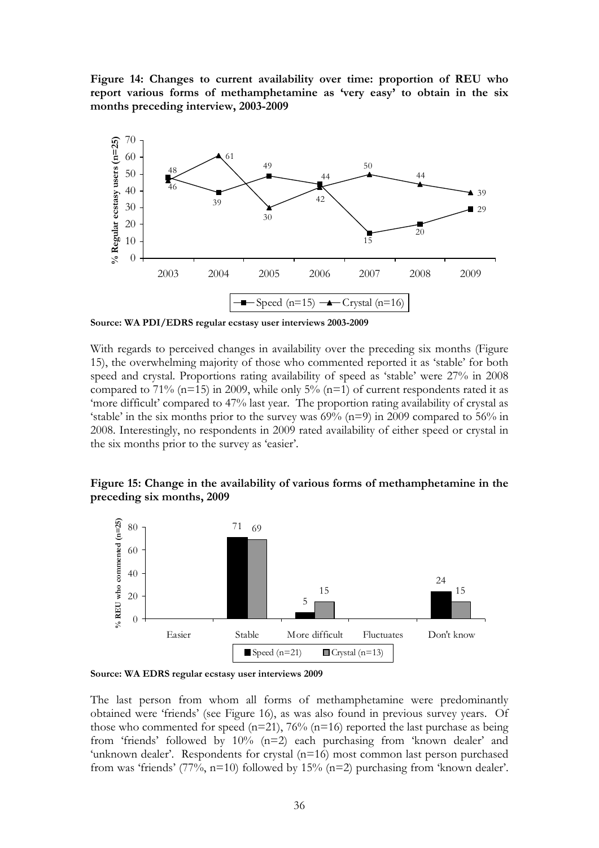**Figure 14: Changes to current availability over time: proportion of REU who report various forms of methamphetamine as 'very easy' to obtain in the six months preceding interview, 2003-2009** 



**Source: WA PDI/EDRS regular ecstasy user interviews 2003-2009** 

With regards to perceived changes in availability over the preceding six months (Figure 15), the overwhelming majority of those who commented reported it as 'stable' for both speed and crystal. Proportions rating availability of speed as 'stable' were 27% in 2008 compared to 71% ( $n=15$ ) in 2009, while only 5% ( $n=1$ ) of current respondents rated it as 'more difficult' compared to 47% last year. The proportion rating availability of crystal as 'stable' in the six months prior to the survey was  $69%$  (n=9) in 2009 compared to  $56%$  in 2008. Interestingly, no respondents in 2009 rated availability of either speed or crystal in the six months prior to the survey as 'easier'.

#### **Figure 15: Change in the availability of various forms of methamphetamine in the preceding six months, 2009**



**Source: WA EDRS regular ecstasy user interviews 2009**

The last person from whom all forms of methamphetamine were predominantly obtained were 'friends' (see Figure 16), as was also found in previous survey years. Of those who commented for speed  $(n=21)$ , 76%  $(n=16)$  reported the last purchase as being from 'friends' followed by 10% (n=2) each purchasing from 'known dealer' and 'unknown dealer'. Respondents for crystal  $(n=16)$  most common last person purchased from was 'friends' (77%, n=10) followed by 15% (n=2) purchasing from 'known dealer'.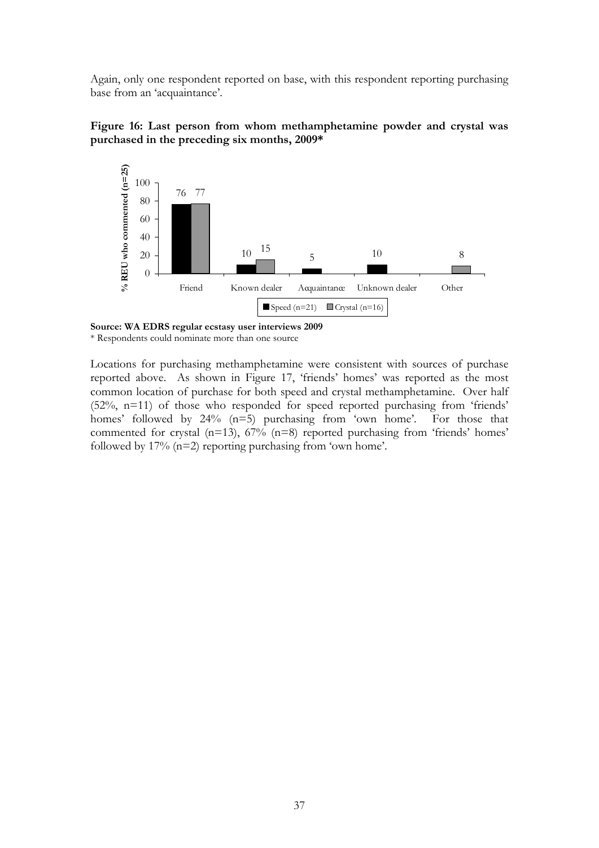Again, only one respondent reported on base, with this respondent reporting purchasing base from an 'acquaintance'.





**Source: WA EDRS regular ecstasy user interviews 2009** \* Respondents could nominate more than one source

Locations for purchasing methamphetamine were consistent with sources of purchase reported above. As shown in Figure 17, 'friends' homes' was reported as the most common location of purchase for both speed and crystal methamphetamine. Over half (52%, n=11) of those who responded for speed reported purchasing from 'friends' homes' followed by 24% (n=5) purchasing from 'own home'. For those that commented for crystal  $(n=13)$ ,  $67\%$   $(n=8)$  reported purchasing from 'friends' homes' followed by  $17\%$  (n=2) reporting purchasing from 'own home'.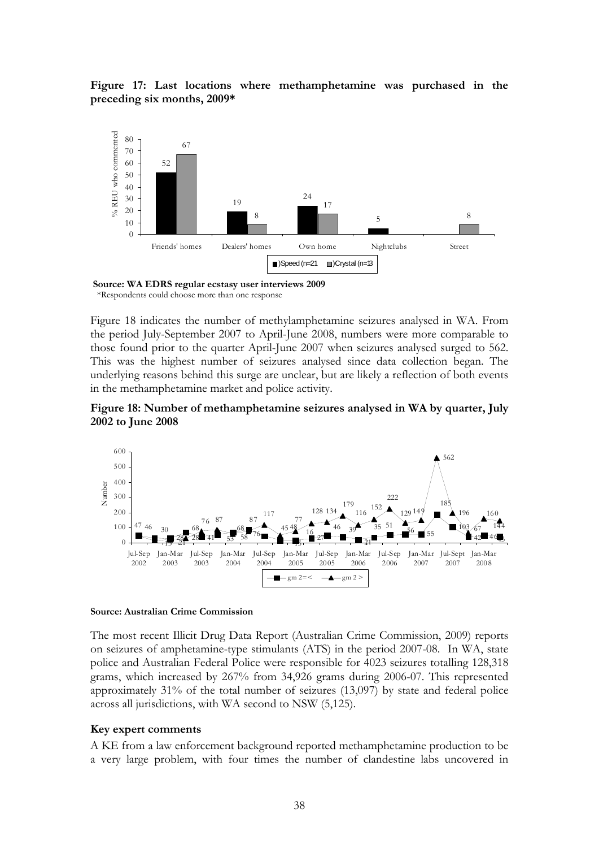**Figure 17: Last locations where methamphetamine was purchased in the preceding six months, 2009\*** 



 **Source: WA EDRS regular ecstasy user interviews 2009**  \*Respondents could choose more than one response

Figure 18 indicates the number of methylamphetamine seizures analysed in WA. From the period July-September 2007 to April-June 2008, numbers were more comparable to those found prior to the quarter April-June 2007 when seizures analysed surged to 562. This was the highest number of seizures analysed since data collection began. The underlying reasons behind this surge are unclear, but are likely a reflection of both events in the methamphetamine market and police activity.





#### **Source: Australian Crime Commission**

The most recent Illicit Drug Data Report (Australian Crime Commission, 2009) reports on seizures of amphetamine-type stimulants (ATS) in the period 2007-08. In WA, state police and Australian Federal Police were responsible for 4023 seizures totalling 128,318 grams, which increased by 267% from 34,926 grams during 2006-07. This represented approximately 31% of the total number of seizures (13,097) by state and federal police across all jurisdictions, with WA second to NSW (5,125).

#### **Key expert comments**

A KE from a law enforcement background reported methamphetamine production to be a very large problem, with four times the number of clandestine labs uncovered in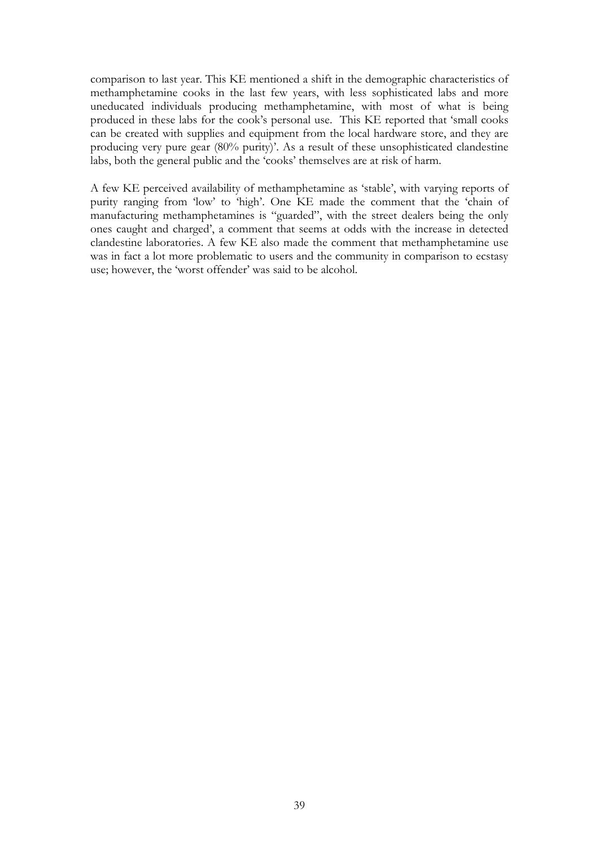comparison to last year. This KE mentioned a shift in the demographic characteristics of methamphetamine cooks in the last few years, with less sophisticated labs and more uneducated individuals producing methamphetamine, with most of what is being produced in these labs for the cook's personal use. This KE reported that 'small cooks can be created with supplies and equipment from the local hardware store, and they are producing very pure gear (80% purity)'. As a result of these unsophisticated clandestine labs, both the general public and the 'cooks' themselves are at risk of harm.

A few KE perceived availability of methamphetamine as 'stable', with varying reports of purity ranging from 'low' to 'high'. One KE made the comment that the 'chain of manufacturing methamphetamines is "guarded", with the street dealers being the only ones caught and charged', a comment that seems at odds with the increase in detected clandestine laboratories. A few KE also made the comment that methamphetamine use was in fact a lot more problematic to users and the community in comparison to ecstasy use; however, the 'worst offender' was said to be alcohol.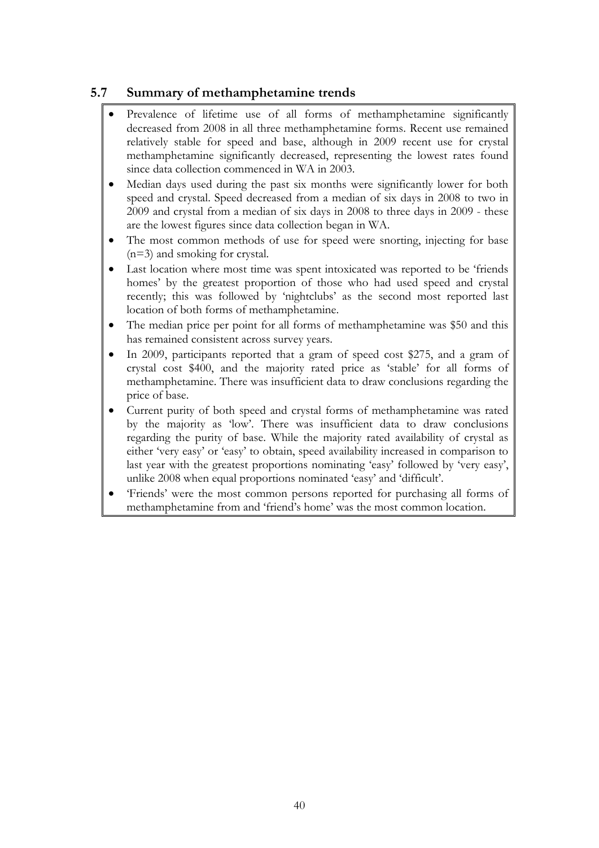# **5.7 Summary of methamphetamine trends**

- Prevalence of lifetime use of all forms of methamphetamine significantly decreased from 2008 in all three methamphetamine forms. Recent use remained relatively stable for speed and base, although in 2009 recent use for crystal methamphetamine significantly decreased, representing the lowest rates found since data collection commenced in WA in 2003.
- Median days used during the past six months were significantly lower for both speed and crystal. Speed decreased from a median of six days in 2008 to two in 2009 and crystal from a median of six days in 2008 to three days in 2009 - these are the lowest figures since data collection began in WA.
- The most common methods of use for speed were snorting, injecting for base (n=3) and smoking for crystal.
- Last location where most time was spent intoxicated was reported to be 'friends homes' by the greatest proportion of those who had used speed and crystal recently; this was followed by 'nightclubs' as the second most reported last location of both forms of methamphetamine.
- The median price per point for all forms of methamphetamine was \$50 and this has remained consistent across survey years.
- In 2009, participants reported that a gram of speed cost \$275, and a gram of crystal cost \$400, and the majority rated price as 'stable' for all forms of methamphetamine. There was insufficient data to draw conclusions regarding the price of base.
- Current purity of both speed and crystal forms of methamphetamine was rated by the majority as 'low'. There was insufficient data to draw conclusions regarding the purity of base. While the majority rated availability of crystal as either 'very easy' or 'easy' to obtain, speed availability increased in comparison to last year with the greatest proportions nominating 'easy' followed by 'very easy', unlike 2008 when equal proportions nominated 'easy' and 'difficult'.
- 'Friends' were the most common persons reported for purchasing all forms of methamphetamine from and 'friend's home' was the most common location.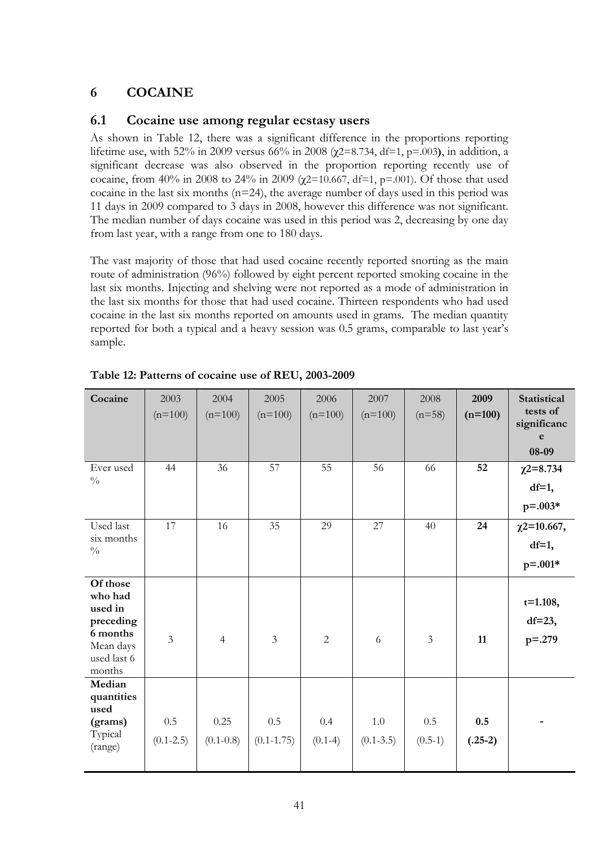# **6 COCAINE**

## **6.1 Cocaine use among regular ecstasy users**

As shown in Table 12, there was a significant difference in the proportions reporting lifetime use, with 52% in 2009 versus 66% in 2008 (χ2=8.734, df=1, p=.003**)**, in addition, a significant decrease was also observed in the proportion reporting recently use of cocaine, from 40% in 2008 to 24% in 2009 (χ2=10.667, df=1, p=.001). Of those that used cocaine in the last six months (n=24), the average number of days used in this period was 11 days in 2009 compared to 3 days in 2008, however this difference was not significant. The median number of days cocaine was used in this period was 2, decreasing by one day from last year, with a range from one to 180 days.

The vast majority of those that had used cocaine recently reported snorting as the main route of administration (96%) followed by eight percent reported smoking cocaine in the last six months. Injecting and shelving were not reported as a mode of administration in the last six months for those that had used cocaine. Thirteen respondents who had used cocaine in the last six months reported on amounts used in grams. The median quantity reported for both a typical and a heavy session was 0.5 grams, comparable to last year's sample.

| Cocaine                                                                                       | 2003<br>$(n=100)$    | 2004<br>$(n=100)$     | 2005<br>$(n=100)$     | 2006<br>$(n=100)$ | 2007<br>$(n=100)$    | 2008<br>$(n=58)$ | 2009<br>$(n=100)$ | <b>Statistical</b><br>tests of<br>significanc<br>e<br>08-09 |
|-----------------------------------------------------------------------------------------------|----------------------|-----------------------|-----------------------|-------------------|----------------------|------------------|-------------------|-------------------------------------------------------------|
| Ever used<br>$\frac{0}{0}$                                                                    | 44                   | 36                    | 57                    | 55                | 56                   | 66               | 52                | $\chi$ 2=8.734<br>$df=1$ ,<br>$p = 0.003*$                  |
| Used last<br>six months<br>$\frac{0}{0}$                                                      | 17                   | 16                    | 35                    | 29                | 27                   | 40               | 24                | $\chi$ 2=10.667,<br>$df=1$ ,<br>$p = 0.001*$                |
| Of those<br>who had<br>used in<br>preceding<br>6 months<br>Mean days<br>used last 6<br>months | $\overline{3}$       | $\overline{4}$        | $\overline{3}$        | $\overline{2}$    | 6                    | $\mathfrak{Z}$   | 11                | $t=1.108,$<br>$df=23$ ,<br>$p = .279$                       |
| Median<br>quantities<br>used<br>(grams)<br>Typical<br>(range)                                 | 0.5<br>$(0.1 - 2.5)$ | 0.25<br>$(0.1 - 0.8)$ | 0.5<br>$(0.1 - 1.75)$ | 0.4<br>$(0.1-4)$  | 1.0<br>$(0.1 - 3.5)$ | 0.5<br>$(0.5-1)$ | 0.5<br>$(.25-2)$  |                                                             |

**Table 12: Patterns of cocaine use of REU, 2003-2009**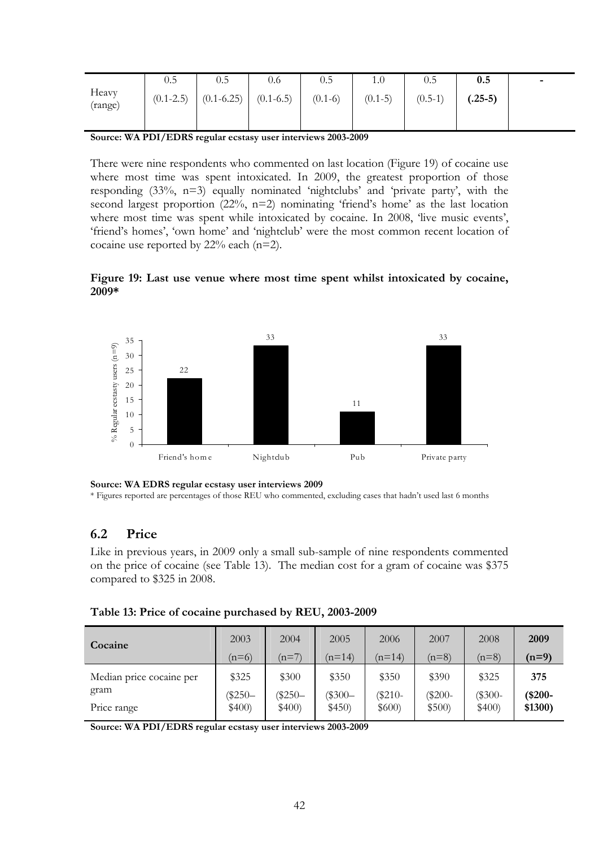|                                                               | U.J           | U.J            | 0.6           | 0.5       | 1.0       | $0.5\,$   | 0.5       | $\overline{\phantom{0}}$ |
|---------------------------------------------------------------|---------------|----------------|---------------|-----------|-----------|-----------|-----------|--------------------------|
| Heavy<br>(range)                                              | $(0.1 - 2.5)$ | $(0.1 - 6.25)$ | $(0.1 - 6.5)$ | $(0.1-6)$ | $(0.1-5)$ | $(0.5-1)$ | $(.25-5)$ |                          |
| $- -  -      -$<br>__<br>---------<br>$\sim$<br>$\sim$ $\sim$ |               |                |               |           |           |           |           |                          |

**Source: WA PDI/EDRS regular ecstasy user interviews 2003-2009** 

There were nine respondents who commented on last location (Figure 19) of cocaine use where most time was spent intoxicated. In 2009, the greatest proportion of those responding (33%, n=3) equally nominated 'nightclubs' and 'private party', with the second largest proportion (22%, n=2) nominating 'friend's home' as the last location where most time was spent while intoxicated by cocaine. In 2008, 'live music events', 'friend's homes', 'own home' and 'nightclub' were the most common recent location of cocaine use reported by 22% each (n=2).





**Source: WA EDRS regular ecstasy user interviews 2009** 

\* Figures reported are percentages of those REU who commented, excluding cases that hadn't used last 6 months

## **6.2 Price**

Like in previous years, in 2009 only a small sub-sample of nine respondents commented on the price of cocaine (see Table 13). The median cost for a gram of cocaine was \$375 compared to \$325 in 2008.

| Table 13: Price of cocaine purchased by REU, 2003-2009 |  |  |
|--------------------------------------------------------|--|--|
|--------------------------------------------------------|--|--|

| Cocaine                  | 2003       | 2004    | 2005     | 2006     | 2007      | 2008     | 2009      |
|--------------------------|------------|---------|----------|----------|-----------|----------|-----------|
|                          | $(n=6)$    | $(n=7)$ | $(n=14)$ | $(n=14)$ | $(n=8)$   | $(n=8)$  | $(n=9)$   |
| Median price cocaine per | \$325      | \$300   | \$350    | \$350    | \$390     | \$325    | 375       |
| gram                     | $(\$250 -$ | $$250-$ | $$300-$  | $$210-$  | $(\$200-$ | $($300-$ | $(*200 -$ |
| Price range              | \$400)     | \$400)  | \$450)   | \$600    | \$500     | \$400    | \$1300)   |

**Source: WA PDI/EDRS regular ecstasy user interviews 2003-2009**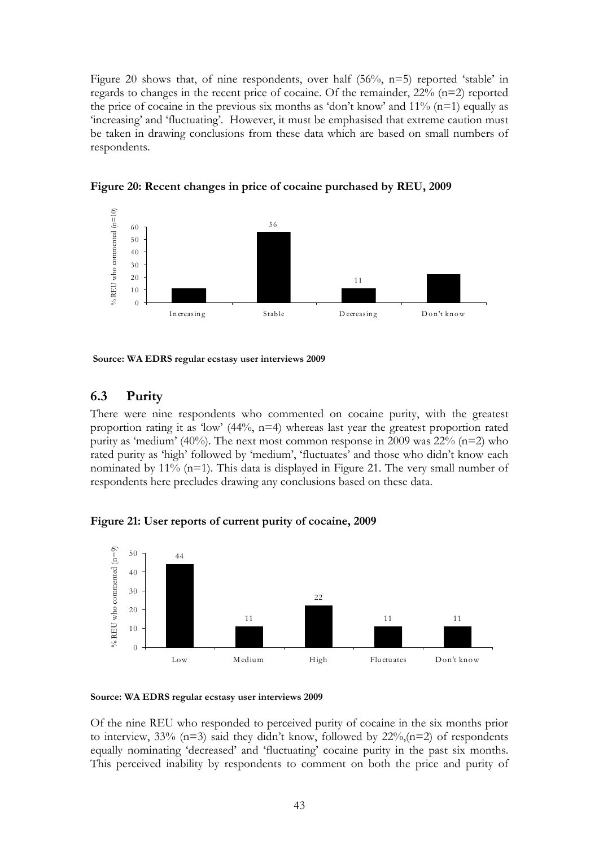Figure 20 shows that, of nine respondents, over half (56%, n=5) reported 'stable' in regards to changes in the recent price of cocaine. Of the remainder, 22% (n=2) reported the price of cocaine in the previous six months as 'don't know' and  $11\%$  (n=1) equally as 'increasing' and 'fluctuating'. However, it must be emphasised that extreme caution must be taken in drawing conclusions from these data which are based on small numbers of respondents.



**Figure 20: Recent changes in price of cocaine purchased by REU, 2009** 

 **Source: WA EDRS regular ecstasy user interviews 2009** 

# **6.3 Purity**

There were nine respondents who commented on cocaine purity, with the greatest proportion rating it as 'low'  $(44\%, n=4)$  whereas last year the greatest proportion rated purity as 'medium' (40%). The next most common response in 2009 was  $22\%$  (n=2) who rated purity as 'high' followed by 'medium', 'fluctuates' and those who didn't know each nominated by  $11\%$  (n=1). This data is displayed in Figure 21. The very small number of respondents here precludes drawing any conclusions based on these data.

**Figure 21: User reports of current purity of cocaine, 2009** 





Of the nine REU who responded to perceived purity of cocaine in the six months prior to interview,  $33\%$  (n=3) said they didn't know, followed by  $22\%$ , (n=2) of respondents equally nominating 'decreased' and 'fluctuating' cocaine purity in the past six months. This perceived inability by respondents to comment on both the price and purity of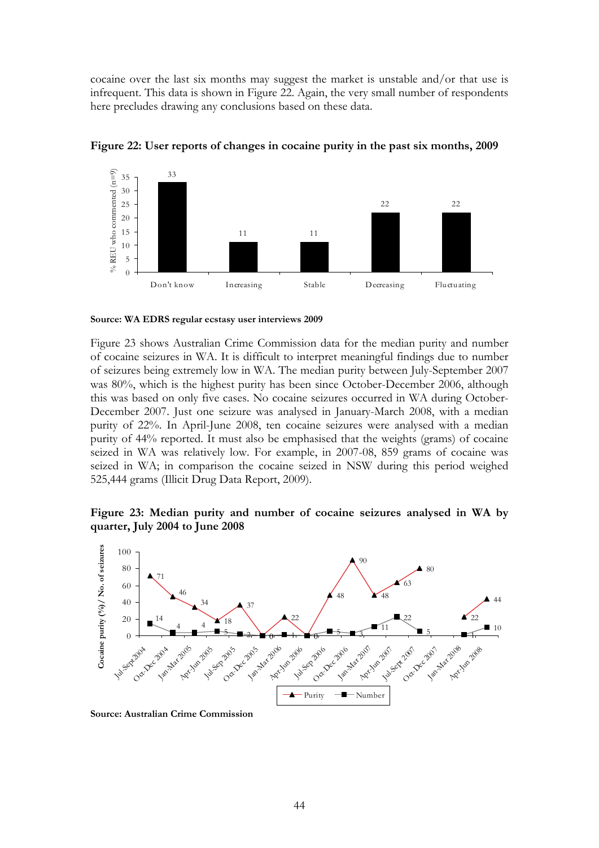cocaine over the last six months may suggest the market is unstable and/or that use is infrequent. This data is shown in Figure 22. Again, the very small number of respondents here precludes drawing any conclusions based on these data.



**Figure 22: User reports of changes in cocaine purity in the past six months, 2009** 

**Source: WA EDRS regular ecstasy user interviews 2009**

Figure 23 shows Australian Crime Commission data for the median purity and number of cocaine seizures in WA. It is difficult to interpret meaningful findings due to number of seizures being extremely low in WA. The median purity between July-September 2007 was 80%, which is the highest purity has been since October-December 2006, although this was based on only five cases. No cocaine seizures occurred in WA during October-December 2007. Just one seizure was analysed in January-March 2008, with a median purity of 22%. In April-June 2008, ten cocaine seizures were analysed with a median purity of 44% reported. It must also be emphasised that the weights (grams) of cocaine seized in WA was relatively low. For example, in 2007-08, 859 grams of cocaine was seized in WA; in comparison the cocaine seized in NSW during this period weighed 525,444 grams (Illicit Drug Data Report, 2009).

### **Figure 23: Median purity and number of cocaine seizures analysed in WA by quarter, July 2004 to June 2008**



**Source: Australian Crime Commission**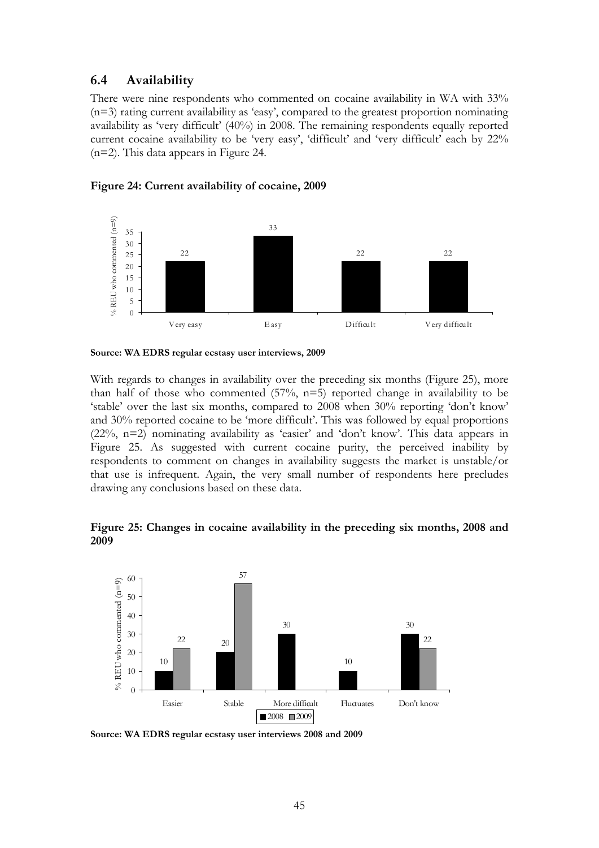### **6.4 Availability**

There were nine respondents who commented on cocaine availability in WA with 33% (n=3) rating current availability as 'easy', compared to the greatest proportion nominating availability as 'very difficult' (40%) in 2008. The remaining respondents equally reported current cocaine availability to be 'very easy', 'difficult' and 'very difficult' each by 22% (n=2). This data appears in Figure 24.





**Source: WA EDRS regular ecstasy user interviews, 2009** 

With regards to changes in availability over the preceding six months (Figure 25), more than half of those who commented  $(57\%, n=5)$  reported change in availability to be 'stable' over the last six months, compared to 2008 when 30% reporting 'don't know' and 30% reported cocaine to be 'more difficult'. This was followed by equal proportions (22%, n=2) nominating availability as 'easier' and 'don't know'. This data appears in Figure 25. As suggested with current cocaine purity, the perceived inability by respondents to comment on changes in availability suggests the market is unstable/or that use is infrequent. Again, the very small number of respondents here precludes drawing any conclusions based on these data.

### **Figure 25: Changes in cocaine availability in the preceding six months, 2008 and 2009**



**Source: WA EDRS regular ecstasy user interviews 2008 and 2009**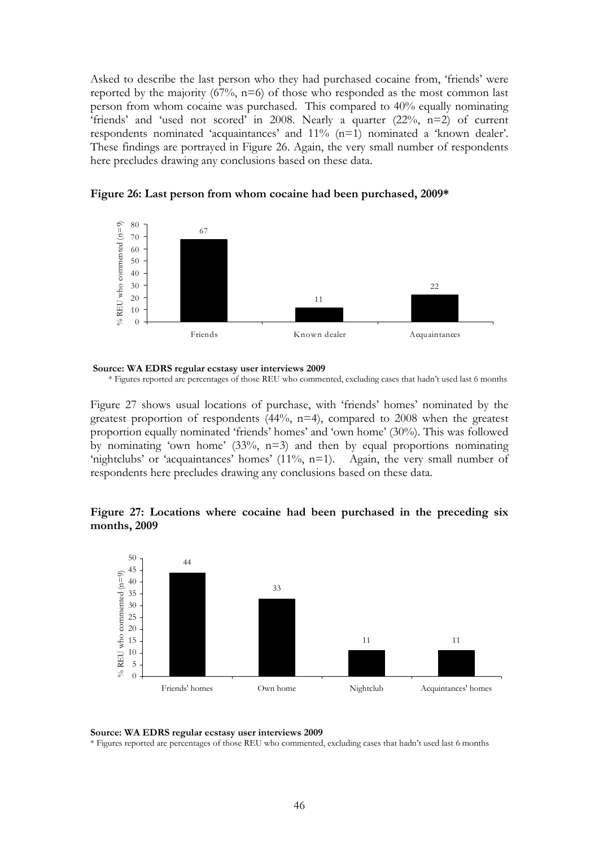Asked to describe the last person who they had purchased cocaine from, 'friends' were reported by the majority  $(67\%, n=6)$  of those who responded as the most common last person from whom cocaine was purchased. This compared to 40% equally nominating 'friends' and 'used not scored' in 2008. Nearly a quarter  $(22\%, n=2)$  of current respondents nominated 'acquaintances' and 11% (n=1) nominated a 'known dealer'. These findings are portrayed in Figure 26. Again, the very small number of respondents here precludes drawing any conclusions based on these data.



**Figure 26: Last person from whom cocaine had been purchased, 2009\*** 

 **Source: WA EDRS regular ecstasy user interviews 2009** 

Figure 27 shows usual locations of purchase, with 'friends' homes' nominated by the greatest proportion of respondents  $(44\%, n=4)$ , compared to 2008 when the greatest proportion equally nominated 'friends' homes' and 'own home' (30%). This was followed by nominating 'own home'  $(33\%, n=3)$  and then by equal proportions nominating 'nightclubs' or 'acquaintances' homes' (11%, n=1). Again, the very small number of respondents here precludes drawing any conclusions based on these data.

### **Figure 27: Locations where cocaine had been purchased in the preceding six months, 2009**



**Source: WA EDRS regular ecstasy user interviews 2009** 

\* Figures reported are percentages of those REU who commented, excluding cases that hadn't used last 6 months

<sup>\*</sup> Figures reported are percentages of those REU who commented, excluding cases that hadn't used last 6 months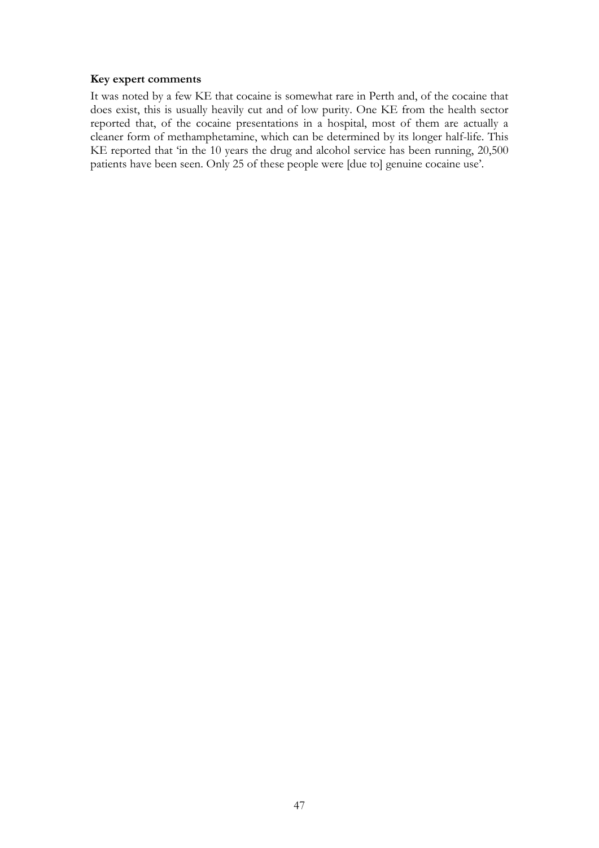### **Key expert comments**

It was noted by a few KE that cocaine is somewhat rare in Perth and, of the cocaine that does exist, this is usually heavily cut and of low purity. One KE from the health sector reported that, of the cocaine presentations in a hospital, most of them are actually a cleaner form of methamphetamine, which can be determined by its longer half-life. This KE reported that 'in the 10 years the drug and alcohol service has been running, 20,500 patients have been seen. Only 25 of these people were [due to] genuine cocaine use'.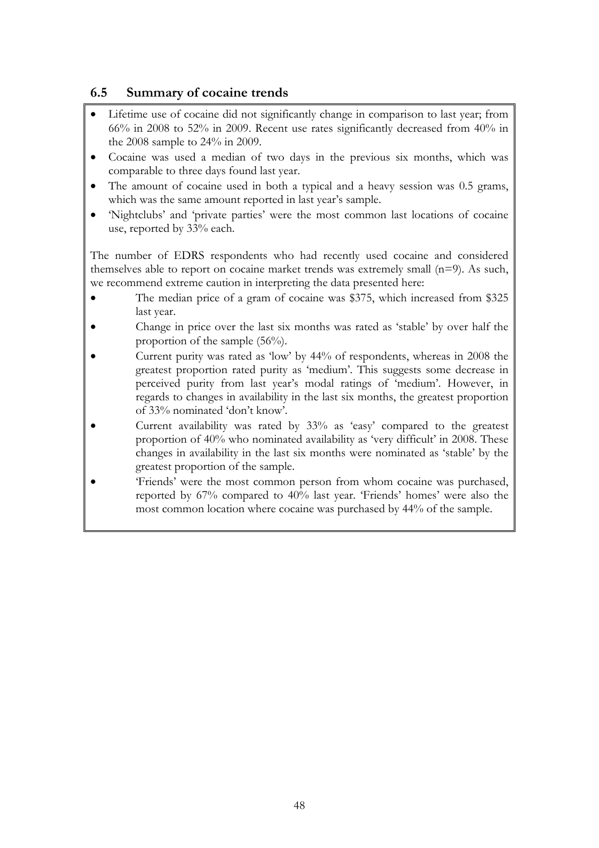# **6.5 Summary of cocaine trends**

- Lifetime use of cocaine did not significantly change in comparison to last year; from 66% in 2008 to 52% in 2009. Recent use rates significantly decreased from 40% in the 2008 sample to 24% in 2009.
- Cocaine was used a median of two days in the previous six months, which was comparable to three days found last year.
- The amount of cocaine used in both a typical and a heavy session was 0.5 grams, which was the same amount reported in last year's sample.
- 'Nightclubs' and 'private parties' were the most common last locations of cocaine use, reported by 33% each.

The number of EDRS respondents who had recently used cocaine and considered themselves able to report on cocaine market trends was extremely small (n=9). As such, we recommend extreme caution in interpreting the data presented here:

- The median price of a gram of cocaine was \$375, which increased from \$325 last year.
- Change in price over the last six months was rated as 'stable' by over half the proportion of the sample (56%).
- Current purity was rated as 'low' by 44% of respondents, whereas in 2008 the greatest proportion rated purity as 'medium'. This suggests some decrease in perceived purity from last year's modal ratings of 'medium'. However, in regards to changes in availability in the last six months, the greatest proportion of 33% nominated 'don't know'.
- Current availability was rated by 33% as 'easy' compared to the greatest proportion of 40% who nominated availability as 'very difficult' in 2008. These changes in availability in the last six months were nominated as 'stable' by the greatest proportion of the sample.
- 'Friends' were the most common person from whom cocaine was purchased, reported by 67% compared to 40% last year. 'Friends' homes' were also the most common location where cocaine was purchased by 44% of the sample.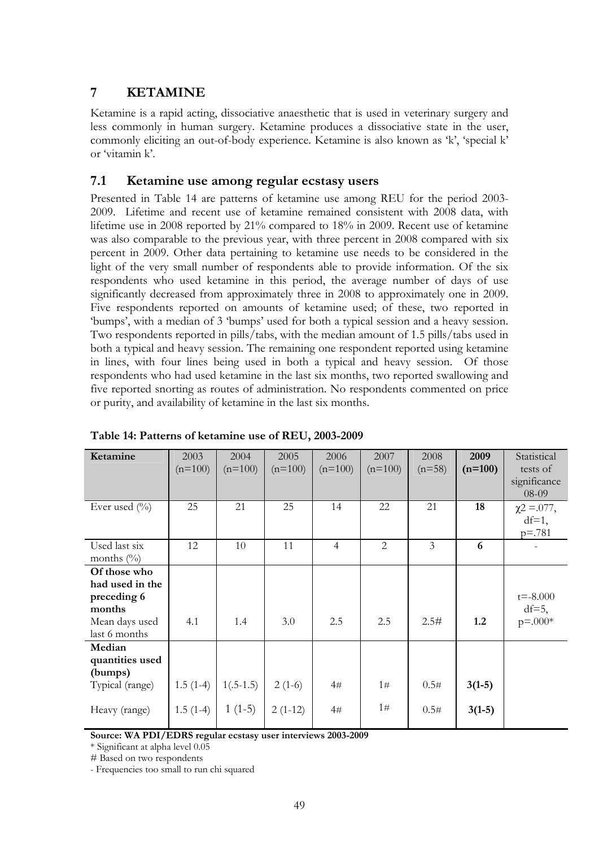# **7 KETAMINE**

Ketamine is a rapid acting, dissociative anaesthetic that is used in veterinary surgery and less commonly in human surgery. Ketamine produces a dissociative state in the user, commonly eliciting an out-of-body experience. Ketamine is also known as 'k', 'special k' or 'vitamin k'.

## **7.1 Ketamine use among regular ecstasy users**

Presented in Table 14 are patterns of ketamine use among REU for the period 2003- 2009. Lifetime and recent use of ketamine remained consistent with 2008 data, with lifetime use in 2008 reported by 21% compared to 18% in 2009. Recent use of ketamine was also comparable to the previous year, with three percent in 2008 compared with six percent in 2009. Other data pertaining to ketamine use needs to be considered in the light of the very small number of respondents able to provide information. Of the six respondents who used ketamine in this period, the average number of days of use significantly decreased from approximately three in 2008 to approximately one in 2009. Five respondents reported on amounts of ketamine used; of these, two reported in 'bumps', with a median of 3 'bumps' used for both a typical session and a heavy session. Two respondents reported in pills/tabs, with the median amount of 1.5 pills/tabs used in both a typical and heavy session. The remaining one respondent reported using ketamine in lines, with four lines being used in both a typical and heavy session. Of those respondents who had used ketamine in the last six months, two reported swallowing and five reported snorting as routes of administration. No respondents commented on price or purity, and availability of ketamine in the last six months.

| Ketamine        | 2003       | 2004        | 2005      | 2006           | 2007           | 2008     | 2009      | Statistical      |
|-----------------|------------|-------------|-----------|----------------|----------------|----------|-----------|------------------|
|                 | $(n=100)$  | $(n=100)$   | $(n=100)$ | $(n=100)$      | $(n=100)$      | $(n=58)$ | $(n=100)$ | tests of         |
|                 |            |             |           |                |                |          |           | significance     |
|                 |            |             |           |                |                |          |           | 08-09            |
| Ever used $(\%$ | 25         | 21          | 25        | 14             | 22             | 21       | 18        | $\chi$ 2 = .077, |
|                 |            |             |           |                |                |          |           | $df=1$ ,         |
|                 |            |             |           |                |                |          |           | $p = .781$       |
| Used last six   | 12         | 10          | 11        | $\overline{4}$ | $\overline{2}$ | 3        | 6         |                  |
| months $(\%)$   |            |             |           |                |                |          |           |                  |
| Of those who    |            |             |           |                |                |          |           |                  |
| had used in the |            |             |           |                |                |          |           |                  |
| preceding 6     |            |             |           |                |                |          |           | $t = -8.000$     |
| months          |            |             |           |                |                |          |           | $df=5$ ,         |
| Mean days used  | 4.1        | 1.4         | 3.0       | 2.5            | 2.5            | 2.5#     | 1.2       | $p = 0.004$      |
| last 6 months   |            |             |           |                |                |          |           |                  |
| Median          |            |             |           |                |                |          |           |                  |
| quantities used |            |             |           |                |                |          |           |                  |
| (bumps)         |            |             |           |                |                |          |           |                  |
| Typical (range) | $1.5(1-4)$ | $1(.5-1.5)$ | $2(1-6)$  | 4#             | 1#             | 0.5#     | $3(1-5)$  |                  |
|                 |            |             |           |                |                |          |           |                  |
| Heavy (range)   | $1.5(1-4)$ | $1(1-5)$    | $2(1-12)$ | 4#             | 1#             | 0.5#     | $3(1-5)$  |                  |
|                 |            |             |           |                |                |          |           |                  |

**Table 14: Patterns of ketamine use of REU, 2003-2009** 

**Source: WA PDI/EDRS regular ecstasy user interviews 2003-2009** 

\* Significant at alpha level 0.05

# Based on two respondents

- Frequencies too small to run chi squared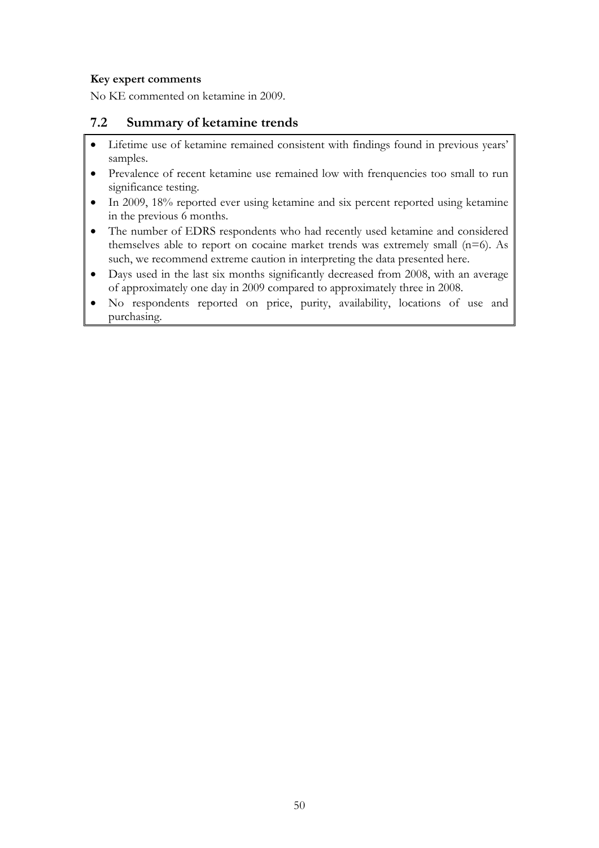#### **Key expert comments**

No KE commented on ketamine in 2009.

### **7.2 Summary of ketamine trends**

- Lifetime use of ketamine remained consistent with findings found in previous years' samples.
- Prevalence of recent ketamine use remained low with frenquencies too small to run significance testing.
- In 2009, 18% reported ever using ketamine and six percent reported using ketamine in the previous 6 months.
- The number of EDRS respondents who had recently used ketamine and considered themselves able to report on cocaine market trends was extremely small  $(n=6)$ . As such, we recommend extreme caution in interpreting the data presented here.
- Days used in the last six months significantly decreased from 2008, with an average of approximately one day in 2009 compared to approximately three in 2008.
- No respondents reported on price, purity, availability, locations of use and purchasing.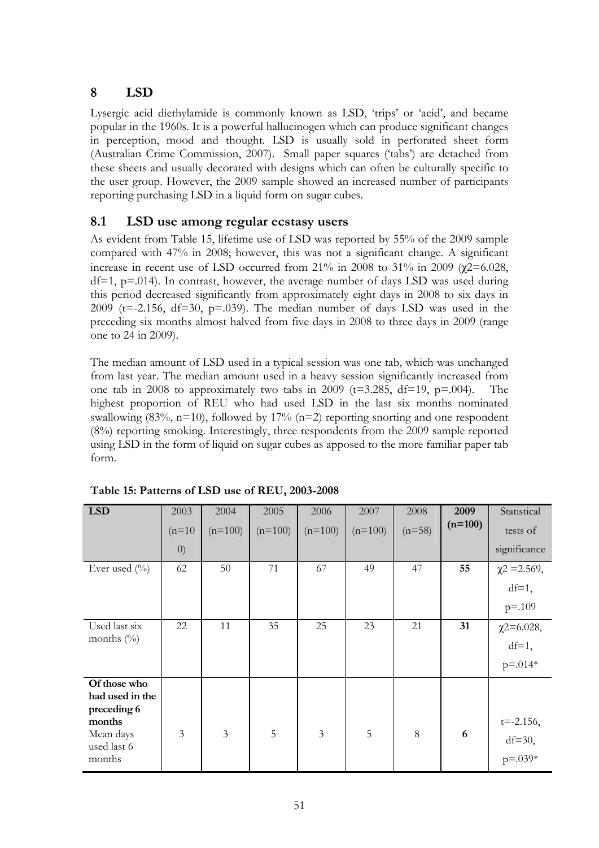# **8 LSD**

Lysergic acid diethylamide is commonly known as LSD, 'trips' or 'acid', and became popular in the 1960s. It is a powerful hallucinogen which can produce significant changes in perception, mood and thought. LSD is usually sold in perforated sheet form (Australian Crime Commission, 2007). Small paper squares ('tabs') are detached from these sheets and usually decorated with designs which can often be culturally specific to the user group. However, the 2009 sample showed an increased number of participants reporting purchasing LSD in a liquid form on sugar cubes.

## **8.1 LSD use among regular ecstasy users**

As evident from Table 15, lifetime use of LSD was reported by 55% of the 2009 sample compared with 47% in 2008; however, this was not a significant change. A significant increase in recent use of LSD occurred from 21% in 2008 to 31% in 2009 ( $\chi$ 2=6.028,  $df=1$ ,  $p=.014$ ). In contrast, however, the average number of days LSD was used during this period decreased significantly from approximately eight days in 2008 to six days in 2009 ( $t = -2.156$ ,  $df = 30$ ,  $p = .039$ ). The median number of days LSD was used in the preceding six months almost halved from five days in 2008 to three days in 2009 (range one to 24 in 2009).

The median amount of LSD used in a typical session was one tab, which was unchanged from last year. The median amount used in a heavy session significantly increased from one tab in 2008 to approximately two tabs in 2009 ( $t=3.285$ ,  $df=19$ ,  $p=.004$ ). The highest proportion of REU who had used LSD in the last six months nominated swallowing  $(83\%, n=10)$ , followed by  $17\%$   $(n=2)$  reporting snorting and one respondent (8%) reporting smoking. Interestingly, three respondents from the 2009 sample reported using LSD in the form of liquid on sugar cubes as apposed to the more familiar paper tab form.

| <b>LSD</b>                      | 2003              | 2004           | 2005      | 2006           | 2007      | 2008     | 2009      | Statistical       |
|---------------------------------|-------------------|----------------|-----------|----------------|-----------|----------|-----------|-------------------|
|                                 | $(n=10)$          | $(n=100)$      | $(n=100)$ | $(n=100)$      | $(n=100)$ | $(n=58)$ | $(n=100)$ | tests of          |
|                                 | $\left( 0\right)$ |                |           |                |           |          |           | significance      |
| Ever used $(\%$                 | 62                | 50             | 71        | 67             | 49        | 47       | 55        | $\chi$ 2 = 2.569, |
|                                 |                   |                |           |                |           |          |           | $df=1$ ,          |
|                                 |                   |                |           |                |           |          |           | $p = 0.109$       |
| Used last six                   | 22                | 11             | 35        | 25             | 23        | 21       | 31        | $\chi$ 2=6.028,   |
| months $(\%)$                   |                   |                |           |                |           |          |           | $df=1$ ,          |
|                                 |                   |                |           |                |           |          |           | $p = 0.014*$      |
| Of those who<br>had used in the |                   |                |           |                |           |          |           |                   |
| preceding 6                     |                   |                |           |                |           |          |           |                   |
| months                          | $\overline{3}$    |                |           |                |           | 8        |           | $t = -2.156$ ,    |
| Mean days<br>used last 6        |                   | $\mathfrak{Z}$ | 5         | $\mathfrak{Z}$ | 5         |          | 6         | $df=30$ ,         |
| months                          |                   |                |           |                |           |          |           | $p = 0.039*$      |

**Table 15: Patterns of LSD use of REU, 2003-2008**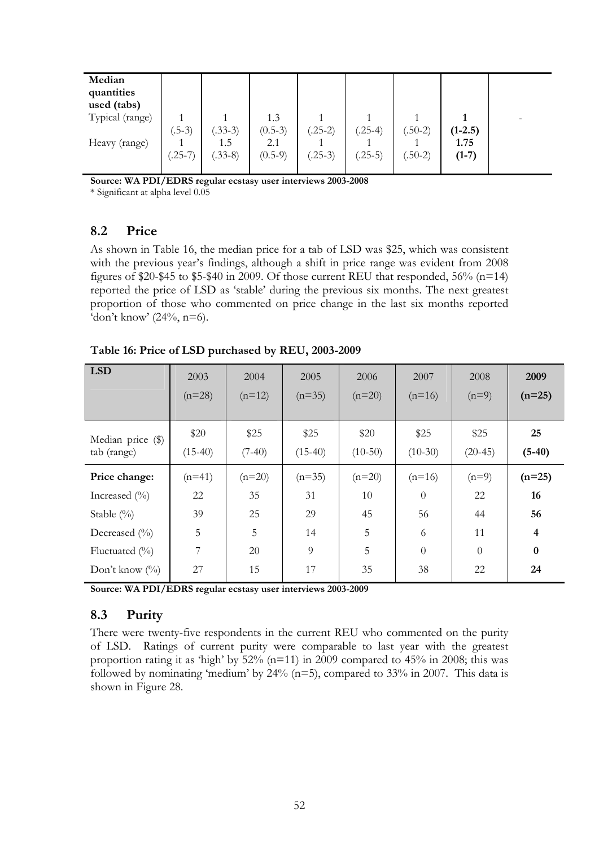| Median<br>quantities<br>used (tabs)<br>Typical (range)<br>Heavy (range) | $(.5-3)$  | $(.33-3)$<br>1.5 | 1.3<br>$(0.5-3)$<br>2.1 | $(.25-2)$ | $(.25-4)$ | $(.50-2)$ | $(1-2.5)$<br>1.75 |  |
|-------------------------------------------------------------------------|-----------|------------------|-------------------------|-----------|-----------|-----------|-------------------|--|
|                                                                         | $(.25-7)$ | $(.33-8)$        | $(0.5-9)$               | $(.25-3)$ | $(.25-5)$ | $(.50-2)$ | $(1-7)$           |  |

**Source: WA PDI/EDRS regular ecstasy user interviews 2003-2008** 

\* Significant at alpha level 0.05

## **8.2 Price**

As shown in Table 16, the median price for a tab of LSD was \$25, which was consistent with the previous year's findings, although a shift in price range was evident from 2008 figures of \$20-\$45 to \$5-\$40 in 2009. Of those current REU that responded,  $56\%$  (n=14) reported the price of LSD as 'stable' during the previous six months. The next greatest proportion of those who commented on price change in the last six months reported 'don't know'  $(24\%, n=6)$ .

| <b>LSD</b>                       | 2003<br>$(n=28)$  | 2004<br>$(n=12)$ | 2005<br>$(n=35)$  | 2006<br>$(n=20)$  | 2007<br>$(n=16)$  | 2008<br>$(n=9)$   | 2009<br>$(n=25)$        |
|----------------------------------|-------------------|------------------|-------------------|-------------------|-------------------|-------------------|-------------------------|
| Median price (\$)<br>tab (range) | \$20<br>$(15-40)$ | \$25<br>$(7-40)$ | \$25<br>$(15-40)$ | \$20<br>$(10-50)$ | \$25<br>$(10-30)$ | \$25<br>$(20-45)$ | 25<br>$(5-40)$          |
| Price change:                    | $(n=41)$          | $(n=20)$         | $(n=35)$          | $(n=20)$          | $(n=16)$          | $(n=9)$           | $(n=25)$                |
| Increased $(\%$                  | 22                | 35               | 31                | 10                | $\Omega$          | 22                | 16                      |
| Stable $(\% )$                   | 39                | 25               | 29                | 45                | 56                | 44                | 56                      |
| Decreased $(\%$                  | 5                 | 5                | 14                | 5                 | 6                 | 11                | $\overline{\mathbf{4}}$ |
| Fluctuated $(\%$                 | 7                 | 20               | 9                 | 5                 | $\theta$          | $\Omega$          | $\bf{0}$                |
| Don't know $(\%)$                | 27                | 15               | 17                | 35                | 38                | 22                | 24                      |

**Table 16: Price of LSD purchased by REU, 2003-2009** 

**Source: WA PDI/EDRS regular ecstasy user interviews 2003-2009** 

## **8.3 Purity**

There were twenty-five respondents in the current REU who commented on the purity of LSD. Ratings of current purity were comparable to last year with the greatest proportion rating it as 'high' by 52% (n=11) in 2009 compared to 45% in 2008; this was followed by nominating 'medium' by  $24\%$  (n=5), compared to  $33\%$  in 2007. This data is shown in Figure 28.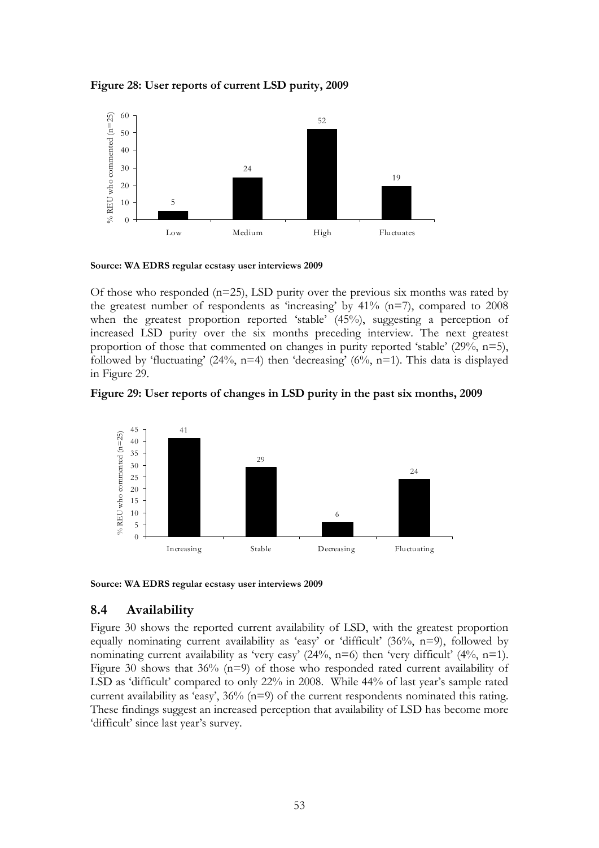



**Source: WA EDRS regular ecstasy user interviews 2009** 

Of those who responded (n=25), LSD purity over the previous six months was rated by the greatest number of respondents as 'increasing' by  $41\%$  (n=7), compared to 2008 when the greatest proportion reported 'stable' (45%), suggesting a perception of increased LSD purity over the six months preceding interview. The next greatest proportion of those that commented on changes in purity reported 'stable' (29%, n=5), followed by 'fluctuating'  $(24\%, n=4)$  then 'decreasing'  $(6\%, n=1)$ . This data is displayed in Figure 29.





**Source: WA EDRS regular ecstasy user interviews 2009** 

### **8.4 Availability**

Figure 30 shows the reported current availability of LSD, with the greatest proportion equally nominating current availability as 'easy' or 'difficult'  $(36\%, n=9)$ , followed by nominating current availability as 'very easy' (24%, n=6) then 'very difficult' (4%, n=1). Figure 30 shows that 36% (n=9) of those who responded rated current availability of LSD as 'difficult' compared to only 22% in 2008. While 44% of last year's sample rated current availability as 'easy', 36% (n=9) of the current respondents nominated this rating. These findings suggest an increased perception that availability of LSD has become more 'difficult' since last year's survey.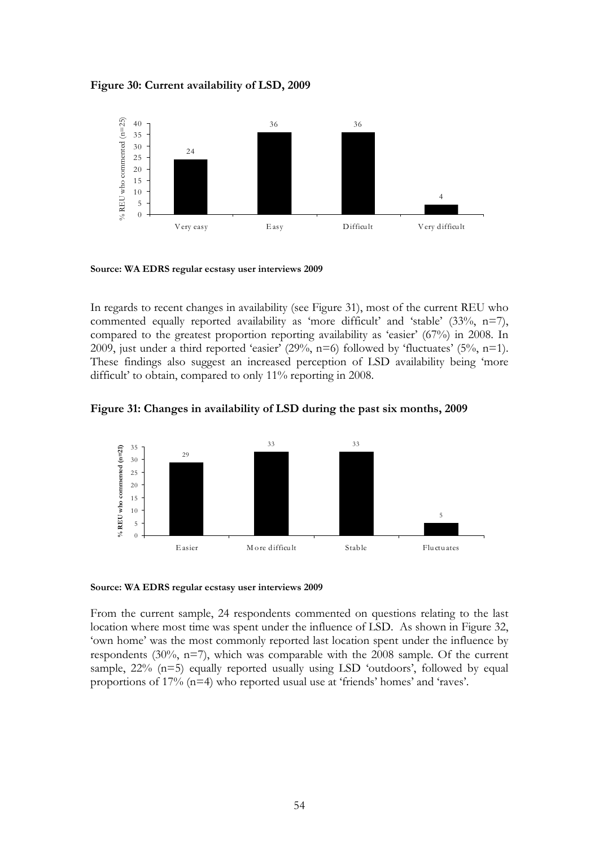**Figure 30: Current availability of LSD, 2009** 



**Source: WA EDRS regular ecstasy user interviews 2009** 

In regards to recent changes in availability (see Figure 31), most of the current REU who commented equally reported availability as 'more difficult' and 'stable' (33%, n=7), compared to the greatest proportion reporting availability as 'easier' (67%) in 2008. In 2009, just under a third reported 'easier'  $(29\%, n=6)$  followed by 'fluctuates'  $(5\%, n=1)$ . These findings also suggest an increased perception of LSD availability being 'more difficult' to obtain, compared to only 11% reporting in 2008.

**Figure 31: Changes in availability of LSD during the past six months, 2009** 



**Source: WA EDRS regular ecstasy user interviews 2009** 

From the current sample, 24 respondents commented on questions relating to the last location where most time was spent under the influence of LSD. As shown in Figure 32, 'own home' was the most commonly reported last location spent under the influence by respondents (30%, n=7), which was comparable with the 2008 sample. Of the current sample,  $22\%$  ( $n=5$ ) equally reported usually using LSD 'outdoors', followed by equal proportions of 17% (n=4) who reported usual use at 'friends' homes' and 'raves'.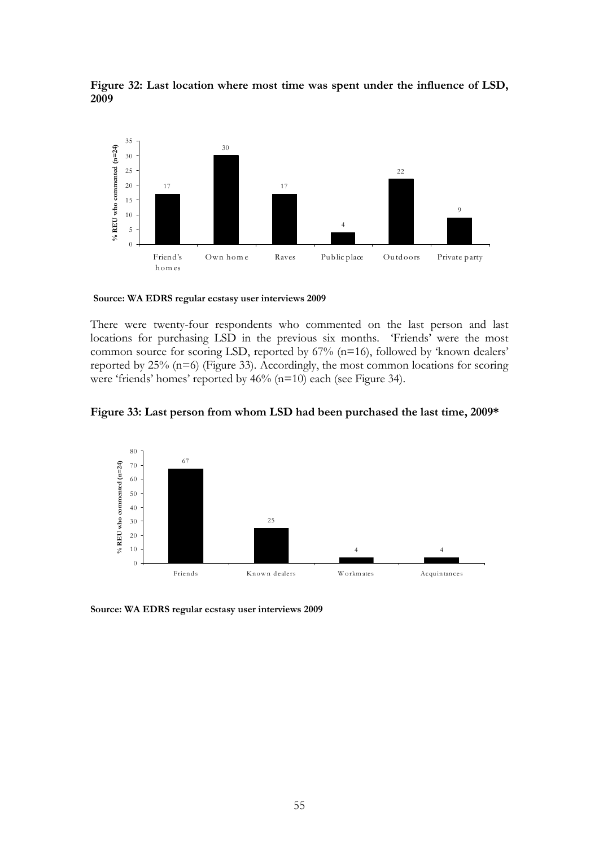

**Figure 32: Last location where most time was spent under the influence of LSD,**  

**Source: WA EDRS regular ecstasy user interviews 2009**

There were twenty-four respondents who commented on the last person and last locations for purchasing LSD in the previous six months. 'Friends' were the most common source for scoring LSD, reported by 67% (n=16), followed by 'known dealers' reported by 25% (n=6) (Figure 33). Accordingly, the most common locations for scoring were 'friends' homes' reported by 46% (n=10) each (see Figure 34).





**Source: WA EDRS regular ecstasy user interviews 2009**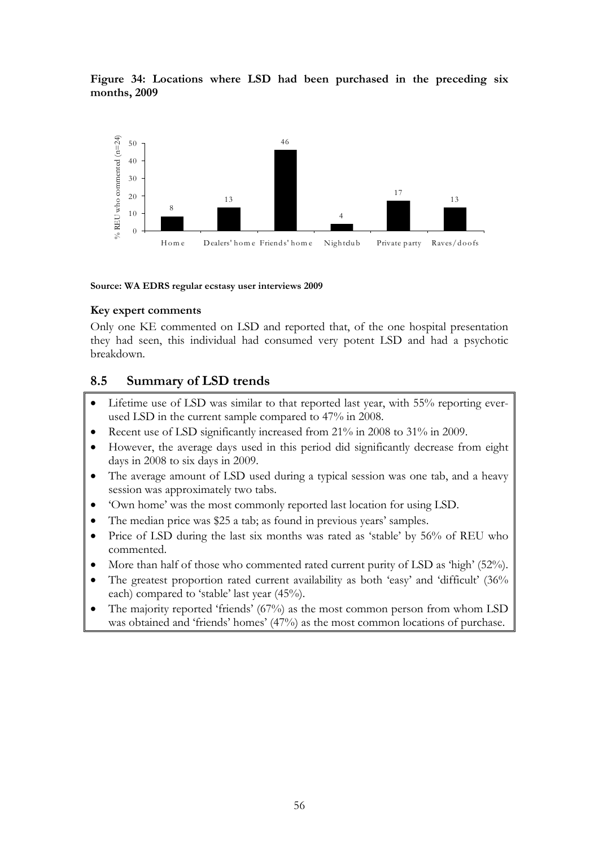**Figure 34: Locations where LSD had been purchased in the preceding six months, 2009** 



#### **Source: WA EDRS regular ecstasy user interviews 2009**

#### **Key expert comments**

Only one KE commented on LSD and reported that, of the one hospital presentation they had seen, this individual had consumed very potent LSD and had a psychotic breakdown.

### **8.5 Summary of LSD trends**

- Lifetime use of LSD was similar to that reported last year, with 55% reporting everused LSD in the current sample compared to 47% in 2008.
- Recent use of LSD significantly increased from 21% in 2008 to 31% in 2009.
- However, the average days used in this period did significantly decrease from eight days in 2008 to six days in 2009.
- The average amount of LSD used during a typical session was one tab, and a heavy session was approximately two tabs.
- 'Own home' was the most commonly reported last location for using LSD.
- The median price was \$25 a tab; as found in previous years' samples.
- Price of LSD during the last six months was rated as 'stable' by 56% of REU who commented.
- More than half of those who commented rated current purity of LSD as 'high' (52%).
- The greatest proportion rated current availability as both 'easy' and 'difficult' (36%) each) compared to 'stable' last year (45%).
- The majority reported 'friends' (67%) as the most common person from whom LSD was obtained and 'friends' homes' (47%) as the most common locations of purchase.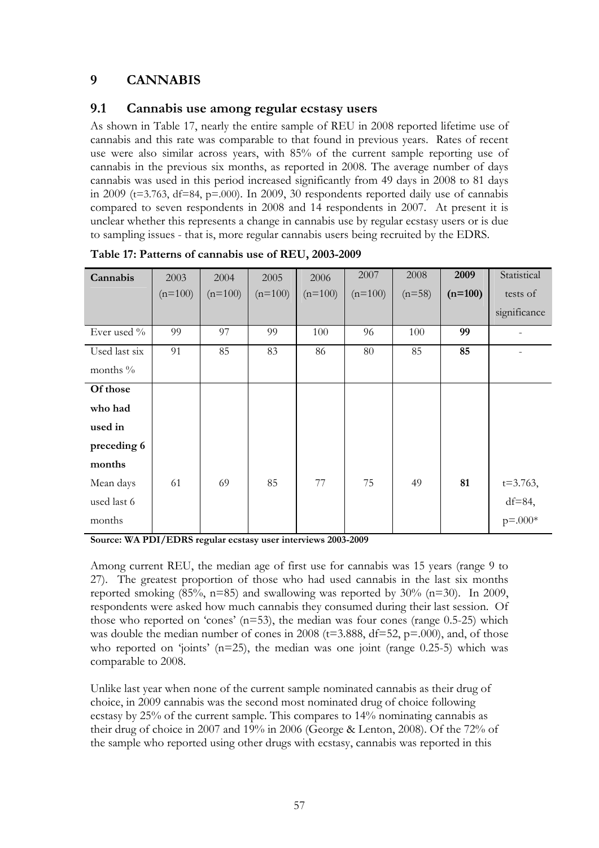# **9 CANNABIS**

### **9.1 Cannabis use among regular ecstasy users**

As shown in Table 17, nearly the entire sample of REU in 2008 reported lifetime use of cannabis and this rate was comparable to that found in previous years. Rates of recent use were also similar across years, with 85% of the current sample reporting use of cannabis in the previous six months, as reported in 2008. The average number of days cannabis was used in this period increased significantly from 49 days in 2008 to 81 days in 2009 ( $t=3.763$ ,  $df=84$ ,  $p=.000$ ). In 2009, 30 respondents reported daily use of cannabis compared to seven respondents in 2008 and 14 respondents in 2007. At present it is unclear whether this represents a change in cannabis use by regular ecstasy users or is due to sampling issues - that is, more regular cannabis users being recruited by the EDRS.

| Cannabis      | 2003      | 2004      | 2005      | 2006      | 2007      | 2008     | 2009      | Statistical   |
|---------------|-----------|-----------|-----------|-----------|-----------|----------|-----------|---------------|
|               | $(n=100)$ | $(n=100)$ | $(n=100)$ | $(n=100)$ | $(n=100)$ | $(n=58)$ | $(n=100)$ | tests of      |
|               |           |           |           |           |           |          |           | significance  |
| Ever used %   | 99        | 97        | 99        | 100       | 96        | 100      | 99        |               |
| Used last six | 91        | 85        | 83        | 86        | 80        | 85       | 85        |               |
| months $\%$   |           |           |           |           |           |          |           |               |
| Of those      |           |           |           |           |           |          |           |               |
| who had       |           |           |           |           |           |          |           |               |
| used in       |           |           |           |           |           |          |           |               |
| preceding 6   |           |           |           |           |           |          |           |               |
| months        |           |           |           |           |           |          |           |               |
| Mean days     | 61        | 69        | 85        | 77        | 75        | 49       | 81        | $t = 3.763$ , |
| used last 6   |           |           |           |           |           |          |           | $df=84$ ,     |
| months        |           |           |           |           |           |          |           | $p = 0.004$   |

**Table 17: Patterns of cannabis use of REU, 2003-2009** 

**Source: WA PDI/EDRS regular ecstasy user interviews 2003-2009** 

Among current REU, the median age of first use for cannabis was 15 years (range 9 to 27). The greatest proportion of those who had used cannabis in the last six months reported smoking  $(85\%, n=85)$  and swallowing was reported by  $30\%$   $(n=30)$ . In 2009, respondents were asked how much cannabis they consumed during their last session. Of those who reported on 'cones'  $(n=53)$ , the median was four cones (range 0.5-25) which was double the median number of cones in 2008 ( $t=3.888$ ,  $df=52$ ,  $p=.000$ ), and, of those who reported on 'joints'  $(n=25)$ , the median was one joint (range 0.25-5) which was comparable to 2008.

Unlike last year when none of the current sample nominated cannabis as their drug of choice, in 2009 cannabis was the second most nominated drug of choice following ecstasy by 25% of the current sample. This compares to 14% nominating cannabis as their drug of choice in 2007 and 19% in 2006 (George & Lenton, 2008). Of the 72% of the sample who reported using other drugs with ecstasy, cannabis was reported in this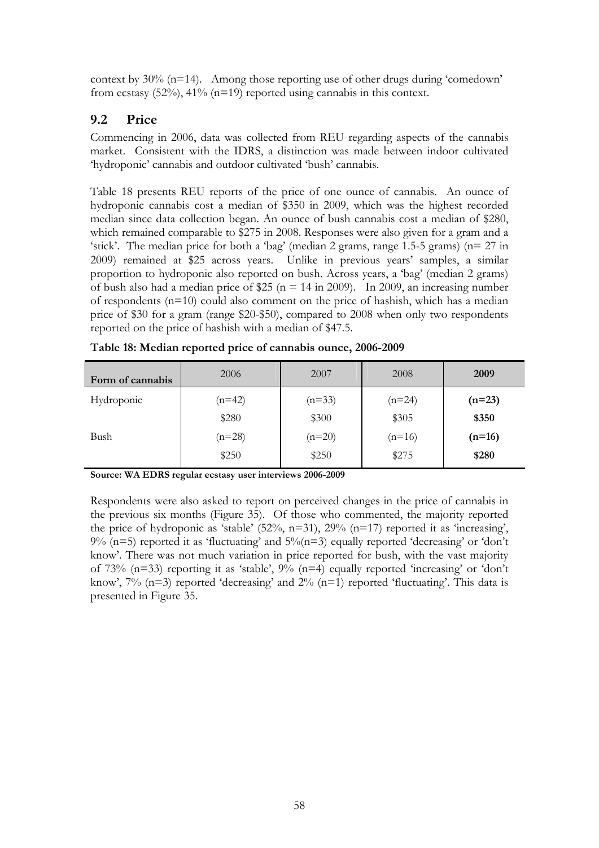context by 30% (n=14). Among those reporting use of other drugs during 'comedown' from ecstasy (52%), 41% (n=19) reported using cannabis in this context.

## **9.2 Price**

Commencing in 2006, data was collected from REU regarding aspects of the cannabis market. Consistent with the IDRS, a distinction was made between indoor cultivated 'hydroponic' cannabis and outdoor cultivated 'bush' cannabis.

Table 18 presents REU reports of the price of one ounce of cannabis. An ounce of hydroponic cannabis cost a median of \$350 in 2009, which was the highest recorded median since data collection began. An ounce of bush cannabis cost a median of \$280, which remained comparable to \$275 in 2008. Responses were also given for a gram and a 'stick'. The median price for both a 'bag' (median 2 grams, range 1.5-5 grams) (n= 27 in 2009) remained at \$25 across years. Unlike in previous years' samples, a similar proportion to hydroponic also reported on bush. Across years, a 'bag' (median 2 grams) of bush also had a median price of \$25 ( $n = 14$  in 2009). In 2009, an increasing number of respondents (n=10) could also comment on the price of hashish, which has a median price of \$30 for a gram (range \$20-\$50), compared to 2008 when only two respondents reported on the price of hashish with a median of \$47.5.

| Form of cannabis | 2006     | 2007     | 2008     | 2009     |
|------------------|----------|----------|----------|----------|
| Hydroponic       | $(n=42)$ | $(n=33)$ | $(n=24)$ | $(n=23)$ |
|                  | \$280    | \$300    | \$305    | \$350    |
| Bush             | $(n=28)$ | $(n=20)$ | $(n=16)$ | $(n=16)$ |
|                  | \$250    | \$250    | \$275    | \$280    |

**Table 18: Median reported price of cannabis ounce, 2006-2009** 

**Source: WA EDRS regular ecstasy user interviews 2006-2009** 

Respondents were also asked to report on perceived changes in the price of cannabis in the previous six months (Figure 35). Of those who commented, the majority reported the price of hydroponic as 'stable'  $(52\%, n=31)$ ,  $29\%$   $(n=17)$  reported it as 'increasing',  $9\%$  (n=5) reported it as 'fluctuating' and  $5\%$  (n=3) equally reported 'decreasing' or 'don't know'. There was not much variation in price reported for bush, with the vast majority of 73% ( $n=33$ ) reporting it as 'stable',  $9\%$  ( $n=4$ ) equally reported 'increasing' or 'don't know',  $7\%$  (n=3) reported 'decreasing' and  $2\%$  (n=1) reported 'fluctuating'. This data is presented in Figure 35.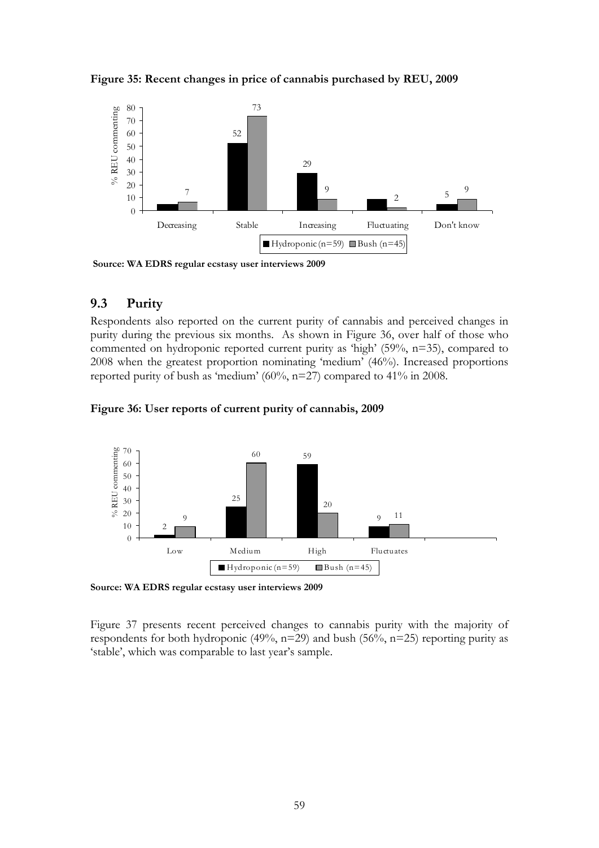**Figure 35: Recent changes in price of cannabis purchased by REU, 2009** 



 **Source: WA EDRS regular ecstasy user interviews 2009**

#### **9.3 Purity**

Respondents also reported on the current purity of cannabis and perceived changes in purity during the previous six months. As shown in Figure 36, over half of those who commented on hydroponic reported current purity as 'high' (59%, n=35), compared to 2008 when the greatest proportion nominating 'medium' (46%). Increased proportions reported purity of bush as 'medium' (60%, n=27) compared to 41% in 2008.

**Figure 36: User reports of current purity of cannabis, 2009** 



**Source: WA EDRS regular ecstasy user interviews 2009** 

Figure 37 presents recent perceived changes to cannabis purity with the majority of respondents for both hydroponic (49%,  $n=29$ ) and bush (56%,  $n=25$ ) reporting purity as 'stable', which was comparable to last year's sample.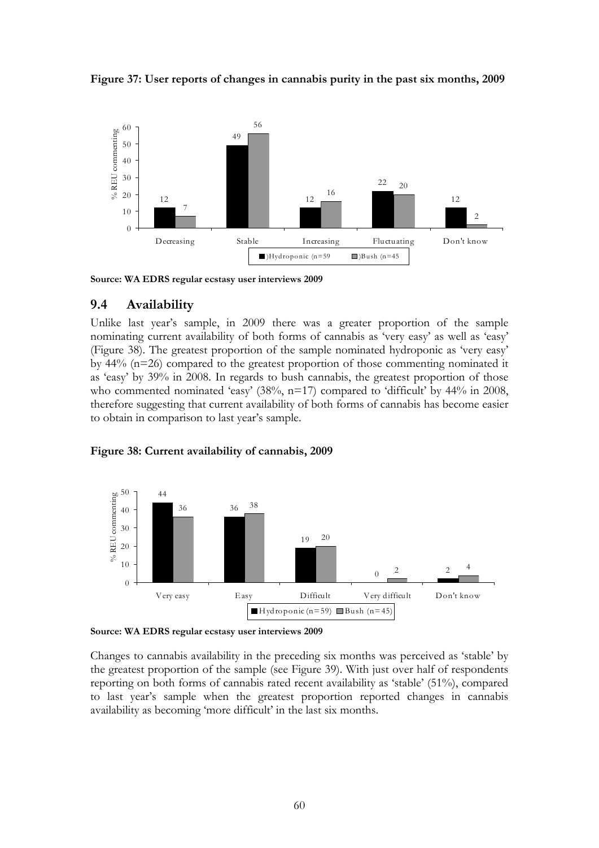



**Source: WA EDRS regular ecstasy user interviews 2009** 

### **9.4 Availability**

Unlike last year's sample, in 2009 there was a greater proportion of the sample nominating current availability of both forms of cannabis as 'very easy' as well as 'easy' (Figure 38). The greatest proportion of the sample nominated hydroponic as 'very easy' by 44% (n=26) compared to the greatest proportion of those commenting nominated it as 'easy' by 39% in 2008. In regards to bush cannabis, the greatest proportion of those who commented nominated 'easy' (38%, n=17) compared to 'difficult' by 44% in 2008, therefore suggesting that current availability of both forms of cannabis has become easier to obtain in comparison to last year's sample.



#### **Figure 38: Current availability of cannabis, 2009**

**Source: WA EDRS regular ecstasy user interviews 2009**

Changes to cannabis availability in the preceding six months was perceived as 'stable' by the greatest proportion of the sample (see Figure 39). With just over half of respondents reporting on both forms of cannabis rated recent availability as 'stable' (51%), compared to last year's sample when the greatest proportion reported changes in cannabis availability as becoming 'more difficult' in the last six months.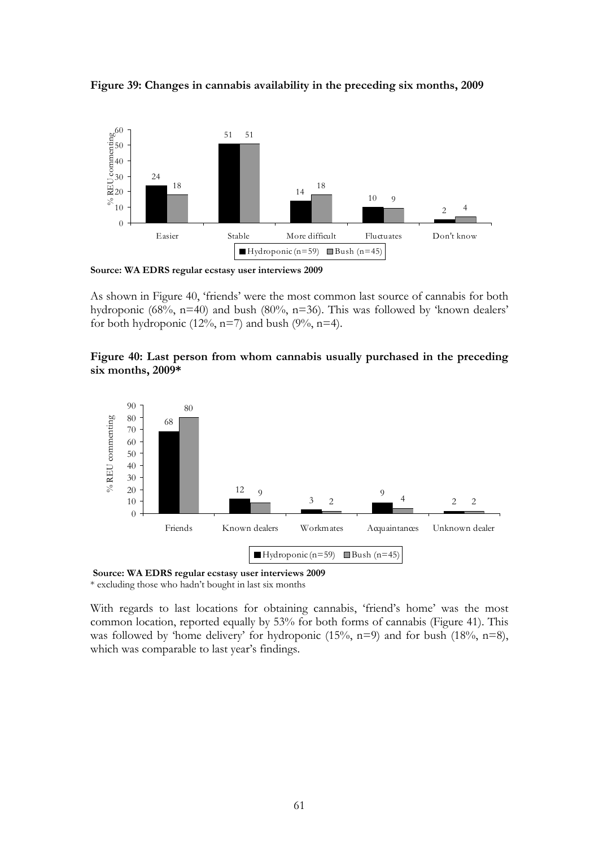



**Source: WA EDRS regular ecstasy user interviews 2009** 

As shown in Figure 40, 'friends' were the most common last source of cannabis for both hydroponic (68%, n=40) and bush (80%, n=36). This was followed by 'known dealers' for both hydroponic (12%,  $n=7$ ) and bush (9%,  $n=4$ ).

#### **Figure 40: Last person from whom cannabis usually purchased in the preceding six months, 2009\***





\* excluding those who hadn't bought in last six months

With regards to last locations for obtaining cannabis, 'friend's home' was the most common location, reported equally by 53% for both forms of cannabis (Figure 41). This was followed by 'home delivery' for hydroponic (15%,  $n=9$ ) and for bush (18%,  $n=8$ ), which was comparable to last year's findings.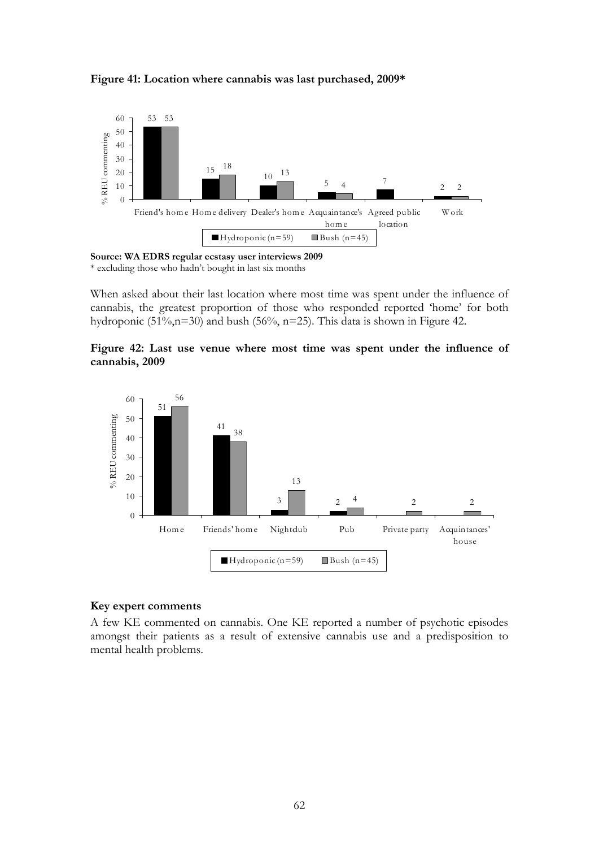

#### **Figure 41: Location where cannabis was last purchased, 2009\***

**Source: WA EDRS regular ecstasy user interviews 2009**  \* excluding those who hadn't bought in last six months

When asked about their last location where most time was spent under the influence of cannabis, the greatest proportion of those who responded reported 'home' for both hydroponic (51%,n=30) and bush (56%, n=25). This data is shown in Figure 42.

#### **Figure 42: Last use venue where most time was spent under the influence of cannabis, 2009**



#### **Key expert comments**

A few KE commented on cannabis. One KE reported a number of psychotic episodes amongst their patients as a result of extensive cannabis use and a predisposition to mental health problems.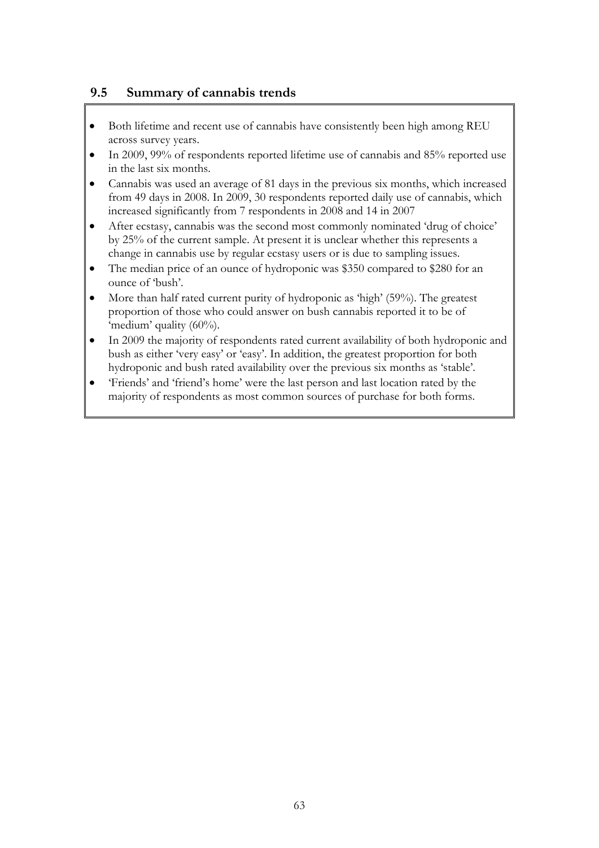# **9.5 Summary of cannabis trends**

- Both lifetime and recent use of cannabis have consistently been high among REU across survey years.
- In 2009, 99% of respondents reported lifetime use of cannabis and 85% reported use in the last six months.
- Cannabis was used an average of 81 days in the previous six months, which increased from 49 days in 2008. In 2009, 30 respondents reported daily use of cannabis, which increased significantly from 7 respondents in 2008 and 14 in 2007
- After ecstasy, cannabis was the second most commonly nominated 'drug of choice' by 25% of the current sample. At present it is unclear whether this represents a change in cannabis use by regular ecstasy users or is due to sampling issues.
- The median price of an ounce of hydroponic was \$350 compared to \$280 for an ounce of 'bush'.
- More than half rated current purity of hydroponic as 'high' (59%). The greatest proportion of those who could answer on bush cannabis reported it to be of 'medium' quality (60%).
- In 2009 the majority of respondents rated current availability of both hydroponic and bush as either 'very easy' or 'easy'. In addition, the greatest proportion for both hydroponic and bush rated availability over the previous six months as 'stable'.
- 'Friends' and 'friend's home' were the last person and last location rated by the majority of respondents as most common sources of purchase for both forms.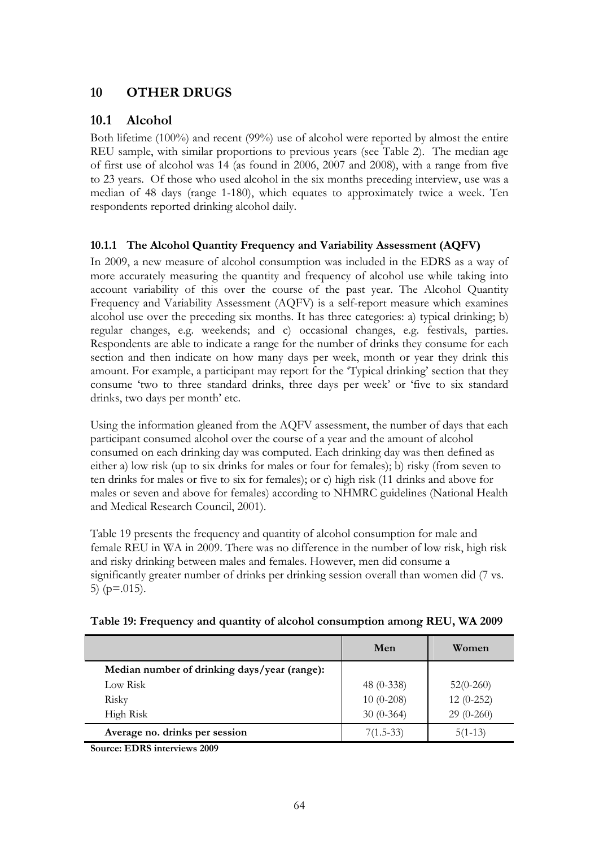# **10 OTHER DRUGS**

# **10.1 Alcohol**

Both lifetime (100%) and recent (99%) use of alcohol were reported by almost the entire REU sample, with similar proportions to previous years (see Table 2). The median age of first use of alcohol was 14 (as found in 2006, 2007 and 2008), with a range from five to 23 years. Of those who used alcohol in the six months preceding interview, use was a median of 48 days (range 1-180), which equates to approximately twice a week. Ten respondents reported drinking alcohol daily.

### **10.1.1 The Alcohol Quantity Frequency and Variability Assessment (AQFV)**

In 2009, a new measure of alcohol consumption was included in the EDRS as a way of more accurately measuring the quantity and frequency of alcohol use while taking into account variability of this over the course of the past year. The Alcohol Quantity Frequency and Variability Assessment (AQFV) is a self-report measure which examines alcohol use over the preceding six months. It has three categories: a) typical drinking; b) regular changes, e.g. weekends; and c) occasional changes, e.g. festivals, parties. Respondents are able to indicate a range for the number of drinks they consume for each section and then indicate on how many days per week, month or year they drink this amount. For example, a participant may report for the 'Typical drinking' section that they consume 'two to three standard drinks, three days per week' or 'five to six standard drinks, two days per month' etc.

Using the information gleaned from the AQFV assessment, the number of days that each participant consumed alcohol over the course of a year and the amount of alcohol consumed on each drinking day was computed. Each drinking day was then defined as either a) low risk (up to six drinks for males or four for females); b) risky (from seven to ten drinks for males or five to six for females); or c) high risk (11 drinks and above for males or seven and above for females) according to NHMRC guidelines (National Health and Medical Research Council, 2001).

Table 19 presents the frequency and quantity of alcohol consumption for male and female REU in WA in 2009. There was no difference in the number of low risk, high risk and risky drinking between males and females. However, men did consume a significantly greater number of drinks per drinking session overall than women did (7 vs. 5) ( $p = .015$ ).

|                                              | Men          | Women       |
|----------------------------------------------|--------------|-------------|
| Median number of drinking days/year (range): |              |             |
| Low Risk                                     | 48 $(0-338)$ | $52(0-260)$ |
| Risky                                        | $10(0-208)$  | $12(0-252)$ |
| High Risk                                    | $30(0-364)$  | $29(0-260)$ |
| Average no. drinks per session               | $7(1.5-33)$  | $5(1-13)$   |

**Source: EDRS interviews 2009**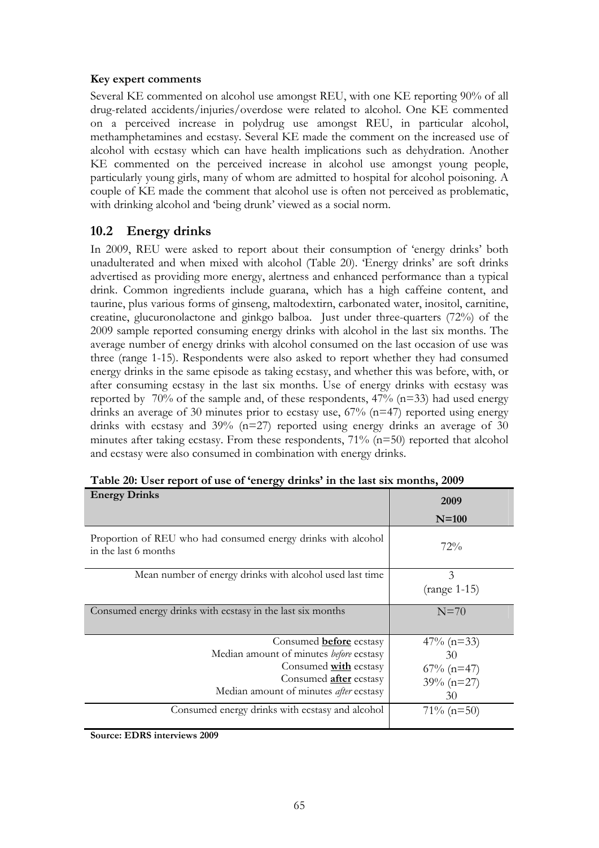#### **Key expert comments**

Several KE commented on alcohol use amongst REU, with one KE reporting 90% of all drug-related accidents/injuries/overdose were related to alcohol. One KE commented on a perceived increase in polydrug use amongst REU, in particular alcohol, methamphetamines and ecstasy. Several KE made the comment on the increased use of alcohol with ecstasy which can have health implications such as dehydration. Another KE commented on the perceived increase in alcohol use amongst young people, particularly young girls, many of whom are admitted to hospital for alcohol poisoning. A couple of KE made the comment that alcohol use is often not perceived as problematic, with drinking alcohol and 'being drunk' viewed as a social norm.

# **10.2 Energy drinks**

In 2009, REU were asked to report about their consumption of 'energy drinks' both unadulterated and when mixed with alcohol (Table 20). 'Energy drinks' are soft drinks advertised as providing more energy, alertness and enhanced performance than a typical drink. Common ingredients include guarana, which has a high caffeine content, and taurine, plus various forms of ginseng, maltodextirn, carbonated water, inositol, carnitine, creatine, glucuronolactone and ginkgo balboa. Just under three-quarters (72%) of the 2009 sample reported consuming energy drinks with alcohol in the last six months. The average number of energy drinks with alcohol consumed on the last occasion of use was three (range 1-15). Respondents were also asked to report whether they had consumed energy drinks in the same episode as taking ecstasy, and whether this was before, with, or after consuming ecstasy in the last six months. Use of energy drinks with ecstasy was reported by 70% of the sample and, of these respondents, 47% (n=33) had used energy drinks an average of 30 minutes prior to ecstasy use,  $67%$   $(n=47)$  reported using energy drinks with ecstasy and 39% (n=27) reported using energy drinks an average of 30 minutes after taking ecstasy. From these respondents, 71% (n=50) reported that alcohol and ecstasy were also consumed in combination with energy drinks.

| <b>Energy Drinks</b>                                                                  | 2009                |
|---------------------------------------------------------------------------------------|---------------------|
|                                                                                       | $N=100$             |
| Proportion of REU who had consumed energy drinks with alcohol<br>in the last 6 months | 72%                 |
| Mean number of energy drinks with alcohol used last time                              | 3<br>$(range 1-15)$ |
| Consumed energy drinks with ecstasy in the last six months                            | $N=70$              |
| Consumed <b>before</b> ecstasy                                                        | $47\%$ (n=33)       |
| Median amount of minutes before ecstasy                                               | 30                  |
| Consumed <b>with</b> ecstasy                                                          |                     |
|                                                                                       | $67\%$ (n=47)       |
| Consumed <b>after</b> ecstasy                                                         | $39\% (n=27)$       |
| Median amount of minutes <i>after</i> ecstasy                                         | 30                  |
| Consumed energy drinks with ecstasy and alcohol                                       | $71\% (n=50)$       |
|                                                                                       |                     |

|  | Table 20: User report of use of 'energy drinks' in the last six months, 2009 |  |  |  |  |  |  |  |
|--|------------------------------------------------------------------------------|--|--|--|--|--|--|--|
|--|------------------------------------------------------------------------------|--|--|--|--|--|--|--|

**Source: EDRS interviews 2009**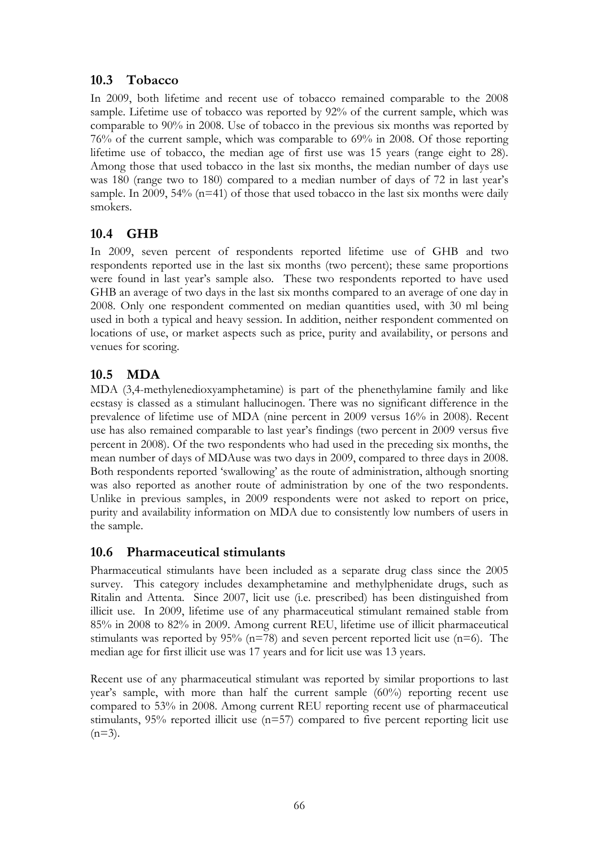# **10.3 Tobacco**

In 2009, both lifetime and recent use of tobacco remained comparable to the 2008 sample. Lifetime use of tobacco was reported by 92% of the current sample, which was comparable to 90% in 2008. Use of tobacco in the previous six months was reported by 76% of the current sample, which was comparable to 69% in 2008. Of those reporting lifetime use of tobacco, the median age of first use was 15 years (range eight to 28). Among those that used tobacco in the last six months, the median number of days use was 180 (range two to 180) compared to a median number of days of 72 in last year's sample. In 2009,  $54\%$  (n=41) of those that used tobacco in the last six months were daily smokers.

# **10.4 GHB**

In 2009, seven percent of respondents reported lifetime use of GHB and two respondents reported use in the last six months (two percent); these same proportions were found in last year's sample also. These two respondents reported to have used GHB an average of two days in the last six months compared to an average of one day in 2008. Only one respondent commented on median quantities used, with 30 ml being used in both a typical and heavy session. In addition, neither respondent commented on locations of use, or market aspects such as price, purity and availability, or persons and venues for scoring.

# **10.5 MDA**

MDA (3,4-methylenedioxyamphetamine) is part of the phenethylamine family and like ecstasy is classed as a stimulant hallucinogen. There was no significant difference in the prevalence of lifetime use of MDA (nine percent in 2009 versus 16% in 2008). Recent use has also remained comparable to last year's findings (two percent in 2009 versus five percent in 2008). Of the two respondents who had used in the preceding six months, the mean number of days of MDAuse was two days in 2009, compared to three days in 2008. Both respondents reported 'swallowing' as the route of administration, although snorting was also reported as another route of administration by one of the two respondents. Unlike in previous samples, in 2009 respondents were not asked to report on price, purity and availability information on MDA due to consistently low numbers of users in the sample.

## **10.6 Pharmaceutical stimulants**

Pharmaceutical stimulants have been included as a separate drug class since the 2005 survey. This category includes dexamphetamine and methylphenidate drugs, such as Ritalin and Attenta. Since 2007, licit use (i.e. prescribed) has been distinguished from illicit use. In 2009, lifetime use of any pharmaceutical stimulant remained stable from 85% in 2008 to 82% in 2009. Among current REU, lifetime use of illicit pharmaceutical stimulants was reported by  $95\%$  (n=78) and seven percent reported licit use (n=6). The median age for first illicit use was 17 years and for licit use was 13 years.

Recent use of any pharmaceutical stimulant was reported by similar proportions to last year's sample, with more than half the current sample (60%) reporting recent use compared to 53% in 2008. Among current REU reporting recent use of pharmaceutical stimulants,  $95\%$  reported illicit use ( $n=57$ ) compared to five percent reporting licit use  $(n=3)$ .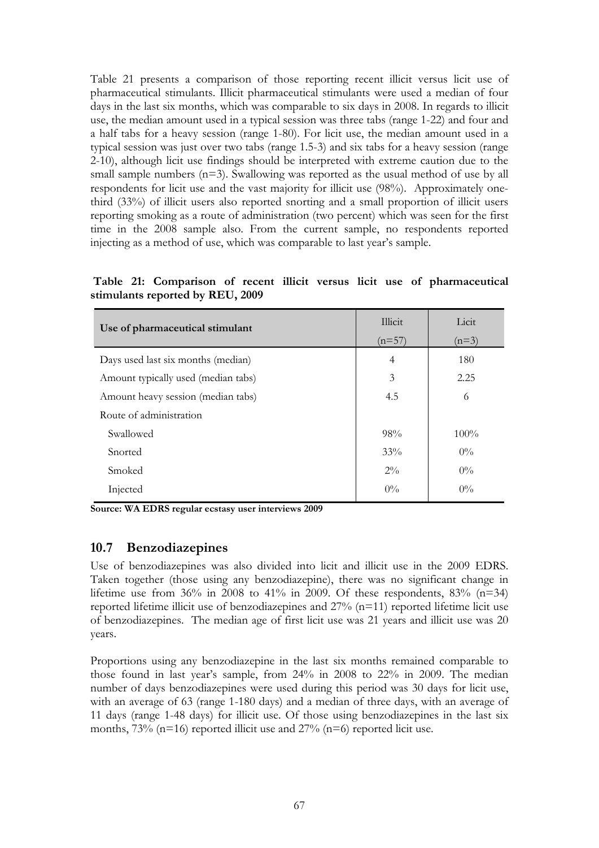Table 21 presents a comparison of those reporting recent illicit versus licit use of pharmaceutical stimulants. Illicit pharmaceutical stimulants were used a median of four days in the last six months, which was comparable to six days in 2008. In regards to illicit use, the median amount used in a typical session was three tabs (range 1-22) and four and a half tabs for a heavy session (range 1-80). For licit use, the median amount used in a typical session was just over two tabs (range 1.5-3) and six tabs for a heavy session (range 2-10), although licit use findings should be interpreted with extreme caution due to the small sample numbers  $(n=3)$ . Swallowing was reported as the usual method of use by all respondents for licit use and the vast majority for illicit use (98%). Approximately onethird (33%) of illicit users also reported snorting and a small proportion of illicit users reporting smoking as a route of administration (two percent) which was seen for the first time in the 2008 sample also. From the current sample, no respondents reported injecting as a method of use, which was comparable to last year's sample.

 **Table 21: Comparison of recent illicit versus licit use of pharmaceutical stimulants reported by REU, 2009** 

| Use of pharmaceutical stimulant     | Illicit  | Licit   |
|-------------------------------------|----------|---------|
|                                     | $(n=57)$ | $(n=3)$ |
| Days used last six months (median)  | 4        | 180     |
| Amount typically used (median tabs) | 3        | 2.25    |
| Amount heavy session (median tabs)  | 4.5      | 6       |
| Route of administration             |          |         |
| Swallowed                           | 98%      | $100\%$ |
| Snorted                             | 33%      | $0\%$   |
| Smoked                              | $2\%$    | $0\%$   |
| Injected                            | $0\%$    | $0\%$   |

**Source: WA EDRS regular ecstasy user interviews 2009** 

#### **10.7 Benzodiazepines**

Use of benzodiazepines was also divided into licit and illicit use in the 2009 EDRS. Taken together (those using any benzodiazepine), there was no significant change in lifetime use from 36% in 2008 to 41% in 2009. Of these respondents,  $83\%$  (n=34) reported lifetime illicit use of benzodiazepines and 27% (n=11) reported lifetime licit use of benzodiazepines. The median age of first licit use was 21 years and illicit use was 20 years.

Proportions using any benzodiazepine in the last six months remained comparable to those found in last year's sample, from 24% in 2008 to 22% in 2009. The median number of days benzodiazepines were used during this period was 30 days for licit use, with an average of 63 (range 1-180 days) and a median of three days, with an average of 11 days (range 1-48 days) for illicit use. Of those using benzodiazepines in the last six months,  $73\%$  (n=16) reported illicit use and  $27\%$  (n=6) reported licit use.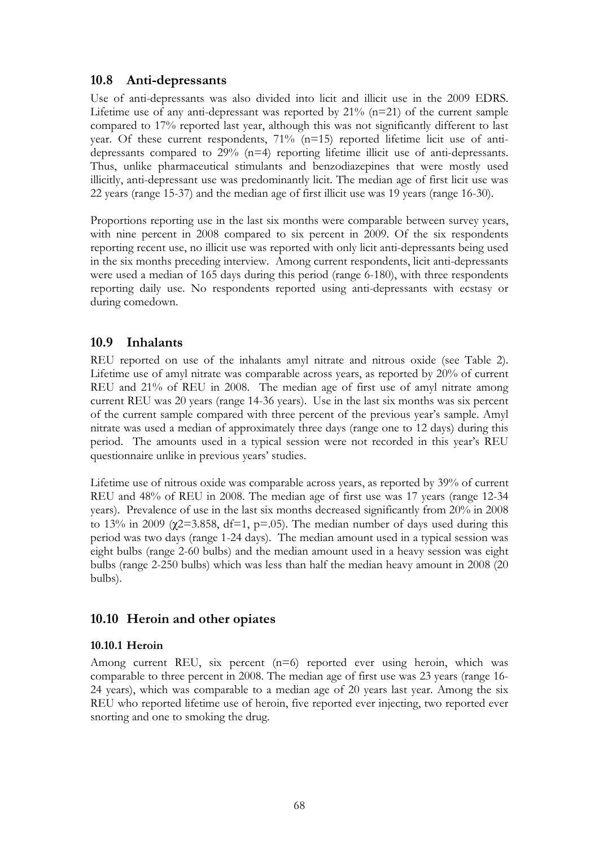## **10.8 Anti-depressants**

Use of anti-depressants was also divided into licit and illicit use in the 2009 EDRS. Lifetime use of any anti-depressant was reported by  $21\%$  (n=21) of the current sample compared to 17% reported last year, although this was not significantly different to last year. Of these current respondents, 71% (n=15) reported lifetime licit use of antidepressants compared to 29% (n=4) reporting lifetime illicit use of anti-depressants. Thus, unlike pharmaceutical stimulants and benzodiazepines that were mostly used illicitly, anti-depressant use was predominantly licit. The median age of first licit use was 22 years (range 15-37) and the median age of first illicit use was 19 years (range 16-30).

Proportions reporting use in the last six months were comparable between survey years, with nine percent in 2008 compared to six percent in 2009. Of the six respondents reporting recent use, no illicit use was reported with only licit anti-depressants being used in the six months preceding interview. Among current respondents, licit anti-depressants were used a median of 165 days during this period (range 6-180), with three respondents reporting daily use. No respondents reported using anti-depressants with ecstasy or during comedown.

### **10.9 Inhalants**

REU reported on use of the inhalants amyl nitrate and nitrous oxide (see Table 2). Lifetime use of amyl nitrate was comparable across years, as reported by 20% of current REU and 21% of REU in 2008. The median age of first use of amyl nitrate among current REU was 20 years (range 14-36 years). Use in the last six months was six percent of the current sample compared with three percent of the previous year's sample. Amyl nitrate was used a median of approximately three days (range one to 12 days) during this period. The amounts used in a typical session were not recorded in this year's REU questionnaire unlike in previous years' studies.

Lifetime use of nitrous oxide was comparable across years, as reported by 39% of current REU and 48% of REU in 2008. The median age of first use was 17 years (range 12-34 years). Prevalence of use in the last six months decreased significantly from 20% in 2008 to 13% in 2009 ( $\chi$ 2=3.858, df=1, p=.05). The median number of days used during this period was two days (range 1-24 days). The median amount used in a typical session was eight bulbs (range 2-60 bulbs) and the median amount used in a heavy session was eight bulbs (range 2-250 bulbs) which was less than half the median heavy amount in 2008 (20 bulbs).

## **10.10 Heroin and other opiates**

#### **10.10.1 Heroin**

Among current REU, six percent (n=6) reported ever using heroin, which was comparable to three percent in 2008. The median age of first use was 23 years (range 16- 24 years), which was comparable to a median age of 20 years last year. Among the six REU who reported lifetime use of heroin, five reported ever injecting, two reported ever snorting and one to smoking the drug.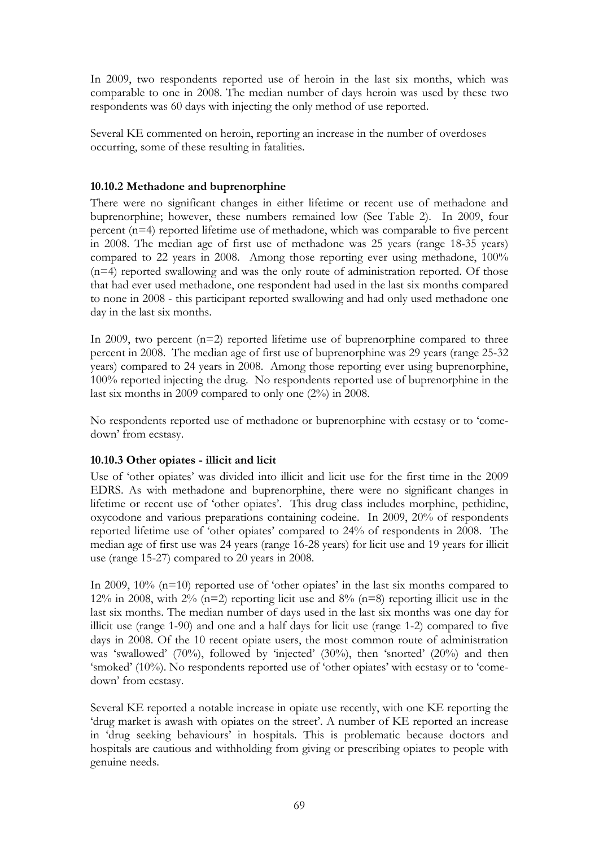In 2009, two respondents reported use of heroin in the last six months, which was comparable to one in 2008. The median number of days heroin was used by these two respondents was 60 days with injecting the only method of use reported.

Several KE commented on heroin, reporting an increase in the number of overdoses occurring, some of these resulting in fatalities.

#### **10.10.2 Methadone and buprenorphine**

There were no significant changes in either lifetime or recent use of methadone and buprenorphine; however, these numbers remained low (See Table 2). In 2009, four percent (n=4) reported lifetime use of methadone, which was comparable to five percent in 2008. The median age of first use of methadone was 25 years (range 18-35 years) compared to 22 years in 2008. Among those reporting ever using methadone, 100% (n=4) reported swallowing and was the only route of administration reported. Of those that had ever used methadone, one respondent had used in the last six months compared to none in 2008 - this participant reported swallowing and had only used methadone one day in the last six months.

In 2009, two percent  $(n=2)$  reported lifetime use of buprenorphine compared to three percent in 2008. The median age of first use of buprenorphine was 29 years (range 25-32 years) compared to 24 years in 2008. Among those reporting ever using buprenorphine, 100% reported injecting the drug. No respondents reported use of buprenorphine in the last six months in 2009 compared to only one (2%) in 2008.

No respondents reported use of methadone or buprenorphine with ecstasy or to 'comedown' from ecstasy.

#### **10.10.3 Other opiates - illicit and licit**

Use of 'other opiates' was divided into illicit and licit use for the first time in the 2009 EDRS. As with methadone and buprenorphine, there were no significant changes in lifetime or recent use of 'other opiates'. This drug class includes morphine, pethidine, oxycodone and various preparations containing codeine. In 2009, 20% of respondents reported lifetime use of 'other opiates' compared to 24% of respondents in 2008. The median age of first use was 24 years (range 16-28 years) for licit use and 19 years for illicit use (range 15-27) compared to 20 years in 2008.

In 2009, 10% (n=10) reported use of 'other opiates' in the last six months compared to 12% in 2008, with 2%  $(n=2)$  reporting licit use and 8%  $(n=8)$  reporting illicit use in the last six months. The median number of days used in the last six months was one day for illicit use (range 1-90) and one and a half days for licit use (range 1-2) compared to five days in 2008. Of the 10 recent opiate users, the most common route of administration was 'swallowed' (70%), followed by 'injected' (30%), then 'snorted' (20%) and then 'smoked' (10%). No respondents reported use of 'other opiates' with ecstasy or to 'comedown' from ecstasy.

Several KE reported a notable increase in opiate use recently, with one KE reporting the 'drug market is awash with opiates on the street'. A number of KE reported an increase in 'drug seeking behaviours' in hospitals. This is problematic because doctors and hospitals are cautious and withholding from giving or prescribing opiates to people with genuine needs.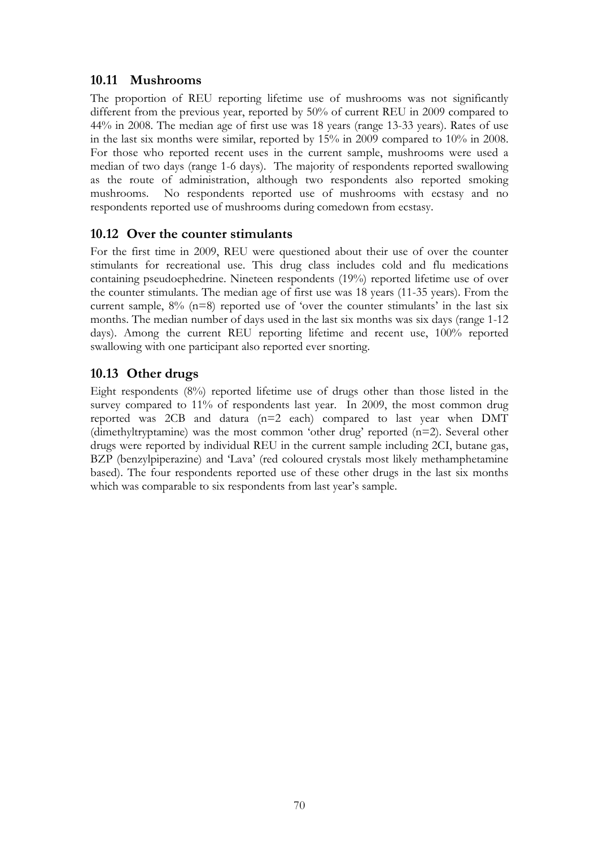# **10.11 Mushrooms**

The proportion of REU reporting lifetime use of mushrooms was not significantly different from the previous year, reported by 50% of current REU in 2009 compared to 44% in 2008. The median age of first use was 18 years (range 13-33 years). Rates of use in the last six months were similar, reported by 15% in 2009 compared to 10% in 2008. For those who reported recent uses in the current sample, mushrooms were used a median of two days (range 1-6 days). The majority of respondents reported swallowing as the route of administration, although two respondents also reported smoking mushrooms. No respondents reported use of mushrooms with ecstasy and no respondents reported use of mushrooms during comedown from ecstasy.

## **10.12 Over the counter stimulants**

For the first time in 2009, REU were questioned about their use of over the counter stimulants for recreational use. This drug class includes cold and flu medications containing pseudoephedrine. Nineteen respondents (19%) reported lifetime use of over the counter stimulants. The median age of first use was 18 years (11-35 years). From the current sample,  $8\%$  (n=8) reported use of 'over the counter stimulants' in the last six months. The median number of days used in the last six months was six days (range 1-12 days). Among the current REU reporting lifetime and recent use, 100% reported swallowing with one participant also reported ever snorting.

# **10.13 Other drugs**

Eight respondents (8%) reported lifetime use of drugs other than those listed in the survey compared to 11% of respondents last year. In 2009, the most common drug reported was 2CB and datura (n=2 each) compared to last year when DMT (dimethyltryptamine) was the most common 'other drug' reported  $(n=2)$ . Several other drugs were reported by individual REU in the current sample including 2CI, butane gas, BZP (benzylpiperazine) and 'Lava' (red coloured crystals most likely methamphetamine based). The four respondents reported use of these other drugs in the last six months which was comparable to six respondents from last year's sample.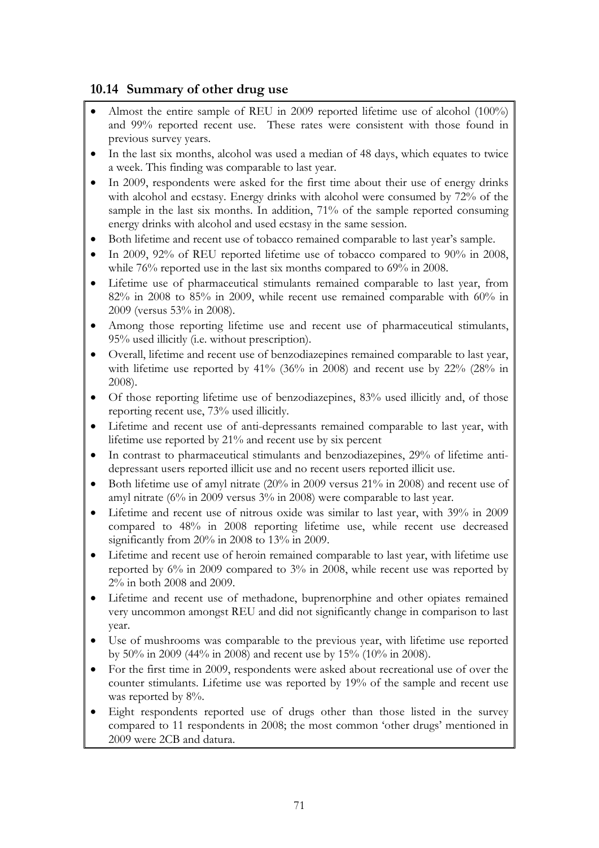# **10.14 Summary of other drug use**

- Almost the entire sample of REU in 2009 reported lifetime use of alcohol (100%) and 99% reported recent use. These rates were consistent with those found in previous survey years.
- In the last six months, alcohol was used a median of 48 days, which equates to twice a week. This finding was comparable to last year.
- In 2009, respondents were asked for the first time about their use of energy drinks with alcohol and ecstasy. Energy drinks with alcohol were consumed by 72% of the sample in the last six months. In addition, 71% of the sample reported consuming energy drinks with alcohol and used ecstasy in the same session.
- Both lifetime and recent use of tobacco remained comparable to last year's sample.
- In 2009, 92% of REU reported lifetime use of tobacco compared to 90% in 2008, while 76% reported use in the last six months compared to 69% in 2008.
- Lifetime use of pharmaceutical stimulants remained comparable to last year, from 82% in 2008 to 85% in 2009, while recent use remained comparable with 60% in 2009 (versus 53% in 2008).
- Among those reporting lifetime use and recent use of pharmaceutical stimulants, 95% used illicitly (i.e. without prescription).
- Overall, lifetime and recent use of benzodiazepines remained comparable to last year, with lifetime use reported by 41% (36% in 2008) and recent use by 22% (28% in 2008).
- Of those reporting lifetime use of benzodiazepines, 83% used illicitly and, of those reporting recent use, 73% used illicitly.
- Lifetime and recent use of anti-depressants remained comparable to last year, with lifetime use reported by 21% and recent use by six percent
- In contrast to pharmaceutical stimulants and benzodiazepines, 29% of lifetime antidepressant users reported illicit use and no recent users reported illicit use.
- $\bullet$  Both lifetime use of amyl nitrate (20% in 2009 versus 21% in 2008) and recent use of amyl nitrate (6% in 2009 versus 3% in 2008) were comparable to last year.
- Lifetime and recent use of nitrous oxide was similar to last year, with 39% in 2009 compared to 48% in 2008 reporting lifetime use, while recent use decreased significantly from 20% in 2008 to 13% in 2009.
- Lifetime and recent use of heroin remained comparable to last year, with lifetime use reported by 6% in 2009 compared to 3% in 2008, while recent use was reported by 2% in both 2008 and 2009.
- Lifetime and recent use of methadone, buprenorphine and other opiates remained very uncommon amongst REU and did not significantly change in comparison to last year.
- Use of mushrooms was comparable to the previous year, with lifetime use reported by 50% in 2009 (44% in 2008) and recent use by 15% (10% in 2008).
- For the first time in 2009, respondents were asked about recreational use of over the counter stimulants. Lifetime use was reported by 19% of the sample and recent use was reported by 8%.
- Eight respondents reported use of drugs other than those listed in the survey compared to 11 respondents in 2008; the most common 'other drugs' mentioned in 2009 were 2CB and datura.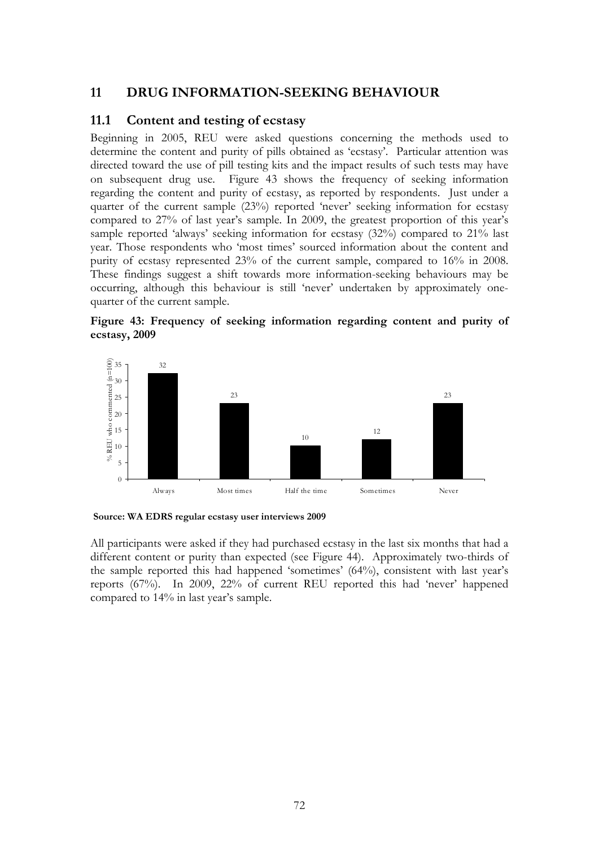# **11 DRUG INFORMATION-SEEKING BEHAVIOUR**

### **11.1 Content and testing of ecstasy**

Beginning in 2005, REU were asked questions concerning the methods used to determine the content and purity of pills obtained as 'ecstasy'. Particular attention was directed toward the use of pill testing kits and the impact results of such tests may have on subsequent drug use. Figure 43 shows the frequency of seeking information regarding the content and purity of ecstasy, as reported by respondents. Just under a quarter of the current sample (23%) reported 'never' seeking information for ecstasy compared to 27% of last year's sample. In 2009, the greatest proportion of this year's sample reported 'always' seeking information for ecstasy (32%) compared to 21% last year. Those respondents who 'most times' sourced information about the content and purity of ecstasy represented 23% of the current sample, compared to 16% in 2008. These findings suggest a shift towards more information-seeking behaviours may be occurring, although this behaviour is still 'never' undertaken by approximately onequarter of the current sample.





**Source: WA EDRS regular ecstasy user interviews 2009**

All participants were asked if they had purchased ecstasy in the last six months that had a different content or purity than expected (see Figure 44). Approximately two-thirds of the sample reported this had happened 'sometimes' (64%), consistent with last year's reports (67%). In 2009, 22% of current REU reported this had 'never' happened compared to 14% in last year's sample.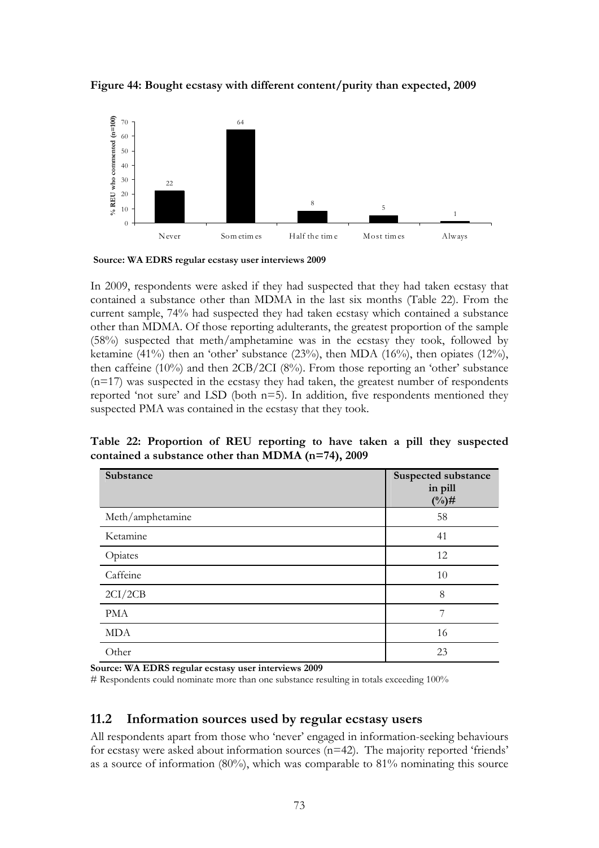

**Figure 44: Bought ecstasy with different content/purity than expected, 2009** 

**Source: WA EDRS regular ecstasy user interviews 2009**

In 2009, respondents were asked if they had suspected that they had taken ecstasy that contained a substance other than MDMA in the last six months (Table 22). From the current sample, 74% had suspected they had taken ecstasy which contained a substance other than MDMA. Of those reporting adulterants, the greatest proportion of the sample (58%) suspected that meth/amphetamine was in the ecstasy they took, followed by ketamine (41%) then an 'other' substance (23%), then MDA (16%), then opiates (12%), then caffeine (10%) and then 2CB/2CI (8%). From those reporting an 'other' substance  $(n=17)$  was suspected in the ecstasy they had taken, the greatest number of respondents reported 'not sure' and LSD (both n=5). In addition, five respondents mentioned they suspected PMA was contained in the ecstasy that they took.

**Table 22: Proportion of REU reporting to have taken a pill they suspected contained a substance other than MDMA (n=74), 2009** 

| Substance        | Suspected substance<br>in pill<br>$(^{0}/_{0})\#$ |
|------------------|---------------------------------------------------|
| Meth/amphetamine | 58                                                |
| Ketamine         | 41                                                |
| Opiates          | 12                                                |
| Caffeine         | 10                                                |
| 2CI/2CB          | 8                                                 |
| <b>PMA</b>       | 7                                                 |
| <b>MDA</b>       | 16                                                |
| Other            | 23                                                |

**Source: WA EDRS regular ecstasy user interviews 2009**

# Respondents could nominate more than one substance resulting in totals exceeding 100%

### **11.2 Information sources used by regular ecstasy users**

All respondents apart from those who 'never' engaged in information-seeking behaviours for ecstasy were asked about information sources (n=42). The majority reported 'friends' as a source of information (80%), which was comparable to 81% nominating this source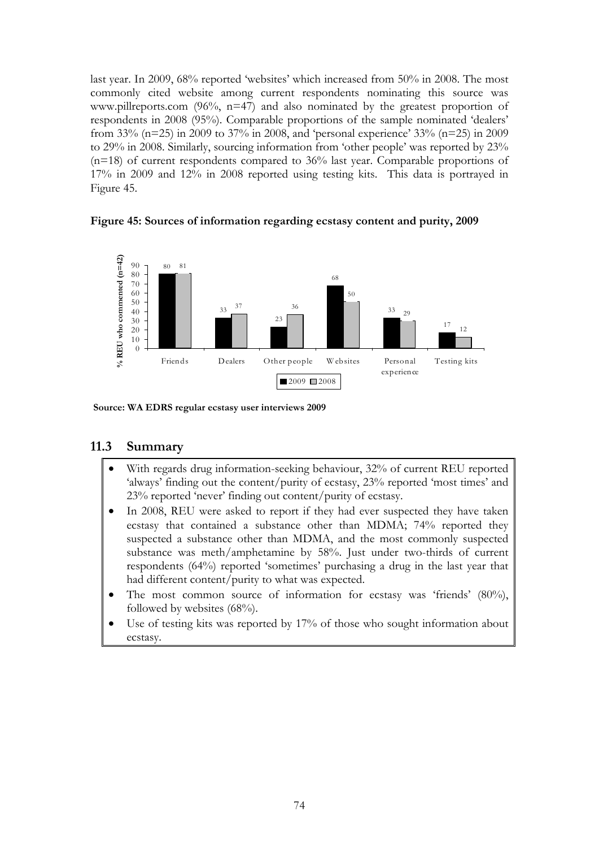last year. In 2009, 68% reported 'websites' which increased from 50% in 2008. The most commonly cited website among current respondents nominating this source was www.pillreports.com (96%, n=47) and also nominated by the greatest proportion of respondents in 2008 (95%). Comparable proportions of the sample nominated 'dealers' from 33% (n=25) in 2009 to 37% in 2008, and 'personal experience' 33% (n=25) in 2009 to 29% in 2008. Similarly, sourcing information from 'other people' was reported by 23% (n=18) of current respondents compared to 36% last year. Comparable proportions of 17% in 2009 and 12% in 2008 reported using testing kits. This data is portrayed in Figure 45.





**Source: WA EDRS regular ecstasy user interviews 2009**

### **11.3 Summary**

- With regards drug information-seeking behaviour, 32% of current REU reported 'always' finding out the content/purity of ecstasy, 23% reported 'most times' and 23% reported 'never' finding out content/purity of ecstasy.
- In 2008, REU were asked to report if they had ever suspected they have taken ecstasy that contained a substance other than MDMA; 74% reported they suspected a substance other than MDMA, and the most commonly suspected substance was meth/amphetamine by 58%. Just under two-thirds of current respondents (64%) reported 'sometimes' purchasing a drug in the last year that had different content/purity to what was expected.
- The most common source of information for ecstasy was 'friends' (80%), followed by websites (68%).
- Use of testing kits was reported by 17% of those who sought information about ecstasy.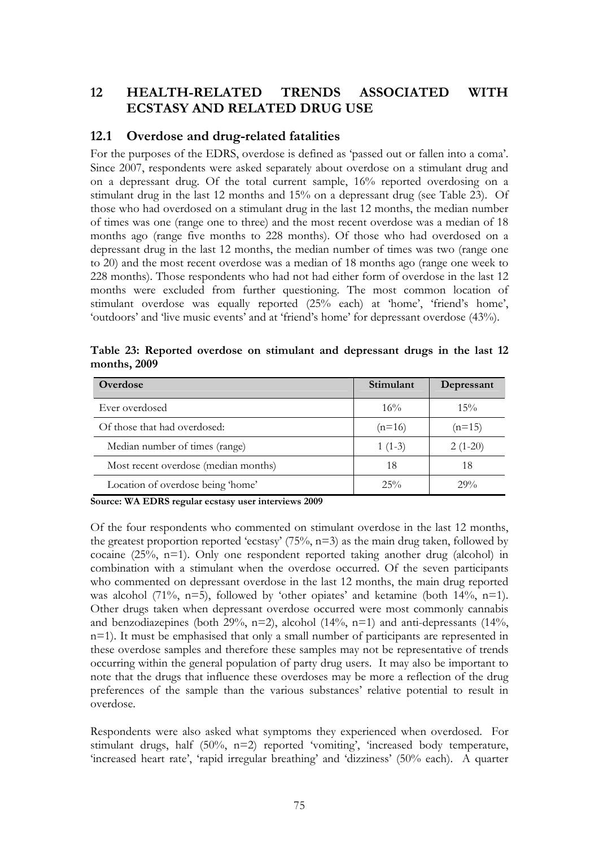# **12 HEALTH-RELATED TRENDS ASSOCIATED WITH ECSTASY AND RELATED DRUG USE**

### **12.1 Overdose and drug-related fatalities**

For the purposes of the EDRS, overdose is defined as 'passed out or fallen into a coma'. Since 2007, respondents were asked separately about overdose on a stimulant drug and on a depressant drug. Of the total current sample, 16% reported overdosing on a stimulant drug in the last 12 months and 15% on a depressant drug (see Table 23). Of those who had overdosed on a stimulant drug in the last 12 months, the median number of times was one (range one to three) and the most recent overdose was a median of 18 months ago (range five months to 228 months). Of those who had overdosed on a depressant drug in the last 12 months, the median number of times was two (range one to 20) and the most recent overdose was a median of 18 months ago (range one week to 228 months). Those respondents who had not had either form of overdose in the last 12 months were excluded from further questioning. The most common location of stimulant overdose was equally reported (25% each) at 'home', 'friend's home', 'outdoors' and 'live music events' and at 'friend's home' for depressant overdose (43%).

| Overdose                             | Stimulant | Depressant |
|--------------------------------------|-----------|------------|
| Ever overdosed                       | 16%       | $15\%$     |
| Of those that had overdosed:         | $(n=16)$  | $(n=15)$   |
| Median number of times (range)       | $1(1-3)$  | $2(1-20)$  |
| Most recent overdose (median months) | 18        | 18         |
| Location of overdose being 'home'    | 25%       | $29\%$     |

**Table 23: Reported overdose on stimulant and depressant drugs in the last 12 months, 2009** 

**Source: WA EDRS regular ecstasy user interviews 2009**

Of the four respondents who commented on stimulant overdose in the last 12 months, the greatest proportion reported 'ecstasy'  $(75\%, n=3)$  as the main drug taken, followed by cocaine (25%, n=1). Only one respondent reported taking another drug (alcohol) in combination with a stimulant when the overdose occurred. Of the seven participants who commented on depressant overdose in the last 12 months, the main drug reported was alcohol (71%,  $n=5$ ), followed by 'other opiates' and ketamine (both 14%,  $n=1$ ). Other drugs taken when depressant overdose occurred were most commonly cannabis and benzodiazepines (both 29%, n=2), alcohol (14%, n=1) and anti-depressants (14%, n=1). It must be emphasised that only a small number of participants are represented in these overdose samples and therefore these samples may not be representative of trends occurring within the general population of party drug users. It may also be important to note that the drugs that influence these overdoses may be more a reflection of the drug preferences of the sample than the various substances' relative potential to result in overdose.

Respondents were also asked what symptoms they experienced when overdosed. For stimulant drugs, half (50%, n=2) reported 'vomiting', 'increased body temperature, 'increased heart rate', 'rapid irregular breathing' and 'dizziness' (50% each). A quarter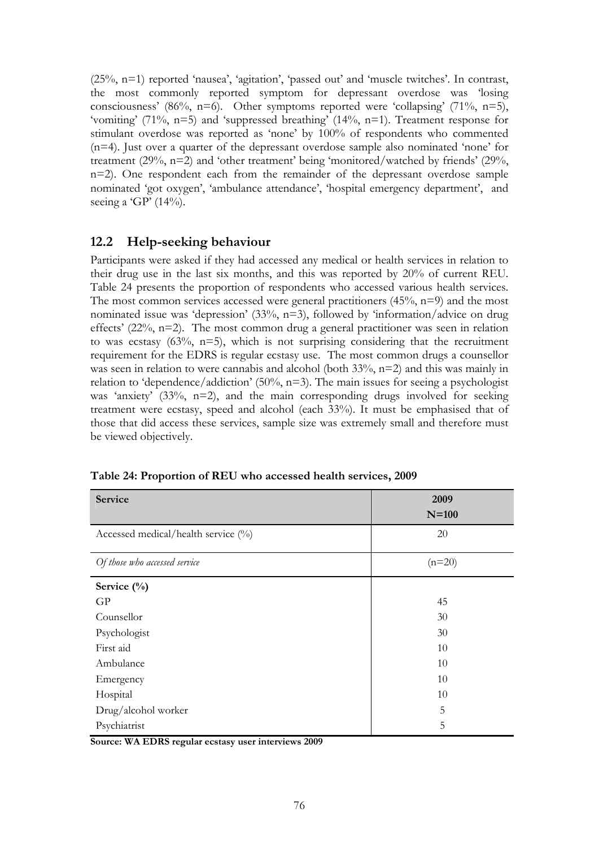(25%, n=1) reported 'nausea', 'agitation', 'passed out' and 'muscle twitches'. In contrast, the most commonly reported symptom for depressant overdose was 'losing consciousness' (86%, n=6). Other symptoms reported were 'collapsing' (71%, n=5), 'vomiting' (71%, n=5) and 'suppressed breathing' (14%, n=1). Treatment response for stimulant overdose was reported as 'none' by 100% of respondents who commented (n=4). Just over a quarter of the depressant overdose sample also nominated 'none' for treatment (29%, n=2) and 'other treatment' being 'monitored/watched by friends' (29%, n=2). One respondent each from the remainder of the depressant overdose sample nominated 'got oxygen', 'ambulance attendance', 'hospital emergency department', and seeing a 'GP' (14%).

### **12.2 Help-seeking behaviour**

Participants were asked if they had accessed any medical or health services in relation to their drug use in the last six months, and this was reported by 20% of current REU. Table 24 presents the proportion of respondents who accessed various health services. The most common services accessed were general practitioners (45%, n=9) and the most nominated issue was 'depression' (33%, n=3), followed by 'information/advice on drug effects' (22%, n=2). The most common drug a general practitioner was seen in relation to was ecstasy  $(63\%, n=5)$ , which is not surprising considering that the recruitment requirement for the EDRS is regular ecstasy use. The most common drugs a counsellor was seen in relation to were cannabis and alcohol (both 33%, n=2) and this was mainly in relation to 'dependence/addiction'  $(50\%, n=3)$ . The main issues for seeing a psychologist was 'anxiety' (33%, n=2), and the main corresponding drugs involved for seeking treatment were ecstasy, speed and alcohol (each 33%). It must be emphasised that of those that did access these services, sample size was extremely small and therefore must be viewed objectively.

| Service                             | 2009     |
|-------------------------------------|----------|
|                                     | $N=100$  |
| Accessed medical/health service (%) | 20       |
| Of those who accessed service       | $(n=20)$ |
| Service $(\%)$                      |          |
| GP                                  | 45       |
| Counsellor                          | 30       |
| Psychologist                        | 30       |
| First aid                           | 10       |
| Ambulance                           | 10       |
| Emergency                           | 10       |
| Hospital                            | 10       |
| Drug/alcohol worker                 | 5        |
| Psychiatrist                        | 5        |

**Table 24: Proportion of REU who accessed health services, 2009** 

**Source: WA EDRS regular ecstasy user interviews 2009**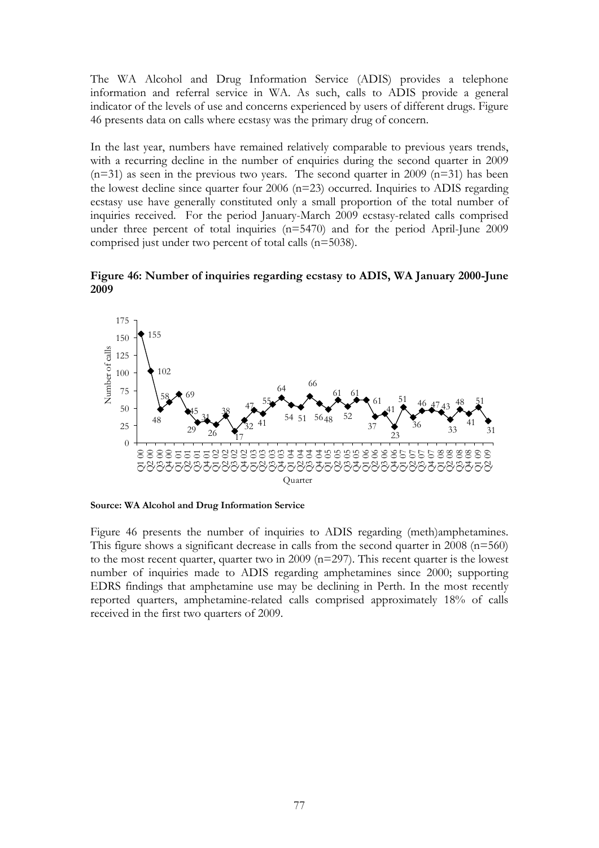The WA Alcohol and Drug Information Service (ADIS) provides a telephone information and referral service in WA. As such, calls to ADIS provide a general indicator of the levels of use and concerns experienced by users of different drugs. Figure 46 presents data on calls where ecstasy was the primary drug of concern.

In the last year, numbers have remained relatively comparable to previous years trends, with a recurring decline in the number of enquiries during the second quarter in 2009  $(n=31)$  as seen in the previous two years. The second quarter in 2009  $(n=31)$  has been the lowest decline since quarter four 2006 (n=23) occurred. Inquiries to ADIS regarding ecstasy use have generally constituted only a small proportion of the total number of inquiries received. For the period January-March 2009 ecstasy-related calls comprised under three percent of total inquiries (n=5470) and for the period April-June 2009 comprised just under two percent of total calls (n=5038).

**Figure 46: Number of inquiries regarding ecstasy to ADIS, WA January 2000-June 2009** 



**Source: WA Alcohol and Drug Information Service** 

Figure 46 presents the number of inquiries to ADIS regarding (meth)amphetamines. This figure shows a significant decrease in calls from the second quarter in 2008 (n=560) to the most recent quarter, quarter two in 2009 (n=297). This recent quarter is the lowest number of inquiries made to ADIS regarding amphetamines since 2000; supporting EDRS findings that amphetamine use may be declining in Perth. In the most recently reported quarters, amphetamine-related calls comprised approximately 18% of calls received in the first two quarters of 2009.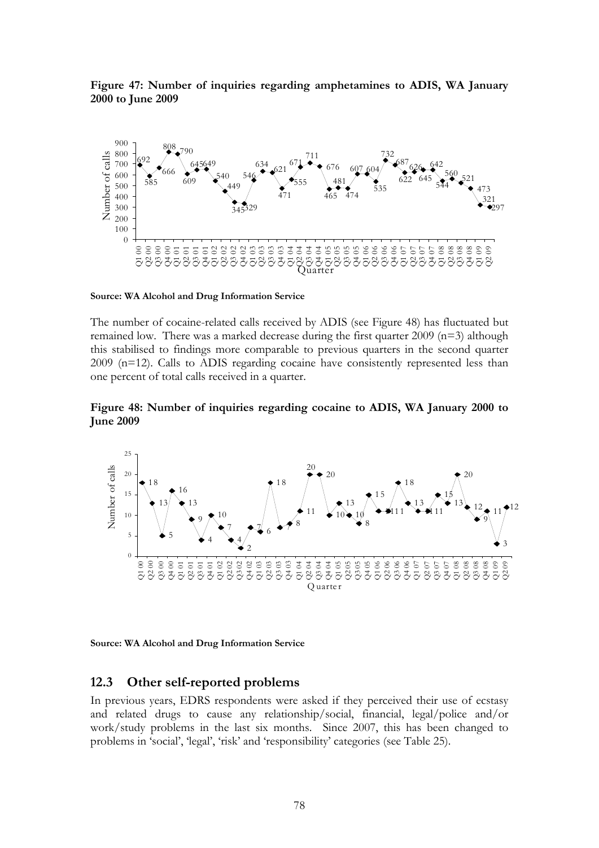**Figure 47: Number of inquiries regarding amphetamines to ADIS, WA January 2000 to June 2009** 



**Source: WA Alcohol and Drug Information Service** 

The number of cocaine-related calls received by ADIS (see Figure 48) has fluctuated but remained low. There was a marked decrease during the first quarter 2009 (n=3) although this stabilised to findings more comparable to previous quarters in the second quarter 2009 (n=12). Calls to ADIS regarding cocaine have consistently represented less than one percent of total calls received in a quarter.

**Figure 48: Number of inquiries regarding cocaine to ADIS, WA January 2000 to June 2009** 



**Source: WA Alcohol and Drug Information Service** 

#### **12.3 Other self-reported problems**

In previous years, EDRS respondents were asked if they perceived their use of ecstasy and related drugs to cause any relationship/social, financial, legal/police and/or work/study problems in the last six months. Since 2007, this has been changed to problems in 'social', 'legal', 'risk' and 'responsibility' categories (see Table 25).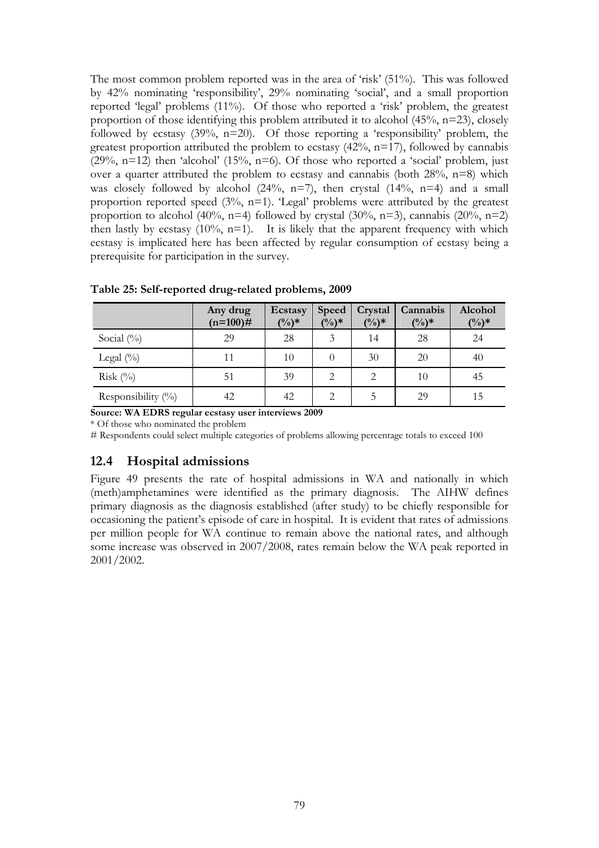The most common problem reported was in the area of 'risk' (51%). This was followed by 42% nominating 'responsibility', 29% nominating 'social', and a small proportion reported 'legal' problems (11%). Of those who reported a 'risk' problem, the greatest proportion of those identifying this problem attributed it to alcohol  $(45\%, n=23)$ , closely followed by ecstasy  $(39\%, n=20)$ . Of those reporting a 'responsibility' problem, the greatest proportion attributed the problem to ecstasy  $(42\%, n=17)$ , followed by cannabis (29%, n=12) then 'alcohol' (15%, n=6). Of those who reported a 'social' problem, just over a quarter attributed the problem to ecstasy and cannabis (both  $28\%$ , n=8) which was closely followed by alcohol  $(24\%, n=7)$ , then crystal  $(14\%, n=4)$  and a small proportion reported speed (3%, n=1). 'Legal' problems were attributed by the greatest proportion to alcohol (40%, n=4) followed by crystal (30%, n=3), cannabis (20%, n=2) then lastly by ecstasy  $(10\%, n=1)$ . It is likely that the apparent frequency with which ecstasy is implicated here has been affected by regular consumption of ecstasy being a prerequisite for participation in the survey.

|                       | Any drug<br>$(n=100)$ # | Ecstasy<br>$(\frac{0}{0})^*$ | Speed<br>$(\%)^*$ | Crystal<br>$(\%)^*$ | Cannabis<br>$(\%)^*$ | Alcohol<br>$(\frac{0}{0})^*$ |
|-----------------------|-------------------------|------------------------------|-------------------|---------------------|----------------------|------------------------------|
| Social $(\% )$        | 29                      | 28                           | 3                 | 14                  | 28                   | 24                           |
| Legal $(\%)$          | 11                      | 10                           |                   | 30                  | 20                   | 40                           |
| Risk $(\%)$           | 51                      | 39                           |                   |                     | 10                   | 45                           |
| Responsibility $(\%)$ | 42                      | 42                           |                   | 5                   | 29                   | 15                           |

**Table 25: Self-reported drug-related problems, 2009**

**Source: WA EDRS regular ecstasy user interviews 2009** 

\* Of those who nominated the problem

# Respondents could select multiple categories of problems allowing percentage totals to exceed 100

#### **12.4 Hospital admissions**

Figure 49 presents the rate of hospital admissions in WA and nationally in which (meth)amphetamines were identified as the primary diagnosis. The AIHW defines primary diagnosis as the diagnosis established (after study) to be chiefly responsible for occasioning the patient's episode of care in hospital. It is evident that rates of admissions per million people for WA continue to remain above the national rates, and although some increase was observed in 2007/2008, rates remain below the WA peak reported in 2001/2002.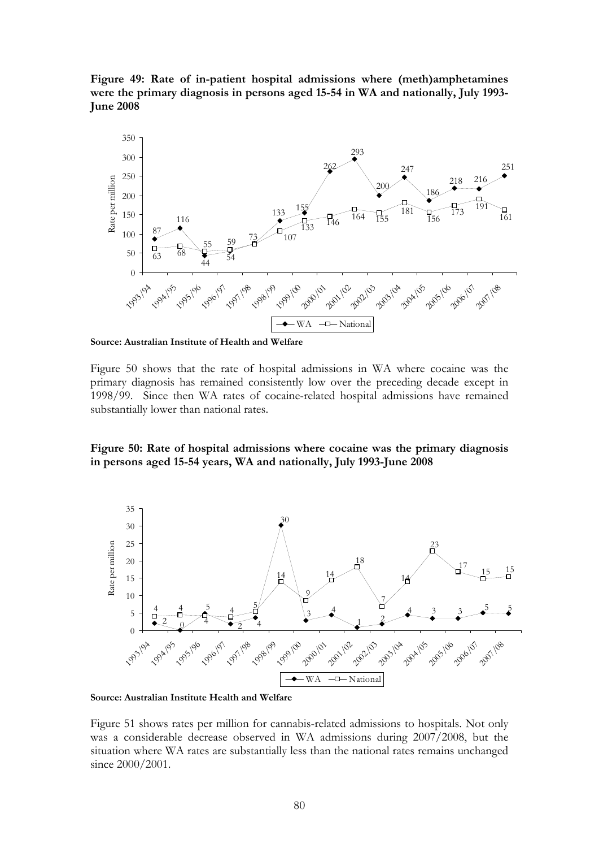**Figure 49: Rate of in-patient hospital admissions where (meth)amphetamines were the primary diagnosis in persons aged 15-54 in WA and nationally, July 1993- June 2008** 



**Source: Australian Institute of Health and Welfare** 

Figure 50 shows that the rate of hospital admissions in WA where cocaine was the primary diagnosis has remained consistently low over the preceding decade except in 1998/99. Since then WA rates of cocaine-related hospital admissions have remained substantially lower than national rates.

**Figure 50: Rate of hospital admissions where cocaine was the primary diagnosis in persons aged 15-54 years, WA and nationally, July 1993-June 2008** 



**Source: Australian Institute Health and Welfare** 

Figure 51 shows rates per million for cannabis-related admissions to hospitals. Not only was a considerable decrease observed in WA admissions during 2007/2008, but the situation where WA rates are substantially less than the national rates remains unchanged since 2000/2001.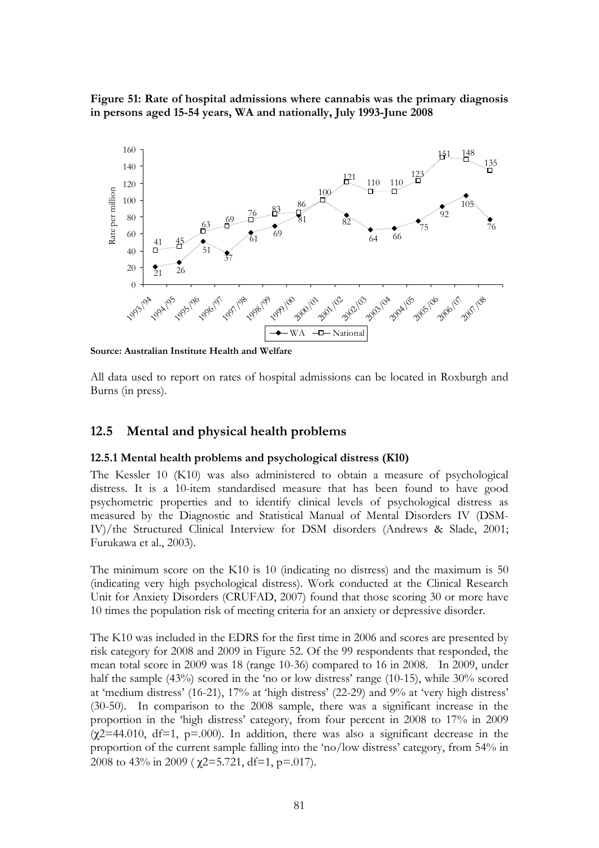**Figure 51: Rate of hospital admissions where cannabis was the primary diagnosis in persons aged 15-54 years, WA and nationally, July 1993-June 2008** 



**Source: Australian Institute Health and Welfare**

All data used to report on rates of hospital admissions can be located in Roxburgh and Burns (in press).

### **12.5 Mental and physical health problems**

#### **12.5.1 Mental health problems and psychological distress (K10)**

The Kessler 10 (K10) was also administered to obtain a measure of psychological distress. It is a 10-item standardised measure that has been found to have good psychometric properties and to identify clinical levels of psychological distress as measured by the Diagnostic and Statistical Manual of Mental Disorders IV (DSM-IV)/the Structured Clinical Interview for DSM disorders (Andrews & Slade, 2001; Furukawa et al., 2003).

The minimum score on the K10 is 10 (indicating no distress) and the maximum is 50 (indicating very high psychological distress). Work conducted at the Clinical Research Unit for Anxiety Disorders (CRUFAD, 2007) found that those scoring 30 or more have 10 times the population risk of meeting criteria for an anxiety or depressive disorder.

The K10 was included in the EDRS for the first time in 2006 and scores are presented by risk category for 2008 and 2009 in Figure 52. Of the 99 respondents that responded, the mean total score in 2009 was 18 (range 10-36) compared to 16 in 2008. In 2009, under half the sample (43%) scored in the 'no or low distress' range (10-15), while 30% scored at 'medium distress' (16-21), 17% at 'high distress' (22-29) and 9% at 'very high distress' (30-50). In comparison to the 2008 sample, there was a significant increase in the proportion in the 'high distress' category, from four percent in 2008 to 17% in 2009  $(\gamma 2=44.010, df=1, p=.000)$ . In addition, there was also a significant decrease in the proportion of the current sample falling into the 'no/low distress' category, from 54% in 2008 to 43% in 2009 ( $\gamma$ 2=5.721, df=1, p=.017).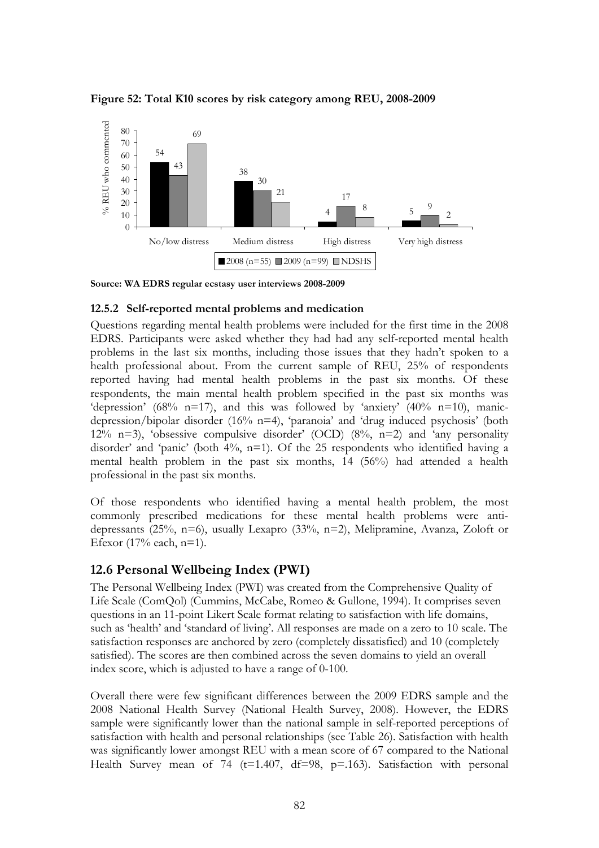

**Figure 52: Total K10 scores by risk category among REU, 2008-2009** 

**Source: WA EDRS regular ecstasy user interviews 2008-2009** 

#### **12.5.2 Self-reported mental problems and medication**

Questions regarding mental health problems were included for the first time in the 2008 EDRS. Participants were asked whether they had had any self-reported mental health problems in the last six months, including those issues that they hadn't spoken to a health professional about. From the current sample of REU, 25% of respondents reported having had mental health problems in the past six months. Of these respondents, the main mental health problem specified in the past six months was 'depression' (68% n=17), and this was followed by 'anxiety' (40% n=10), manicdepression/bipolar disorder (16% n=4), 'paranoia' and 'drug induced psychosis' (both 12% n=3), 'obsessive compulsive disorder' (OCD) (8%, n=2) and 'any personality disorder' and 'panic' (both  $4\%$ , n=1). Of the 25 respondents who identified having a mental health problem in the past six months, 14 (56%) had attended a health professional in the past six months.

Of those respondents who identified having a mental health problem, the most commonly prescribed medications for these mental health problems were antidepressants (25%, n=6), usually Lexapro (33%, n=2), Melipramine, Avanza, Zoloft or Efexor (17% each, n=1).

## **12.6 Personal Wellbeing Index (PWI)**

The Personal Wellbeing Index (PWI) was created from the Comprehensive Quality of Life Scale (ComQol) (Cummins, McCabe, Romeo & Gullone, 1994). It comprises seven questions in an 11-point Likert Scale format relating to satisfaction with life domains, such as 'health' and 'standard of living'. All responses are made on a zero to 10 scale. The satisfaction responses are anchored by zero (completely dissatisfied) and 10 (completely satisfied). The scores are then combined across the seven domains to yield an overall index score, which is adjusted to have a range of 0-100.

Overall there were few significant differences between the 2009 EDRS sample and the 2008 National Health Survey (National Health Survey, 2008). However, the EDRS sample were significantly lower than the national sample in self-reported perceptions of satisfaction with health and personal relationships (see Table 26). Satisfaction with health was significantly lower amongst REU with a mean score of 67 compared to the National Health Survey mean of 74 (t=1.407, df=98, p=.163). Satisfaction with personal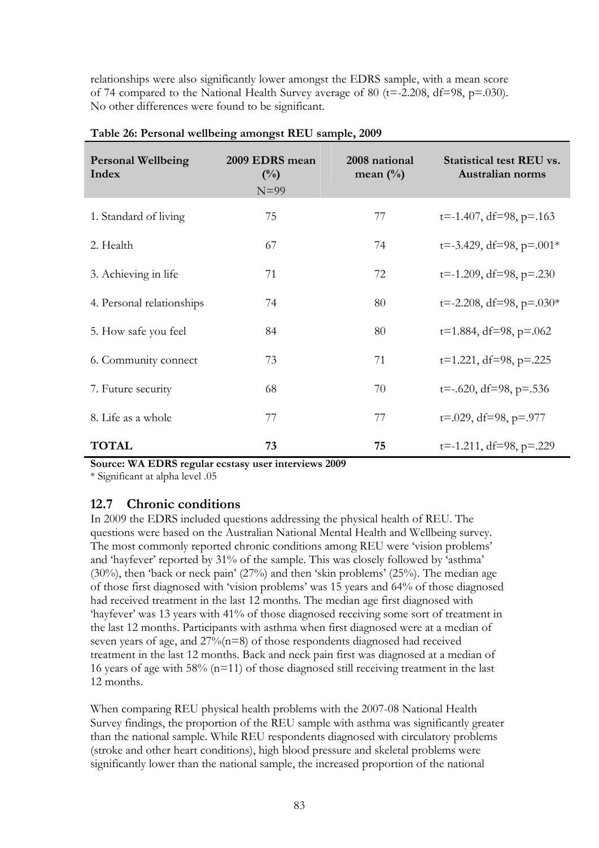relationships were also significantly lower amongst the EDRS sample, with a mean score of 74 compared to the National Health Survey average of 80 (t=-2.208, df=98, p=.030). No other differences were found to be significant.

| <b>Personal Wellbeing</b><br>Index | 2009 EDRS mean<br>$\binom{0}{0}$<br>$N=99$ | 2008 national<br>mean $(\%)$ | <b>Statistical test REU vs.</b><br>Australian norms |
|------------------------------------|--------------------------------------------|------------------------------|-----------------------------------------------------|
| 1. Standard of living              | 75                                         | 77                           | $t = -1.407$ , df=98, p=.163                        |
| 2. Health                          | 67                                         | 74                           | $t = -3.429$ , df=98, p=.001*                       |
| 3. Achieving in life               | 71                                         | 72                           | $t = -1.209$ , df=98, p=.230                        |
| 4. Personal relationships          | 74                                         | 80                           | $t = -2.208$ , df=98, p=.030*                       |
| 5. How safe you feel               | 84                                         | 80                           | $t=1.884$ , df=98, p=.062                           |
| 6. Community connect               | 73                                         | 71                           | $t=1.221$ , df=98, p=.225                           |
| 7. Future security                 | 68                                         | 70                           | $t=-.620$ , df=98, p=.536                           |
| 8. Life as a whole                 | 77                                         | 77                           | $t=.029$ , df=98, p=.977                            |
| <b>TOTAL</b>                       | 73                                         | 75                           | $t=-1.211$ , df=98, p=.229                          |

#### **Table 26: Personal wellbeing amongst REU sample, 2009**

**Source: WA EDRS regular ecstasy user interviews 2009** 

\* Significant at alpha level .05

## **12.7 Chronic conditions**

In 2009 the EDRS included questions addressing the physical health of REU. The questions were based on the Australian National Mental Health and Wellbeing survey. The most commonly reported chronic conditions among REU were 'vision problems' and 'hayfever' reported by 31% of the sample. This was closely followed by 'asthma' (30%), then 'back or neck pain' (27%) and then 'skin problems' (25%). The median age of those first diagnosed with 'vision problems' was 15 years and 64% of those diagnosed had received treatment in the last 12 months. The median age first diagnosed with 'hayfever' was 13 years with 41% of those diagnosed receiving some sort of treatment in the last 12 months. Participants with asthma when first diagnosed were at a median of seven years of age, and 27%(n=8) of those respondents diagnosed had received treatment in the last 12 months. Back and neck pain first was diagnosed at a median of 16 years of age with 58% (n=11) of those diagnosed still receiving treatment in the last 12 months.

When comparing REU physical health problems with the 2007-08 National Health Survey findings, the proportion of the REU sample with asthma was significantly greater than the national sample. While REU respondents diagnosed with circulatory problems (stroke and other heart conditions), high blood pressure and skeletal problems were significantly lower than the national sample, the increased proportion of the national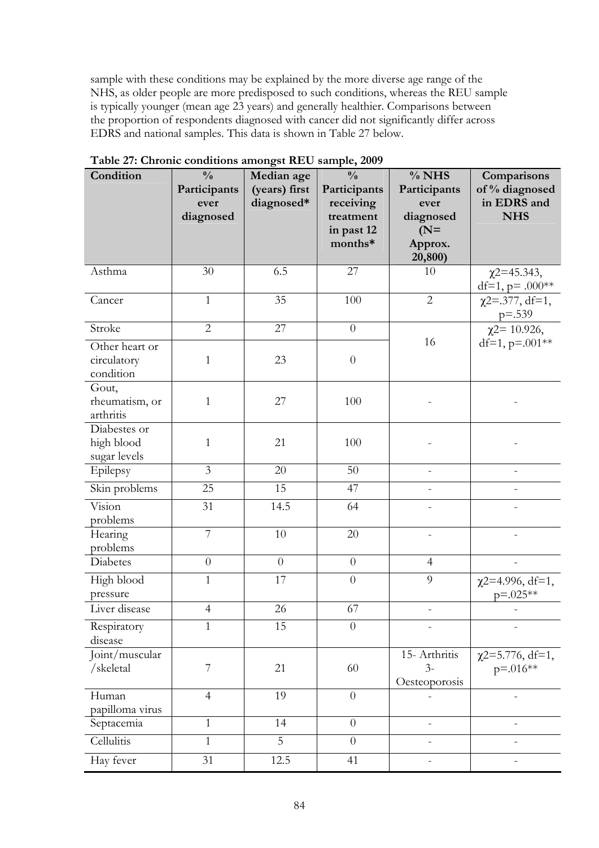sample with these conditions may be explained by the more diverse age range of the NHS, as older people are more predisposed to such conditions, whereas the REU sample is typically younger (mean age 23 years) and generally healthier. Comparisons between the proportion of respondents diagnosed with cancer did not significantly differ across EDRS and national samples. This data is shown in Table 27 below.

| Condition                                  | $\frac{0}{0}$<br>Participants<br>ever<br>diagnosed | Median age<br>(years) first<br>diagnosed* | $\frac{0}{0}$<br>Participants<br>receiving<br>treatment<br>in past 12<br>months* | $%$ NHS<br>Participants<br>ever<br>diagnosed<br>$(N=$<br>Approx.<br>20,800) | Comparisons<br>of % diagnosed<br>in EDRS and<br><b>NHS</b> |
|--------------------------------------------|----------------------------------------------------|-------------------------------------------|----------------------------------------------------------------------------------|-----------------------------------------------------------------------------|------------------------------------------------------------|
| Asthma                                     | 30                                                 | 6.5                                       | 27                                                                               | 10                                                                          | $\chi$ 2=45.343,<br>df=1, $p = .000**$                     |
| Cancer                                     | $\mathbf{1}$                                       | 35                                        | 100                                                                              | $\overline{2}$                                                              | $\chi$ 2=.377, df=1,<br>$p = 0.539$                        |
| Stroke                                     | $\overline{2}$                                     | 27                                        | $\boldsymbol{0}$                                                                 |                                                                             | $\chi$ 2= 10.926,                                          |
| Other heart or<br>circulatory<br>condition | $\mathbf{1}$                                       | 23                                        | $\boldsymbol{0}$                                                                 | 16                                                                          | df=1, $p=.001**$                                           |
| Gout,<br>rheumatism, or<br>arthritis       | $\mathbf{1}$                                       | 27                                        | 100                                                                              |                                                                             |                                                            |
| Diabestes or<br>high blood<br>sugar levels | $\mathbf{1}$                                       | 21                                        | 100                                                                              |                                                                             |                                                            |
| Epilepsy                                   | $\overline{3}$                                     | 20                                        | 50                                                                               | $\equiv$                                                                    |                                                            |
| Skin problems                              | 25                                                 | 15                                        | 47                                                                               |                                                                             |                                                            |
| Vision<br>problems                         | 31                                                 | 14.5                                      | 64                                                                               |                                                                             |                                                            |
| Hearing<br>problems                        | 7                                                  | 10                                        | 20                                                                               |                                                                             |                                                            |
| Diabetes                                   | $\overline{0}$                                     | $\overline{0}$                            | $\boldsymbol{0}$                                                                 | $\overline{4}$                                                              |                                                            |
| High blood<br>pressure                     | $\mathbf{1}$                                       | 17                                        | $\boldsymbol{0}$                                                                 | 9                                                                           | $\chi$ 2=4.996, df=1,<br>$p = 0.025**$                     |
| Liver disease                              | $\overline{4}$                                     | 26                                        | 67                                                                               |                                                                             |                                                            |
| Respiratory<br>disease                     | $\mathbf{1}$                                       | 15                                        | $\theta$                                                                         |                                                                             |                                                            |
| Joint/muscular<br>/skeletal                | 7                                                  | 21                                        | 60                                                                               | 15- Arthritis<br>$3-$<br>Oesteoporosis                                      | $\chi$ 2=5.776, df=1,<br>$p = 0.016**$                     |
| Human<br>papilloma virus                   | $\overline{4}$                                     | 19                                        | $\theta$                                                                         |                                                                             |                                                            |
| Septacemia                                 | $\mathbf{1}$                                       | 14                                        | $\theta$                                                                         | $\overline{\phantom{a}}$                                                    |                                                            |
| Cellulitis                                 | $\mathbf{1}$                                       | 5                                         | $\overline{0}$                                                                   |                                                                             |                                                            |
| Hay fever                                  | 31                                                 | 12.5                                      | 41                                                                               |                                                                             |                                                            |

**Table 27: Chronic conditions amongst REU sample, 2009**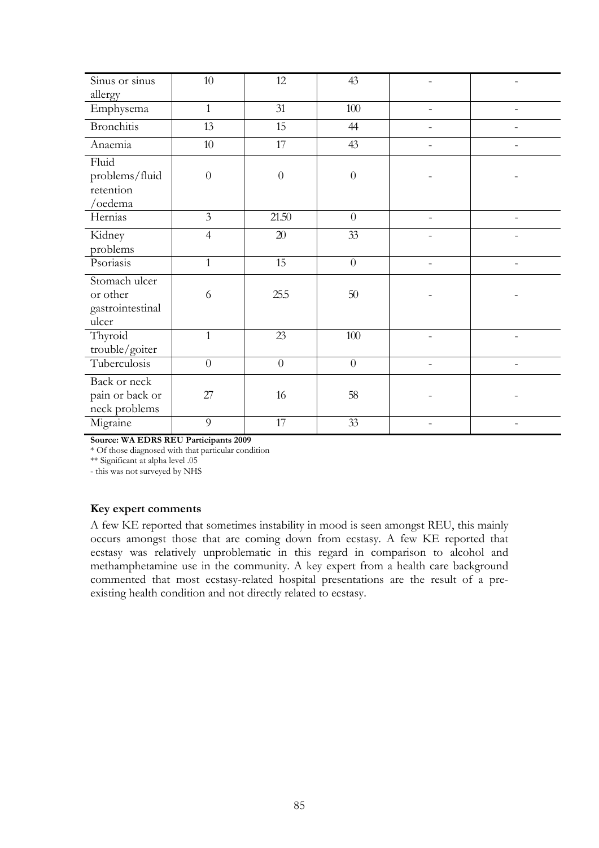| Sinus or sinus                                         | $10\,$           | 12       | 43             |                          |  |
|--------------------------------------------------------|------------------|----------|----------------|--------------------------|--|
| allergy                                                |                  |          |                |                          |  |
| Emphysema                                              | $\mathbf{1}$     | 31       | $100\,$        |                          |  |
| <b>Bronchitis</b>                                      | 13               | 15       | 44             |                          |  |
| Anaemia                                                | $10\,$           | 17       | 43             |                          |  |
| Fluid<br>problems/fluid<br>retention<br>/oedema        | $\boldsymbol{0}$ | $\theta$ | $\theta$       |                          |  |
| Hernias                                                | 3                | 21.50    | $\theta$       | $\overline{\phantom{a}}$ |  |
| Kidney<br>problems                                     | $\overline{4}$   | $20\,$   | 33             |                          |  |
| Psoriasis                                              | $\mathbf{1}$     | 15       | $\theta$       | $\equiv$                 |  |
| Stomach ulcer<br>or other<br>gastrointestinal<br>ulcer | 6                | 25.5     | $50\,$         |                          |  |
| Thyroid<br>trouble/goiter                              | $\mathbf{1}$     | 23       | 100            |                          |  |
| Tuberculosis                                           | $\overline{0}$   | $\theta$ | $\overline{0}$ | $\overline{\phantom{a}}$ |  |
| Back or neck<br>pain or back or<br>neck problems       | 27               | 16       | 58             |                          |  |
| Migraine                                               | 9                | 17       | 33             |                          |  |

**Source: WA EDRS REU Participants 2009**

\* Of those diagnosed with that particular condition

\*\* Significant at alpha level .05 - this was not surveyed by NHS

**Key expert comments** 

A few KE reported that sometimes instability in mood is seen amongst REU, this mainly occurs amongst those that are coming down from ecstasy. A few KE reported that ecstasy was relatively unproblematic in this regard in comparison to alcohol and methamphetamine use in the community. A key expert from a health care background commented that most ecstasy-related hospital presentations are the result of a preexisting health condition and not directly related to ecstasy.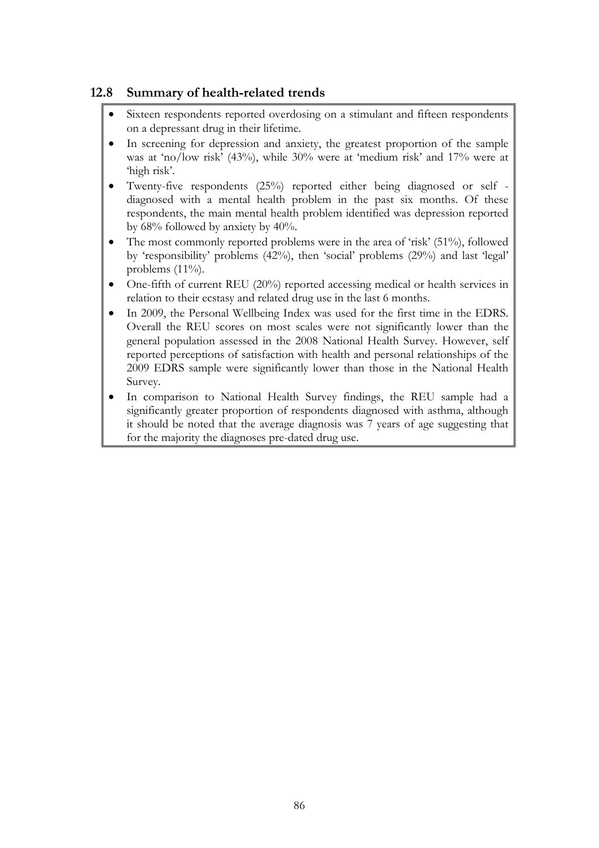## **12.8 Summary of health-related trends**

- Sixteen respondents reported overdosing on a stimulant and fifteen respondents on a depressant drug in their lifetime.
- In screening for depression and anxiety, the greatest proportion of the sample was at 'no/low risk' (43%), while 30% were at 'medium risk' and 17% were at 'high risk'.
- Twenty-five respondents (25%) reported either being diagnosed or self diagnosed with a mental health problem in the past six months. Of these respondents, the main mental health problem identified was depression reported by 68% followed by anxiety by 40%.
- The most commonly reported problems were in the area of 'risk' (51%), followed by 'responsibility' problems (42%), then 'social' problems (29%) and last 'legal' problems (11%).
- One-fifth of current REU (20%) reported accessing medical or health services in relation to their ecstasy and related drug use in the last 6 months.
- In 2009, the Personal Wellbeing Index was used for the first time in the EDRS. Overall the REU scores on most scales were not significantly lower than the general population assessed in the 2008 National Health Survey. However, self reported perceptions of satisfaction with health and personal relationships of the 2009 EDRS sample were significantly lower than those in the National Health Survey.
- In comparison to National Health Survey findings, the REU sample had a significantly greater proportion of respondents diagnosed with asthma, although it should be noted that the average diagnosis was 7 years of age suggesting that for the majority the diagnoses pre-dated drug use.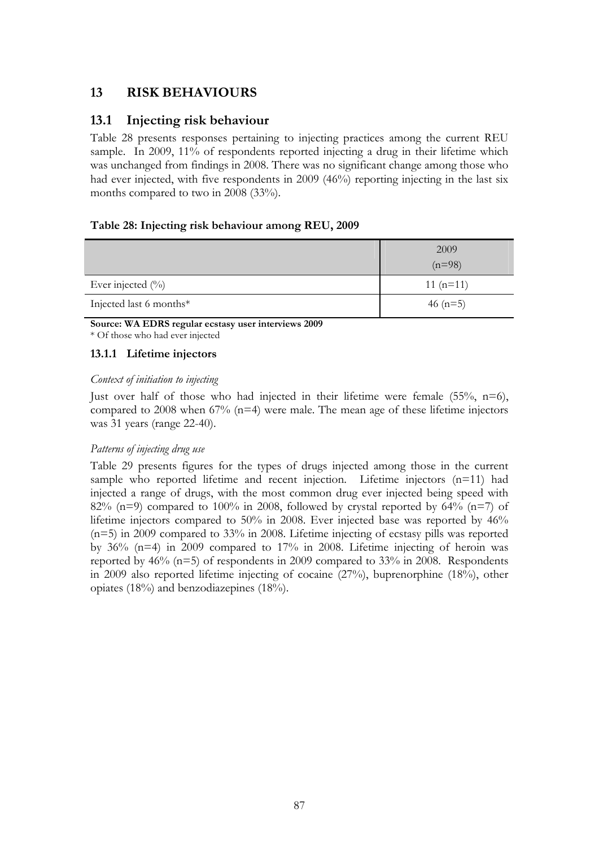# **13 RISK BEHAVIOURS**

### **13.1 Injecting risk behaviour**

Table 28 presents responses pertaining to injecting practices among the current REU sample. In 2009, 11% of respondents reported injecting a drug in their lifetime which was unchanged from findings in 2008. There was no significant change among those who had ever injected, with five respondents in 2009 (46%) reporting injecting in the last six months compared to two in 2008 (33%).

### **Table 28: Injecting risk behaviour among REU, 2009**

|                         | 2009       |
|-------------------------|------------|
|                         | $(n=98)$   |
| Ever injected $(\%)$    | $11(n=11)$ |
| Injected last 6 months* | 46 $(n=5)$ |

**Source: WA EDRS regular ecstasy user interviews 2009**  \* Of those who had ever injected

### **13.1.1 Lifetime injectors**

### *Context of initiation to injecting*

Just over half of those who had injected in their lifetime were female (55%, n=6), compared to 2008 when  $67\%$  (n=4) were male. The mean age of these lifetime injectors was 31 years (range 22-40).

### *Patterns of injecting drug use*

Table 29 presents figures for the types of drugs injected among those in the current sample who reported lifetime and recent injection. Lifetime injectors (n=11) had injected a range of drugs, with the most common drug ever injected being speed with 82% (n=9) compared to 100% in 2008, followed by crystal reported by 64% (n=7) of lifetime injectors compared to 50% in 2008. Ever injected base was reported by 46% (n=5) in 2009 compared to 33% in 2008. Lifetime injecting of ecstasy pills was reported by  $36\%$  (n=4) in 2009 compared to  $17\%$  in 2008. Lifetime injecting of heroin was reported by 46% (n=5) of respondents in 2009 compared to 33% in 2008. Respondents in 2009 also reported lifetime injecting of cocaine (27%), buprenorphine (18%), other opiates (18%) and benzodiazepines (18%).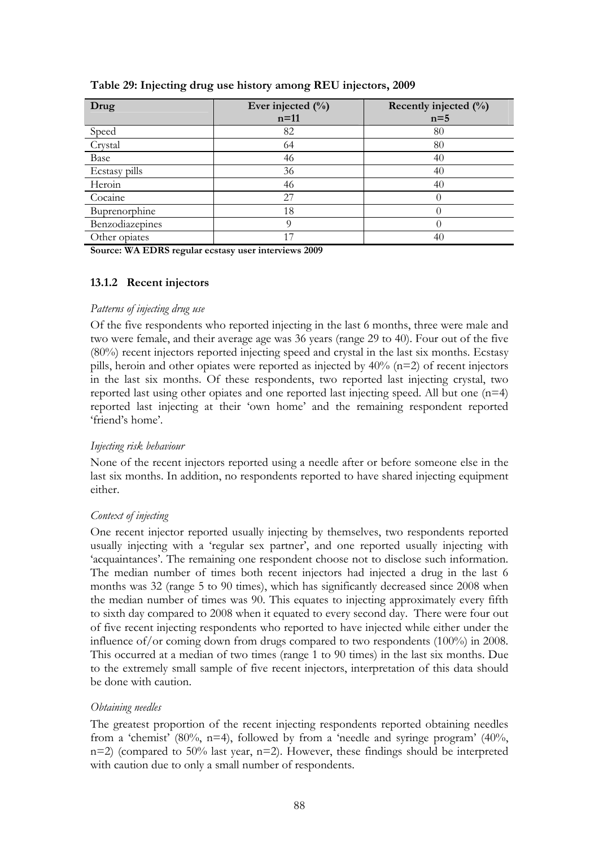| Drug            | Ever injected $(\%)$ | Recently injected $(\%)$ |
|-----------------|----------------------|--------------------------|
|                 | $n=11$               | $n=5$                    |
| Speed           | 82                   | 80                       |
| Crystal         | 64                   | 80                       |
| Base            | 46                   | 40                       |
| Ecstasy pills   | 36                   | 40                       |
| Heroin          | 46                   | 40                       |
| Cocaine         | 27                   |                          |
| Buprenorphine   | 18                   |                          |
| Benzodiazepines | O                    |                          |
| Other opiates   | 17                   | 40                       |

**Table 29: Injecting drug use history among REU injectors, 2009** 

**Source: WA EDRS regular ecstasy user interviews 2009** 

### **13.1.2 Recent injectors**

#### *Patterns of injecting drug use*

Of the five respondents who reported injecting in the last 6 months, three were male and two were female, and their average age was 36 years (range 29 to 40). Four out of the five (80%) recent injectors reported injecting speed and crystal in the last six months. Ecstasy pills, heroin and other opiates were reported as injected by  $40\%$  (n=2) of recent injectors in the last six months. Of these respondents, two reported last injecting crystal, two reported last using other opiates and one reported last injecting speed. All but one (n=4) reported last injecting at their 'own home' and the remaining respondent reported 'friend's home'.

### *Injecting risk behaviour*

None of the recent injectors reported using a needle after or before someone else in the last six months. In addition, no respondents reported to have shared injecting equipment either.

### *Context of injecting*

One recent injector reported usually injecting by themselves, two respondents reported usually injecting with a 'regular sex partner', and one reported usually injecting with 'acquaintances'. The remaining one respondent choose not to disclose such information. The median number of times both recent injectors had injected a drug in the last 6 months was 32 (range 5 to 90 times), which has significantly decreased since 2008 when the median number of times was 90. This equates to injecting approximately every fifth to sixth day compared to 2008 when it equated to every second day. There were four out of five recent injecting respondents who reported to have injected while either under the influence of/or coming down from drugs compared to two respondents (100%) in 2008. This occurred at a median of two times (range 1 to 90 times) in the last six months. Due to the extremely small sample of five recent injectors, interpretation of this data should be done with caution.

### *Obtaining needles*

The greatest proportion of the recent injecting respondents reported obtaining needles from a 'chemist' (80%,  $n=4$ ), followed by from a 'needle and syringe program' (40%, n=2) (compared to 50% last year, n=2). However, these findings should be interpreted with caution due to only a small number of respondents.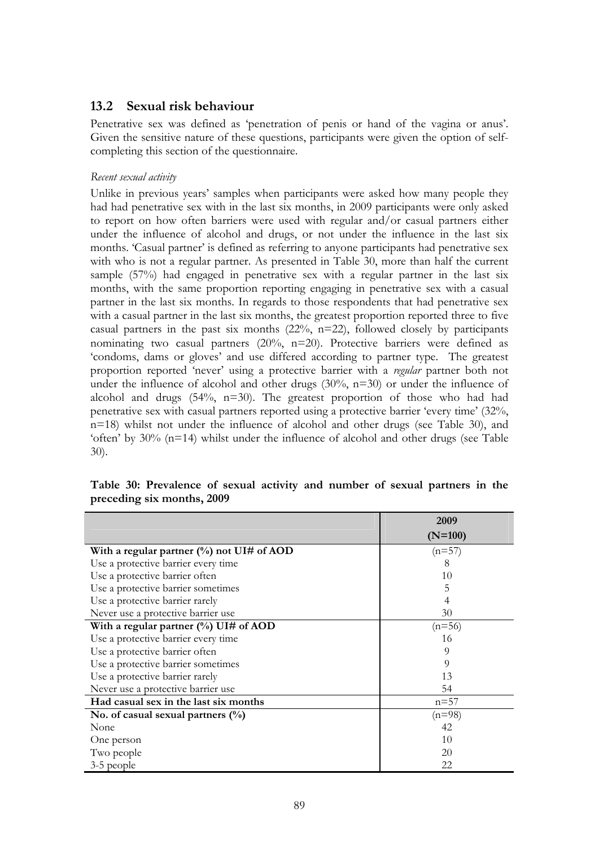### **13.2 Sexual risk behaviour**

Penetrative sex was defined as 'penetration of penis or hand of the vagina or anus'. Given the sensitive nature of these questions, participants were given the option of selfcompleting this section of the questionnaire.

### *Recent sexual activity*

Unlike in previous years' samples when participants were asked how many people they had had penetrative sex with in the last six months, in 2009 participants were only asked to report on how often barriers were used with regular and/or casual partners either under the influence of alcohol and drugs, or not under the influence in the last six months. 'Casual partner' is defined as referring to anyone participants had penetrative sex with who is not a regular partner. As presented in Table 30, more than half the current sample (57%) had engaged in penetrative sex with a regular partner in the last six months, with the same proportion reporting engaging in penetrative sex with a casual partner in the last six months. In regards to those respondents that had penetrative sex with a casual partner in the last six months, the greatest proportion reported three to five casual partners in the past six months  $(22\%, n=22)$ , followed closely by participants nominating two casual partners (20%, n=20). Protective barriers were defined as 'condoms, dams or gloves' and use differed according to partner type. The greatest proportion reported 'never' using a protective barrier with a *regular* partner both not under the influence of alcohol and other drugs (30%, n=30) or under the influence of alcohol and drugs (54%, n=30). The greatest proportion of those who had had penetrative sex with casual partners reported using a protective barrier 'every time' (32%, n=18) whilst not under the influence of alcohol and other drugs (see Table 30), and 'often' by 30% (n=14) whilst under the influence of alcohol and other drugs (see Table 30).

|                                                     | 2009      |
|-----------------------------------------------------|-----------|
|                                                     | $(N=100)$ |
| With a regular partner $\frac{0}{0}$ not UI# of AOD | $(n=57)$  |
| Use a protective barrier every time                 | x         |
| Use a protective barrier often                      | 10        |
| Use a protective barrier sometimes                  | 5         |
| Use a protective barrier rarely                     | 4         |
| Never use a protective barrier use                  | 30        |
| With a regular partner $(\%)$ UI# of AOD            | $(n=56)$  |
| Use a protective barrier every time                 | 16        |
| Use a protective barrier often                      | 9         |
| Use a protective barrier sometimes                  | 9         |
| Use a protective barrier rarely                     | 13        |
| Never use a protective barrier use                  | 54        |
| Had casual sex in the last six months               | $n = 57$  |
| No. of casual sexual partners $(\%)$                | $(n=98)$  |
| None                                                | 42        |
| One person                                          | 10        |
| Two people                                          | 20        |
| 3-5 people                                          | 22        |

**Table 30: Prevalence of sexual activity and number of sexual partners in the preceding six months, 2009**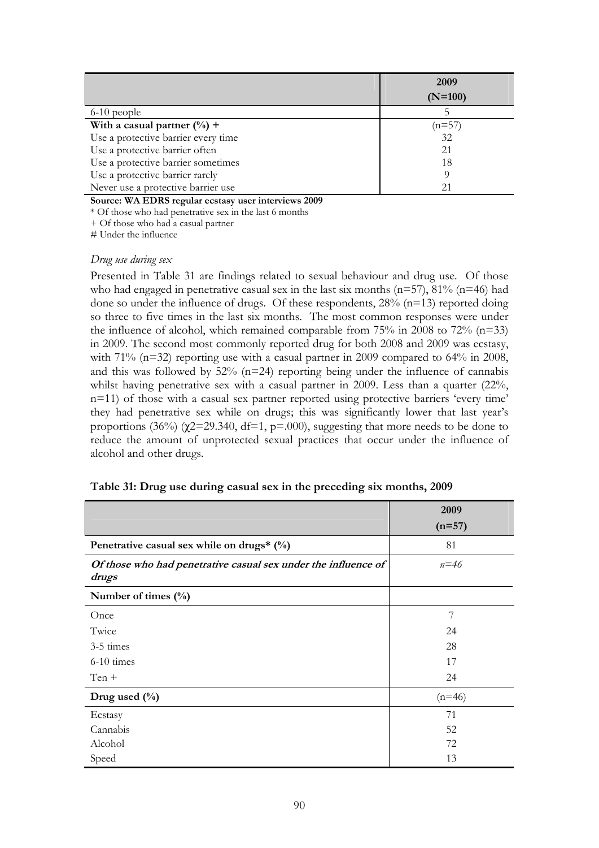|                                     | 2009      |
|-------------------------------------|-----------|
|                                     | $(N=100)$ |
| $6-10$ people                       |           |
| With a casual partner $(\%) +$      | $(n=57)$  |
| Use a protective barrier every time | 32        |
| Use a protective barrier often      | 21        |
| Use a protective barrier sometimes  | 18        |
| Use a protective barrier rarely     |           |
| Never use a protective barrier use  |           |

**Source: WA EDRS regular ecstasy user interviews 2009** 

\* Of those who had penetrative sex in the last 6 months

+ Of those who had a casual partner

# Under the influence

#### *Drug use during sex*

Presented in Table 31 are findings related to sexual behaviour and drug use. Of those who had engaged in penetrative casual sex in the last six months ( $n=57$ ),  $81\%$  ( $n=46$ ) had done so under the influence of drugs. Of these respondents,  $28\%$  (n=13) reported doing so three to five times in the last six months. The most common responses were under the influence of alcohol, which remained comparable from  $75\%$  in 2008 to  $72\%$  (n=33) in 2009. The second most commonly reported drug for both 2008 and 2009 was ecstasy, with 71% (n=32) reporting use with a casual partner in 2009 compared to 64% in 2008, and this was followed by  $52\%$  (n=24) reporting being under the influence of cannabis whilst having penetrative sex with a casual partner in 2009. Less than a quarter (22%, n=11) of those with a casual sex partner reported using protective barriers 'every time' they had penetrative sex while on drugs; this was significantly lower that last year's proportions (36%) ( $\gamma$ 2=29.340, df=1, p=.000), suggesting that more needs to be done to reduce the amount of unprotected sexual practices that occur under the influence of alcohol and other drugs.

|                                                                         | 2009     |
|-------------------------------------------------------------------------|----------|
|                                                                         | $(n=57)$ |
| Penetrative casual sex while on drugs* $(\%)$                           | 81       |
| Of those who had penetrative casual sex under the influence of<br>drugs | $n = 46$ |
| Number of times $(\%)$                                                  |          |
| Once                                                                    | 7        |
| Twice                                                                   | 24       |
| 3-5 times                                                               | 28       |
| $6-10$ times                                                            | 17       |
| $Ten +$                                                                 | 24       |
| Drug used $(\%$                                                         | $(n=46)$ |
| Ecstasy                                                                 | 71       |
| Cannabis                                                                | 52       |
| Alcohol                                                                 | 72       |
| Speed                                                                   | 13       |

|  |  | Table 31: Drug use during casual sex in the preceding six months, 2009 |
|--|--|------------------------------------------------------------------------|
|  |  |                                                                        |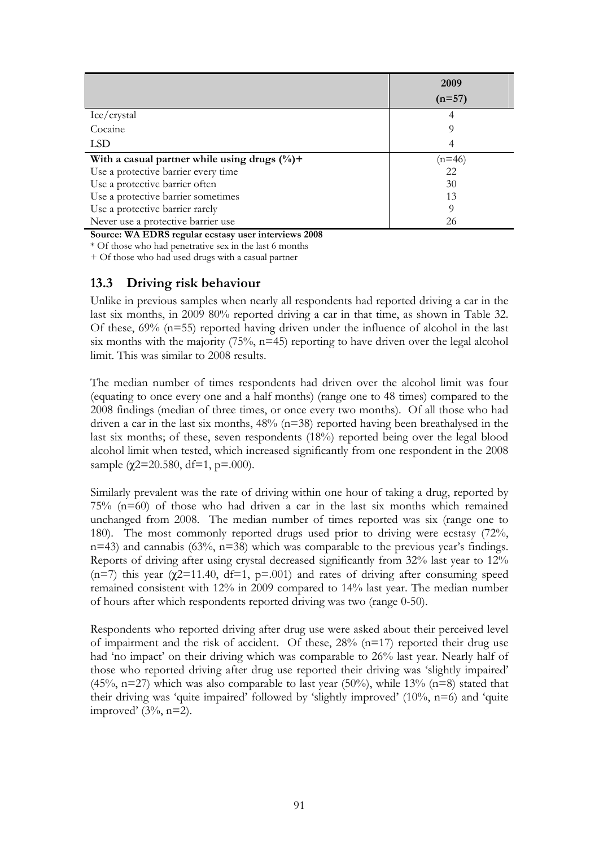|                                                          | 2009     |
|----------------------------------------------------------|----------|
|                                                          | $(n=57)$ |
| Ice/crystal                                              |          |
| Cocaine                                                  | Q        |
| LSD                                                      |          |
| With a casual partner while using drugs $(\frac{0}{0})+$ | (n=46    |
| Use a protective barrier every time                      | 22       |
| Use a protective barrier often                           | 30       |
| Use a protective barrier sometimes                       | 13       |
| Use a protective barrier rarely                          | 9        |
| Never use a protective barrier use                       | 26       |

**Source: WA EDRS regular ecstasy user interviews 2008** 

\* Of those who had penetrative sex in the last 6 months

+ Of those who had used drugs with a casual partner

### **13.3 Driving risk behaviour**

Unlike in previous samples when nearly all respondents had reported driving a car in the last six months, in 2009 80% reported driving a car in that time, as shown in Table 32. Of these, 69% (n=55) reported having driven under the influence of alcohol in the last six months with the majority  $(75\%, n=45)$  reporting to have driven over the legal alcohol limit. This was similar to 2008 results.

The median number of times respondents had driven over the alcohol limit was four (equating to once every one and a half months) (range one to 48 times) compared to the 2008 findings (median of three times, or once every two months). Of all those who had driven a car in the last six months,  $48\%$  (n=38) reported having been breathalysed in the last six months; of these, seven respondents (18%) reported being over the legal blood alcohol limit when tested, which increased significantly from one respondent in the 2008 sample ( $\chi$ 2=20.580, df=1, p=.000).

Similarly prevalent was the rate of driving within one hour of taking a drug, reported by 75% (n=60) of those who had driven a car in the last six months which remained unchanged from 2008. The median number of times reported was six (range one to 180). The most commonly reported drugs used prior to driving were ecstasy (72%, n=43) and cannabis (63%, n=38) which was comparable to the previous year's findings. Reports of driving after using crystal decreased significantly from 32% last year to 12% (n=7) this year ( $\chi$ 2=11.40, df=1, p=.001) and rates of driving after consuming speed remained consistent with 12% in 2009 compared to 14% last year. The median number of hours after which respondents reported driving was two (range 0-50).

Respondents who reported driving after drug use were asked about their perceived level of impairment and the risk of accident. Of these,  $28\%$  (n=17) reported their drug use had 'no impact' on their driving which was comparable to 26% last year. Nearly half of those who reported driving after drug use reported their driving was 'slightly impaired' (45%, n=27) which was also comparable to last year (50%), while 13% (n=8) stated that their driving was 'quite impaired' followed by 'slightly improved'  $(10\%, n=6)$  and 'quite improved'  $(3\%, n=2)$ .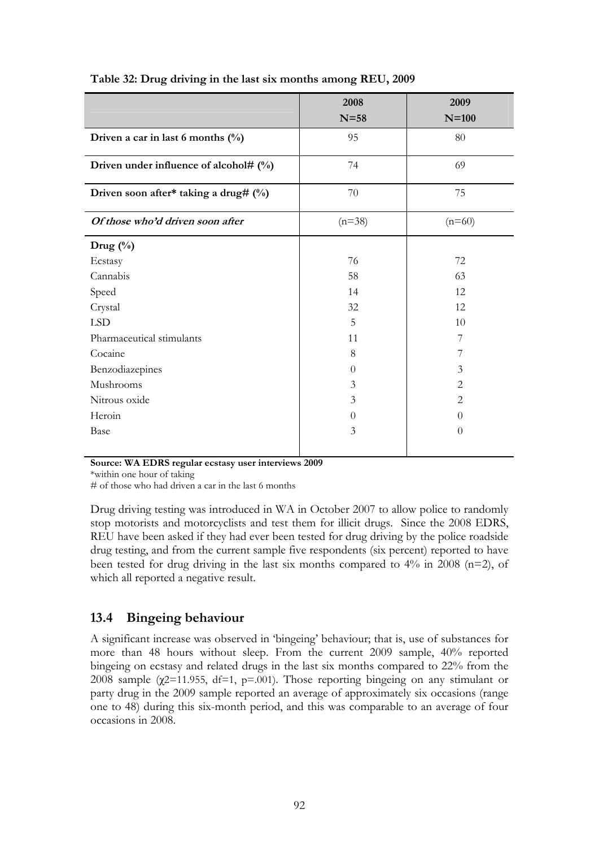|                                           | 2008<br>$N=58$ | 2009<br>$N=100$ |
|-------------------------------------------|----------------|-----------------|
| Driven a car in last 6 months $(\%)$      | 95             | 80              |
| Driven under influence of alcohol# $(\%)$ | 74             | 69              |
| Driven soon after* taking a drug# (%)     | 70             | 75              |
| Of those who'd driven soon after          | $(n=38)$       | $(n=60)$        |
| Drug $(\%)$                               |                |                 |
| Ecstasy                                   | 76             | 72              |
| Cannabis                                  | 58             | 63              |
| Speed                                     | 14             | 12              |
| Crystal                                   | 32             | 12              |
| <b>LSD</b>                                | 5              | 10              |
| Pharmaceutical stimulants                 | 11             | 7               |
| Cocaine                                   | 8              | 7               |
| Benzodiazepines                           | $\Omega$       | 3               |
| Mushrooms                                 | 3              | 2               |
| Nitrous oxide                             | 3              | 2               |
| Heroin                                    | $\Omega$       | $\Omega$        |
| Base                                      | 3              | $\theta$        |

### **Table 32: Drug driving in the last six months among REU, 2009**

**Source: WA EDRS regular ecstasy user interviews 2009** 

\*within one hour of taking

# of those who had driven a car in the last 6 months

Drug driving testing was introduced in WA in October 2007 to allow police to randomly stop motorists and motorcyclists and test them for illicit drugs. Since the 2008 EDRS, REU have been asked if they had ever been tested for drug driving by the police roadside drug testing, and from the current sample five respondents (six percent) reported to have been tested for drug driving in the last six months compared to 4% in 2008 (n=2), of which all reported a negative result.

## **13.4 Bingeing behaviour**

A significant increase was observed in 'bingeing' behaviour; that is, use of substances for more than 48 hours without sleep. From the current 2009 sample, 40% reported bingeing on ecstasy and related drugs in the last six months compared to 22% from the 2008 sample ( $\chi$ 2=11.955, df=1, p=.001). Those reporting bingeing on any stimulant or party drug in the 2009 sample reported an average of approximately six occasions (range one to 48) during this six-month period, and this was comparable to an average of four occasions in 2008.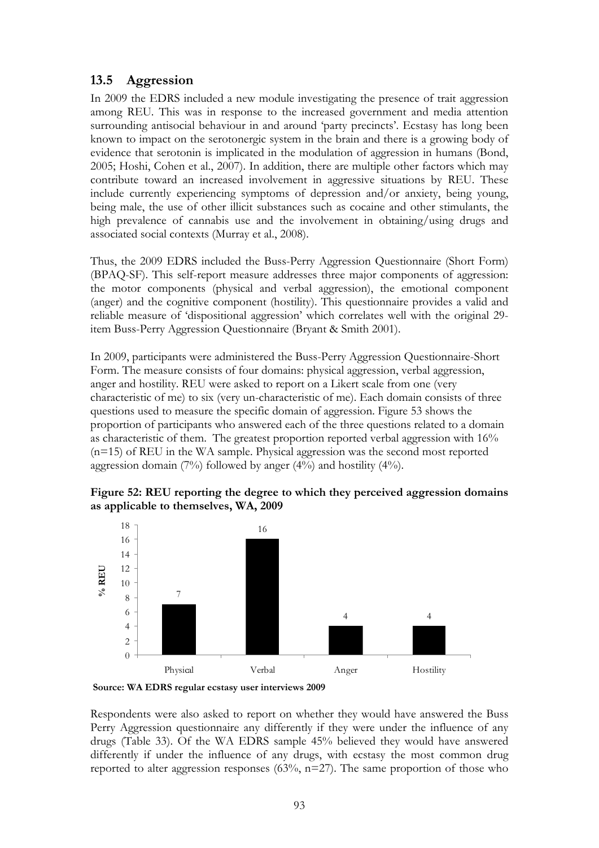## **13.5 Aggression**

In 2009 the EDRS included a new module investigating the presence of trait aggression among REU. This was in response to the increased government and media attention surrounding antisocial behaviour in and around 'party precincts'. Ecstasy has long been known to impact on the serotonergic system in the brain and there is a growing body of evidence that serotonin is implicated in the modulation of aggression in humans (Bond, 2005; Hoshi, Cohen et al., 2007). In addition, there are multiple other factors which may contribute toward an increased involvement in aggressive situations by REU. These include currently experiencing symptoms of depression and/or anxiety, being young, being male, the use of other illicit substances such as cocaine and other stimulants, the high prevalence of cannabis use and the involvement in obtaining/using drugs and associated social contexts (Murray et al., 2008).

Thus, the 2009 EDRS included the Buss-Perry Aggression Questionnaire (Short Form) (BPAQ-SF). This self-report measure addresses three major components of aggression: the motor components (physical and verbal aggression), the emotional component (anger) and the cognitive component (hostility). This questionnaire provides a valid and reliable measure of 'dispositional aggression' which correlates well with the original 29 item Buss-Perry Aggression Questionnaire (Bryant & Smith 2001).

In 2009, participants were administered the Buss-Perry Aggression Questionnaire-Short Form. The measure consists of four domains: physical aggression, verbal aggression, anger and hostility. REU were asked to report on a Likert scale from one (very characteristic of me) to six (very un-characteristic of me). Each domain consists of three questions used to measure the specific domain of aggression. [Figure](#page-117-0) 53 shows the proportion of participants who answered each of the three questions related to a domain as characteristic of them. The greatest proportion reported verbal aggression with 16% (n=15) of REU in the WA sample. Physical aggression was the second most reported aggression domain (7%) followed by anger (4%) and hostility (4%).

<span id="page-117-0"></span>





Respondents were also asked to report on whether they would have answered the Buss Perry Aggression questionnaire any differently if they were under the influence of any drugs (Table 33). Of the WA EDRS sample 45% believed they would have answered differently if under the influence of any drugs, with ecstasy the most common drug reported to alter aggression responses  $(63\%, n=27)$ . The same proportion of those who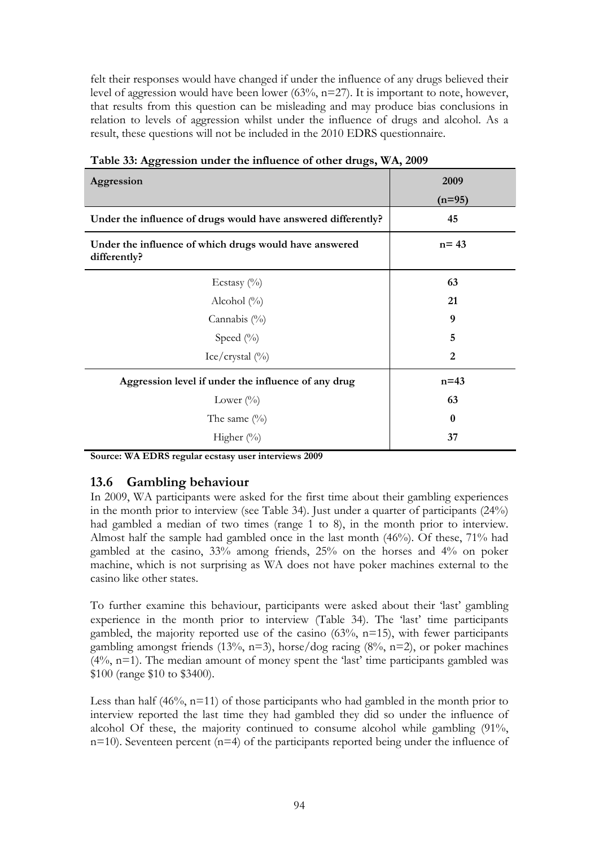felt their responses would have changed if under the influence of any drugs believed their level of aggression would have been lower (63%, n=27). It is important to note, however, that results from this question can be misleading and may produce bias conclusions in relation to levels of aggression whilst under the influence of drugs and alcohol. As a result, these questions will not be included in the 2010 EDRS questionnaire.

| Aggression                                                             | 2009           |
|------------------------------------------------------------------------|----------------|
|                                                                        | $(n=95)$       |
| Under the influence of drugs would have answered differently?          | 45             |
| Under the influence of which drugs would have answered<br>differently? | $n = 43$       |
| Ecstasy $(\%)$                                                         | 63             |
| Alcohol $(\%)$                                                         | 21             |
| Cannabis $(\% )$                                                       | 9              |
| Speed $(\%)$                                                           | 5              |
| Ice/crystal $(\%)$                                                     | $\overline{2}$ |
| Aggression level if under the influence of any drug                    | $n = 43$       |
| Lower $(\%)$                                                           | 63             |
| The same $(\%)$                                                        | $\mathbf{0}$   |
| Higher $(\%)$                                                          | 37             |

**Table 33: Aggression under the influence of other drugs, WA, 2009**

**Source: WA EDRS regular ecstasy user interviews 2009** 

## **13.6 Gambling behaviour**

In 2009, WA participants were asked for the first time about their gambling experiences in the month prior to interview (see Table 34). Just under a quarter of participants (24%) had gambled a median of two times (range 1 to 8), in the month prior to interview. Almost half the sample had gambled once in the last month (46%). Of these, 71% had gambled at the casino, 33% among friends, 25% on the horses and 4% on poker machine, which is not surprising as WA does not have poker machines external to the casino like other states.

To further examine this behaviour, participants were asked about their 'last' gambling experience in the month prior to interview (Table 34). The 'last' time participants gambled, the majority reported use of the casino  $(63\%, n=15)$ , with fewer participants gambling amongst friends (13%, n=3), horse/dog racing (8%, n=2), or poker machines  $(4\%$ , n=1). The median amount of money spent the 'last' time participants gambled was \$100 (range \$10 to \$3400).

Less than half  $(46\%, n=11)$  of those participants who had gambled in the month prior to interview reported the last time they had gambled they did so under the influence of alcohol Of these, the majority continued to consume alcohol while gambling (91%,  $n=10$ ). Seventeen percent ( $n=4$ ) of the participants reported being under the influence of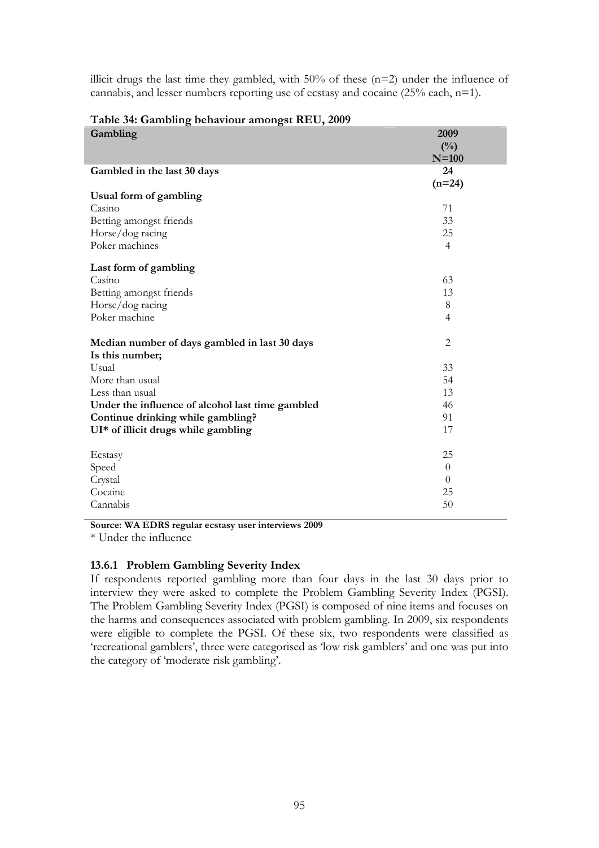illicit drugs the last time they gambled, with  $50\%$  of these ( $n=2$ ) under the influence of cannabis, and lesser numbers reporting use of ecstasy and cocaine (25% each, n=1).

| Gambling                                         | 2009           |
|--------------------------------------------------|----------------|
|                                                  | $(^{0}/_{0})$  |
|                                                  | $N=100$        |
| Gambled in the last 30 days                      | 24             |
|                                                  | $(n=24)$       |
| Usual form of gambling                           |                |
| Casino                                           | 71             |
| Betting amongst friends                          | 33             |
| Horse/dog racing                                 | 25             |
| Poker machines                                   | $\overline{4}$ |
| Last form of gambling                            |                |
| Casino                                           | 63             |
| Betting amongst friends                          | 13             |
| Horse/dog racing                                 | $8\,$          |
| Poker machine                                    | $\overline{4}$ |
| Median number of days gambled in last 30 days    | $\overline{2}$ |
| Is this number;                                  |                |
| Usual<br>More than usual                         | 33<br>54       |
| Less than usual                                  | 13             |
| Under the influence of alcohol last time gambled | 46             |
| Continue drinking while gambling?                | 91             |
| UI* of illicit drugs while gambling              | 17             |
|                                                  |                |
| Ecstasy                                          | 25             |
| Speed                                            | $\theta$       |
| Crystal                                          | $\theta$       |
| Cocaine                                          | 25             |
| Cannabis                                         | 50             |

#### **Table 34: Gambling behaviour amongst REU, 2009**

**Source: WA EDRS regular ecstasy user interviews 2009** 

\* Under the influence

#### **13.6.1 Problem Gambling Severity Index**

If respondents reported gambling more than four days in the last 30 days prior to interview they were asked to complete the Problem Gambling Severity Index (PGSI). The Problem Gambling Severity Index (PGSI) is composed of nine items and focuses on the harms and consequences associated with problem gambling. In 2009, six respondents were eligible to complete the PGSI. Of these six, two respondents were classified as 'recreational gamblers', three were categorised as 'low risk gamblers' and one was put into the category of 'moderate risk gambling'.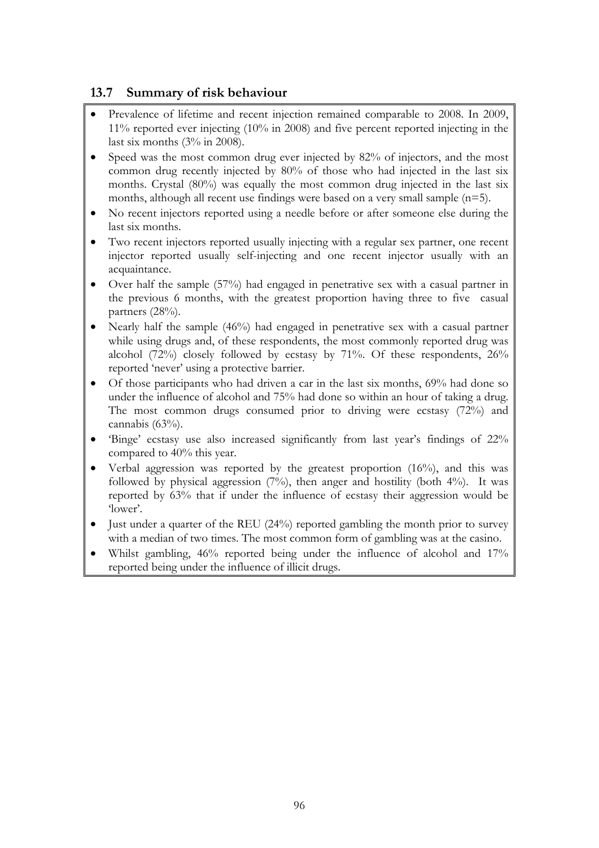# **13.7 Summary of risk behaviour**

- Prevalence of lifetime and recent injection remained comparable to 2008. In 2009, 11% reported ever injecting (10% in 2008) and five percent reported injecting in the last six months (3% in 2008).
- Speed was the most common drug ever injected by 82% of injectors, and the most common drug recently injected by 80% of those who had injected in the last six months. Crystal (80%) was equally the most common drug injected in the last six months, although all recent use findings were based on a very small sample (n=5).
- No recent injectors reported using a needle before or after someone else during the last six months.
- Two recent injectors reported usually injecting with a regular sex partner, one recent injector reported usually self-injecting and one recent injector usually with an acquaintance.
- Over half the sample (57%) had engaged in penetrative sex with a casual partner in the previous 6 months, with the greatest proportion having three to five casual partners (28%).
- Nearly half the sample (46%) had engaged in penetrative sex with a casual partner while using drugs and, of these respondents, the most commonly reported drug was alcohol (72%) closely followed by ecstasy by 71%. Of these respondents, 26% reported 'never' using a protective barrier.
- Of those participants who had driven a car in the last six months, 69% had done so under the influence of alcohol and 75% had done so within an hour of taking a drug. The most common drugs consumed prior to driving were ecstasy (72%) and cannabis (63%).
- 'Binge' ecstasy use also increased significantly from last year's findings of 22% compared to 40% this year.
- Verbal aggression was reported by the greatest proportion (16%), and this was followed by physical aggression  $(7%)$ , then anger and hostility (both 4%). It was reported by 63% that if under the influence of ecstasy their aggression would be 'lower'.
- $\bullet$  Just under a quarter of the REU (24%) reported gambling the month prior to survey with a median of two times. The most common form of gambling was at the casino.
- Whilst gambling, 46% reported being under the influence of alcohol and 17% reported being under the influence of illicit drugs.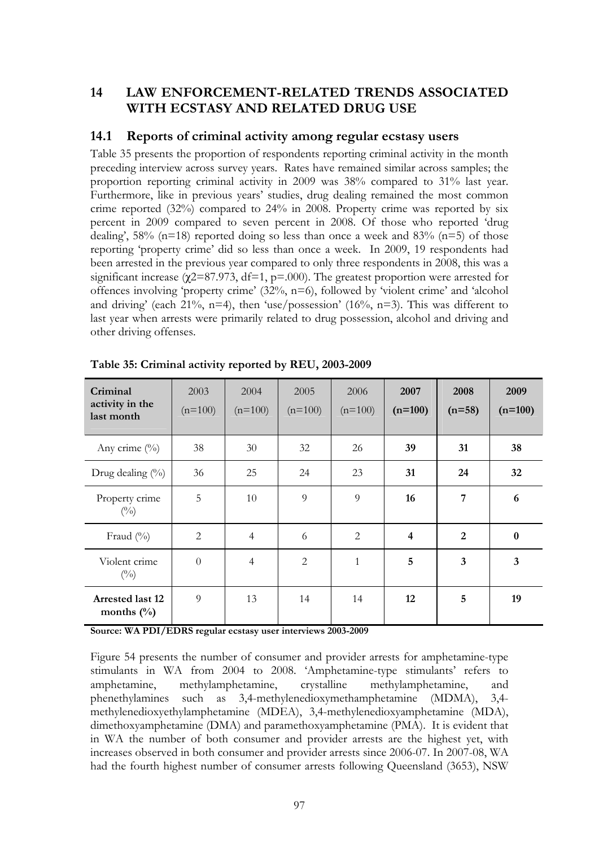## **14 LAW ENFORCEMENT-RELATED TRENDS ASSOCIATED WITH ECSTASY AND RELATED DRUG USE**

## **14.1 Reports of criminal activity among regular ecstasy users**

Table 35 presents the proportion of respondents reporting criminal activity in the month preceding interview across survey years. Rates have remained similar across samples; the proportion reporting criminal activity in 2009 was 38% compared to 31% last year. Furthermore, like in previous years' studies, drug dealing remained the most common crime reported (32%) compared to 24% in 2008. Property crime was reported by six percent in 2009 compared to seven percent in 2008. Of those who reported 'drug dealing',  $58\%$  (n=18) reported doing so less than once a week and  $83\%$  (n=5) of those reporting 'property crime' did so less than once a week. In 2009, 19 respondents had been arrested in the previous year compared to only three respondents in 2008, this was a significant increase ( $\chi$ 2=87.973, df=1, p=.000). The greatest proportion were arrested for offences involving 'property crime' (32%, n=6), followed by 'violent crime' and 'alcohol and driving' (each 21%, n=4), then 'use/possession' (16%, n=3). This was different to last year when arrests were primarily related to drug possession, alcohol and driving and other driving offenses.

| Criminal<br>activity in the<br>last month | 2003<br>$(n=100)$ | 2004<br>$(n=100)$ | 2005<br>$(n=100)$ | 2006<br>$(n=100)$ | 2007<br>$(n=100)$ | 2008<br>$(n=58)$        | 2009<br>$(n=100)$ |
|-------------------------------------------|-------------------|-------------------|-------------------|-------------------|-------------------|-------------------------|-------------------|
| Any crime $(\%)$                          | 38                | 30                | 32                | 26                | 39                | 31                      | 38                |
| Drug dealing $(\%)$                       | 36                | 25                | 24                | 23                | 31                | 24                      | 32                |
| Property crime<br>$(^{0}_{0})$            | 5                 | 10                | 9                 | 9                 | 16                | 7                       | 6                 |
| Fraud $(\%$                               | $\overline{2}$    | $\overline{4}$    | 6                 | $\overline{2}$    | $\overline{4}$    | $\overline{2}$          | $\bf{0}$          |
| Violent crime<br>$(^{0}_{0})$             | $\boldsymbol{0}$  | $\overline{4}$    | $\overline{2}$    | $\mathbf{1}$      | 5                 | $\overline{\mathbf{3}}$ | 3                 |
| <b>Arrested last 12</b><br>months $(\%)$  | 9                 | 13                | 14                | 14                | 12                | 5                       | 19                |

**Table 35: Criminal activity reported by REU, 2003-2009** 

**Source: WA PDI/EDRS regular ecstasy user interviews 2003-2009** 

Figure 54 presents the number of consumer and provider arrests for amphetamine-type stimulants in WA from 2004 to 2008. 'Amphetamine-type stimulants' refers to amphetamine, methylamphetamine, crystalline methylamphetamine, and phenethylamines such as 3,4-methylenedioxymethamphetamine (MDMA), 3,4 methylenedioxyethylamphetamine (MDEA), 3,4-methylenedioxyamphetamine (MDA), dimethoxyamphetamine (DMA) and paramethoxyamphetamine (PMA). It is evident that in WA the number of both consumer and provider arrests are the highest yet, with increases observed in both consumer and provider arrests since 2006-07. In 2007-08, WA had the fourth highest number of consumer arrests following Queensland (3653), NSW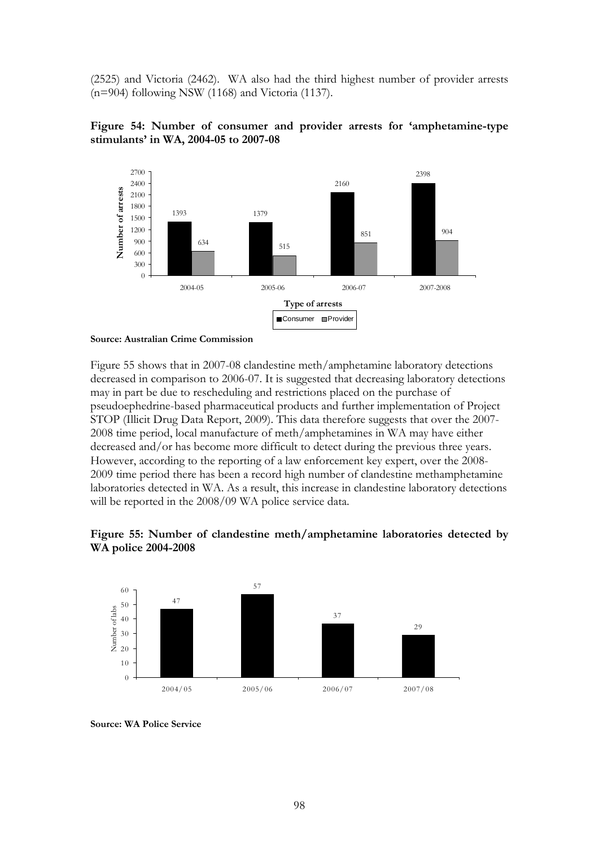(2525) and Victoria (2462). WA also had the third highest number of provider arrests (n=904) following NSW (1168) and Victoria (1137).





**Source: Australian Crime Commission** 

Figure 55 shows that in 2007-08 clandestine meth/amphetamine laboratory detections decreased in comparison to 2006-07. It is suggested that decreasing laboratory detections may in part be due to rescheduling and restrictions placed on the purchase of pseudoephedrine-based pharmaceutical products and further implementation of Project STOP (Illicit Drug Data Report, 2009). This data therefore suggests that over the 2007- 2008 time period, local manufacture of meth/amphetamines in WA may have either decreased and/or has become more difficult to detect during the previous three years. However, according to the reporting of a law enforcement key expert, over the 2008- 2009 time period there has been a record high number of clandestine methamphetamine laboratories detected in WA. As a result, this increase in clandestine laboratory detections will be reported in the 2008/09 WA police service data.





**Source: WA Police Service**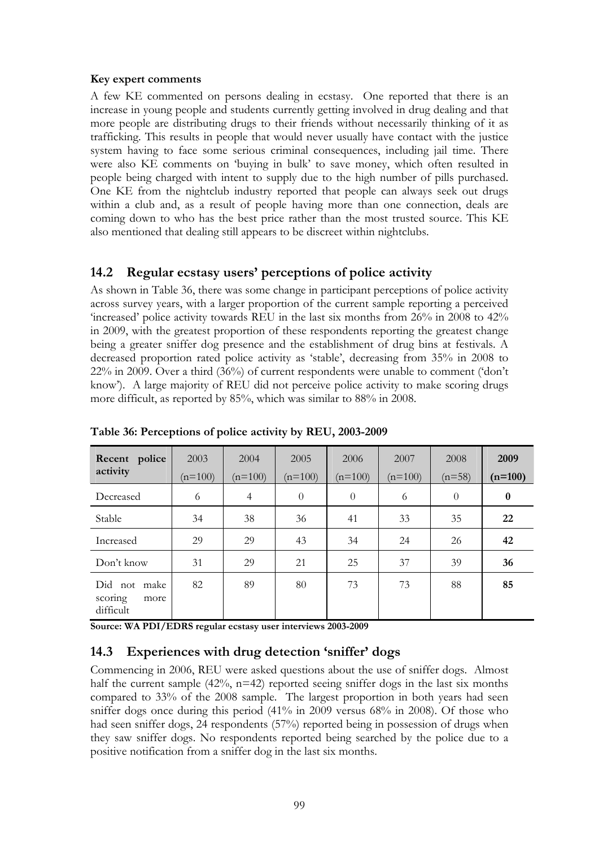#### **Key expert comments**

A few KE commented on persons dealing in ecstasy. One reported that there is an increase in young people and students currently getting involved in drug dealing and that more people are distributing drugs to their friends without necessarily thinking of it as trafficking. This results in people that would never usually have contact with the justice system having to face some serious criminal consequences, including jail time. There were also KE comments on 'buying in bulk' to save money, which often resulted in people being charged with intent to supply due to the high number of pills purchased. One KE from the nightclub industry reported that people can always seek out drugs within a club and, as a result of people having more than one connection, deals are coming down to who has the best price rather than the most trusted source. This KE also mentioned that dealing still appears to be discreet within nightclubs.

## **14.2 Regular ecstasy users' perceptions of police activity**

As shown in Table 36, there was some change in participant perceptions of police activity across survey years, with a larger proportion of the current sample reporting a perceived 'increased' police activity towards REU in the last six months from 26% in 2008 to 42% in 2009, with the greatest proportion of these respondents reporting the greatest change being a greater sniffer dog presence and the establishment of drug bins at festivals. A decreased proportion rated police activity as 'stable', decreasing from 35% in 2008 to 22% in 2009. Over a third (36%) of current respondents were unable to comment ('don't know'). A large majority of REU did not perceive police activity to make scoring drugs more difficult, as reported by 85%, which was similar to 88% in 2008.

| Recent police<br>activity                    | 2003<br>$(n=100)$ | 2004<br>$(n=100)$ | 2005<br>$(n=100)$ | 2006<br>$(n=100)$ | 2007<br>$(n=100)$ | 2008<br>$(n=58)$ | 2009<br>$(n=100)$ |
|----------------------------------------------|-------------------|-------------------|-------------------|-------------------|-------------------|------------------|-------------------|
| Decreased                                    | 6                 | $\overline{4}$    | $\theta$          | $\theta$          | 6                 | $\theta$         | $\boldsymbol{0}$  |
| Stable                                       | 34                | 38                | 36                | 41                | 33                | 35               | 22                |
| Increased                                    | 29                | 29                | 43                | 34                | 24                | 26               | 42                |
| Don't know                                   | 31                | 29                | 21                | 25                | 37                | 39               | 36                |
| Did not make<br>scoring<br>more<br>difficult | 82                | 89                | 80                | 73                | 73                | 88               | 85                |

**Table 36: Perceptions of police activity by REU, 2003-2009** 

**Source: WA PDI/EDRS regular ecstasy user interviews 2003-2009** 

## **14.3 Experiences with drug detection 'sniffer' dogs**

Commencing in 2006, REU were asked questions about the use of sniffer dogs. Almost half the current sample  $(42\%$ , n=42) reported seeing sniffer dogs in the last six months compared to 33% of the 2008 sample. The largest proportion in both years had seen sniffer dogs once during this period (41% in 2009 versus 68% in 2008). Of those who had seen sniffer dogs, 24 respondents (57%) reported being in possession of drugs when they saw sniffer dogs. No respondents reported being searched by the police due to a positive notification from a sniffer dog in the last six months.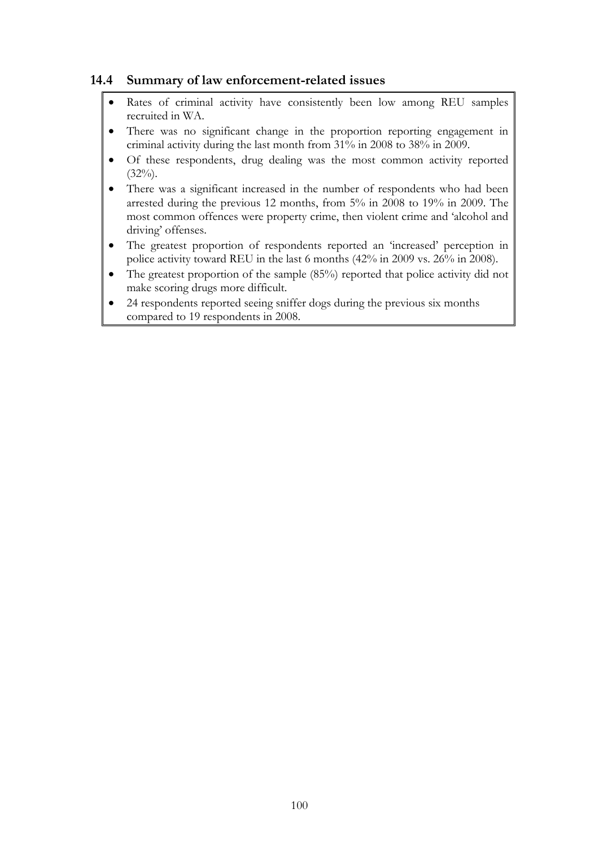## **14.4 Summary of law enforcement-related issues**

- Rates of criminal activity have consistently been low among REU samples recruited in WA.
- There was no significant change in the proportion reporting engagement in criminal activity during the last month from 31% in 2008 to 38% in 2009.
- Of these respondents, drug dealing was the most common activity reported  $(32\%)$ .
- There was a significant increased in the number of respondents who had been arrested during the previous 12 months, from 5% in 2008 to 19% in 2009. The most common offences were property crime, then violent crime and 'alcohol and driving' offenses.
- The greatest proportion of respondents reported an 'increased' perception in police activity toward REU in the last 6 months (42% in 2009 vs. 26% in 2008).
- The greatest proportion of the sample (85%) reported that police activity did not make scoring drugs more difficult.
- 24 respondents reported seeing sniffer dogs during the previous six months compared to 19 respondents in 2008.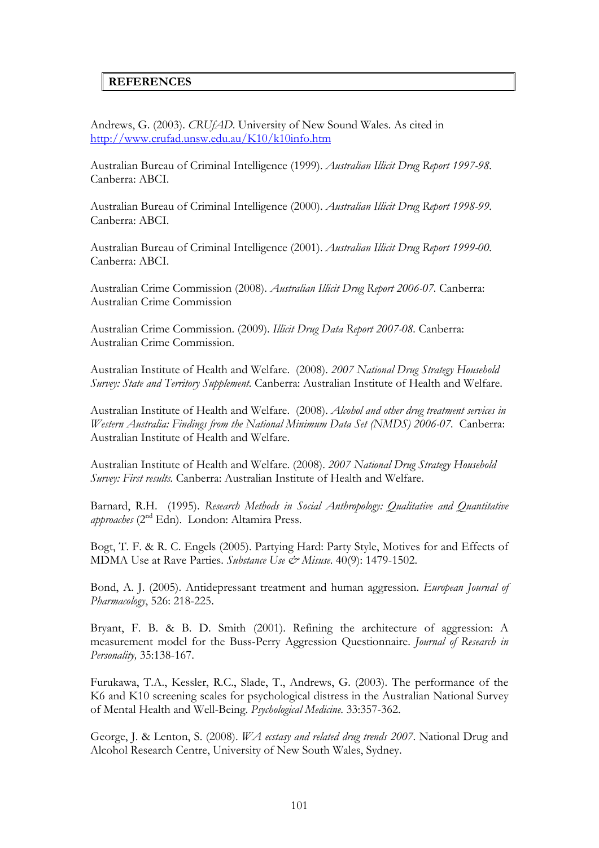#### **REFERENCES**

Andrews, G. (2003). *CRUfAD*. University of New Sound Wales. As cited in <http://www.crufad.unsw.edu.au/K10/k10info.htm>

Australian Bureau of Criminal Intelligence (1999). *Australian Illicit Drug Report 1997-98.*  Canberra: ABCI.

Australian Bureau of Criminal Intelligence (2000). *Australian Illicit Drug Report 1998-99.*  Canberra: ABCI.

Australian Bureau of Criminal Intelligence (2001). *Australian Illicit Drug Report 1999-00.*  Canberra: ABCI.

Australian Crime Commission (2008). *Australian Illicit Drug Report 2006-07.* Canberra: Australian Crime Commission

Australian Crime Commission. (2009). *Illicit Drug Data Report 2007-08.* Canberra: Australian Crime Commission.

Australian Institute of Health and Welfare. (2008). *2007 National Drug Strategy Household Survey: State and Territory Supplement.* Canberra: Australian Institute of Health and Welfare.

Australian Institute of Health and Welfare. (2008). *Alcohol and other drug treatment services in Western Australia: Findings from the National Minimum Data Set (NMDS) 2006-07.* Canberra: Australian Institute of Health and Welfare.

Australian Institute of Health and Welfare. (2008). *2007 National Drug Strategy Household Survey: First results.* Canberra: Australian Institute of Health and Welfare.

Barnard, R.H. (1995). *Research Methods in Social Anthropology: Qualitative and Quantitative approaches* (2nd Edn). London: Altamira Press.

Bogt, T. F. & R. C. Engels (2005). Partying Hard: Party Style, Motives for and Effects of MDMA Use at Rave Parties. *Substance Use & Misuse*. 40(9): 1479-1502.

Bond, A. J. (2005). Antidepressant treatment and human aggression. *European Journal of Pharmacology*, 526: 218-225.

Bryant, F. B. & B. D. Smith (2001). Refining the architecture of aggression: A measurement model for the Buss-Perry Aggression Questionnaire. *Journal of Research in Personality,* 35:138-167.

Furukawa, T.A., Kessler, R.C., Slade, T., Andrews, G. (2003). The performance of the K6 and K10 screening scales for psychological distress in the Australian National Survey of Mental Health and Well-Being. *Psychological Medicine*. 33:357-362.

George, J. & Lenton, S. (2008). *WA ecstasy and related drug trends 2007*. National Drug and Alcohol Research Centre, University of New South Wales, Sydney.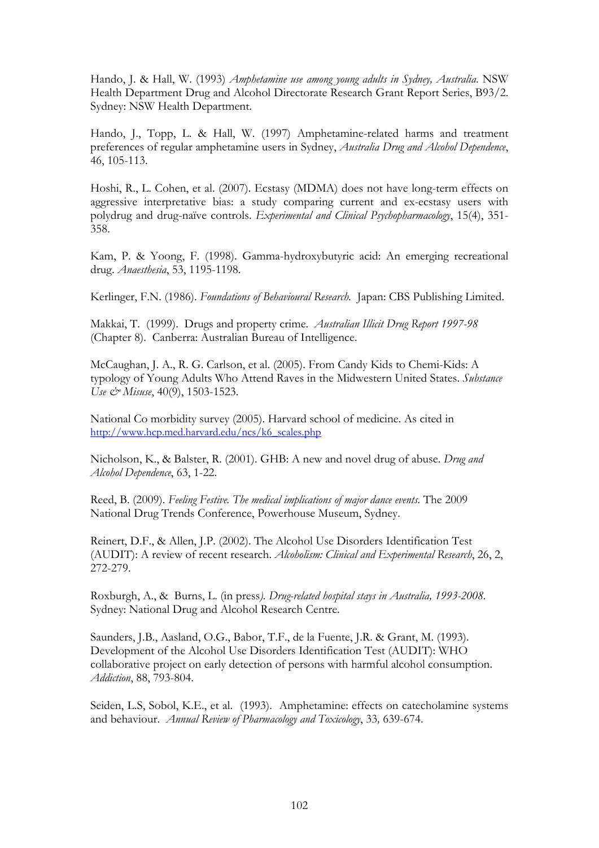Hando, J. & Hall, W. (1993) *Amphetamine use among young adults in Sydney, Australia*. NSW Health Department Drug and Alcohol Directorate Research Grant Report Series, B93/2. Sydney: NSW Health Department.

Hando, J., Topp, L. & Hall, W. (1997) Amphetamine-related harms and treatment preferences of regular amphetamine users in Sydney, *Australia Drug and Alcohol Dependence*, 46, 105-113.

Hoshi, R., L. Cohen, et al. (2007). Ecstasy (MDMA) does not have long-term effects on aggressive interpretative bias: a study comparing current and ex-ecstasy users with polydrug and drug-naïve controls. *Experimental and Clinical Psychopharmacology*, 15(4), 351- 358.

Kam, P. & Yoong, F. (1998). Gamma-hydroxybutyric acid: An emerging recreational drug. *Anaesthesia*, 53, 1195-1198.

Kerlinger, F.N. (1986). *Foundations of Behavioural Research.* Japan: CBS Publishing Limited.

Makkai, T. (1999). Drugs and property crime. *Australian Illicit Drug Report 1997-98* (Chapter 8). Canberra: Australian Bureau of Intelligence.

McCaughan, J. A., R. G. Carlson, et al. (2005). From Candy Kids to Chemi-Kids: A typology of Young Adults Who Attend Raves in the Midwestern United States. *Substance Use & Misuse*, 40(9), 1503-1523.

National Co morbidity survey (2005). Harvard school of medicine. As cited in [http://www.hcp.med.harvard.edu/ncs/k6\\_scales.php](http://www.hcp.med.harvard.edu/ncs/k6_scales.php)

Nicholson, K., & Balster, R. (2001). GHB: A new and novel drug of abuse. *Drug and Alcohol Dependence*, 63, 1-22.

Reed, B. (2009). *Feeling Festive. The medical implications of major dance events.* The 2009 National Drug Trends Conference, Powerhouse Museum, Sydney.

Reinert, D.F., & Allen, J.P. (2002). The Alcohol Use Disorders Identification Test (AUDIT): A review of recent research. *Alcoholism: Clinical and Experimental Research*, 26, 2, 272-279.

Roxburgh, A., & Burns, L. (in press*). Drug-related hospital stays in Australia, 1993-2008.* Sydney: National Drug and Alcohol Research Centre.

Saunders, J.B., Aasland, O.G., Babor, T.F., de la Fuente, J.R. & Grant, M. (1993). Development of the Alcohol Use Disorders Identification Test (AUDIT): WHO collaborative project on early detection of persons with harmful alcohol consumption. *Addiction*, 88, 793-804.

Seiden, L.S, Sobol, K.E., et al. (1993). Amphetamine: effects on catecholamine systems and behaviour. *Annual Review of Pharmacology and Toxicology*, 33*,* 639-674.